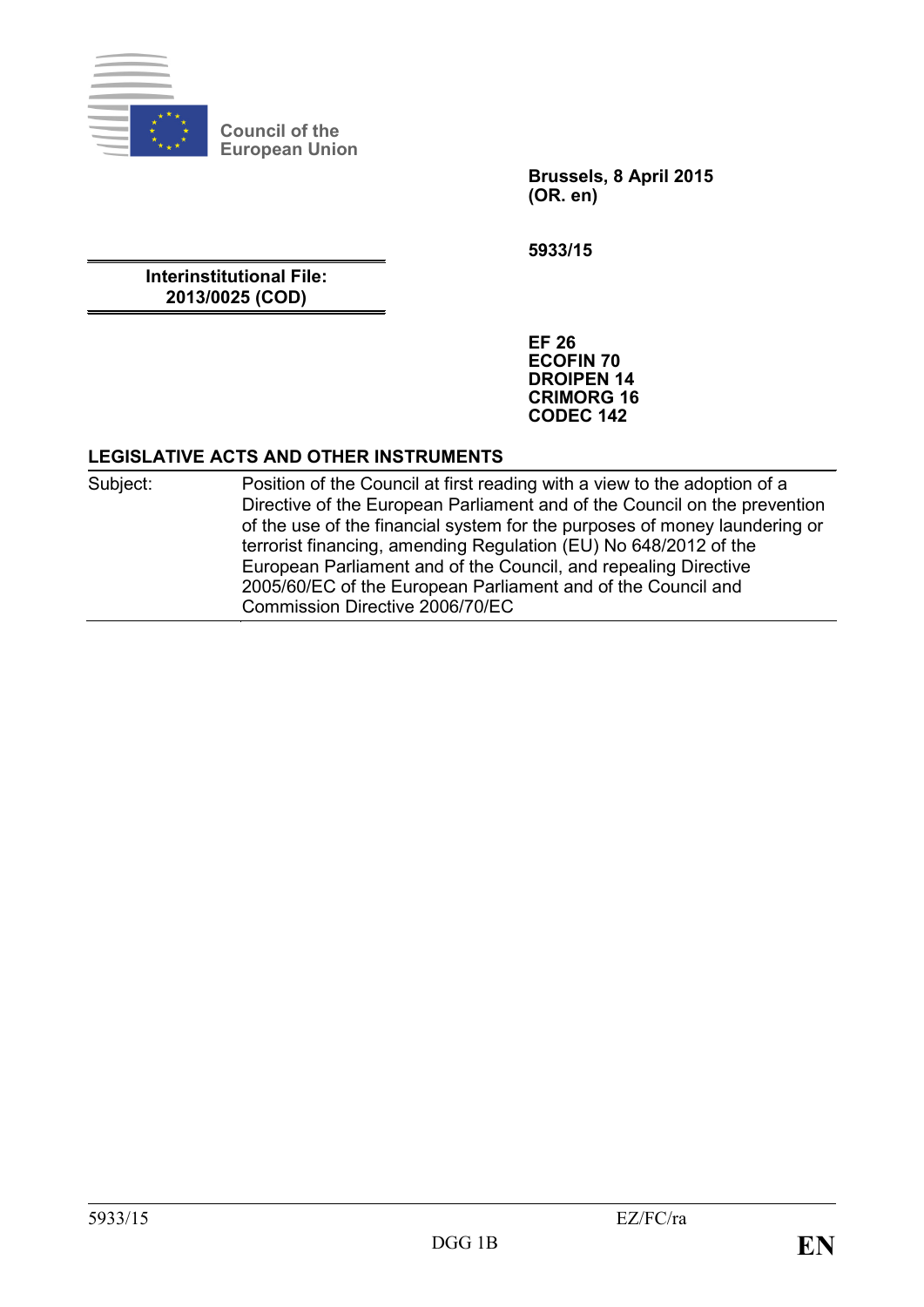

**Council of the European Union**

> **Brussels, 8 April 2015 (OR. en)**

**5933/15**

**Interinstitutional File: 2013/0025 (COD)**

> **EF 26 ECOFIN 70 DROIPEN 14 CRIMORG 16 CODEC 142**

## **LEGISLATIVE ACTS AND OTHER INSTRUMENTS**

Subject: Position of the Council at first reading with a view to the adoption of a Directive of the European Parliament and of the Council on the prevention of the use of the financial system for the purposes of money laundering or terrorist financing, amending Regulation (EU) No 648/2012 of the European Parliament and of the Council, and repealing Directive 2005/60/EC of the European Parliament and of the Council and Commission Directive 2006/70/EC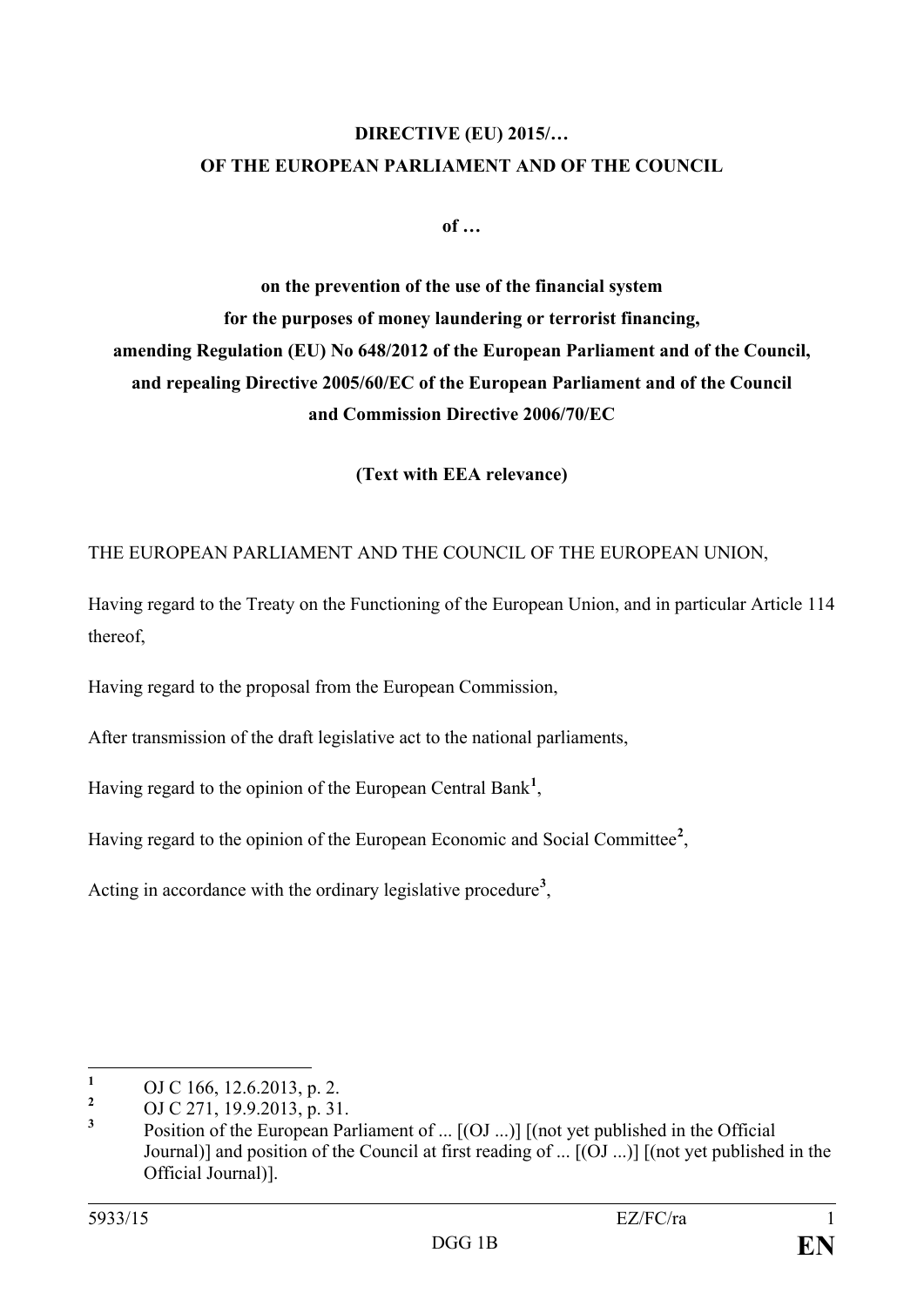## **DIRECTIVE (EU) 2015/… OF THE EUROPEAN PARLIAMENT AND OF THE COUNCIL**

**of …**

**on the prevention of the use of the financial system for the purposes of money laundering or terrorist financing, amending Regulation (EU) No 648/2012 of the European Parliament and of the Council, and repealing Directive 2005/60/EC of the European Parliament and of the Council and Commission Directive 2006/70/EC**

**(Text with EEA relevance)**

THE EUROPEAN PARLIAMENT AND THE COUNCIL OF THE EUROPEAN UNION,

Having regard to the Treaty on the Functioning of the European Union, and in particular Article 114 thereof,

Having regard to the proposal from the European Commission,

After transmission of the draft legislative act to the national parliaments,

Having regard to the opinion of the European Central Bank**[1](#page-1-0)** ,

Having regard to the opinion of the European Economic and Social Committee**[2](#page-1-1)** ,

Acting in accordance with the ordinary legislative procedure**[3](#page-1-2)** ,

<span id="page-1-0"></span> $\mathbf{1}$ 

<span id="page-1-2"></span><span id="page-1-1"></span>

**<sup>1</sup>** OJ C 166, 12.6.2013, p. 2. **<sup>2</sup>** OJ C 271, 19.9.2013, p. 31. **<sup>3</sup>** Position of the European Parliament of ... [(OJ ...)] [(not yet published in the Official Journal)] and position of the Council at first reading of ... [(OJ ...)] [(not yet published in the Official Journal)].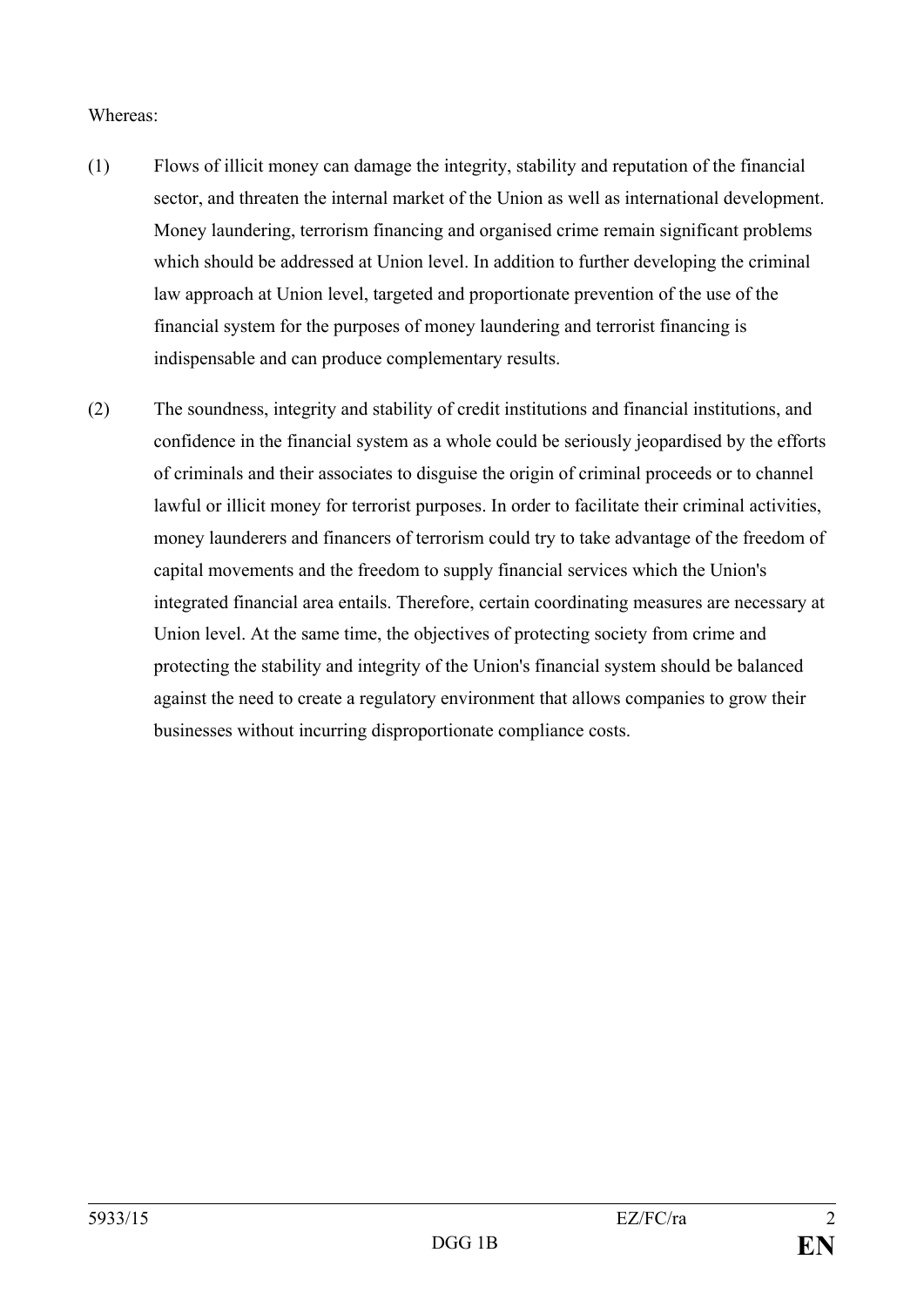### Whereas:

- (1) Flows of illicit money can damage the integrity, stability and reputation of the financial sector, and threaten the internal market of the Union as well as international development. Money laundering, terrorism financing and organised crime remain significant problems which should be addressed at Union level. In addition to further developing the criminal law approach at Union level, targeted and proportionate prevention of the use of the financial system for the purposes of money laundering and terrorist financing is indispensable and can produce complementary results.
- (2) The soundness, integrity and stability of credit institutions and financial institutions, and confidence in the financial system as a whole could be seriously jeopardised by the efforts of criminals and their associates to disguise the origin of criminal proceeds or to channel lawful or illicit money for terrorist purposes. In order to facilitate their criminal activities, money launderers and financers of terrorism could try to take advantage of the freedom of capital movements and the freedom to supply financial services which the Union's integrated financial area entails. Therefore, certain coordinating measures are necessary at Union level. At the same time, the objectives of protecting society from crime and protecting the stability and integrity of the Union's financial system should be balanced against the need to create a regulatory environment that allows companies to grow their businesses without incurring disproportionate compliance costs.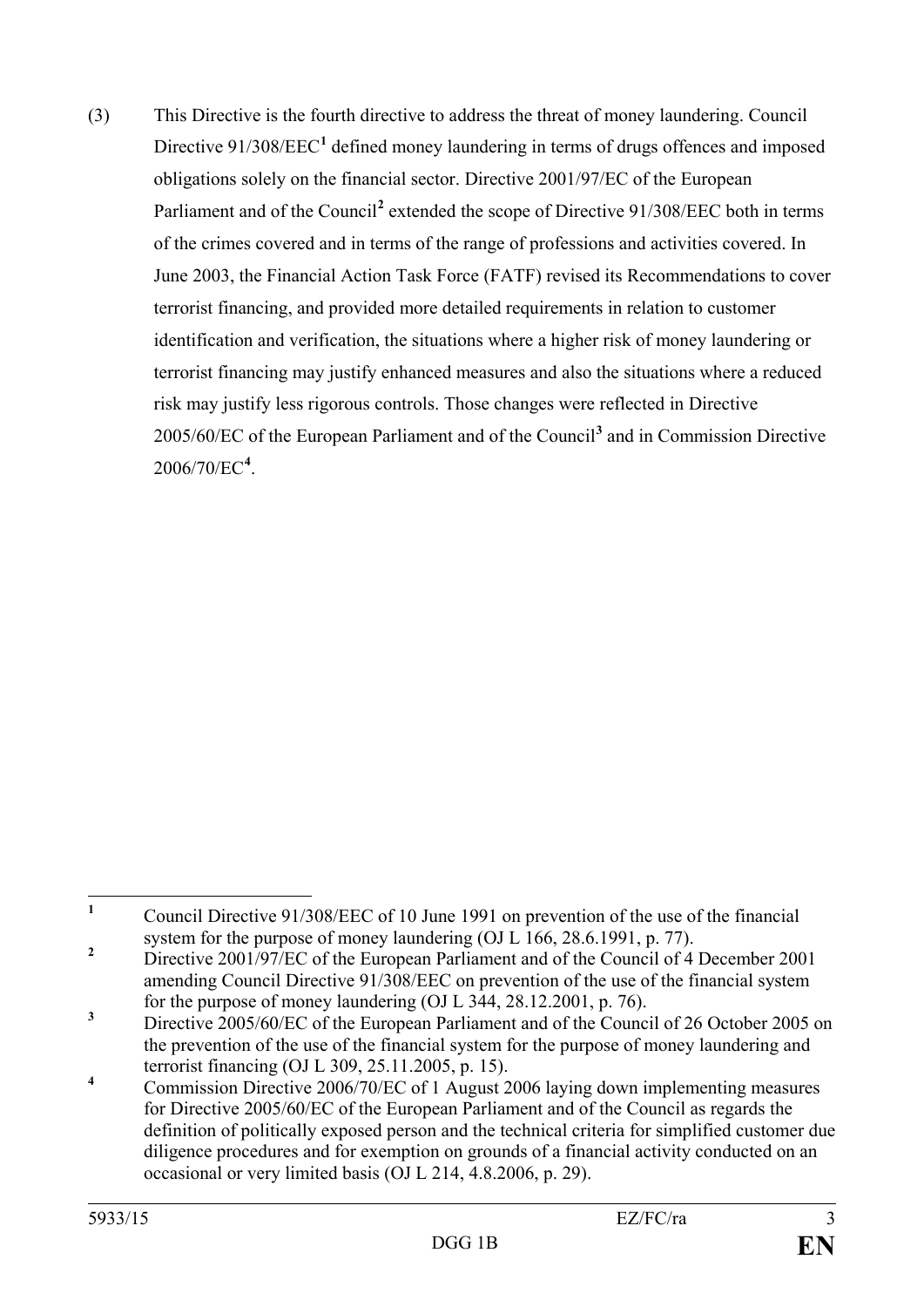(3) This Directive is the fourth directive to address the threat of money laundering. Council Directive 9[1](#page-3-0)/308/EEC<sup>1</sup> defined money laundering in terms of drugs offences and imposed obligations solely on the financial sector. Directive 2001/97/EC of the European Parliament and of the Council<sup>[2](#page-3-1)</sup> extended the scope of Directive 91/308/EEC both in terms of the crimes covered and in terms of the range of professions and activities covered. In June 2003, the Financial Action Task Force (FATF) revised its Recommendations to cover terrorist financing, and provided more detailed requirements in relation to customer identification and verification, the situations where a higher risk of money laundering or terrorist financing may justify enhanced measures and also the situations where a reduced risk may justify less rigorous controls. Those changes were reflected in Directive 2005/60/EC of the European Parliament and of the Council**[3](#page-3-2)** and in Commission Directive 2006/70/EC**[4](#page-3-3)** .

<span id="page-3-0"></span>**<sup>1</sup>** Council Directive 91/308/EEC of 10 June 1991 on prevention of the use of the financial system for the purpose of money laundering (OJ L 166, 28.6.1991, p. 77).  $\mathbf{1}$ 

<span id="page-3-1"></span><sup>&</sup>lt;sup>2</sup> Directive 2001/97/EC of the European Parliament and of the Council of 4 December 2001 amending Council Directive 91/308/EEC on prevention of the use of the financial system for the purpose of money laundering (OJ L 344, 28.12.2001, p. 76).

<span id="page-3-2"></span><sup>&</sup>lt;sup>3</sup> Directive 2005/60/EC of the European Parliament and of the Council of 26 October 2005 on the prevention of the use of the financial system for the purpose of money laundering and terrorist financing (OJ L 309, 25.11.2005, p. 15).

<span id="page-3-3"></span><sup>&</sup>lt;sup>4</sup> Commission Directive 2006/70/EC of 1 August 2006 laying down implementing measures for Directive 2005/60/EC of the European Parliament and of the Council as regards the definition of politically exposed person and the technical criteria for simplified customer due diligence procedures and for exemption on grounds of a financial activity conducted on an occasional or very limited basis (OJ L 214, 4.8.2006, p. 29).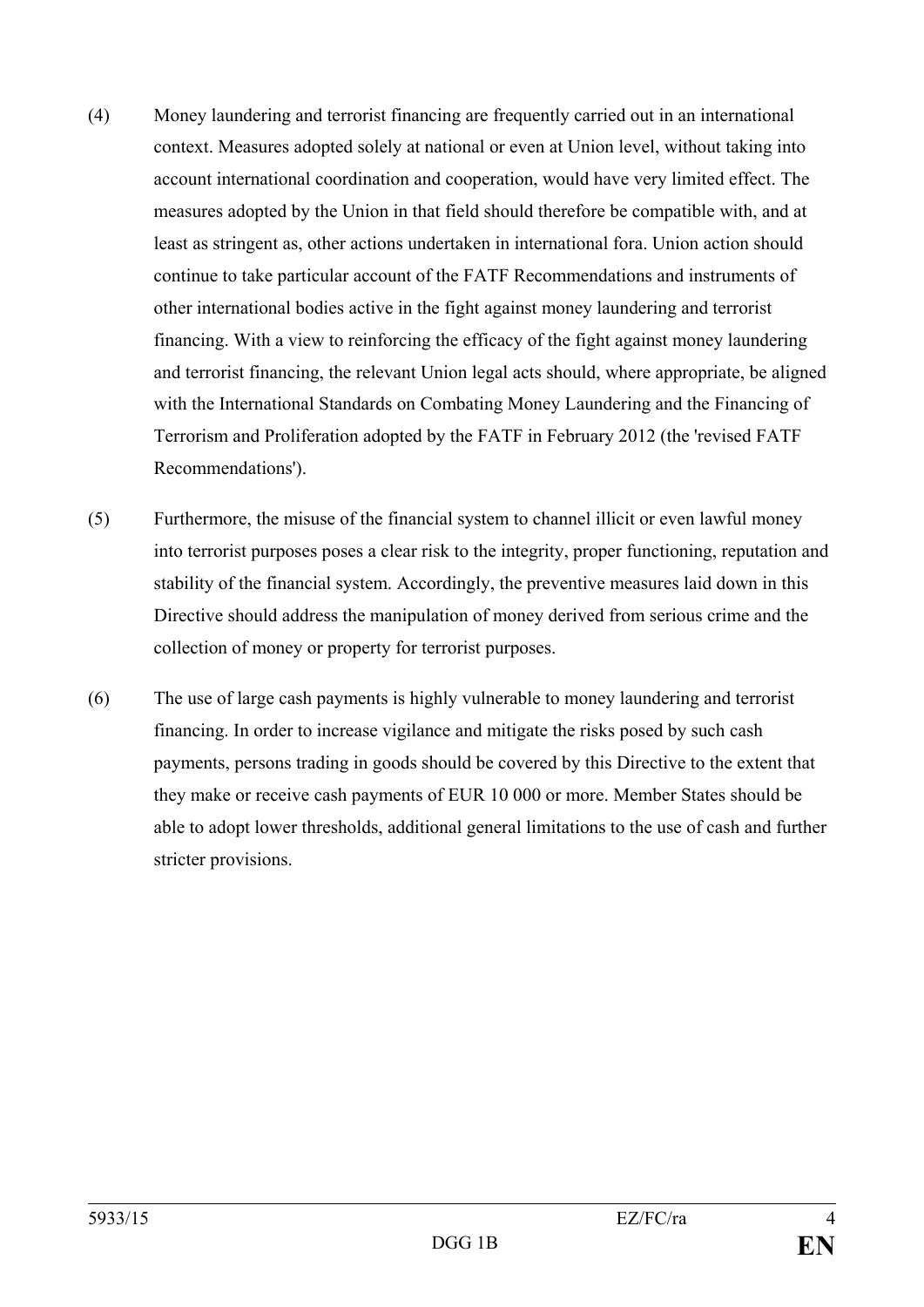- (4) Money laundering and terrorist financing are frequently carried out in an international context. Measures adopted solely at national or even at Union level, without taking into account international coordination and cooperation, would have very limited effect. The measures adopted by the Union in that field should therefore be compatible with, and at least as stringent as, other actions undertaken in international fora. Union action should continue to take particular account of the FATF Recommendations and instruments of other international bodies active in the fight against money laundering and terrorist financing. With a view to reinforcing the efficacy of the fight against money laundering and terrorist financing, the relevant Union legal acts should, where appropriate, be aligned with the International Standards on Combating Money Laundering and the Financing of Terrorism and Proliferation adopted by the FATF in February 2012 (the 'revised FATF Recommendations').
- (5) Furthermore, the misuse of the financial system to channel illicit or even lawful money into terrorist purposes poses a clear risk to the integrity, proper functioning, reputation and stability of the financial system. Accordingly, the preventive measures laid down in this Directive should address the manipulation of money derived from serious crime and the collection of money or property for terrorist purposes.
- (6) The use of large cash payments is highly vulnerable to money laundering and terrorist financing. In order to increase vigilance and mitigate the risks posed by such cash payments, persons trading in goods should be covered by this Directive to the extent that they make or receive cash payments of EUR 10 000 or more. Member States should be able to adopt lower thresholds, additional general limitations to the use of cash and further stricter provisions.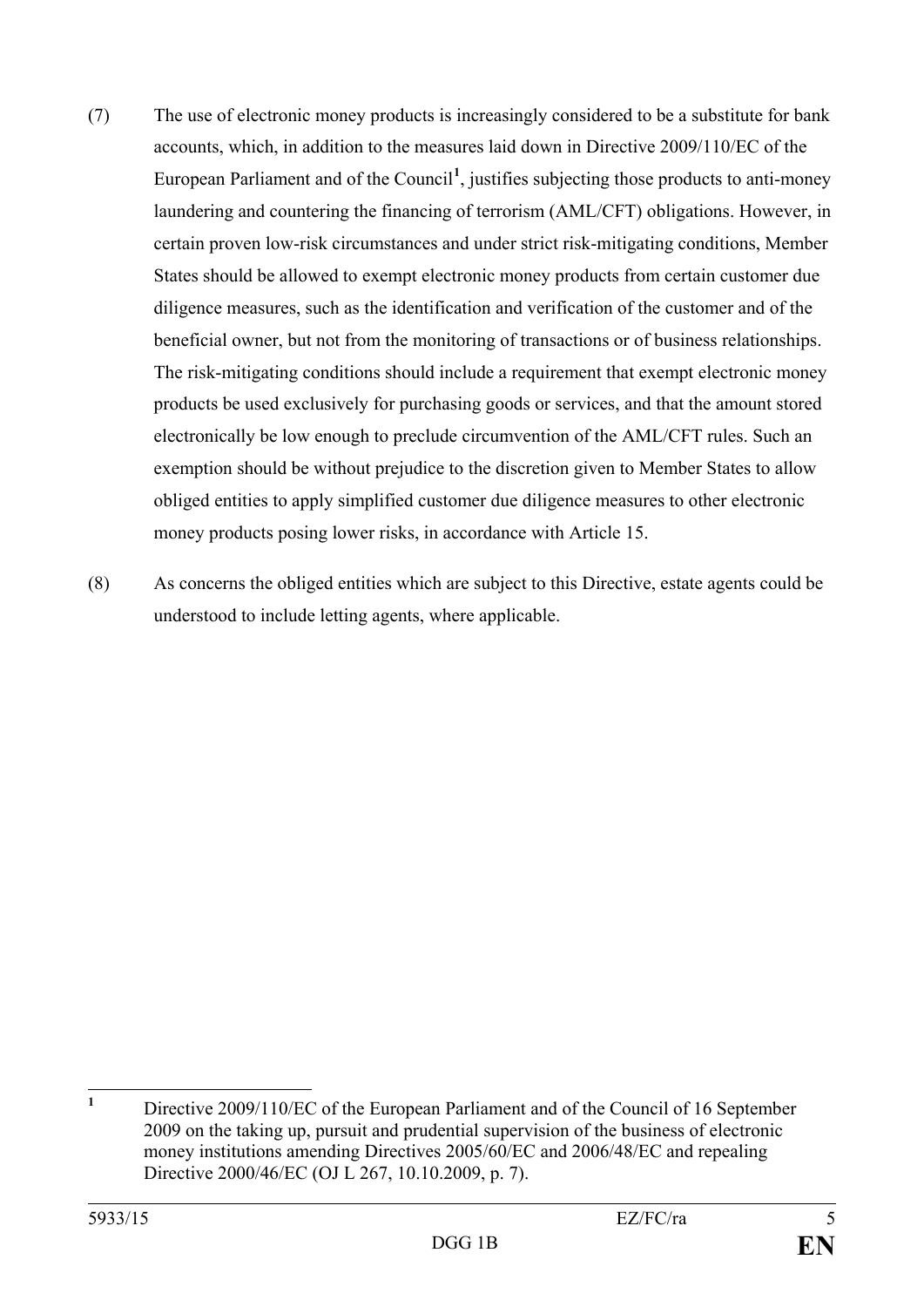- (7) The use of electronic money products is increasingly considered to be a substitute for bank accounts, which, in addition to the measures laid down in Directive 2009/110/EC of the European Parliament and of the Council**[1](#page-5-0)** , justifies subjecting those products to anti-money laundering and countering the financing of terrorism (AML/CFT) obligations. However, in certain proven low-risk circumstances and under strict risk-mitigating conditions, Member States should be allowed to exempt electronic money products from certain customer due diligence measures, such as the identification and verification of the customer and of the beneficial owner, but not from the monitoring of transactions or of business relationships. The risk-mitigating conditions should include a requirement that exempt electronic money products be used exclusively for purchasing goods or services, and that the amount stored electronically be low enough to preclude circumvention of the AML/CFT rules. Such an exemption should be without prejudice to the discretion given to Member States to allow obliged entities to apply simplified customer due diligence measures to other electronic money products posing lower risks, in accordance with Article 15.
- (8) As concerns the obliged entities which are subject to this Directive, estate agents could be understood to include letting agents, where applicable.

<span id="page-5-0"></span>**<sup>1</sup>** Directive 2009/110/EC of the European Parliament and of the Council of 16 September 2009 on the taking up, pursuit and prudential supervision of the business of electronic money institutions amending Directives 2005/60/EC and 2006/48/EC and repealing Directive 2000/46/EC (OJ L 267, 10.10.2009, p. 7).  $\mathbf{1}$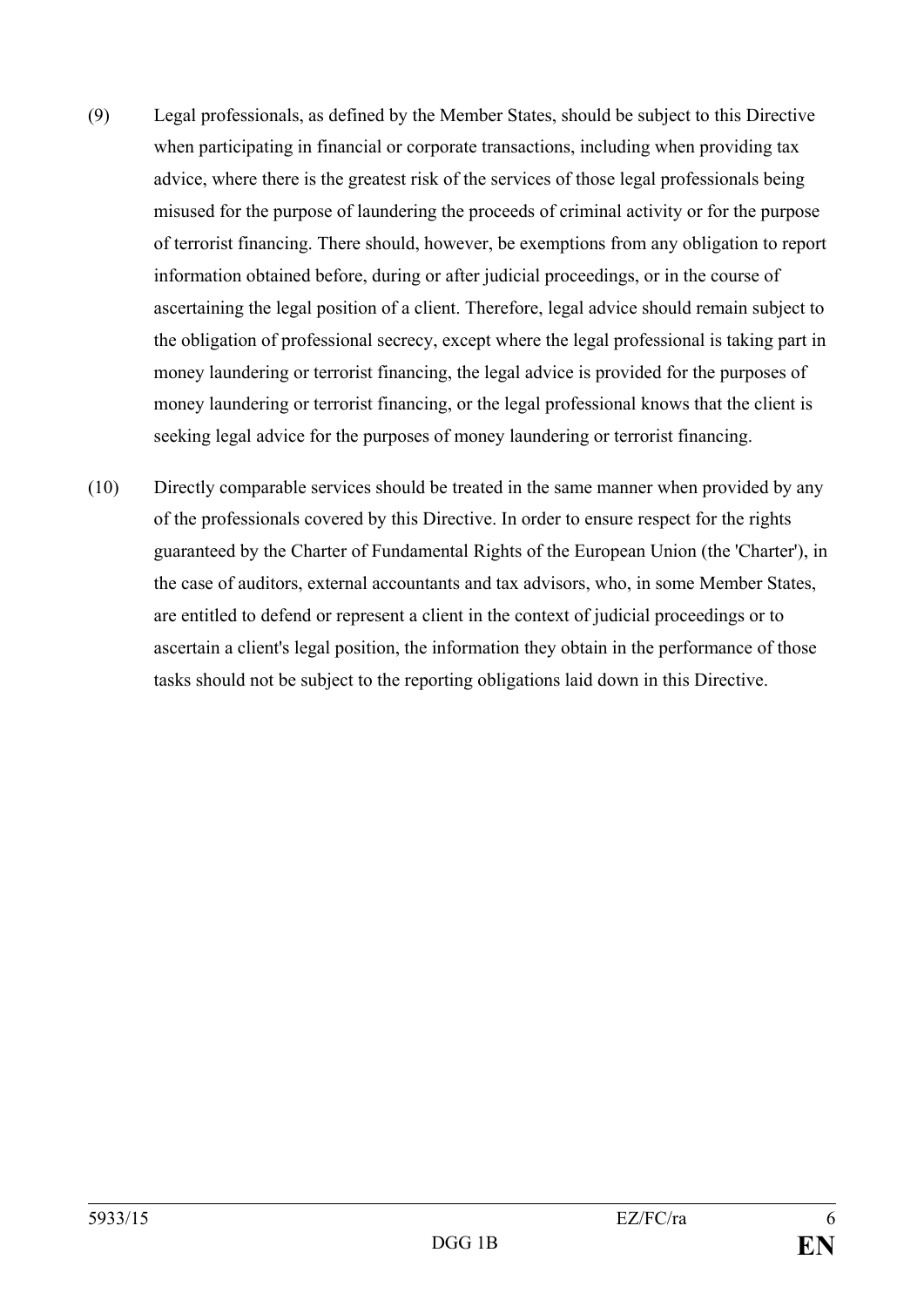- (9) Legal professionals, as defined by the Member States, should be subject to this Directive when participating in financial or corporate transactions, including when providing tax advice, where there is the greatest risk of the services of those legal professionals being misused for the purpose of laundering the proceeds of criminal activity or for the purpose of terrorist financing. There should, however, be exemptions from any obligation to report information obtained before, during or after judicial proceedings, or in the course of ascertaining the legal position of a client. Therefore, legal advice should remain subject to the obligation of professional secrecy, except where the legal professional is taking part in money laundering or terrorist financing, the legal advice is provided for the purposes of money laundering or terrorist financing, or the legal professional knows that the client is seeking legal advice for the purposes of money laundering or terrorist financing.
- (10) Directly comparable services should be treated in the same manner when provided by any of the professionals covered by this Directive. In order to ensure respect for the rights guaranteed by the Charter of Fundamental Rights of the European Union (the 'Charter'), in the case of auditors, external accountants and tax advisors, who, in some Member States, are entitled to defend or represent a client in the context of judicial proceedings or to ascertain a client's legal position, the information they obtain in the performance of those tasks should not be subject to the reporting obligations laid down in this Directive.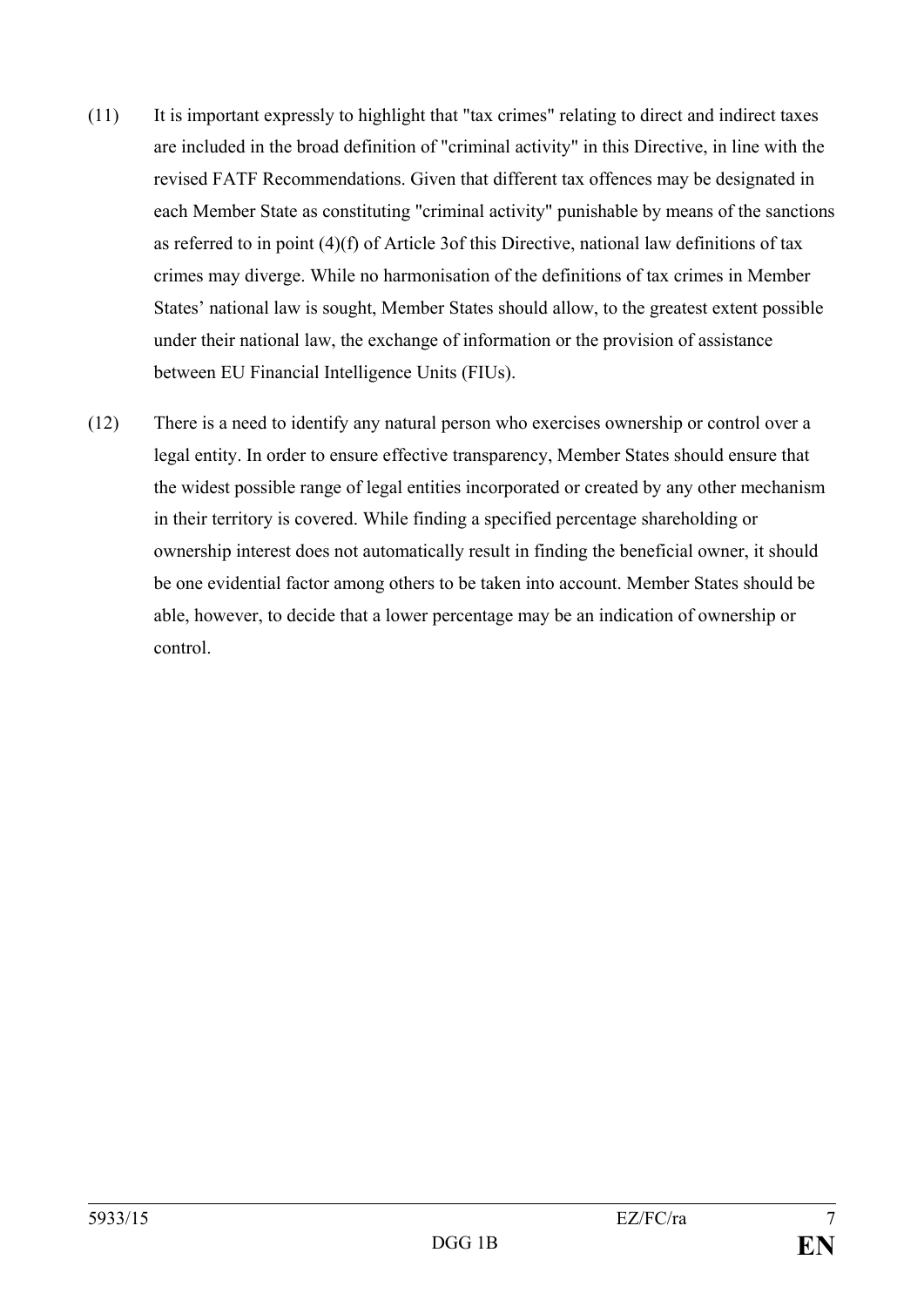- (11) It is important expressly to highlight that "tax crimes" relating to direct and indirect taxes are included in the broad definition of "criminal activity" in this Directive, in line with the revised FATF Recommendations. Given that different tax offences may be designated in each Member State as constituting "criminal activity" punishable by means of the sanctions as referred to in point (4)(f) of Article 3of this Directive, national law definitions of tax crimes may diverge. While no harmonisation of the definitions of tax crimes in Member States' national law is sought, Member States should allow, to the greatest extent possible under their national law, the exchange of information or the provision of assistance between EU Financial Intelligence Units (FIUs).
- (12) There is a need to identify any natural person who exercises ownership or control over a legal entity. In order to ensure effective transparency, Member States should ensure that the widest possible range of legal entities incorporated or created by any other mechanism in their territory is covered. While finding a specified percentage shareholding or ownership interest does not automatically result in finding the beneficial owner, it should be one evidential factor among others to be taken into account. Member States should be able, however, to decide that a lower percentage may be an indication of ownership or control.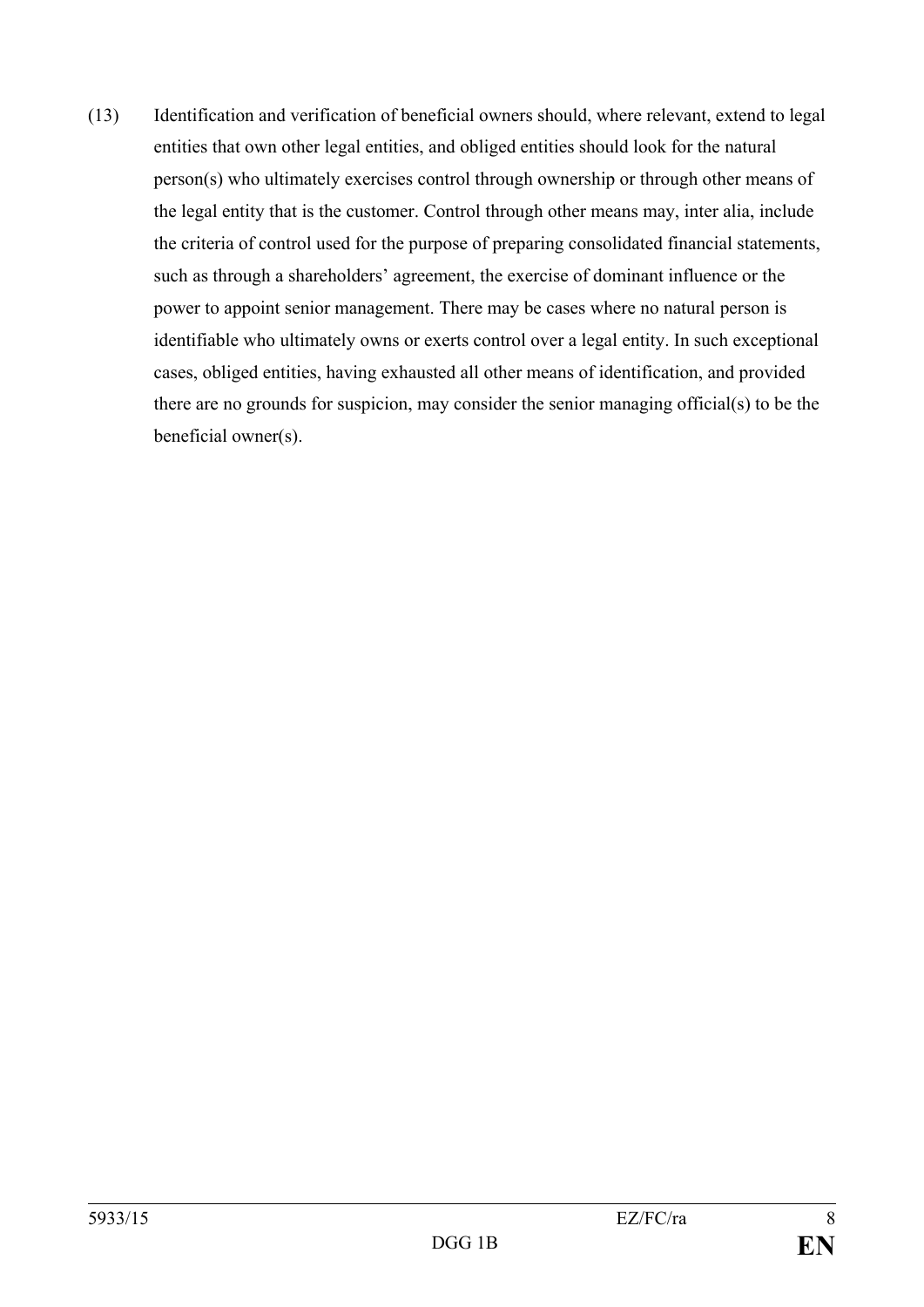(13) Identification and verification of beneficial owners should, where relevant, extend to legal entities that own other legal entities, and obliged entities should look for the natural person(s) who ultimately exercises control through ownership or through other means of the legal entity that is the customer. Control through other means may, inter alia, include the criteria of control used for the purpose of preparing consolidated financial statements, such as through a shareholders' agreement, the exercise of dominant influence or the power to appoint senior management. There may be cases where no natural person is identifiable who ultimately owns or exerts control over a legal entity. In such exceptional cases, obliged entities, having exhausted all other means of identification, and provided there are no grounds for suspicion, may consider the senior managing official(s) to be the beneficial owner(s).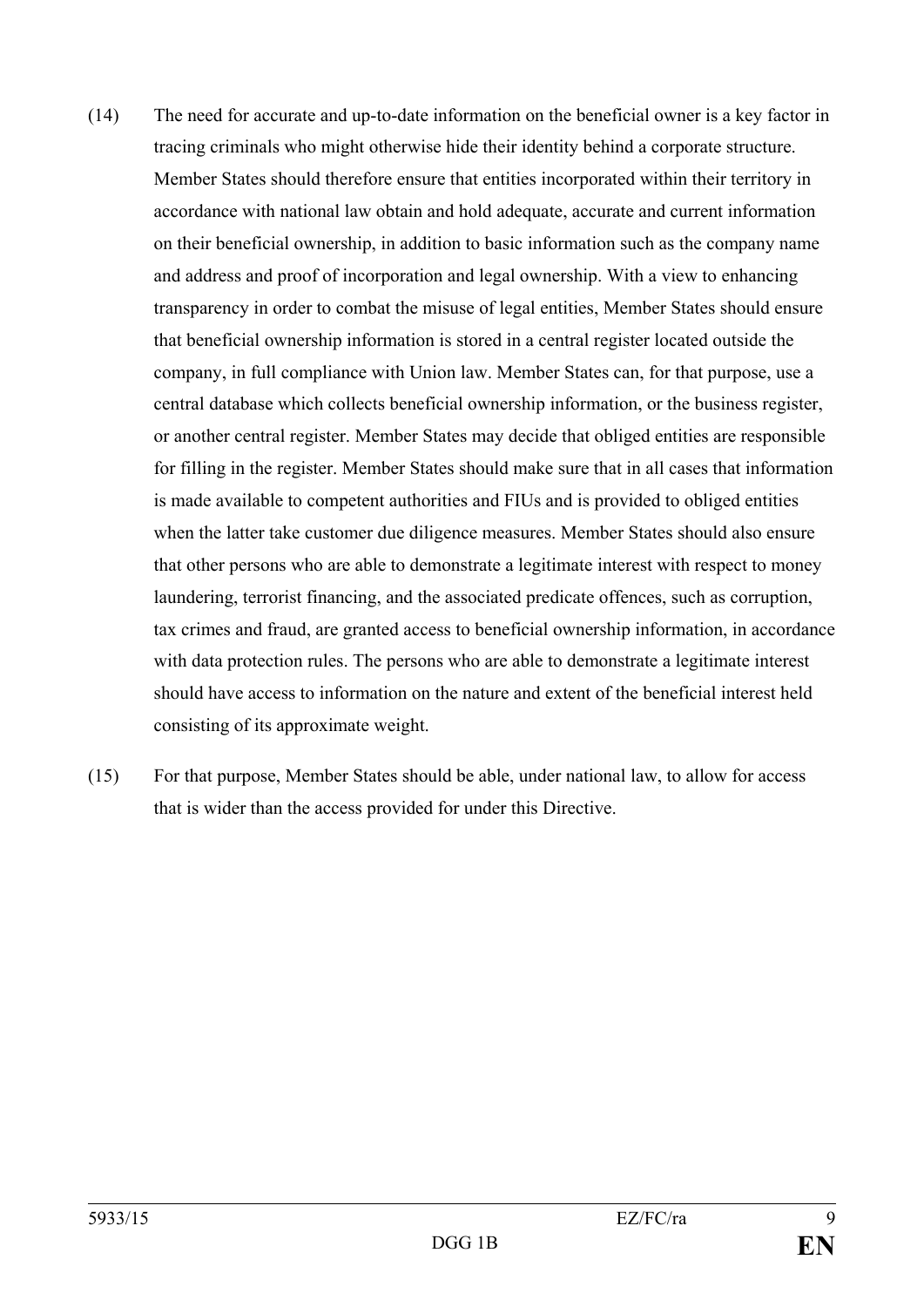- (14) The need for accurate and up-to-date information on the beneficial owner is a key factor in tracing criminals who might otherwise hide their identity behind a corporate structure. Member States should therefore ensure that entities incorporated within their territory in accordance with national law obtain and hold adequate, accurate and current information on their beneficial ownership, in addition to basic information such as the company name and address and proof of incorporation and legal ownership. With a view to enhancing transparency in order to combat the misuse of legal entities, Member States should ensure that beneficial ownership information is stored in a central register located outside the company, in full compliance with Union law. Member States can, for that purpose, use a central database which collects beneficial ownership information, or the business register, or another central register. Member States may decide that obliged entities are responsible for filling in the register. Member States should make sure that in all cases that information is made available to competent authorities and FIUs and is provided to obliged entities when the latter take customer due diligence measures. Member States should also ensure that other persons who are able to demonstrate a legitimate interest with respect to money laundering, terrorist financing, and the associated predicate offences, such as corruption, tax crimes and fraud, are granted access to beneficial ownership information, in accordance with data protection rules. The persons who are able to demonstrate a legitimate interest should have access to information on the nature and extent of the beneficial interest held consisting of its approximate weight.
- (15) For that purpose, Member States should be able, under national law, to allow for access that is wider than the access provided for under this Directive.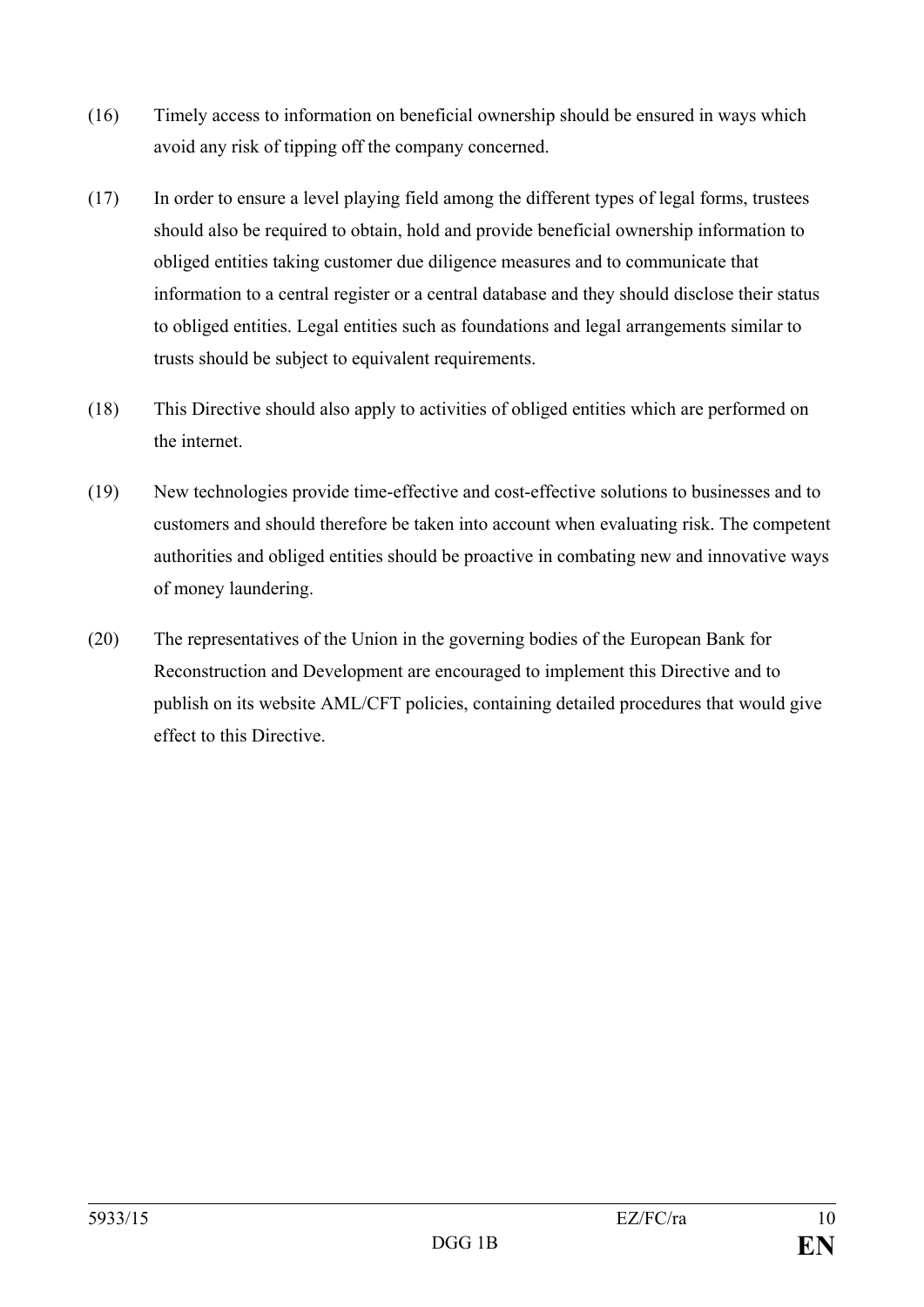- (16) Timely access to information on beneficial ownership should be ensured in ways which avoid any risk of tipping off the company concerned.
- (17) In order to ensure a level playing field among the different types of legal forms, trustees should also be required to obtain, hold and provide beneficial ownership information to obliged entities taking customer due diligence measures and to communicate that information to a central register or a central database and they should disclose their status to obliged entities. Legal entities such as foundations and legal arrangements similar to trusts should be subject to equivalent requirements.
- (18) This Directive should also apply to activities of obliged entities which are performed on the internet.
- (19) New technologies provide time-effective and cost-effective solutions to businesses and to customers and should therefore be taken into account when evaluating risk. The competent authorities and obliged entities should be proactive in combating new and innovative ways of money laundering.
- (20) The representatives of the Union in the governing bodies of the European Bank for Reconstruction and Development are encouraged to implement this Directive and to publish on its website AML/CFT policies, containing detailed procedures that would give effect to this Directive.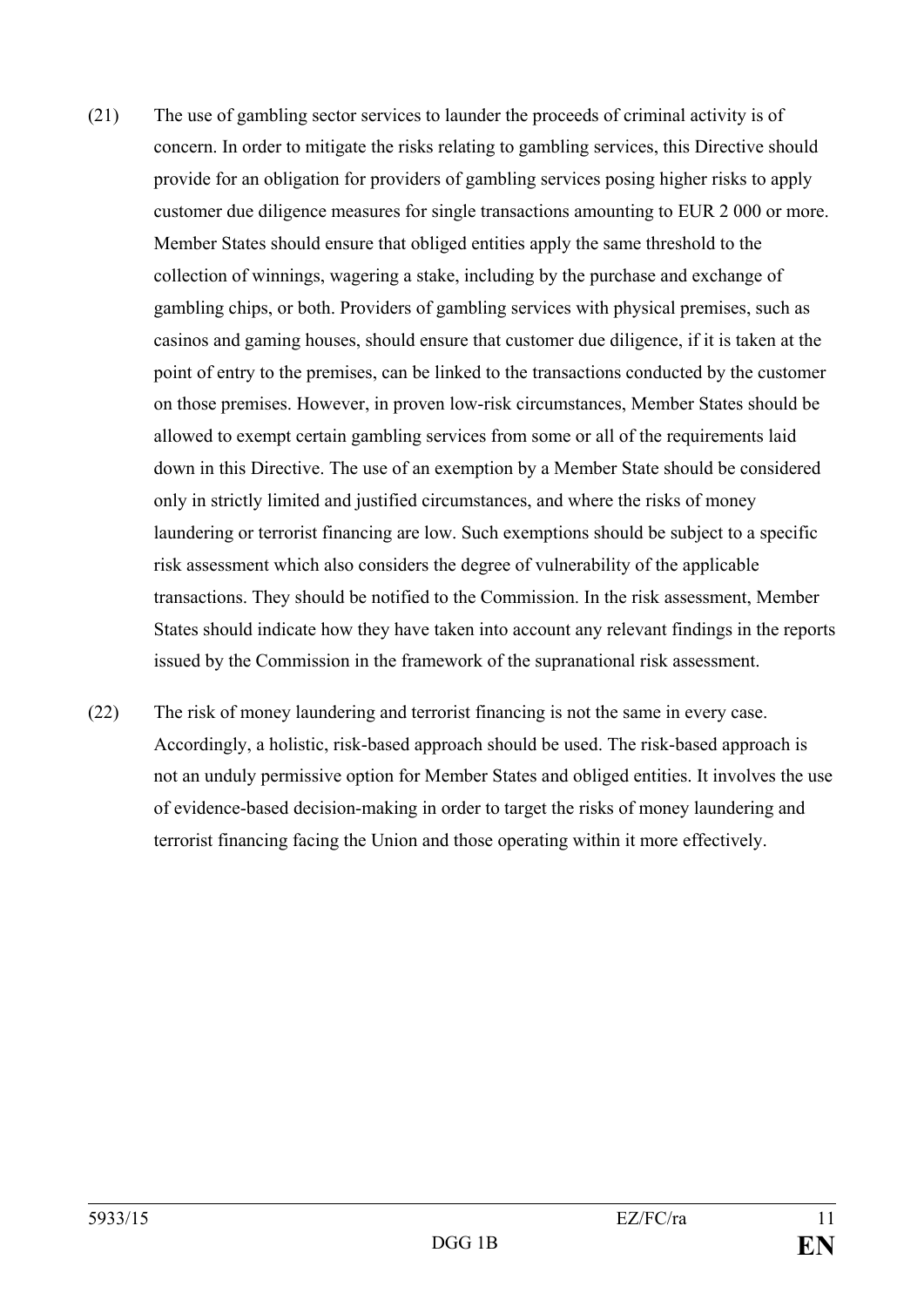- (21) The use of gambling sector services to launder the proceeds of criminal activity is of concern. In order to mitigate the risks relating to gambling services, this Directive should provide for an obligation for providers of gambling services posing higher risks to apply customer due diligence measures for single transactions amounting to EUR 2 000 or more. Member States should ensure that obliged entities apply the same threshold to the collection of winnings, wagering a stake, including by the purchase and exchange of gambling chips, or both. Providers of gambling services with physical premises, such as casinos and gaming houses, should ensure that customer due diligence, if it is taken at the point of entry to the premises, can be linked to the transactions conducted by the customer on those premises. However, in proven low-risk circumstances, Member States should be allowed to exempt certain gambling services from some or all of the requirements laid down in this Directive. The use of an exemption by a Member State should be considered only in strictly limited and justified circumstances, and where the risks of money laundering or terrorist financing are low. Such exemptions should be subject to a specific risk assessment which also considers the degree of vulnerability of the applicable transactions. They should be notified to the Commission. In the risk assessment, Member States should indicate how they have taken into account any relevant findings in the reports issued by the Commission in the framework of the supranational risk assessment.
- (22) The risk of money laundering and terrorist financing is not the same in every case. Accordingly, a holistic, risk-based approach should be used. The risk-based approach is not an unduly permissive option for Member States and obliged entities. It involves the use of evidence-based decision-making in order to target the risks of money laundering and terrorist financing facing the Union and those operating within it more effectively.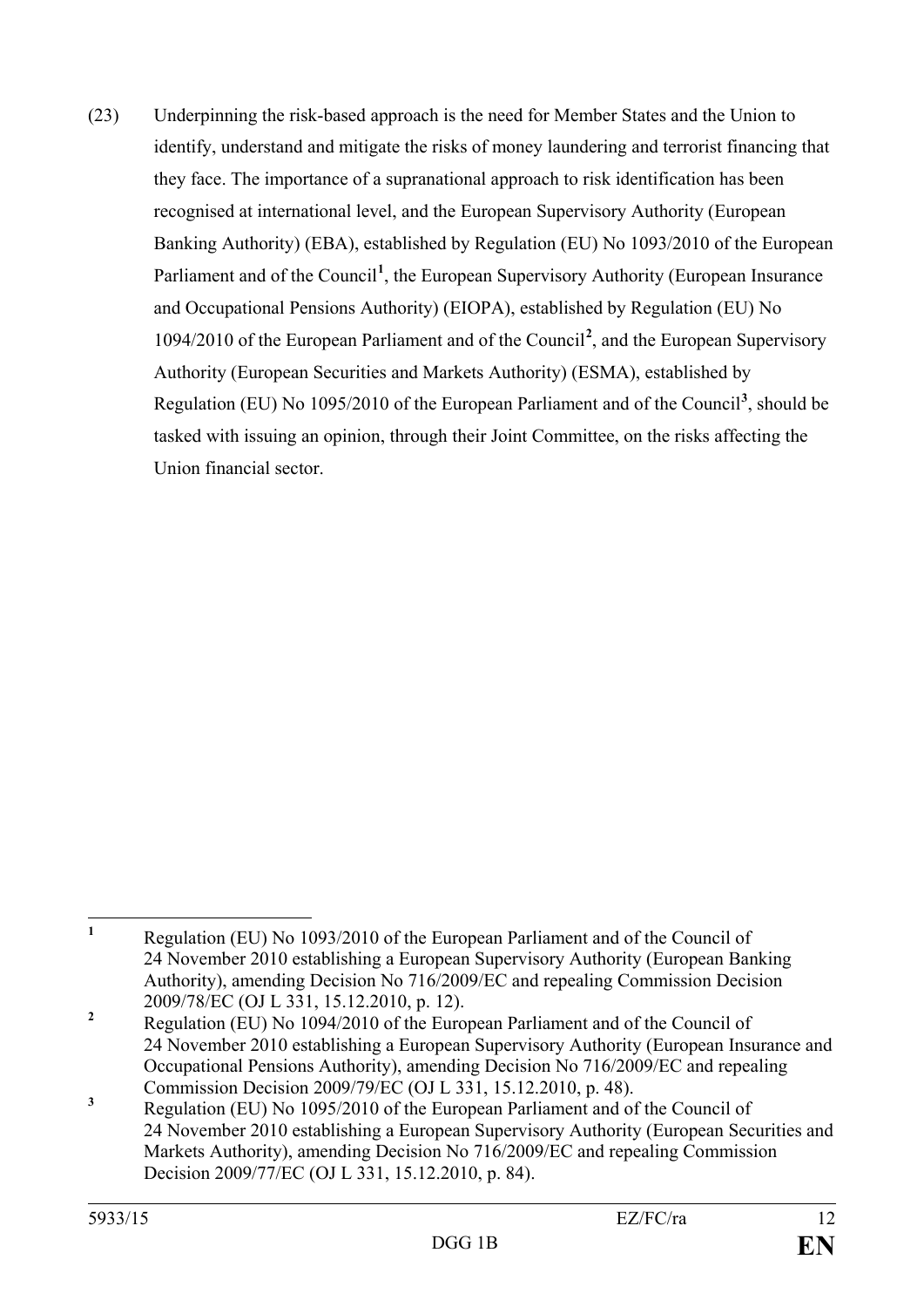(23) Underpinning the risk-based approach is the need for Member States and the Union to identify, understand and mitigate the risks of money laundering and terrorist financing that they face. The importance of a supranational approach to risk identification has been recognised at international level, and the European Supervisory Authority (European Banking Authority) (EBA), established by Regulation (EU) No 1093/2010 of the European Parliament and of the Council<sup>[1](#page-12-0)</sup>, the European Supervisory Authority (European Insurance and Occupational Pensions Authority) (EIOPA), established by Regulation (EU) No 1094/2010 of the European Parliament and of the Council**[2](#page-12-1)** , and the European Supervisory Authority (European Securities and Markets Authority) (ESMA), established by Regulation (EU) No 1095/2010 of the European Parliament and of the Council<sup>[3](#page-12-2)</sup>, should be tasked with issuing an opinion, through their Joint Committee, on the risks affecting the Union financial sector.

<span id="page-12-0"></span>**<sup>1</sup>** Regulation (EU) No 1093/2010 of the European Parliament and of the Council of 24 November 2010 establishing a European Supervisory Authority (European Banking Authority), amending Decision No 716/2009/EC and repealing Commission Decision 2009/78/EC (OJ L 331, 15.12.2010, p. 12).<br>**2** Regulation (EU) No 1094/2010 of the European Parliament and of the Council of  $\mathbf{1}$ 

<span id="page-12-1"></span><sup>24</sup> November 2010 establishing a European Supervisory Authority (European Insurance and Occupational Pensions Authority), amending Decision No 716/2009/EC and repealing

<span id="page-12-2"></span><sup>&</sup>lt;sup>3</sup> Commission Decision 2009/79/EC (OJ L 331, 15.12.2010, p. 48).<br><sup>3</sup> Regulation (EU) No 1095/2010 of the European Parliament and of the Council of 24 November 2010 establishing a European Supervisory Authority (European Securities and Markets Authority), amending Decision No 716/2009/EC and repealing Commission Decision 2009/77/EC (OJ L 331, 15.12.2010, p. 84).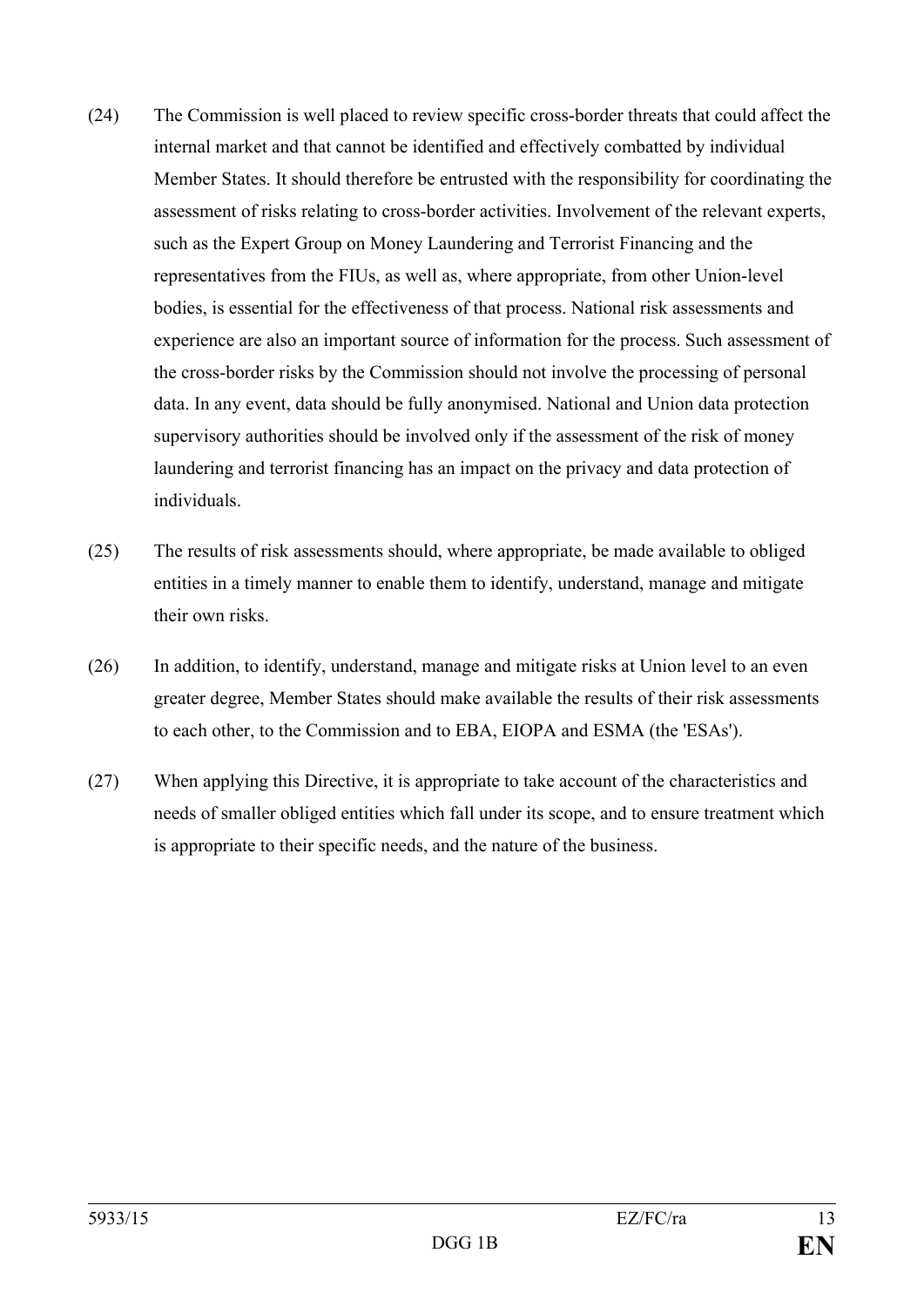- (24) The Commission is well placed to review specific cross-border threats that could affect the internal market and that cannot be identified and effectively combatted by individual Member States. It should therefore be entrusted with the responsibility for coordinating the assessment of risks relating to cross-border activities. Involvement of the relevant experts, such as the Expert Group on Money Laundering and Terrorist Financing and the representatives from the FIUs, as well as, where appropriate, from other Union-level bodies, is essential for the effectiveness of that process. National risk assessments and experience are also an important source of information for the process. Such assessment of the cross-border risks by the Commission should not involve the processing of personal data. In any event, data should be fully anonymised. National and Union data protection supervisory authorities should be involved only if the assessment of the risk of money laundering and terrorist financing has an impact on the privacy and data protection of individuals.
- (25) The results of risk assessments should, where appropriate, be made available to obliged entities in a timely manner to enable them to identify, understand, manage and mitigate their own risks.
- (26) In addition, to identify, understand, manage and mitigate risks at Union level to an even greater degree, Member States should make available the results of their risk assessments to each other, to the Commission and to EBA, EIOPA and ESMA (the 'ESAs').
- (27) When applying this Directive, it is appropriate to take account of the characteristics and needs of smaller obliged entities which fall under its scope, and to ensure treatment which is appropriate to their specific needs, and the nature of the business.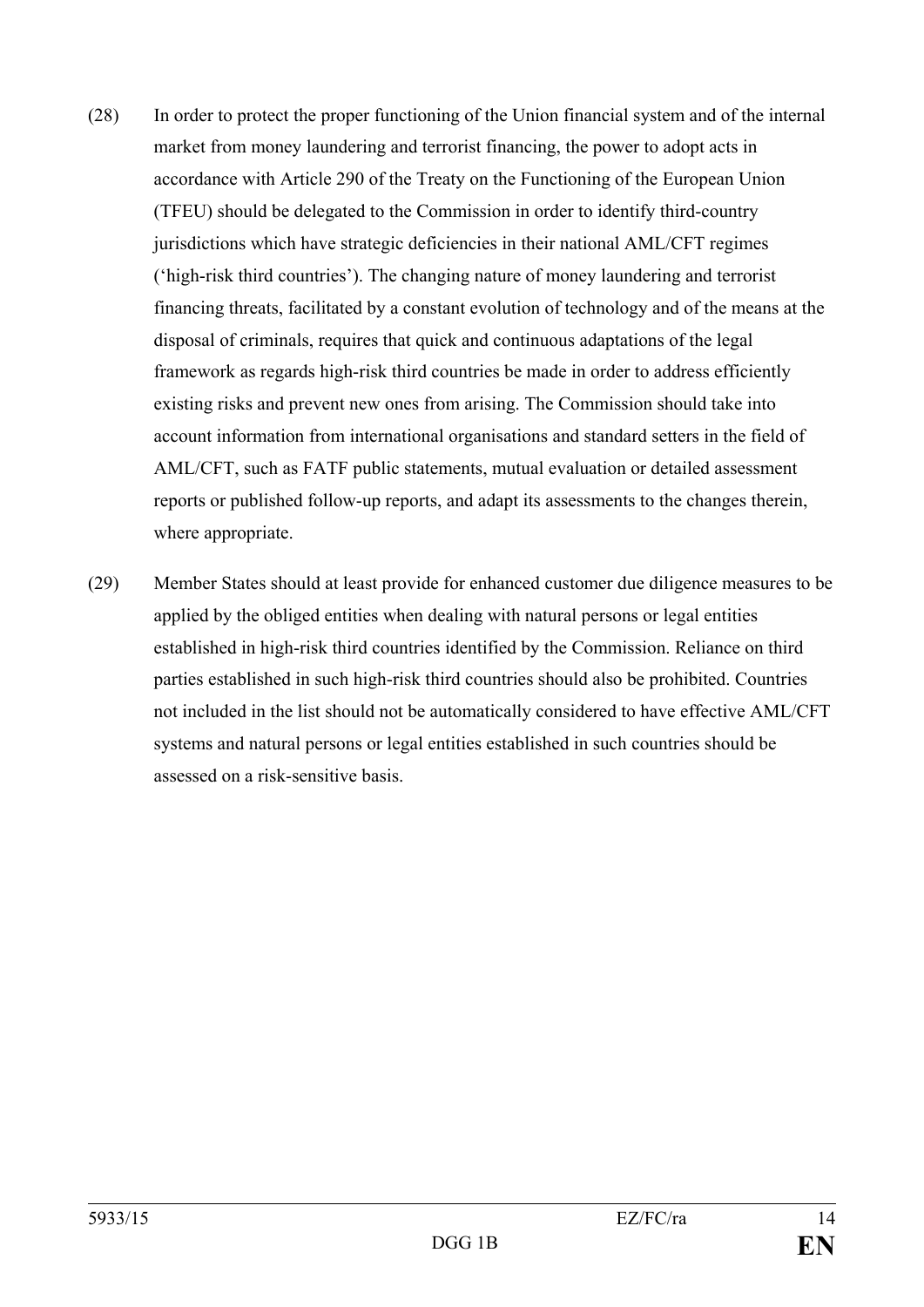- (28) In order to protect the proper functioning of the Union financial system and of the internal market from money laundering and terrorist financing, the power to adopt acts in accordance with Article 290 of the Treaty on the Functioning of the European Union (TFEU) should be delegated to the Commission in order to identify third-country jurisdictions which have strategic deficiencies in their national AML/CFT regimes ('high-risk third countries'). The changing nature of money laundering and terrorist financing threats, facilitated by a constant evolution of technology and of the means at the disposal of criminals, requires that quick and continuous adaptations of the legal framework as regards high-risk third countries be made in order to address efficiently existing risks and prevent new ones from arising. The Commission should take into account information from international organisations and standard setters in the field of AML/CFT, such as FATF public statements, mutual evaluation or detailed assessment reports or published follow-up reports, and adapt its assessments to the changes therein, where appropriate.
- (29) Member States should at least provide for enhanced customer due diligence measures to be applied by the obliged entities when dealing with natural persons or legal entities established in high-risk third countries identified by the Commission. Reliance on third parties established in such high-risk third countries should also be prohibited. Countries not included in the list should not be automatically considered to have effective AML/CFT systems and natural persons or legal entities established in such countries should be assessed on a risk-sensitive basis.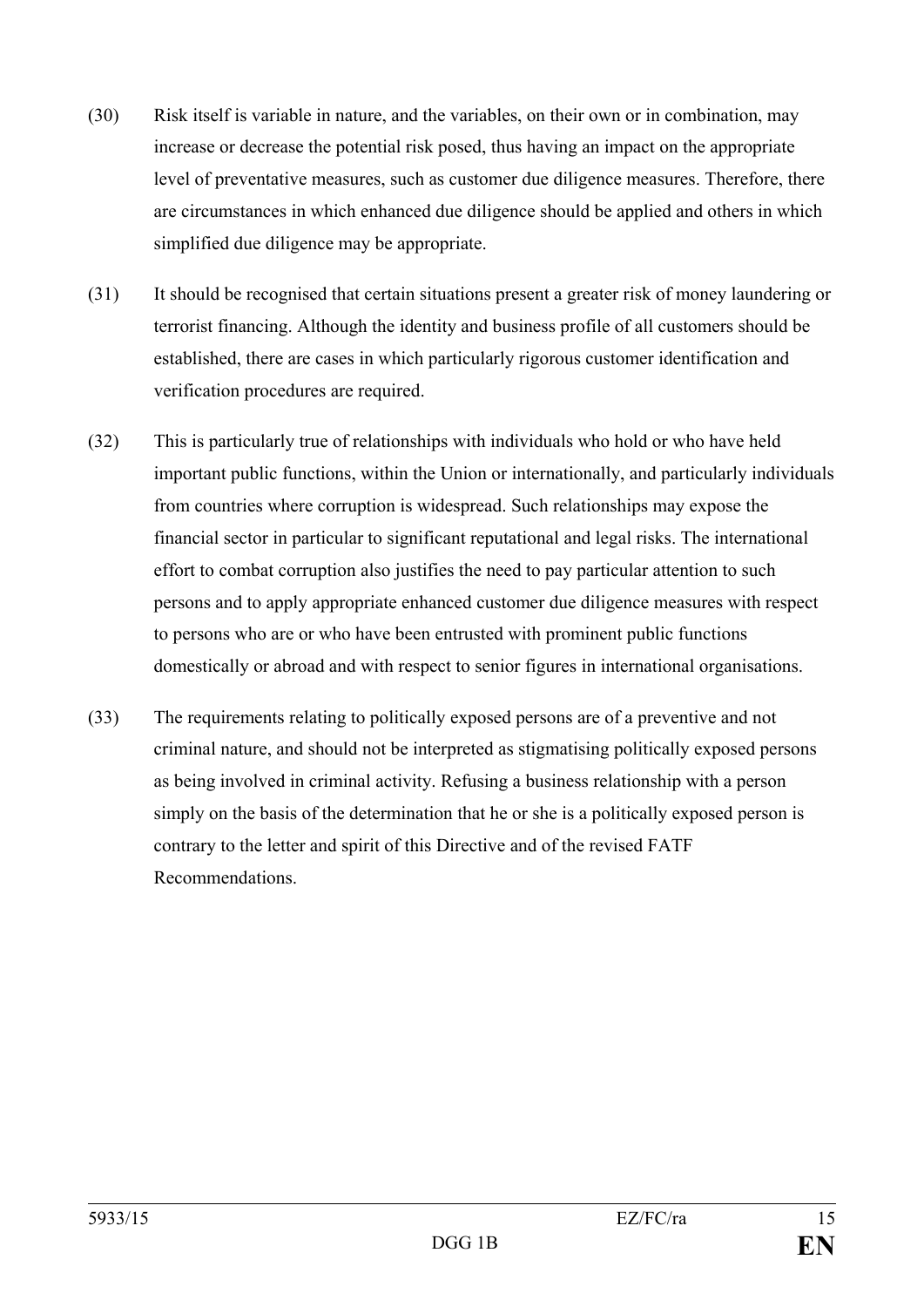- (30) Risk itself is variable in nature, and the variables, on their own or in combination, may increase or decrease the potential risk posed, thus having an impact on the appropriate level of preventative measures, such as customer due diligence measures. Therefore, there are circumstances in which enhanced due diligence should be applied and others in which simplified due diligence may be appropriate.
- (31) It should be recognised that certain situations present a greater risk of money laundering or terrorist financing. Although the identity and business profile of all customers should be established, there are cases in which particularly rigorous customer identification and verification procedures are required.
- (32) This is particularly true of relationships with individuals who hold or who have held important public functions, within the Union or internationally, and particularly individuals from countries where corruption is widespread. Such relationships may expose the financial sector in particular to significant reputational and legal risks. The international effort to combat corruption also justifies the need to pay particular attention to such persons and to apply appropriate enhanced customer due diligence measures with respect to persons who are or who have been entrusted with prominent public functions domestically or abroad and with respect to senior figures in international organisations.
- (33) The requirements relating to politically exposed persons are of a preventive and not criminal nature, and should not be interpreted as stigmatising politically exposed persons as being involved in criminal activity. Refusing a business relationship with a person simply on the basis of the determination that he or she is a politically exposed person is contrary to the letter and spirit of this Directive and of the revised FATF Recommendations.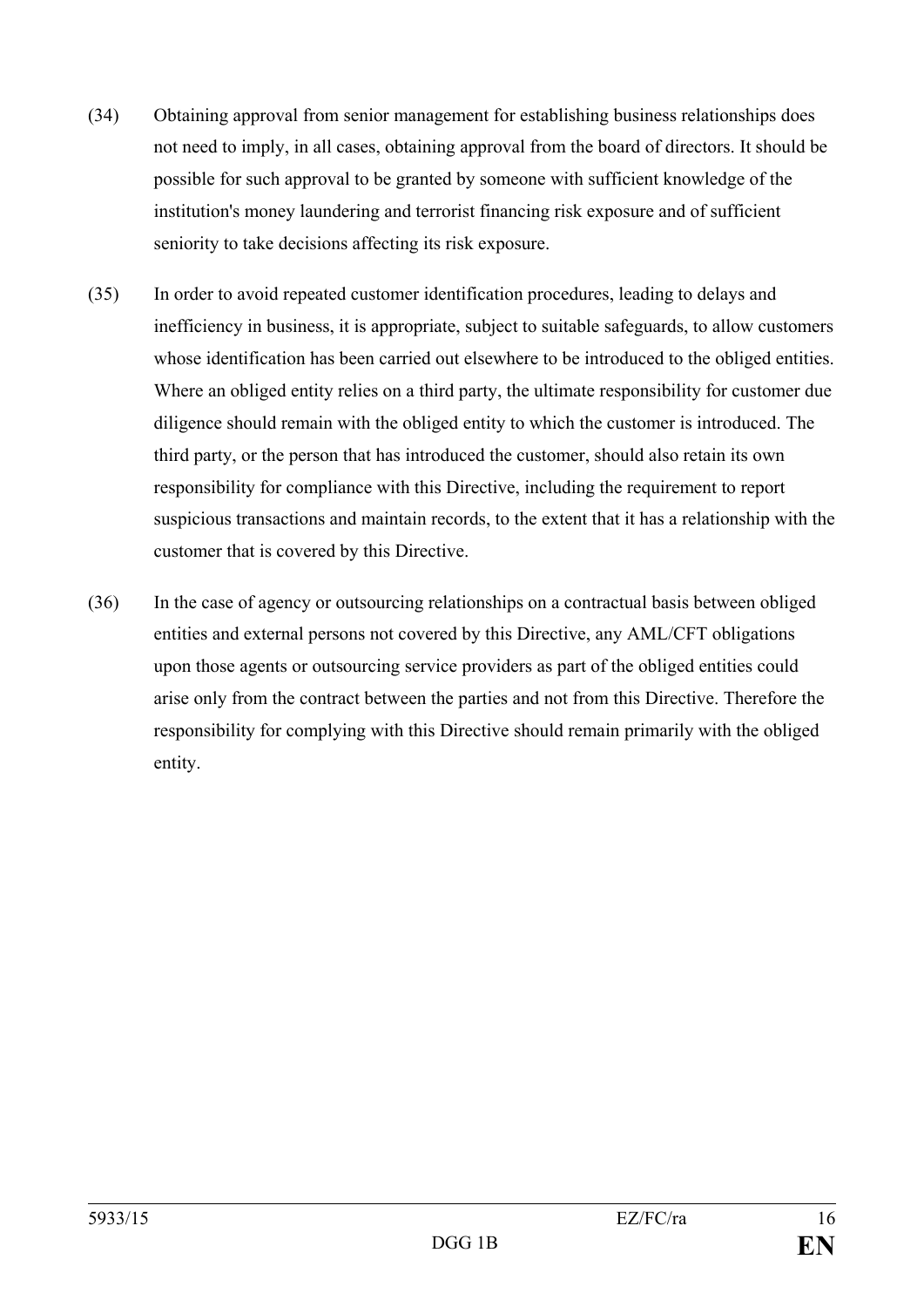- (34) Obtaining approval from senior management for establishing business relationships does not need to imply, in all cases, obtaining approval from the board of directors. It should be possible for such approval to be granted by someone with sufficient knowledge of the institution's money laundering and terrorist financing risk exposure and of sufficient seniority to take decisions affecting its risk exposure.
- (35) In order to avoid repeated customer identification procedures, leading to delays and inefficiency in business, it is appropriate, subject to suitable safeguards, to allow customers whose identification has been carried out elsewhere to be introduced to the obliged entities. Where an obliged entity relies on a third party, the ultimate responsibility for customer due diligence should remain with the obliged entity to which the customer is introduced. The third party, or the person that has introduced the customer, should also retain its own responsibility for compliance with this Directive, including the requirement to report suspicious transactions and maintain records, to the extent that it has a relationship with the customer that is covered by this Directive.
- (36) In the case of agency or outsourcing relationships on a contractual basis between obliged entities and external persons not covered by this Directive, any AML/CFT obligations upon those agents or outsourcing service providers as part of the obliged entities could arise only from the contract between the parties and not from this Directive. Therefore the responsibility for complying with this Directive should remain primarily with the obliged entity.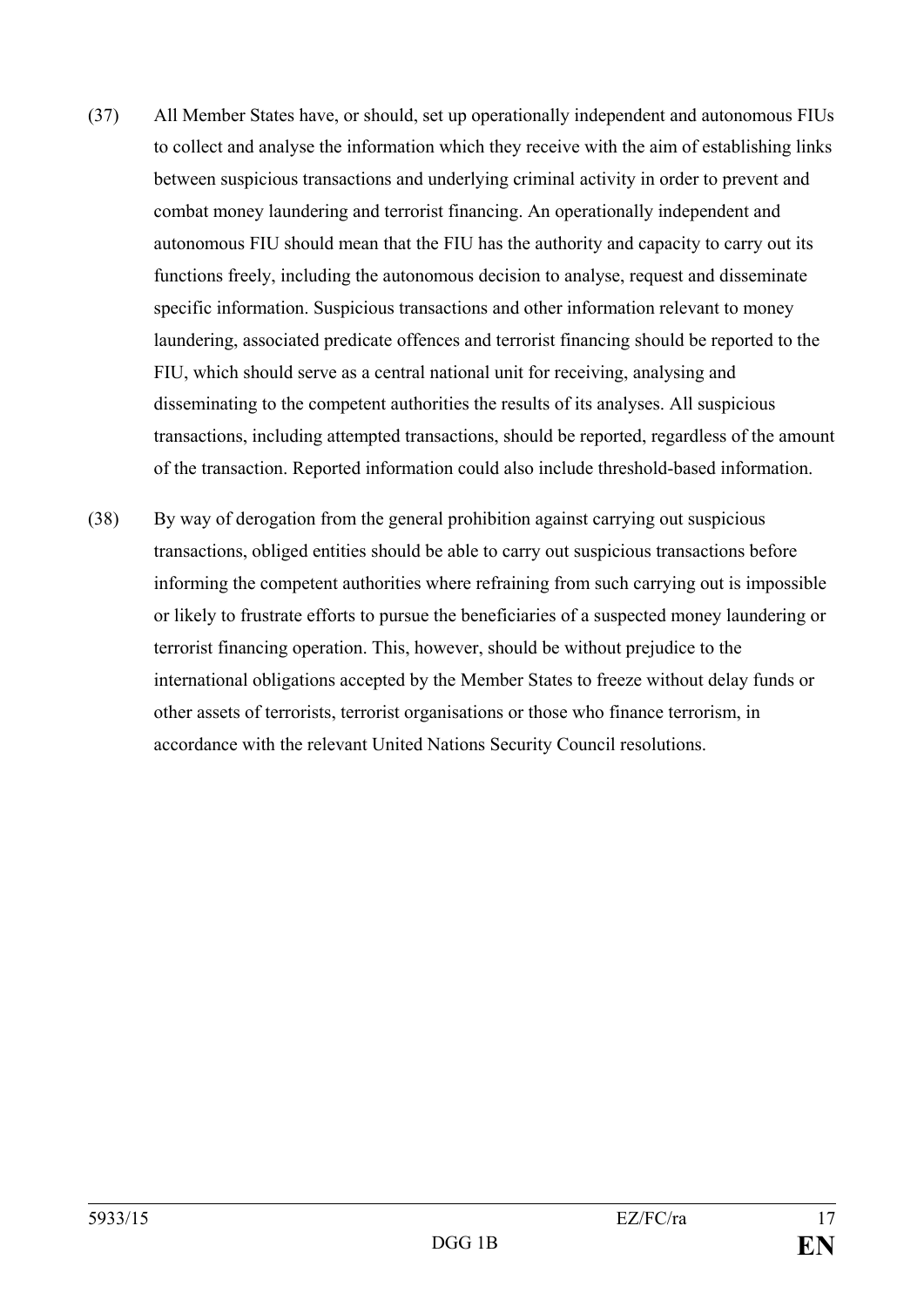- (37) All Member States have, or should, set up operationally independent and autonomous FIUs to collect and analyse the information which they receive with the aim of establishing links between suspicious transactions and underlying criminal activity in order to prevent and combat money laundering and terrorist financing. An operationally independent and autonomous FIU should mean that the FIU has the authority and capacity to carry out its functions freely, including the autonomous decision to analyse, request and disseminate specific information. Suspicious transactions and other information relevant to money laundering, associated predicate offences and terrorist financing should be reported to the FIU, which should serve as a central national unit for receiving, analysing and disseminating to the competent authorities the results of its analyses. All suspicious transactions, including attempted transactions, should be reported, regardless of the amount of the transaction. Reported information could also include threshold-based information.
- (38) By way of derogation from the general prohibition against carrying out suspicious transactions, obliged entities should be able to carry out suspicious transactions before informing the competent authorities where refraining from such carrying out is impossible or likely to frustrate efforts to pursue the beneficiaries of a suspected money laundering or terrorist financing operation. This, however, should be without prejudice to the international obligations accepted by the Member States to freeze without delay funds or other assets of terrorists, terrorist organisations or those who finance terrorism, in accordance with the relevant United Nations Security Council resolutions.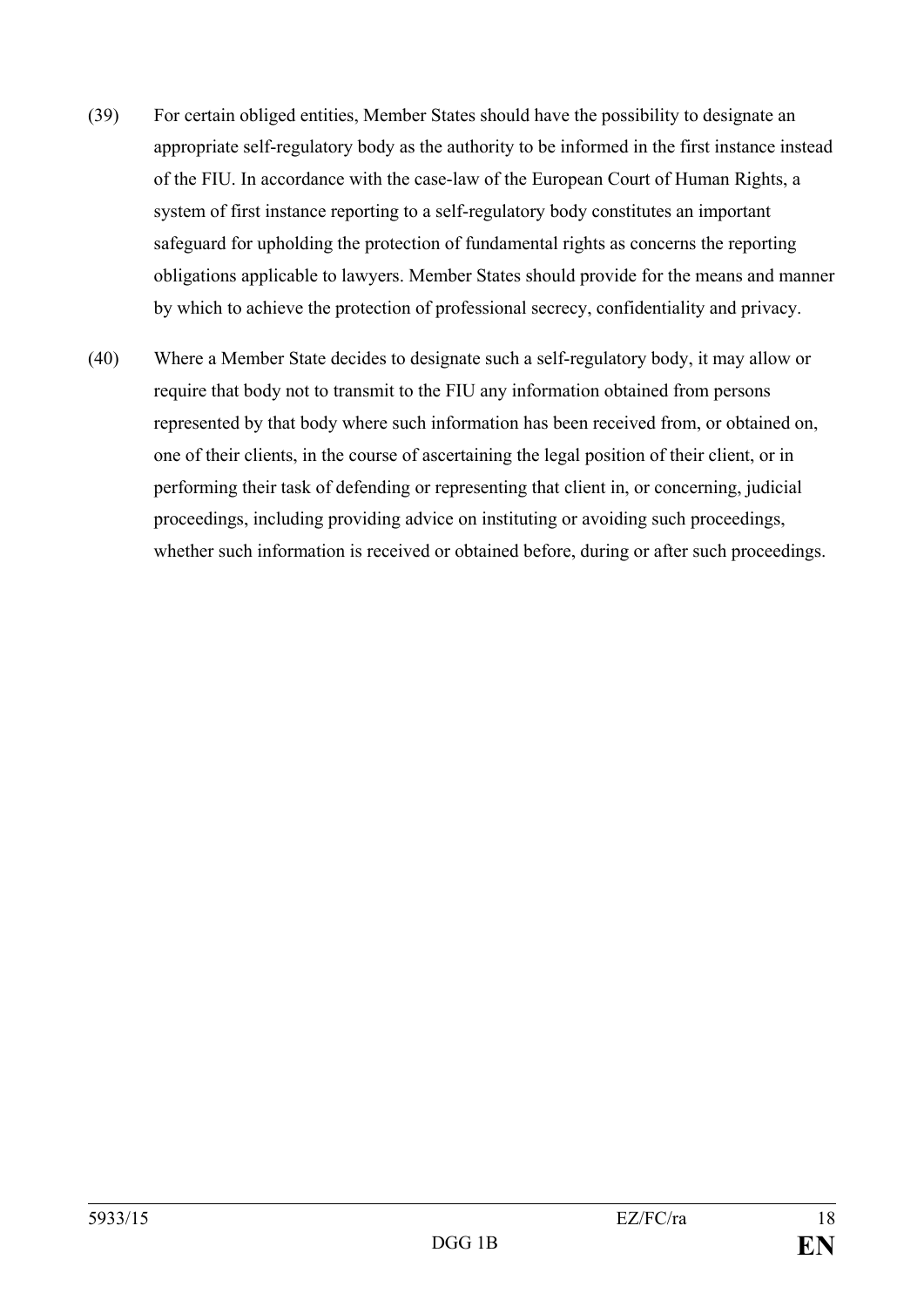- (39) For certain obliged entities, Member States should have the possibility to designate an appropriate self-regulatory body as the authority to be informed in the first instance instead of the FIU. In accordance with the case-law of the European Court of Human Rights, a system of first instance reporting to a self-regulatory body constitutes an important safeguard for upholding the protection of fundamental rights as concerns the reporting obligations applicable to lawyers. Member States should provide for the means and manner by which to achieve the protection of professional secrecy, confidentiality and privacy.
- (40) Where a Member State decides to designate such a self-regulatory body, it may allow or require that body not to transmit to the FIU any information obtained from persons represented by that body where such information has been received from, or obtained on, one of their clients, in the course of ascertaining the legal position of their client, or in performing their task of defending or representing that client in, or concerning, judicial proceedings, including providing advice on instituting or avoiding such proceedings, whether such information is received or obtained before, during or after such proceedings.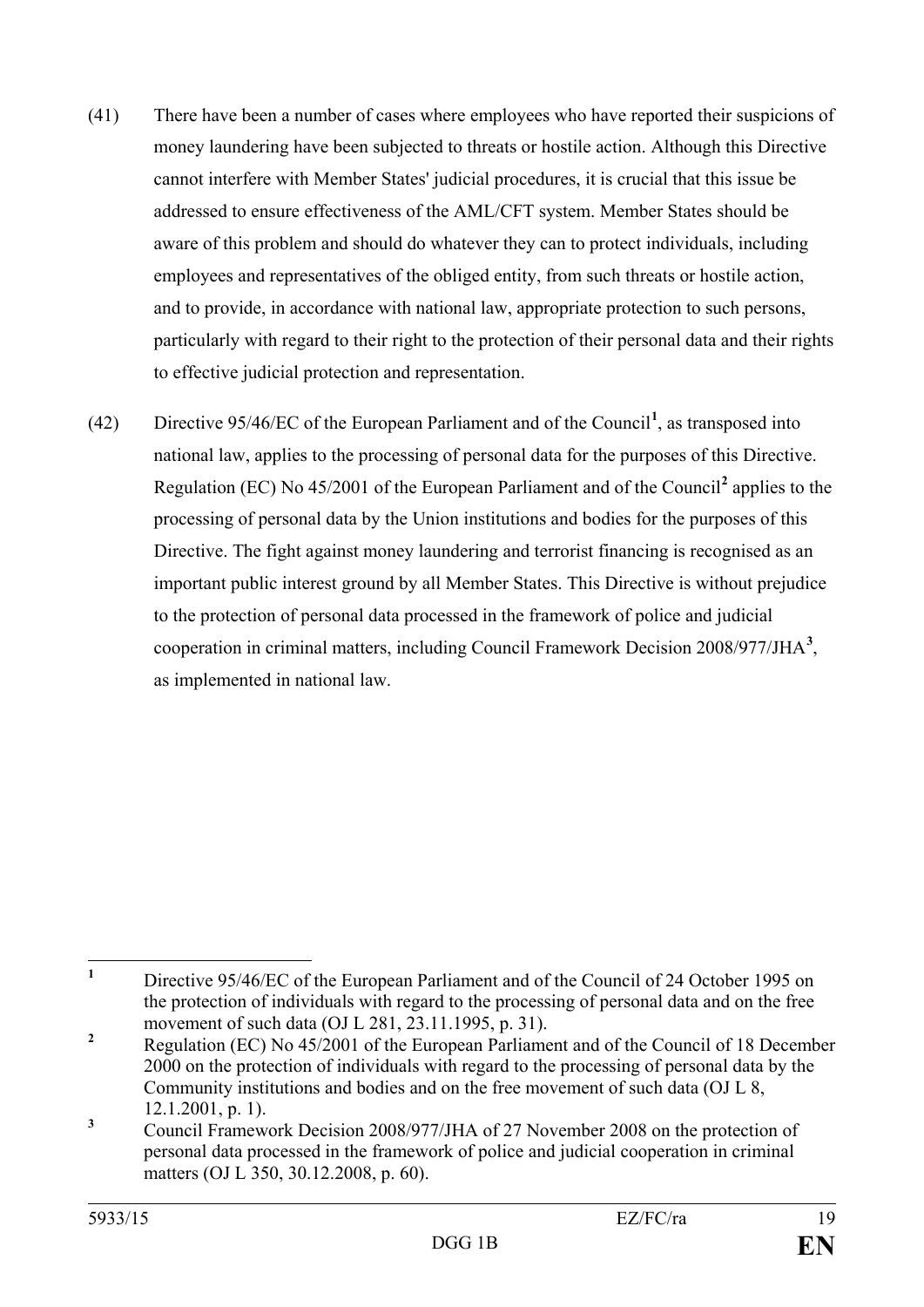- (41) There have been a number of cases where employees who have reported their suspicions of money laundering have been subjected to threats or hostile action. Although this Directive cannot interfere with Member States' judicial procedures, it is crucial that this issue be addressed to ensure effectiveness of the AML/CFT system. Member States should be aware of this problem and should do whatever they can to protect individuals, including employees and representatives of the obliged entity, from such threats or hostile action, and to provide, in accordance with national law, appropriate protection to such persons, particularly with regard to their right to the protection of their personal data and their rights to effective judicial protection and representation.
- (42) Directive 95/46/EC of the European Parliament and of the Council**[1](#page-19-0)** , as transposed into national law, applies to the processing of personal data for the purposes of this Directive. Regulation (EC) No 45/2001 of the European Parliament and of the Council**[2](#page-19-1)** applies to the processing of personal data by the Union institutions and bodies for the purposes of this Directive. The fight against money laundering and terrorist financing is recognised as an important public interest ground by all Member States. This Directive is without prejudice to the protection of personal data processed in the framework of police and judicial cooperation in criminal matters, including Council Framework Decision 2008/977/JHA**[3](#page-19-2)** , as implemented in national law.

<span id="page-19-0"></span>**<sup>1</sup>** Directive 95/46/EC of the European Parliament and of the Council of 24 October 1995 on the protection of individuals with regard to the processing of personal data and on the free  $\mathbf{1}$ 

<span id="page-19-1"></span>movement of such data (OJ L 281, 23.11.1995, p. 31).<br><sup>2</sup> Regulation (EC) No 45/2001 of the European Parliament and of the Council of 18 December 2000 on the protection of individuals with regard to the processing of personal data by the Community institutions and bodies and on the free movement of such data (OJ L 8, 12.1.2001, p. 1).

<span id="page-19-2"></span>**<sup>3</sup>** Council Framework Decision 2008/977/JHA of 27 November 2008 on the protection of personal data processed in the framework of police and judicial cooperation in criminal matters (OJ L 350, 30.12.2008, p. 60).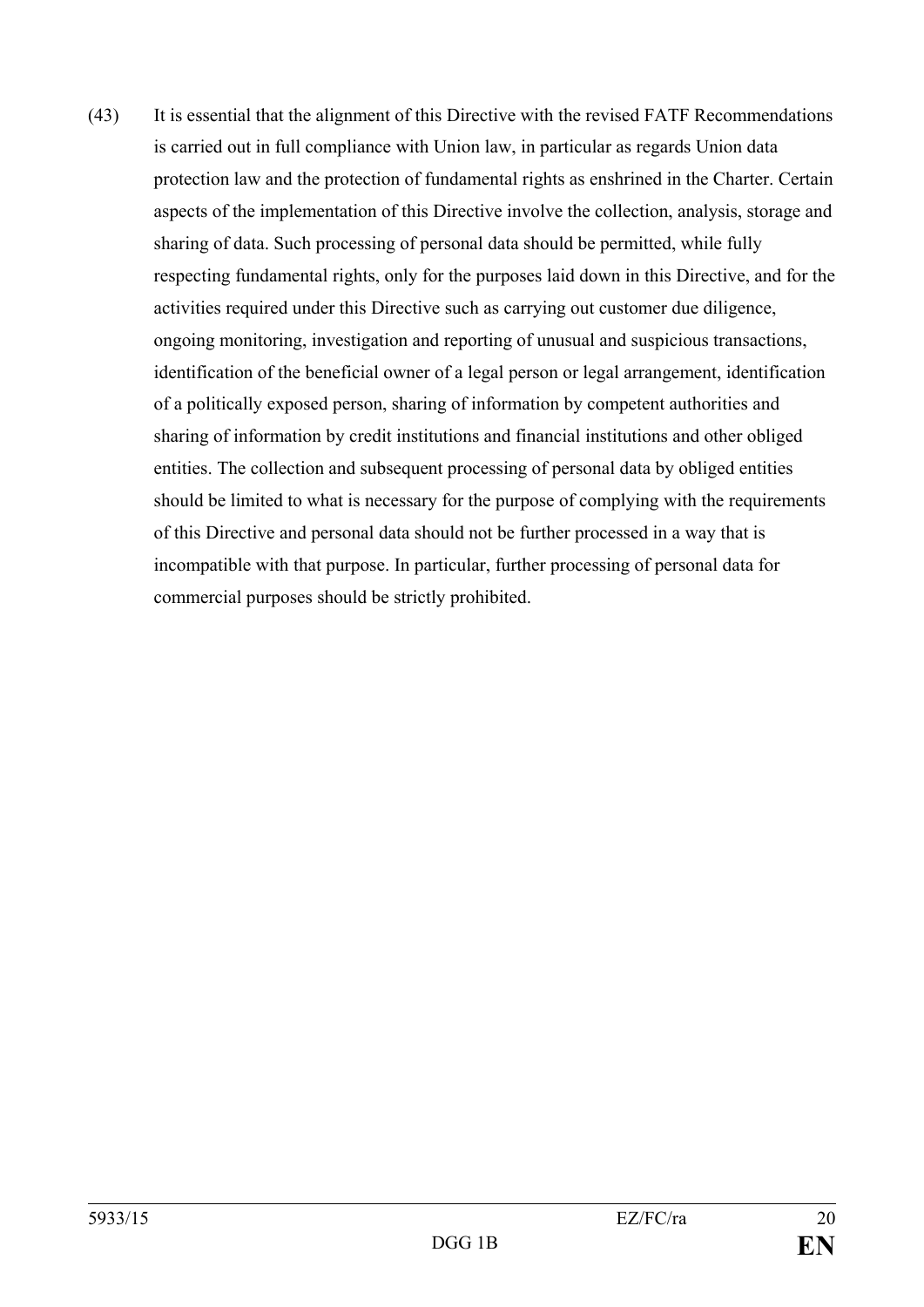(43) It is essential that the alignment of this Directive with the revised FATF Recommendations is carried out in full compliance with Union law, in particular as regards Union data protection law and the protection of fundamental rights as enshrined in the Charter. Certain aspects of the implementation of this Directive involve the collection, analysis, storage and sharing of data. Such processing of personal data should be permitted, while fully respecting fundamental rights, only for the purposes laid down in this Directive, and for the activities required under this Directive such as carrying out customer due diligence, ongoing monitoring, investigation and reporting of unusual and suspicious transactions, identification of the beneficial owner of a legal person or legal arrangement, identification of a politically exposed person, sharing of information by competent authorities and sharing of information by credit institutions and financial institutions and other obliged entities. The collection and subsequent processing of personal data by obliged entities should be limited to what is necessary for the purpose of complying with the requirements of this Directive and personal data should not be further processed in a way that is incompatible with that purpose. In particular, further processing of personal data for commercial purposes should be strictly prohibited.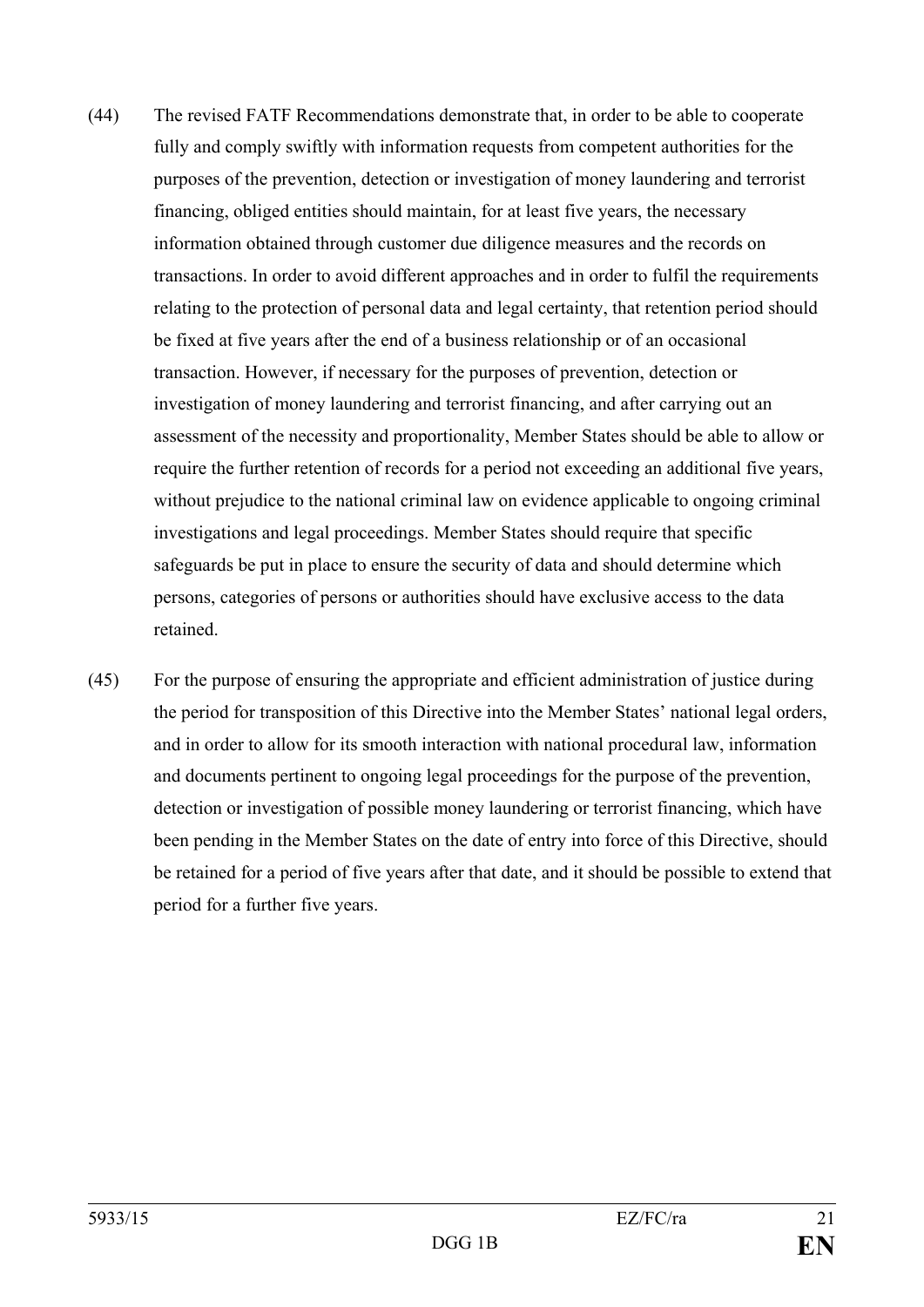- (44) The revised FATF Recommendations demonstrate that, in order to be able to cooperate fully and comply swiftly with information requests from competent authorities for the purposes of the prevention, detection or investigation of money laundering and terrorist financing, obliged entities should maintain, for at least five years, the necessary information obtained through customer due diligence measures and the records on transactions. In order to avoid different approaches and in order to fulfil the requirements relating to the protection of personal data and legal certainty, that retention period should be fixed at five years after the end of a business relationship or of an occasional transaction. However, if necessary for the purposes of prevention, detection or investigation of money laundering and terrorist financing, and after carrying out an assessment of the necessity and proportionality, Member States should be able to allow or require the further retention of records for a period not exceeding an additional five years, without prejudice to the national criminal law on evidence applicable to ongoing criminal investigations and legal proceedings. Member States should require that specific safeguards be put in place to ensure the security of data and should determine which persons, categories of persons or authorities should have exclusive access to the data retained.
- (45) For the purpose of ensuring the appropriate and efficient administration of justice during the period for transposition of this Directive into the Member States' national legal orders, and in order to allow for its smooth interaction with national procedural law, information and documents pertinent to ongoing legal proceedings for the purpose of the prevention, detection or investigation of possible money laundering or terrorist financing, which have been pending in the Member States on the date of entry into force of this Directive, should be retained for a period of five years after that date, and it should be possible to extend that period for a further five years.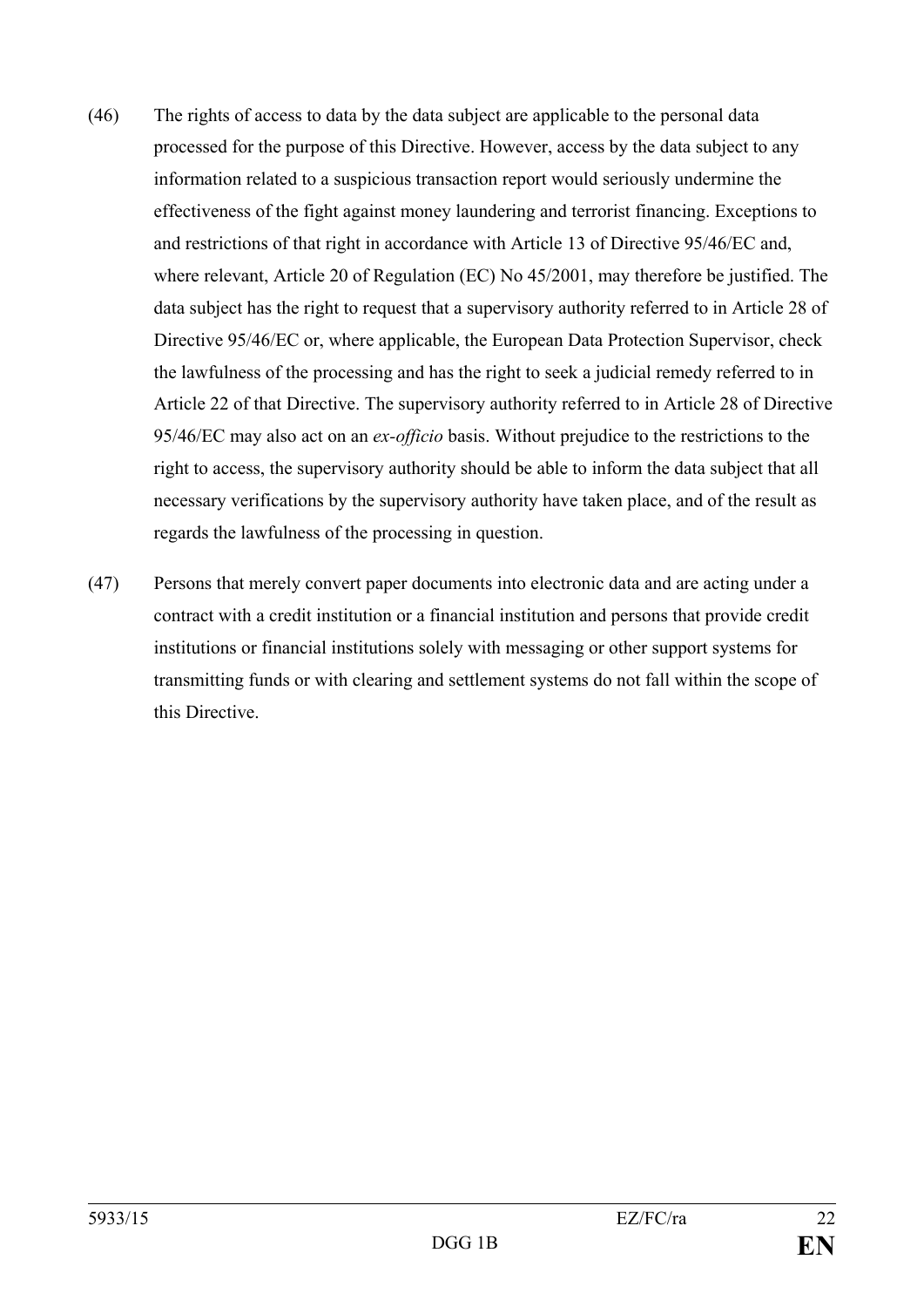- (46) The rights of access to data by the data subject are applicable to the personal data processed for the purpose of this Directive. However, access by the data subject to any information related to a suspicious transaction report would seriously undermine the effectiveness of the fight against money laundering and terrorist financing. Exceptions to and restrictions of that right in accordance with Article 13 of Directive 95/46/EC and, where relevant, Article 20 of Regulation (EC) No 45/2001, may therefore be justified. The data subject has the right to request that a supervisory authority referred to in Article 28 of Directive 95/46/EC or, where applicable, the European Data Protection Supervisor, check the lawfulness of the processing and has the right to seek a judicial remedy referred to in Article 22 of that Directive. The supervisory authority referred to in Article 28 of Directive 95/46/EC may also act on an *ex-officio* basis. Without prejudice to the restrictions to the right to access, the supervisory authority should be able to inform the data subject that all necessary verifications by the supervisory authority have taken place, and of the result as regards the lawfulness of the processing in question.
- (47) Persons that merely convert paper documents into electronic data and are acting under a contract with a credit institution or a financial institution and persons that provide credit institutions or financial institutions solely with messaging or other support systems for transmitting funds or with clearing and settlement systems do not fall within the scope of this Directive.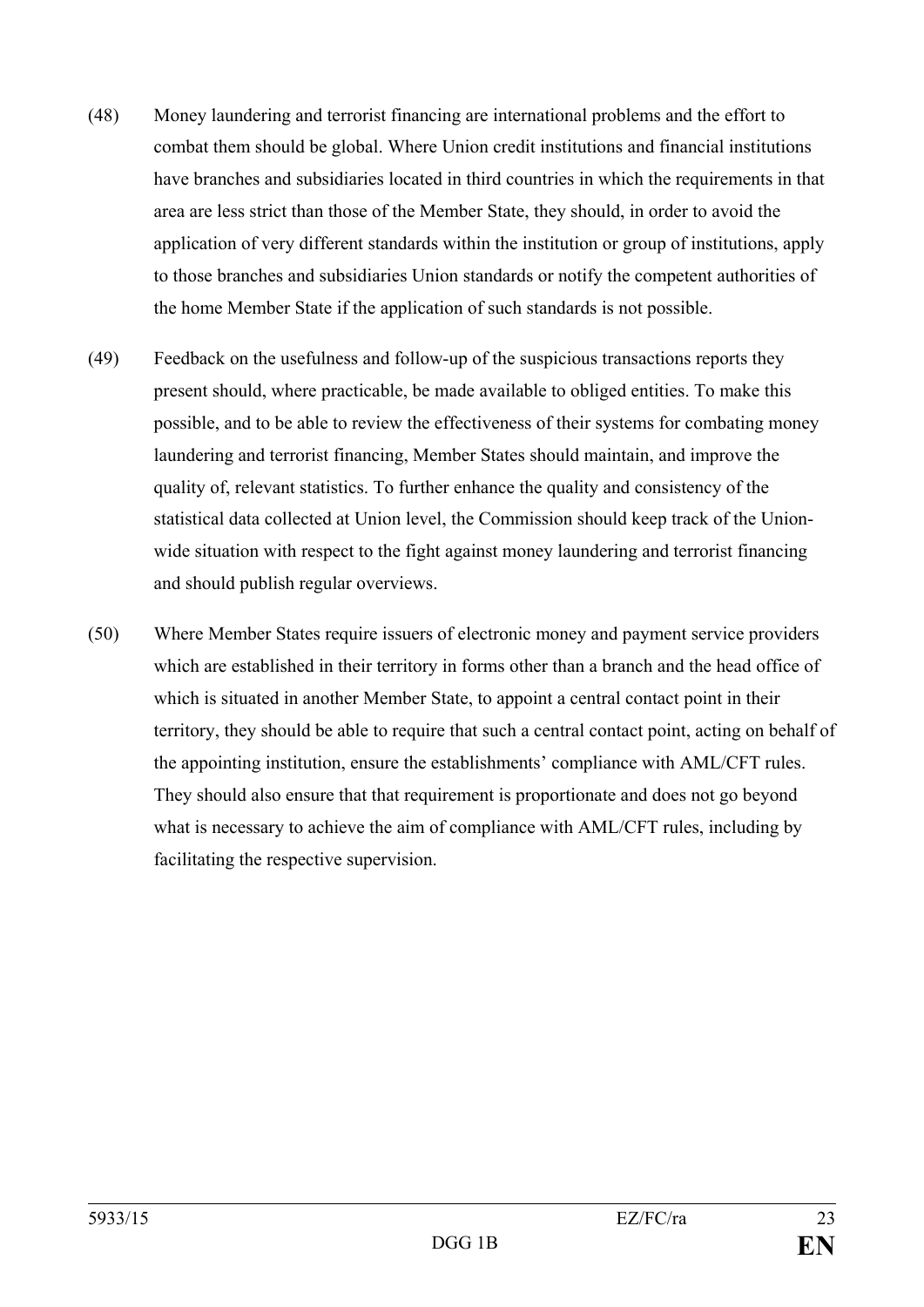- (48) Money laundering and terrorist financing are international problems and the effort to combat them should be global. Where Union credit institutions and financial institutions have branches and subsidiaries located in third countries in which the requirements in that area are less strict than those of the Member State, they should, in order to avoid the application of very different standards within the institution or group of institutions, apply to those branches and subsidiaries Union standards or notify the competent authorities of the home Member State if the application of such standards is not possible.
- (49) Feedback on the usefulness and follow-up of the suspicious transactions reports they present should, where practicable, be made available to obliged entities. To make this possible, and to be able to review the effectiveness of their systems for combating money laundering and terrorist financing, Member States should maintain, and improve the quality of, relevant statistics. To further enhance the quality and consistency of the statistical data collected at Union level, the Commission should keep track of the Unionwide situation with respect to the fight against money laundering and terrorist financing and should publish regular overviews.
- (50) Where Member States require issuers of electronic money and payment service providers which are established in their territory in forms other than a branch and the head office of which is situated in another Member State, to appoint a central contact point in their territory, they should be able to require that such a central contact point, acting on behalf of the appointing institution, ensure the establishments' compliance with AML/CFT rules. They should also ensure that that requirement is proportionate and does not go beyond what is necessary to achieve the aim of compliance with AML/CFT rules, including by facilitating the respective supervision.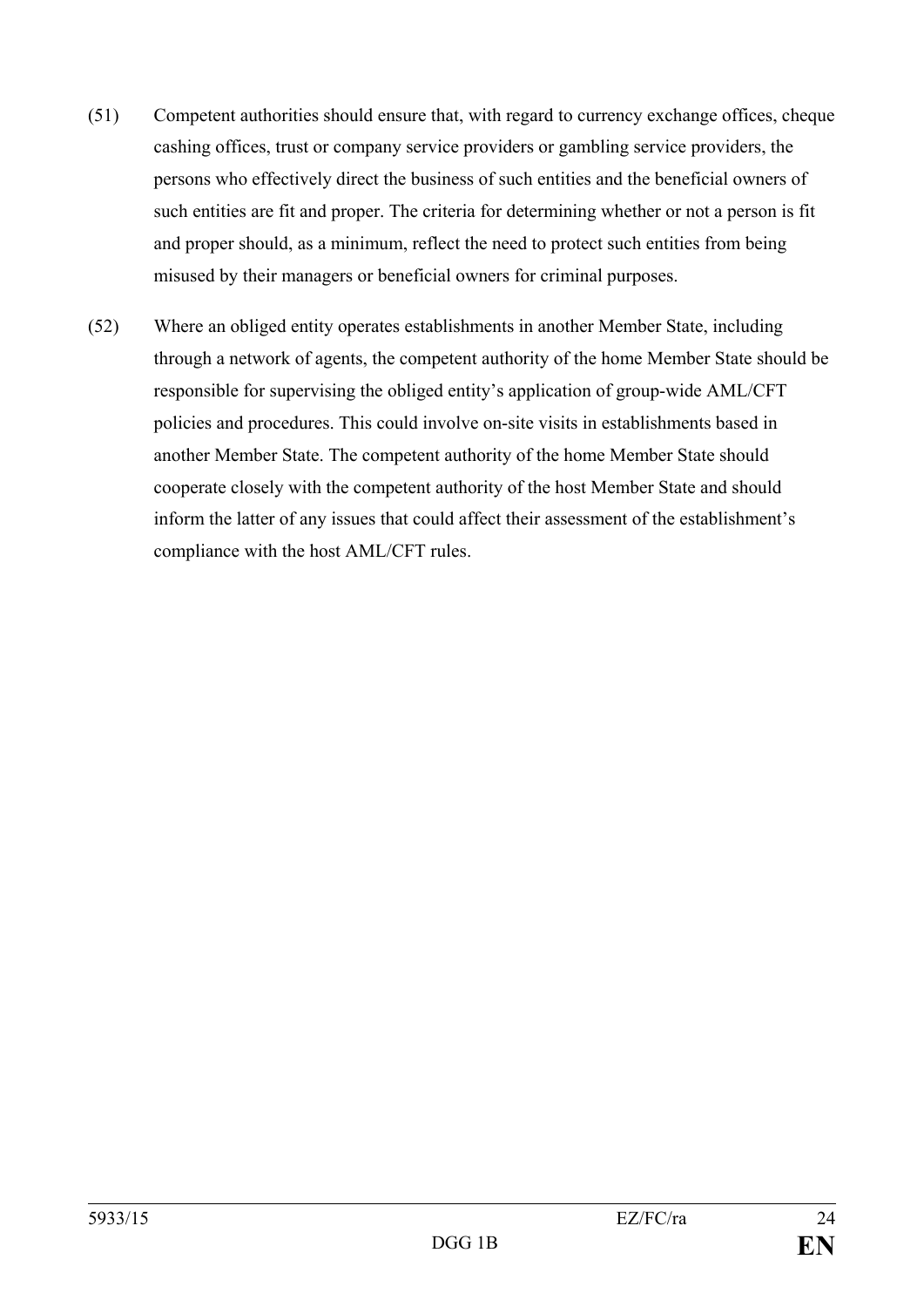- (51) Competent authorities should ensure that, with regard to currency exchange offices, cheque cashing offices, trust or company service providers or gambling service providers, the persons who effectively direct the business of such entities and the beneficial owners of such entities are fit and proper. The criteria for determining whether or not a person is fit and proper should, as a minimum, reflect the need to protect such entities from being misused by their managers or beneficial owners for criminal purposes.
- (52) Where an obliged entity operates establishments in another Member State, including through a network of agents, the competent authority of the home Member State should be responsible for supervising the obliged entity's application of group-wide AML/CFT policies and procedures. This could involve on-site visits in establishments based in another Member State. The competent authority of the home Member State should cooperate closely with the competent authority of the host Member State and should inform the latter of any issues that could affect their assessment of the establishment's compliance with the host AML/CFT rules.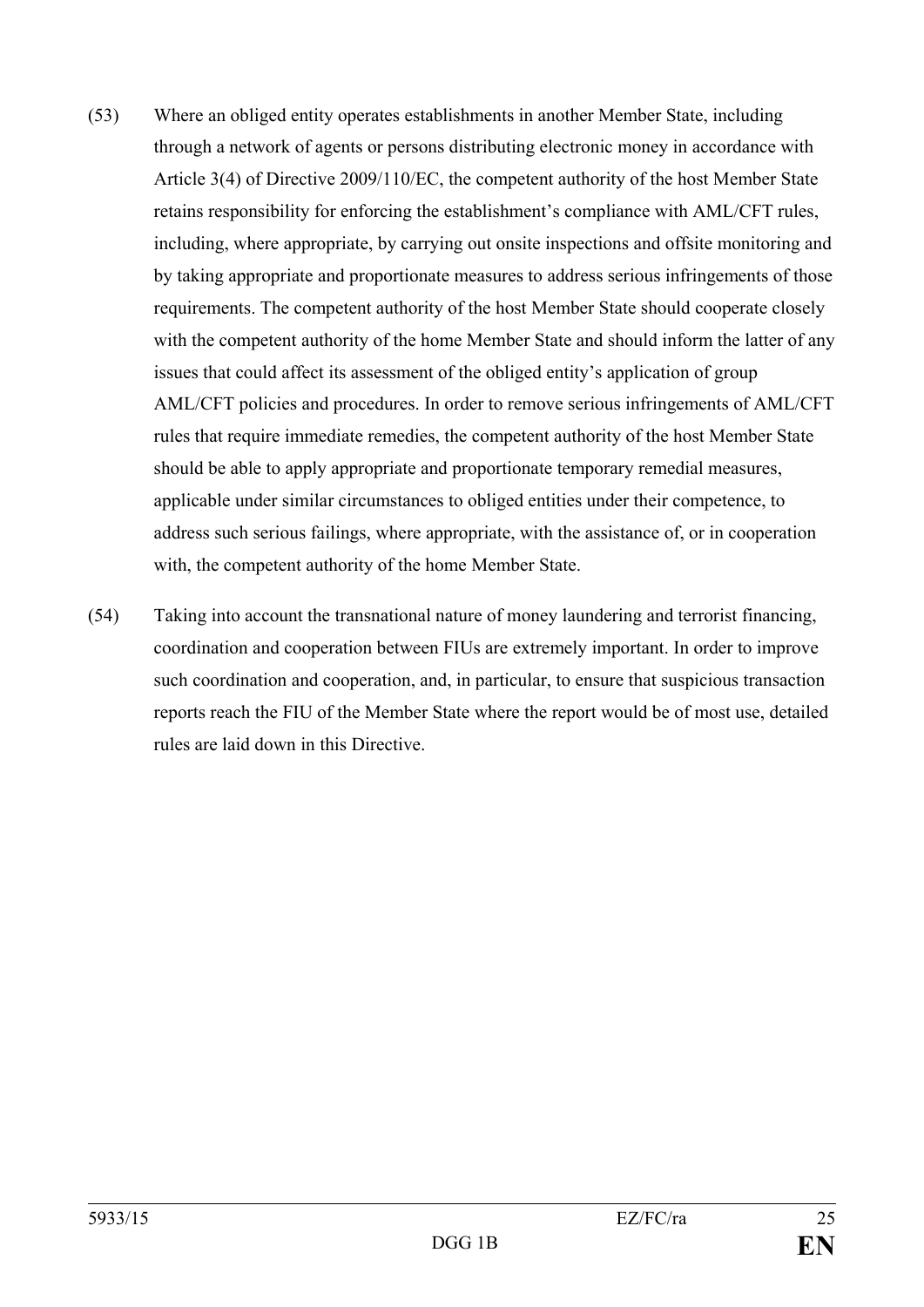- (53) Where an obliged entity operates establishments in another Member State, including through a network of agents or persons distributing electronic money in accordance with Article 3(4) of Directive 2009/110/EC, the competent authority of the host Member State retains responsibility for enforcing the establishment's compliance with AML/CFT rules, including, where appropriate, by carrying out onsite inspections and offsite monitoring and by taking appropriate and proportionate measures to address serious infringements of those requirements. The competent authority of the host Member State should cooperate closely with the competent authority of the home Member State and should inform the latter of any issues that could affect its assessment of the obliged entity's application of group AML/CFT policies and procedures. In order to remove serious infringements of AML/CFT rules that require immediate remedies, the competent authority of the host Member State should be able to apply appropriate and proportionate temporary remedial measures, applicable under similar circumstances to obliged entities under their competence, to address such serious failings, where appropriate, with the assistance of, or in cooperation with, the competent authority of the home Member State.
- (54) Taking into account the transnational nature of money laundering and terrorist financing, coordination and cooperation between FIUs are extremely important. In order to improve such coordination and cooperation, and, in particular, to ensure that suspicious transaction reports reach the FIU of the Member State where the report would be of most use, detailed rules are laid down in this Directive.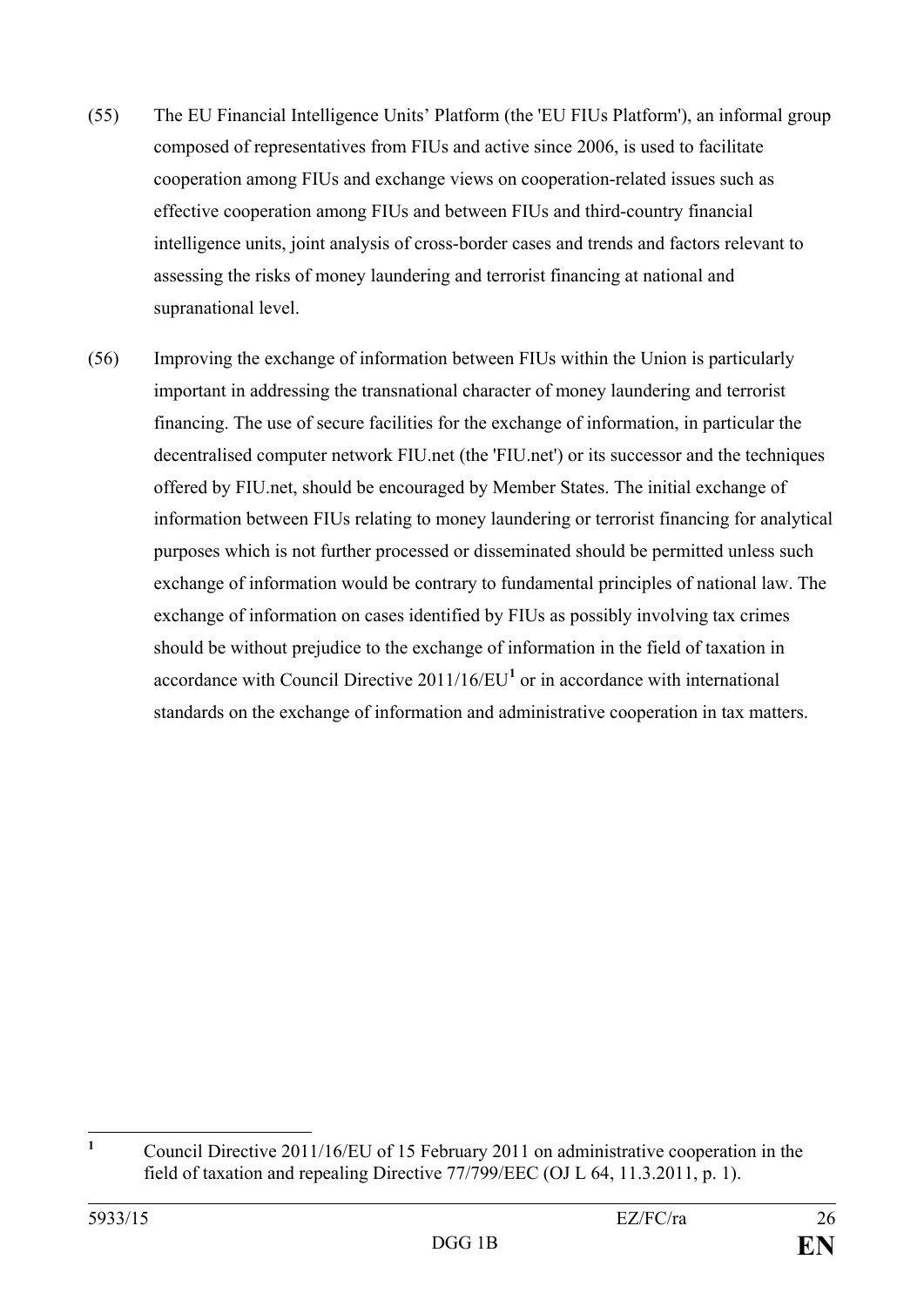- (55) The EU Financial Intelligence Units' Platform (the 'EU FIUs Platform'), an informal group composed of representatives from FIUs and active since 2006, is used to facilitate cooperation among FIUs and exchange views on cooperation-related issues such as effective cooperation among FIUs and between FIUs and third-country financial intelligence units, joint analysis of cross-border cases and trends and factors relevant to assessing the risks of money laundering and terrorist financing at national and supranational level.
- (56) Improving the exchange of information between FIUs within the Union is particularly important in addressing the transnational character of money laundering and terrorist financing. The use of secure facilities for the exchange of information, in particular the decentralised computer network FIU.net (the 'FIU.net') or its successor and the techniques offered by FIU.net, should be encouraged by Member States. The initial exchange of information between FIUs relating to money laundering or terrorist financing for analytical purposes which is not further processed or disseminated should be permitted unless such exchange of information would be contrary to fundamental principles of national law. The exchange of information on cases identified by FIUs as possibly involving tax crimes should be without prejudice to the exchange of information in the field of taxation in accordance with Council Directive 2011/16/EU**[1](#page-26-0)** or in accordance with international standards on the exchange of information and administrative cooperation in tax matters.

<span id="page-26-0"></span>**<sup>1</sup>** Council Directive 2011/16/EU of 15 February 2011 on administrative cooperation in the field of taxation and repealing Directive 77/799/EEC (OJ L 64, 11.3.2011, p. 1).  $\mathbf{1}$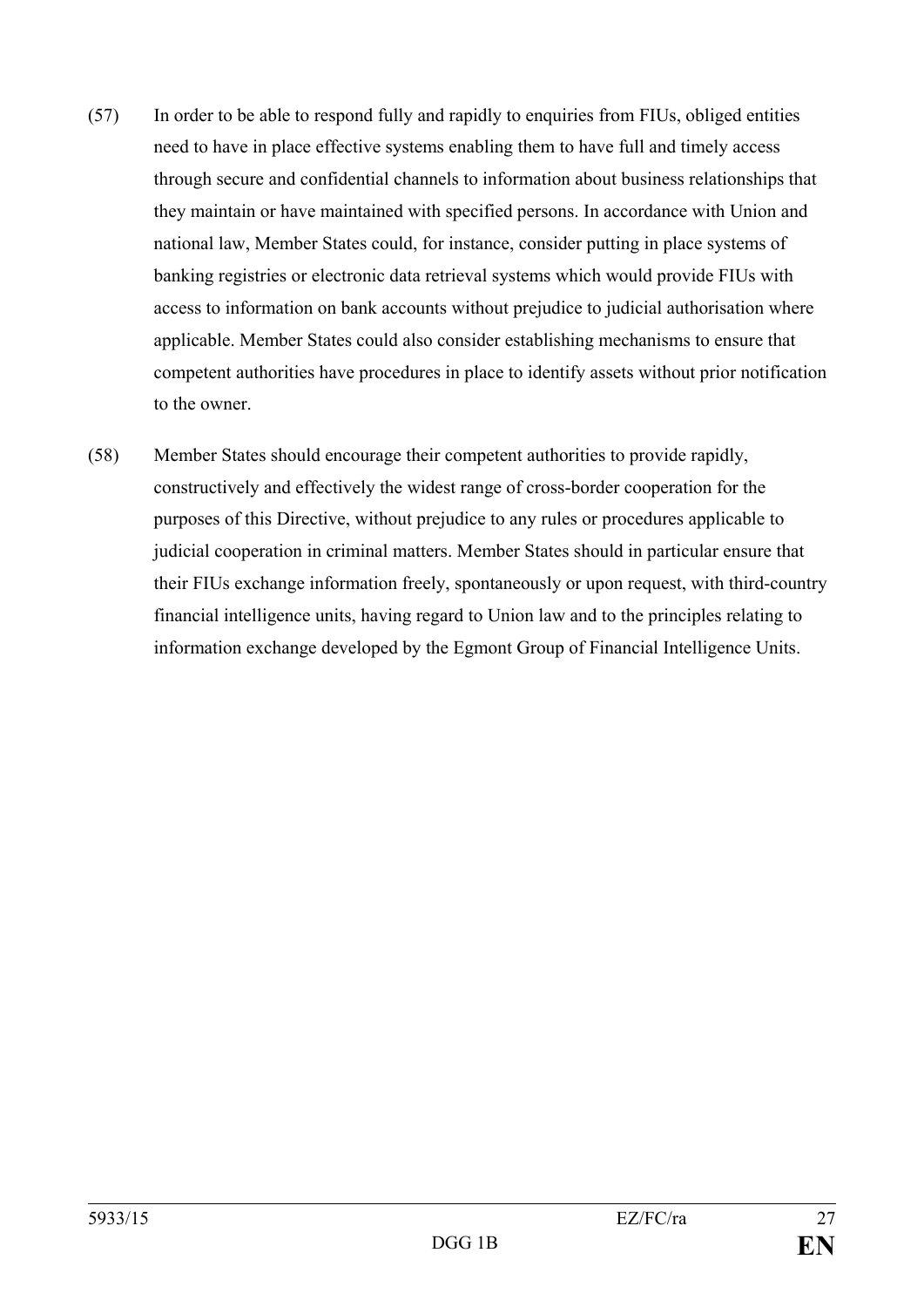- (57) In order to be able to respond fully and rapidly to enquiries from FIUs, obliged entities need to have in place effective systems enabling them to have full and timely access through secure and confidential channels to information about business relationships that they maintain or have maintained with specified persons. In accordance with Union and national law, Member States could, for instance, consider putting in place systems of banking registries or electronic data retrieval systems which would provide FIUs with access to information on bank accounts without prejudice to judicial authorisation where applicable. Member States could also consider establishing mechanisms to ensure that competent authorities have procedures in place to identify assets without prior notification to the owner.
- (58) Member States should encourage their competent authorities to provide rapidly, constructively and effectively the widest range of cross-border cooperation for the purposes of this Directive, without prejudice to any rules or procedures applicable to judicial cooperation in criminal matters. Member States should in particular ensure that their FIUs exchange information freely, spontaneously or upon request, with third-country financial intelligence units, having regard to Union law and to the principles relating to information exchange developed by the Egmont Group of Financial Intelligence Units.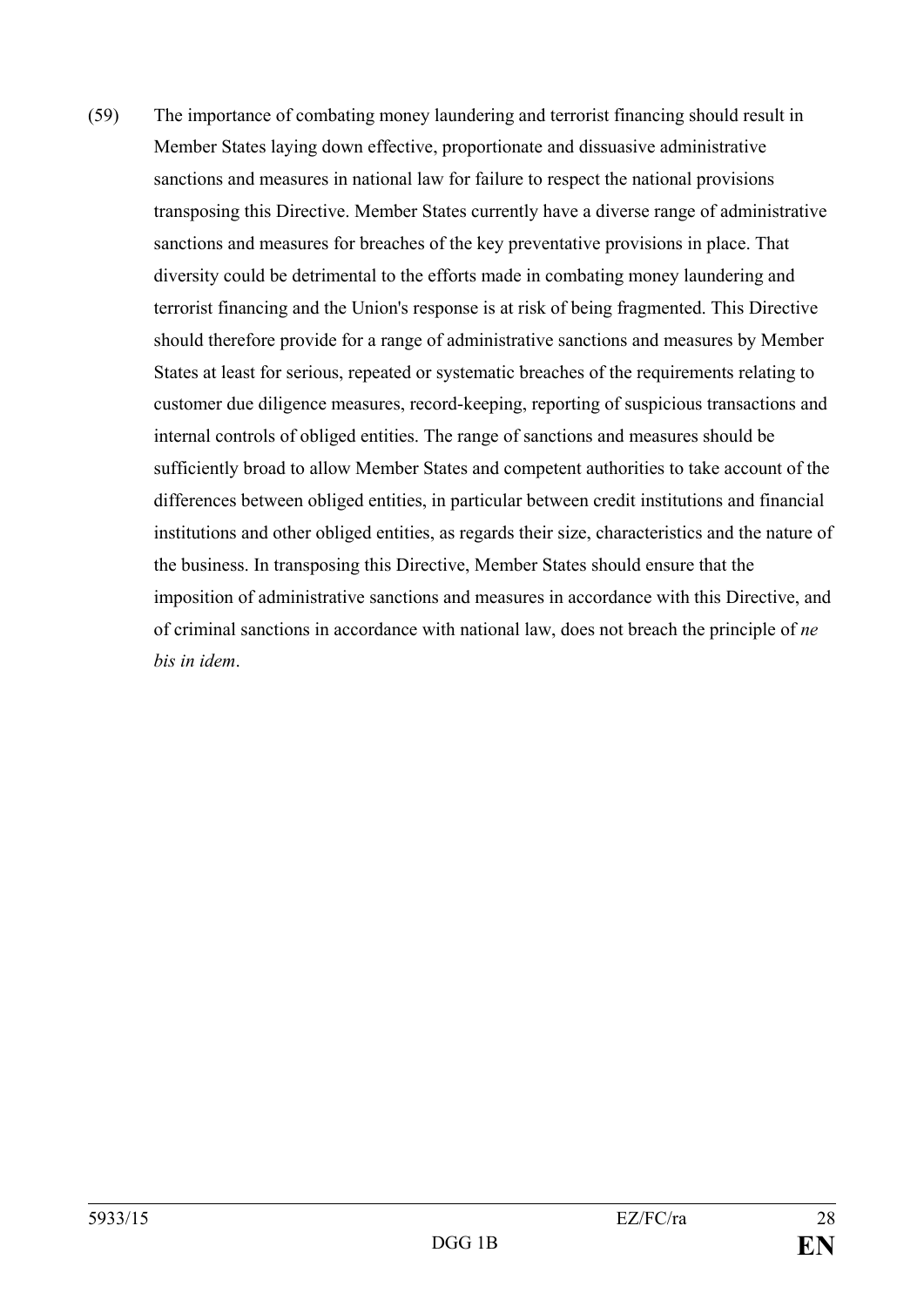(59) The importance of combating money laundering and terrorist financing should result in Member States laying down effective, proportionate and dissuasive administrative sanctions and measures in national law for failure to respect the national provisions transposing this Directive. Member States currently have a diverse range of administrative sanctions and measures for breaches of the key preventative provisions in place. That diversity could be detrimental to the efforts made in combating money laundering and terrorist financing and the Union's response is at risk of being fragmented. This Directive should therefore provide for a range of administrative sanctions and measures by Member States at least for serious, repeated or systematic breaches of the requirements relating to customer due diligence measures, record-keeping, reporting of suspicious transactions and internal controls of obliged entities. The range of sanctions and measures should be sufficiently broad to allow Member States and competent authorities to take account of the differences between obliged entities, in particular between credit institutions and financial institutions and other obliged entities, as regards their size, characteristics and the nature of the business. In transposing this Directive, Member States should ensure that the imposition of administrative sanctions and measures in accordance with this Directive, and of criminal sanctions in accordance with national law, does not breach the principle of *ne bis in idem*.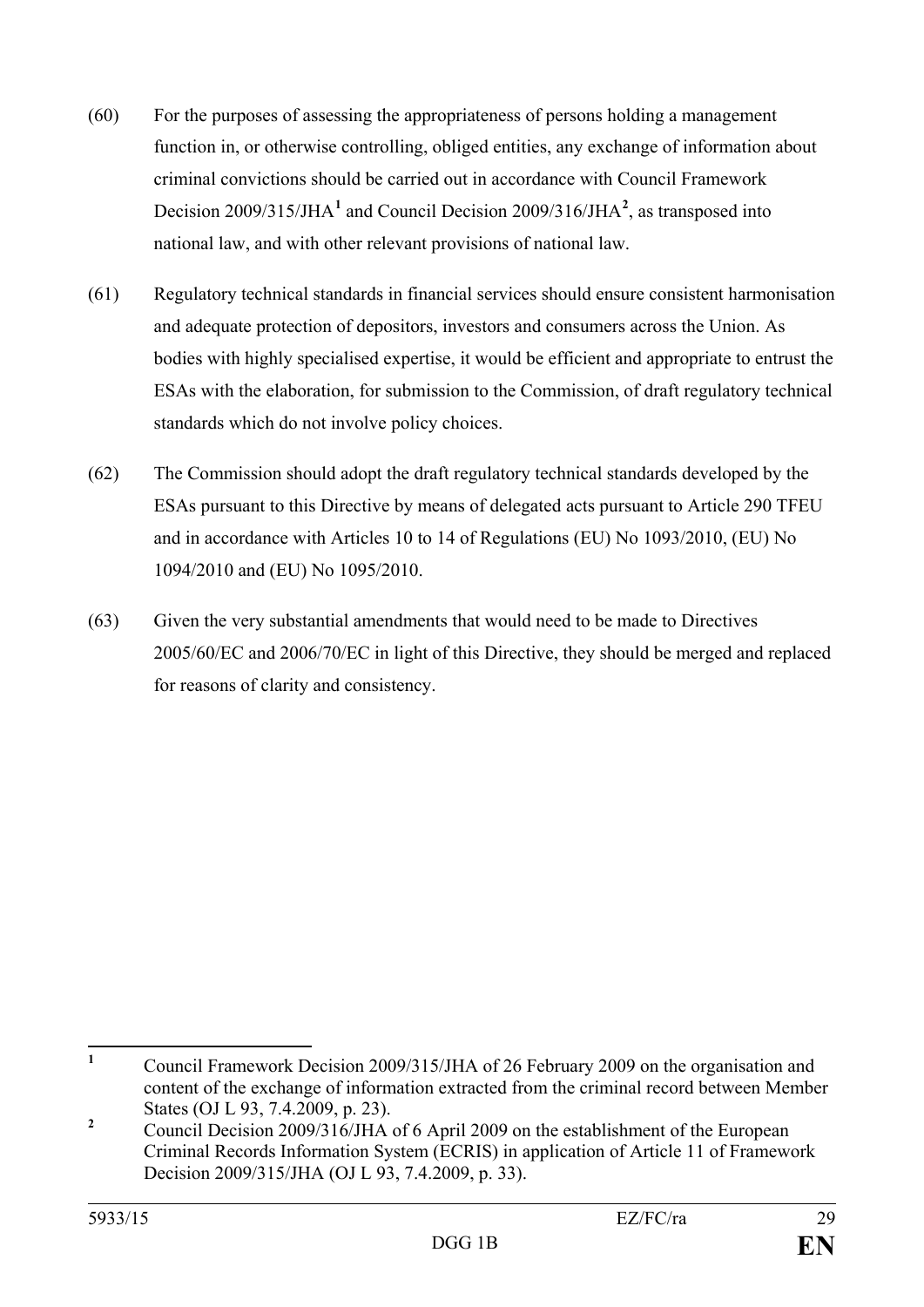- (60) For the purposes of assessing the appropriateness of persons holding a management function in, or otherwise controlling, obliged entities, any exchange of information about criminal convictions should be carried out in accordance with Council Framework Decision 2009/315/JHA**[1](#page-29-0)** and Council Decision 2009/316/JHA**[2](#page-29-1)** , as transposed into national law, and with other relevant provisions of national law.
- (61) Regulatory technical standards in financial services should ensure consistent harmonisation and adequate protection of depositors, investors and consumers across the Union. As bodies with highly specialised expertise, it would be efficient and appropriate to entrust the ESAs with the elaboration, for submission to the Commission, of draft regulatory technical standards which do not involve policy choices.
- (62) The Commission should adopt the draft regulatory technical standards developed by the ESAs pursuant to this Directive by means of delegated acts pursuant to Article 290 TFEU and in accordance with Articles 10 to 14 of Regulations (EU) No 1093/2010, (EU) No 1094/2010 and (EU) No 1095/2010.
- (63) Given the very substantial amendments that would need to be made to Directives 2005/60/EC and 2006/70/EC in light of this Directive, they should be merged and replaced for reasons of clarity and consistency.

<span id="page-29-0"></span>**<sup>1</sup>** Council Framework Decision 2009/315/JHA of 26 February 2009 on the organisation and content of the exchange of information extracted from the criminal record between Member States (OJ L 93, 7.4.2009, p. 23).  $\mathbf{1}$ 

<span id="page-29-1"></span><sup>&</sup>lt;sup>2</sup> Council Decision 2009/316/JHA of 6 April 2009 on the establishment of the European Criminal Records Information System (ECRIS) in application of Article 11 of Framework Decision 2009/315/JHA (OJ L 93, 7.4.2009, p. 33).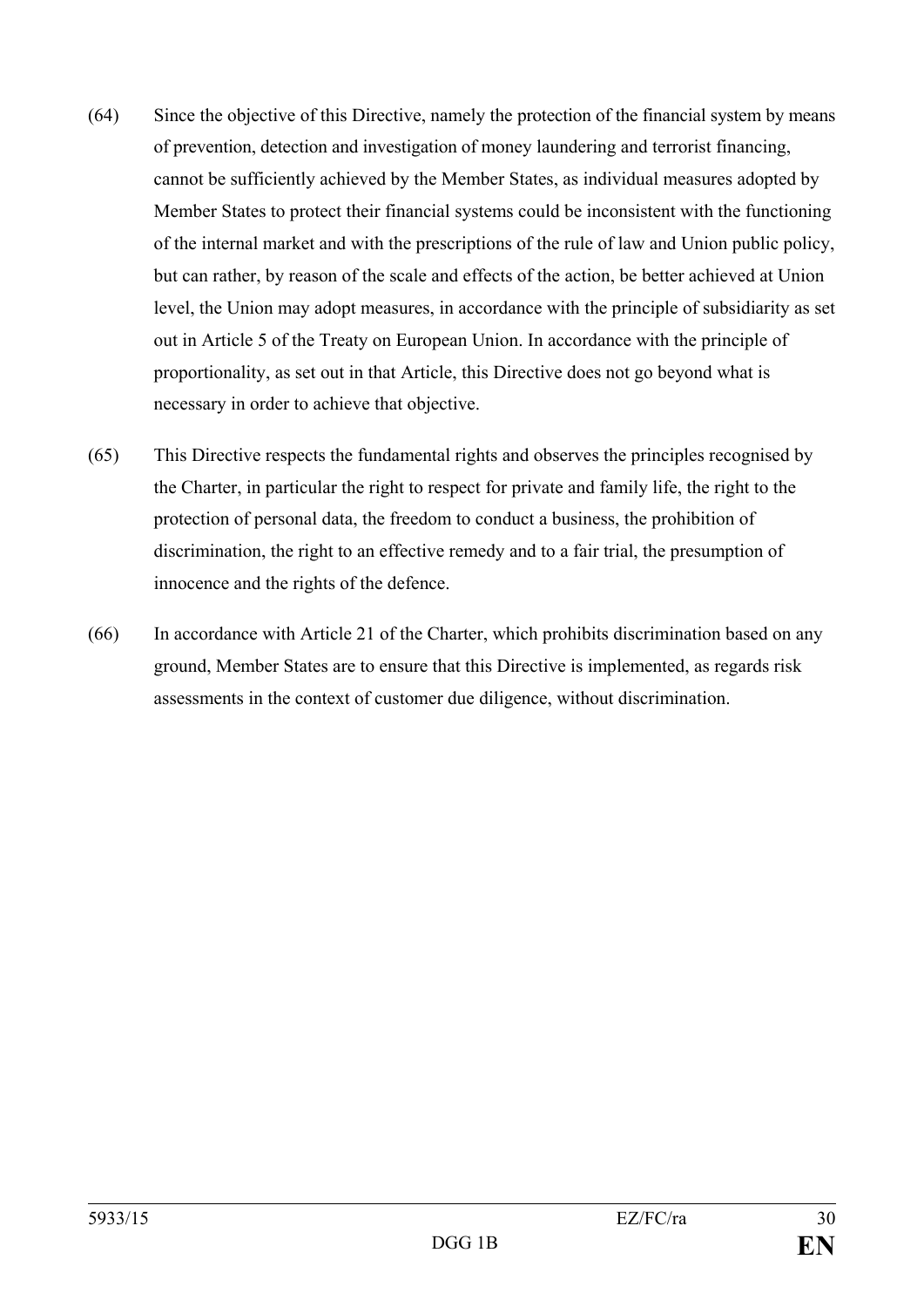- (64) Since the objective of this Directive, namely the protection of the financial system by means of prevention, detection and investigation of money laundering and terrorist financing, cannot be sufficiently achieved by the Member States, as individual measures adopted by Member States to protect their financial systems could be inconsistent with the functioning of the internal market and with the prescriptions of the rule of law and Union public policy, but can rather, by reason of the scale and effects of the action, be better achieved at Union level, the Union may adopt measures, in accordance with the principle of subsidiarity as set out in Article 5 of the Treaty on European Union. In accordance with the principle of proportionality, as set out in that Article, this Directive does not go beyond what is necessary in order to achieve that objective.
- (65) This Directive respects the fundamental rights and observes the principles recognised by the Charter, in particular the right to respect for private and family life, the right to the protection of personal data, the freedom to conduct a business, the prohibition of discrimination, the right to an effective remedy and to a fair trial, the presumption of innocence and the rights of the defence.
- (66) In accordance with Article 21 of the Charter, which prohibits discrimination based on any ground, Member States are to ensure that this Directive is implemented, as regards risk assessments in the context of customer due diligence, without discrimination.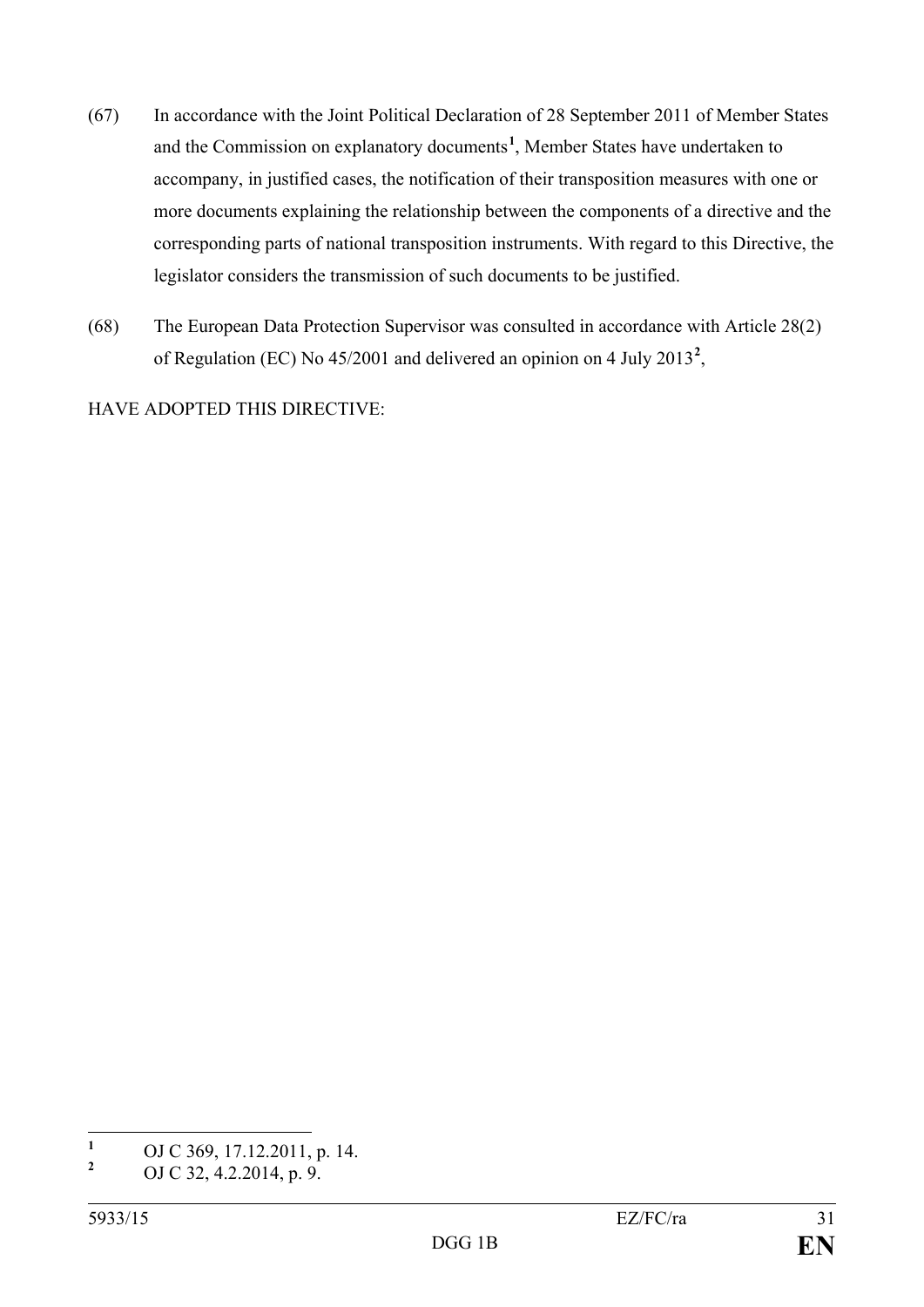- (67) In accordance with the Joint Political Declaration of 28 September 2011 of Member States and the Commission on explanatory documents**[1](#page-31-0)** , Member States have undertaken to accompany, in justified cases, the notification of their transposition measures with one or more documents explaining the relationship between the components of a directive and the corresponding parts of national transposition instruments. With regard to this Directive, the legislator considers the transmission of such documents to be justified.
- (68) The European Data Protection Supervisor was consulted in accordance with Article 28(2) of Regulation (EC) No 45/2001 and delivered an opinion on 4 July 2013**[2](#page-31-1)** ,

HAVE ADOPTED THIS DIRECTIVE:

<span id="page-31-0"></span><sup>&</sup>lt;sup>1</sup> OJ C 369, 17.12.2011, p. 14.  $\mathbf{1}$ 

<span id="page-31-1"></span>**<sup>2</sup>** OJ C 32, 4.2.2014, p. 9.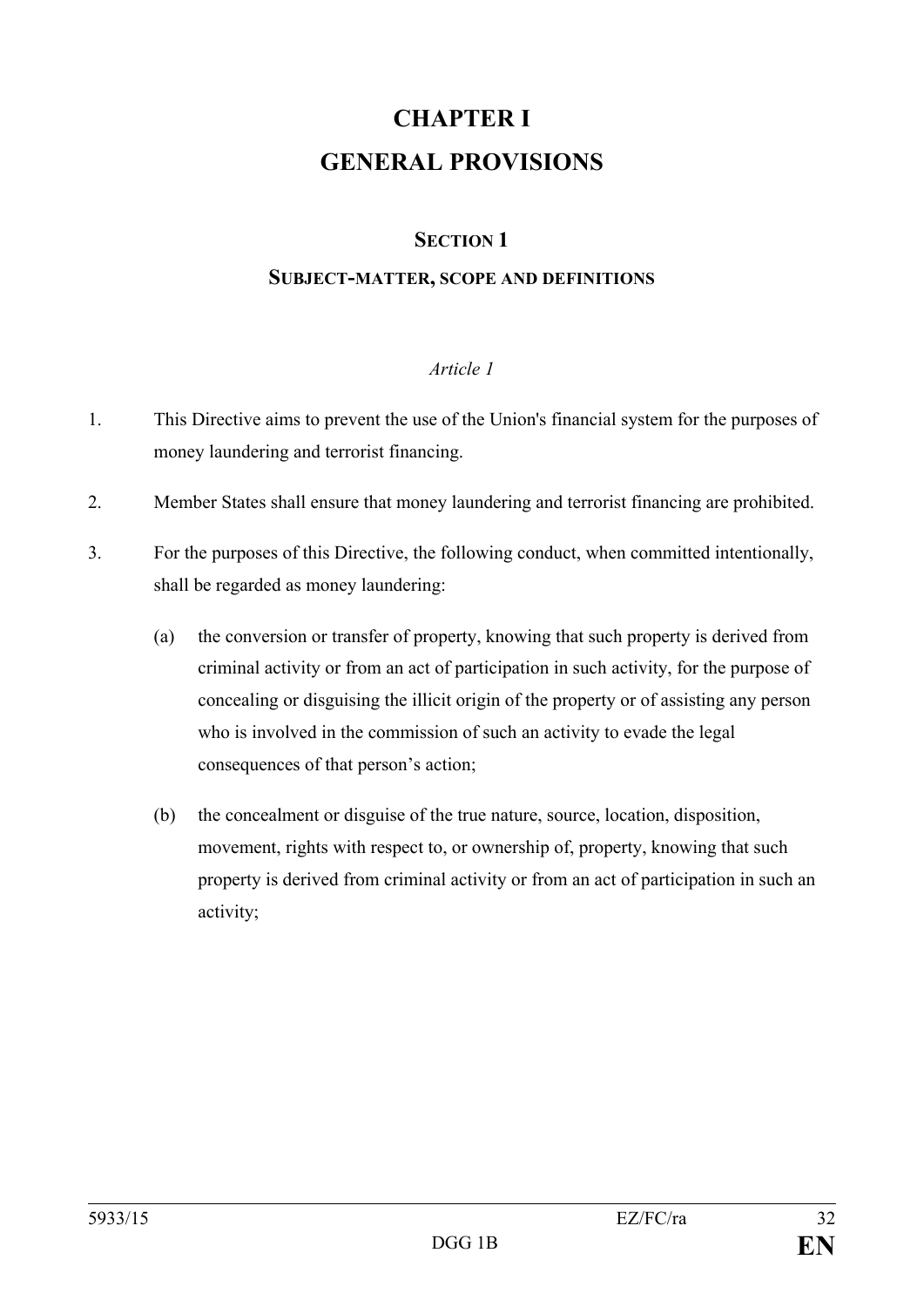# **CHAPTER I GENERAL PROVISIONS**

## **SECTION 1**

### **SUBJECT-MATTER, SCOPE AND DEFINITIONS**

#### *Article 1*

- 1. This Directive aims to prevent the use of the Union's financial system for the purposes of money laundering and terrorist financing.
- 2. Member States shall ensure that money laundering and terrorist financing are prohibited.
- 3. For the purposes of this Directive, the following conduct, when committed intentionally, shall be regarded as money laundering:
	- (a) the conversion or transfer of property, knowing that such property is derived from criminal activity or from an act of participation in such activity, for the purpose of concealing or disguising the illicit origin of the property or of assisting any person who is involved in the commission of such an activity to evade the legal consequences of that person's action;
	- (b) the concealment or disguise of the true nature, source, location, disposition, movement, rights with respect to, or ownership of, property, knowing that such property is derived from criminal activity or from an act of participation in such an activity;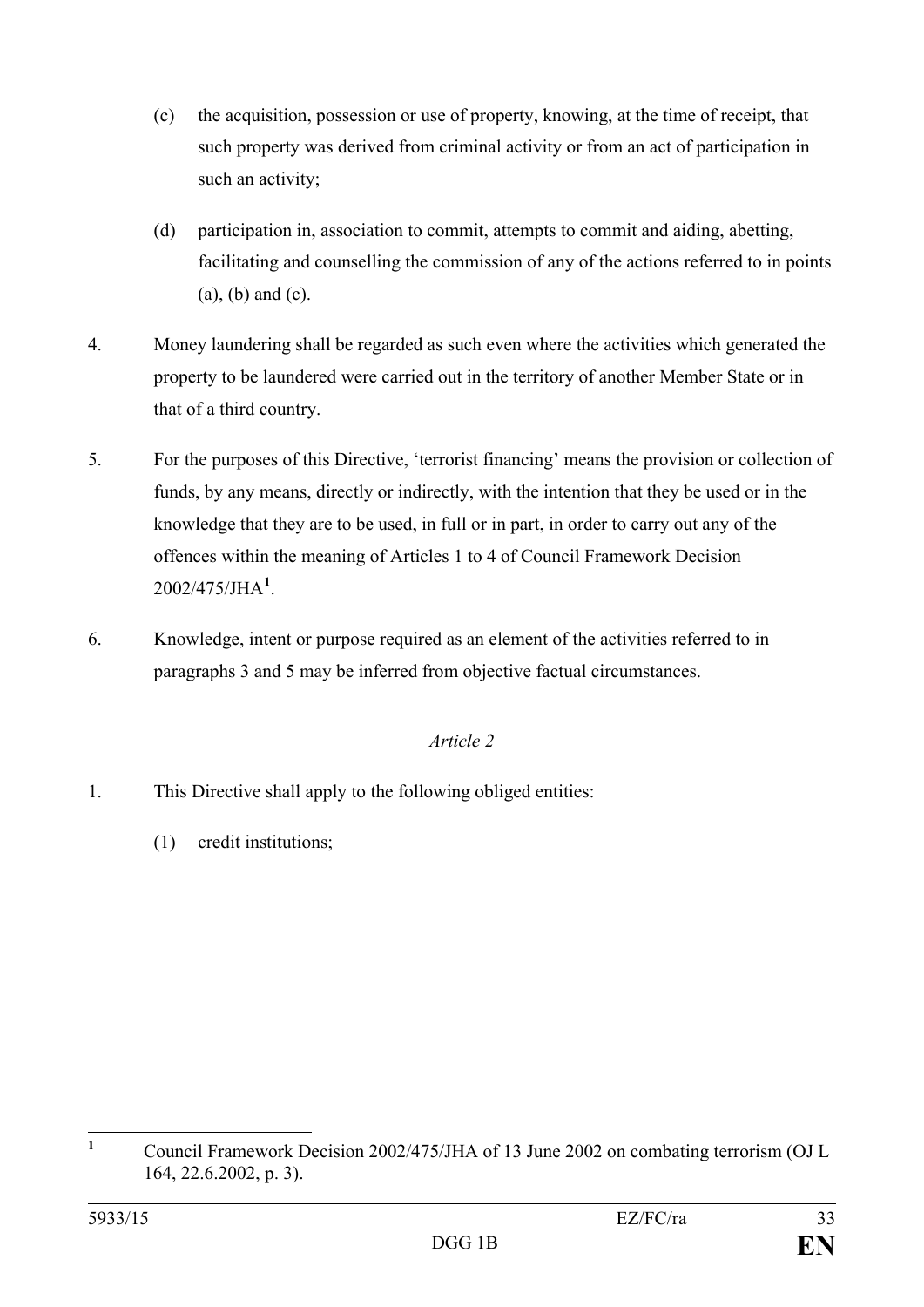- (c) the acquisition, possession or use of property, knowing, at the time of receipt, that such property was derived from criminal activity or from an act of participation in such an activity;
- (d) participation in, association to commit, attempts to commit and aiding, abetting, facilitating and counselling the commission of any of the actions referred to in points (a), (b) and (c).
- 4. Money laundering shall be regarded as such even where the activities which generated the property to be laundered were carried out in the territory of another Member State or in that of a third country.
- 5. For the purposes of this Directive, 'terrorist financing' means the provision or collection of funds, by any means, directly or indirectly, with the intention that they be used or in the knowledge that they are to be used, in full or in part, in order to carry out any of the offences within the meaning of Articles 1 to 4 of Council Framework Decision 2002/475/JHA**[1](#page-33-0)** .
- 6. Knowledge, intent or purpose required as an element of the activities referred to in paragraphs 3 and 5 may be inferred from objective factual circumstances.

## *Article 2*

- 1. This Directive shall apply to the following obliged entities:
	- (1) credit institutions;

<span id="page-33-0"></span>**<sup>1</sup>** Council Framework Decision 2002/475/JHA of 13 June 2002 on combating terrorism (OJ L 164, 22.6.2002, p. 3).  $\mathbf{1}$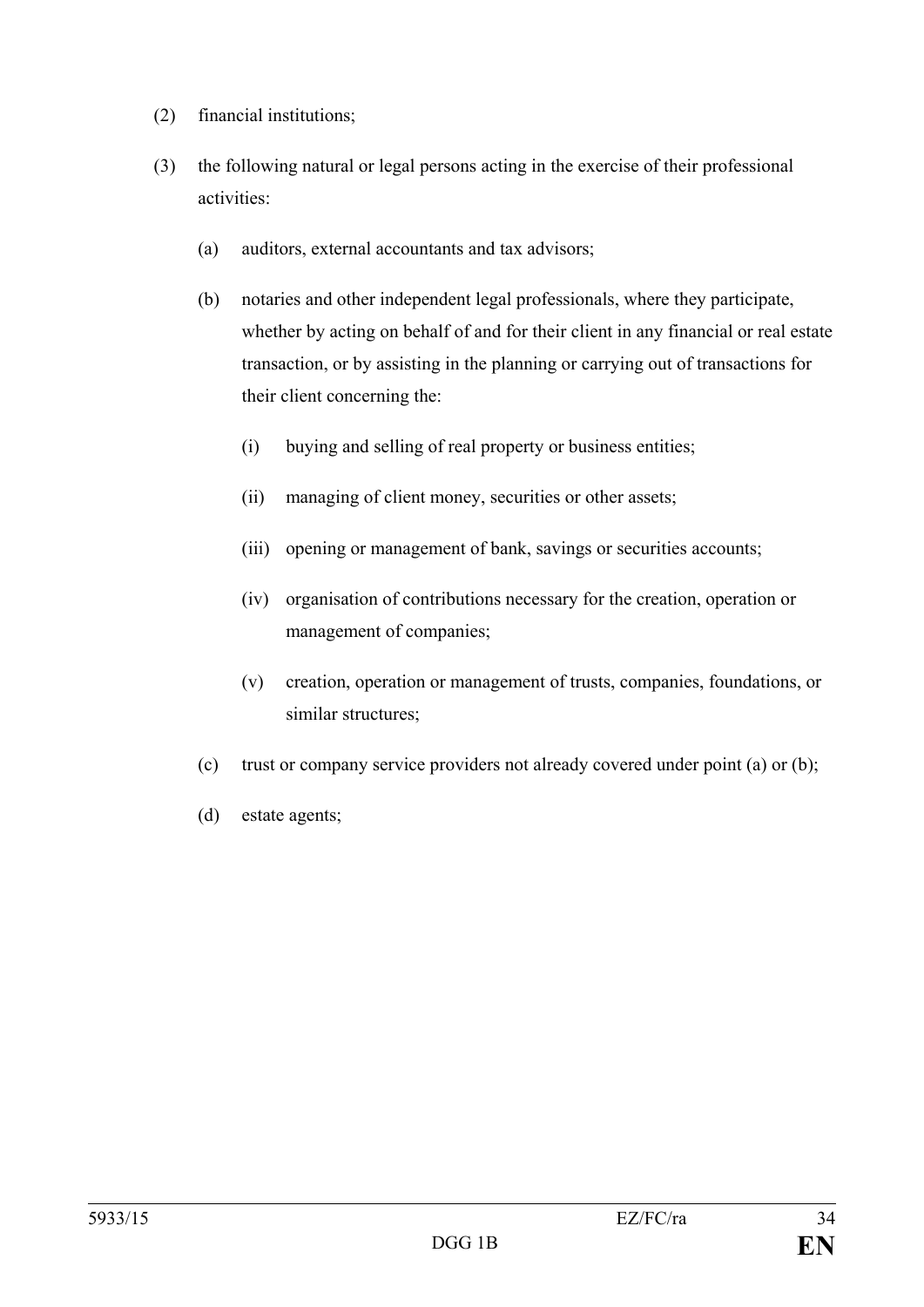- (2) financial institutions;
- (3) the following natural or legal persons acting in the exercise of their professional activities:
	- (a) auditors, external accountants and tax advisors;
	- (b) notaries and other independent legal professionals, where they participate, whether by acting on behalf of and for their client in any financial or real estate transaction, or by assisting in the planning or carrying out of transactions for their client concerning the:
		- (i) buying and selling of real property or business entities;
		- (ii) managing of client money, securities or other assets;
		- (iii) opening or management of bank, savings or securities accounts;
		- (iv) organisation of contributions necessary for the creation, operation or management of companies;
		- (v) creation, operation or management of trusts, companies, foundations, or similar structures;
	- (c) trust or company service providers not already covered under point (a) or (b);
	- (d) estate agents;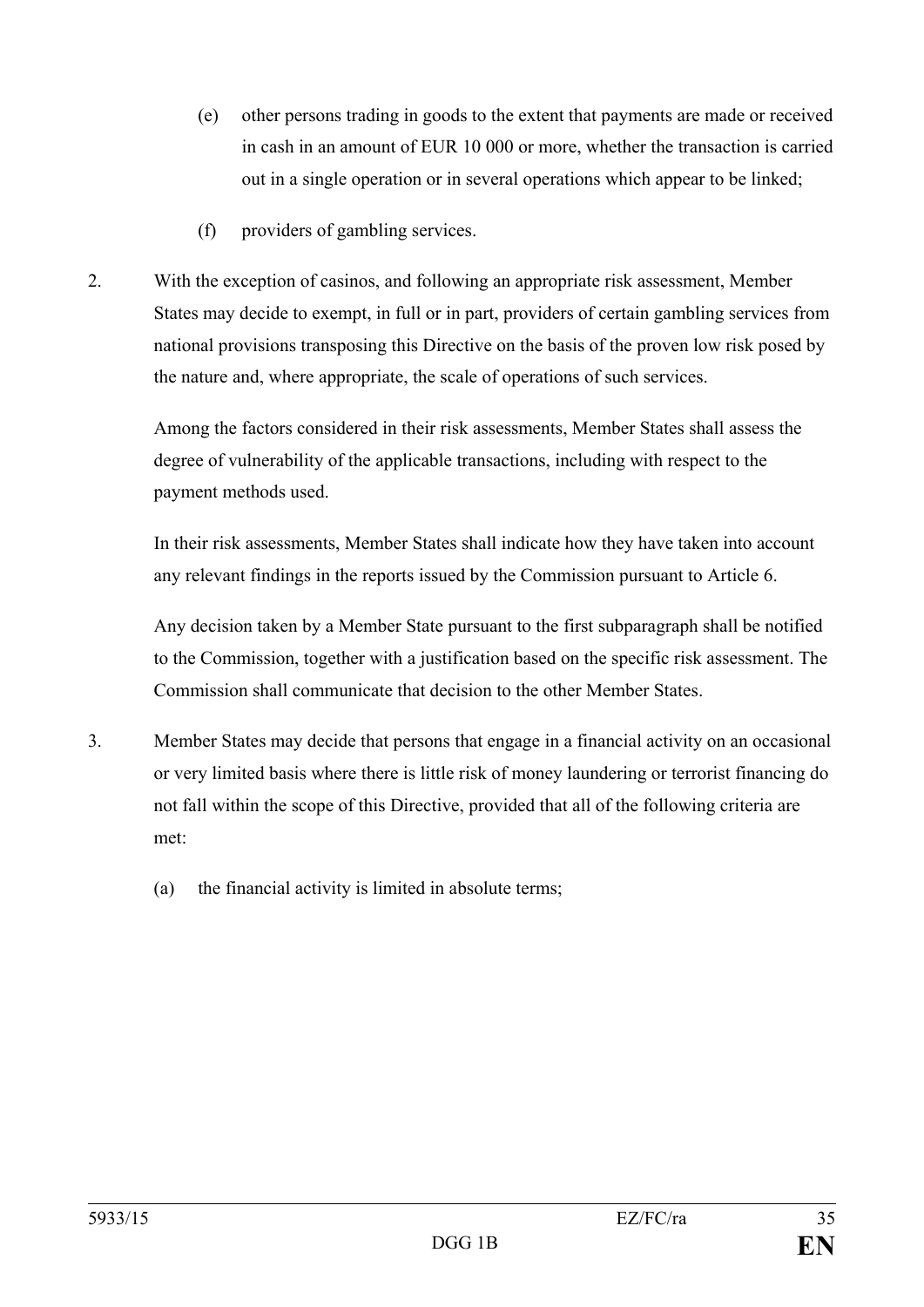- (e) other persons trading in goods to the extent that payments are made or received in cash in an amount of EUR 10 000 or more, whether the transaction is carried out in a single operation or in several operations which appear to be linked;
- (f) providers of gambling services.
- 2. With the exception of casinos, and following an appropriate risk assessment, Member States may decide to exempt, in full or in part, providers of certain gambling services from national provisions transposing this Directive on the basis of the proven low risk posed by the nature and, where appropriate, the scale of operations of such services.

Among the factors considered in their risk assessments, Member States shall assess the degree of vulnerability of the applicable transactions, including with respect to the payment methods used.

In their risk assessments, Member States shall indicate how they have taken into account any relevant findings in the reports issued by the Commission pursuant to Article 6.

Any decision taken by a Member State pursuant to the first subparagraph shall be notified to the Commission, together with a justification based on the specific risk assessment. The Commission shall communicate that decision to the other Member States.

- 3. Member States may decide that persons that engage in a financial activity on an occasional or very limited basis where there is little risk of money laundering or terrorist financing do not fall within the scope of this Directive, provided that all of the following criteria are met:
	- (a) the financial activity is limited in absolute terms;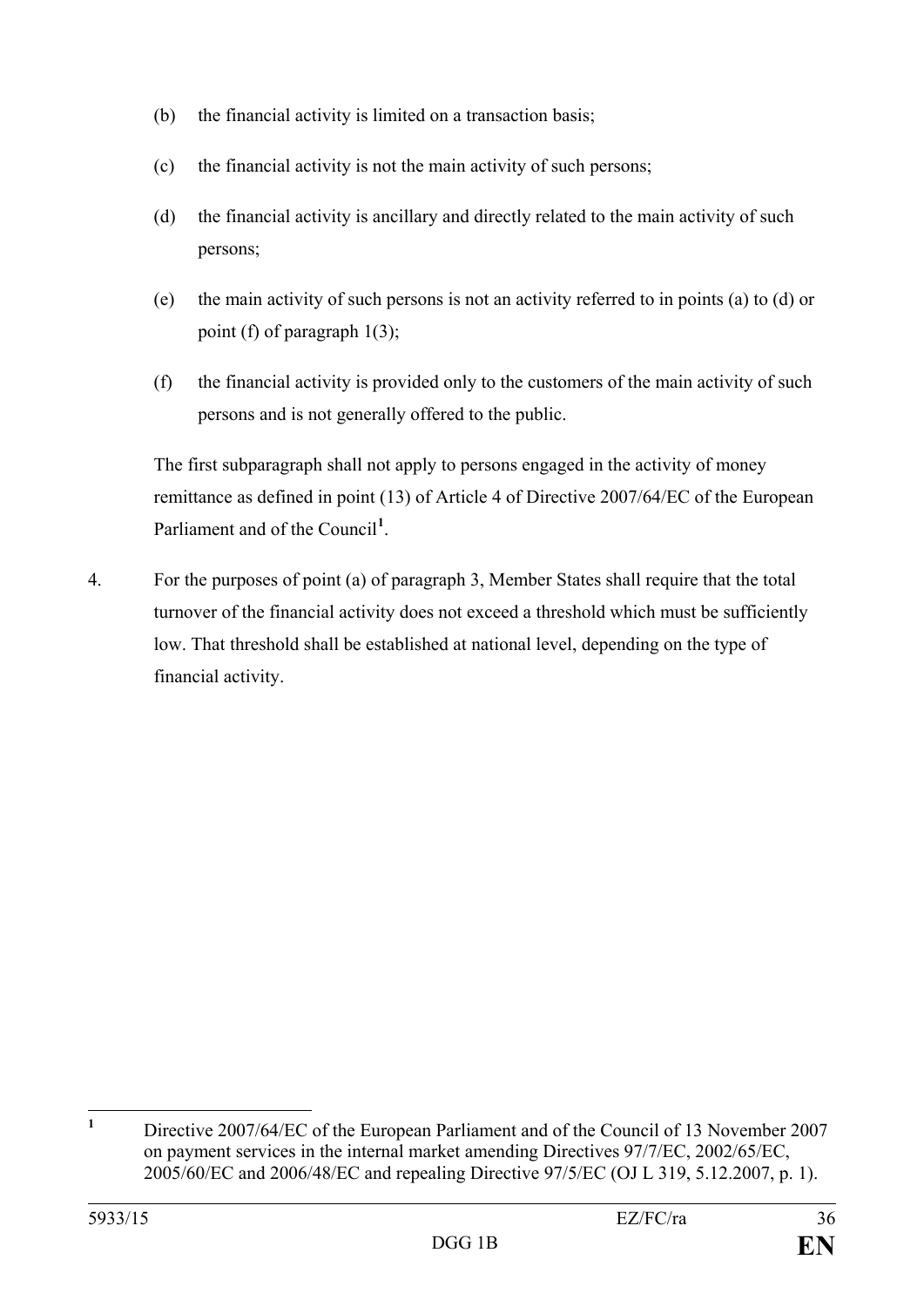- (b) the financial activity is limited on a transaction basis;
- (c) the financial activity is not the main activity of such persons;
- (d) the financial activity is ancillary and directly related to the main activity of such persons;
- (e) the main activity of such persons is not an activity referred to in points (a) to (d) or point (f) of paragraph 1(3);
- (f) the financial activity is provided only to the customers of the main activity of such persons and is not generally offered to the public.

The first subparagraph shall not apply to persons engaged in the activity of money remittance as defined in point (13) of Article 4 of Directive 2007/64/EC of the European Parliament and of the Council<sup>[1](#page-36-0)</sup>.

4. For the purposes of point (a) of paragraph 3, Member States shall require that the total turnover of the financial activity does not exceed a threshold which must be sufficiently low. That threshold shall be established at national level, depending on the type of financial activity.

<span id="page-36-0"></span>**<sup>1</sup>** Directive 2007/64/EC of the European Parliament and of the Council of 13 November 2007 on payment services in the internal market amending Directives 97/7/EC, 2002/65/EC, 2005/60/EC and 2006/48/EC and repealing Directive 97/5/EC (OJ L 319, 5.12.2007, p. 1).  $\mathbf{1}$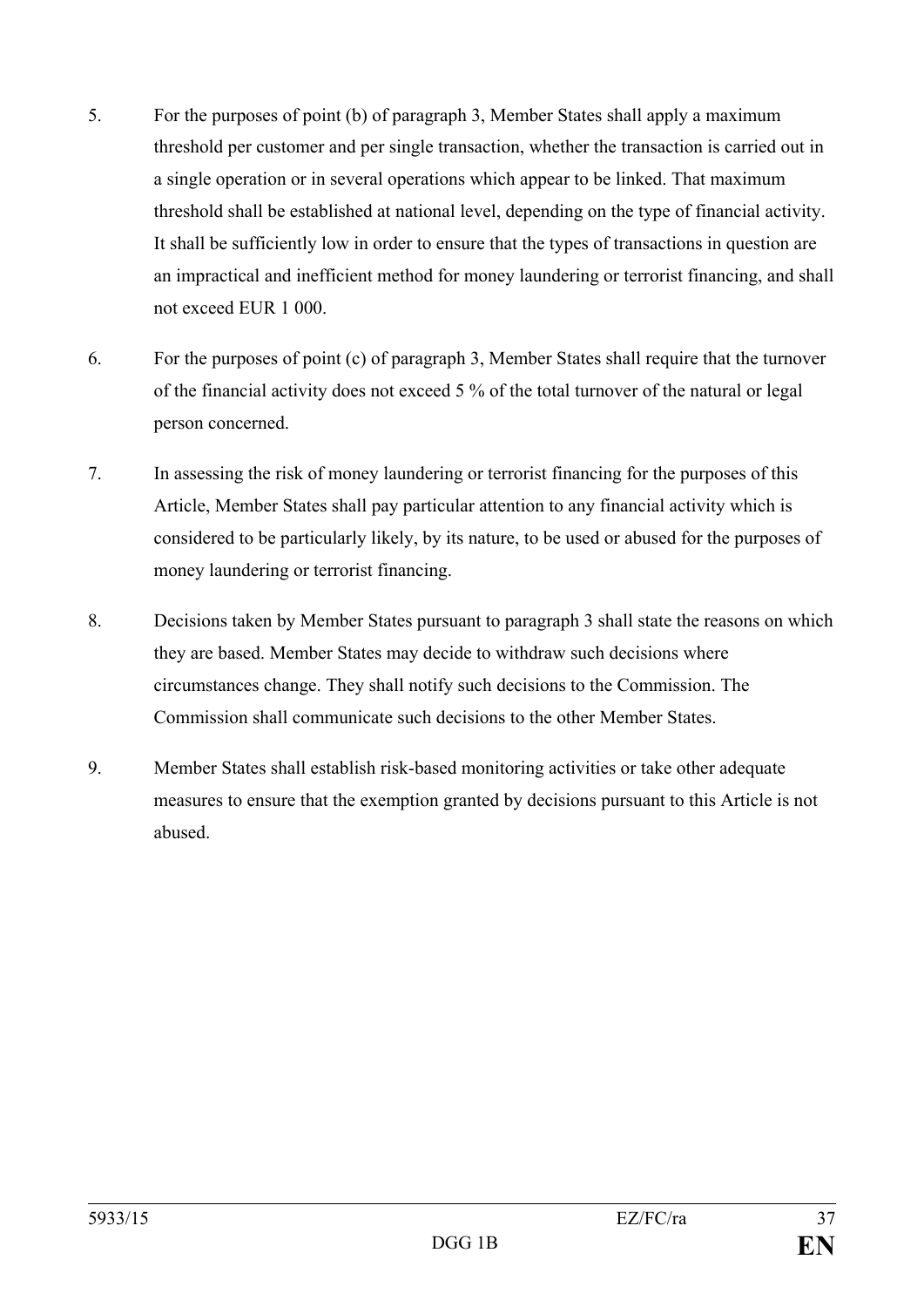- 5. For the purposes of point (b) of paragraph 3, Member States shall apply a maximum threshold per customer and per single transaction, whether the transaction is carried out in a single operation or in several operations which appear to be linked. That maximum threshold shall be established at national level, depending on the type of financial activity. It shall be sufficiently low in order to ensure that the types of transactions in question are an impractical and inefficient method for money laundering or terrorist financing, and shall not exceed EUR 1 000.
- 6. For the purposes of point (c) of paragraph 3, Member States shall require that the turnover of the financial activity does not exceed 5 % of the total turnover of the natural or legal person concerned.
- 7. In assessing the risk of money laundering or terrorist financing for the purposes of this Article, Member States shall pay particular attention to any financial activity which is considered to be particularly likely, by its nature, to be used or abused for the purposes of money laundering or terrorist financing.
- 8. Decisions taken by Member States pursuant to paragraph 3 shall state the reasons on which they are based. Member States may decide to withdraw such decisions where circumstances change. They shall notify such decisions to the Commission. The Commission shall communicate such decisions to the other Member States.
- 9. Member States shall establish risk-based monitoring activities or take other adequate measures to ensure that the exemption granted by decisions pursuant to this Article is not abused.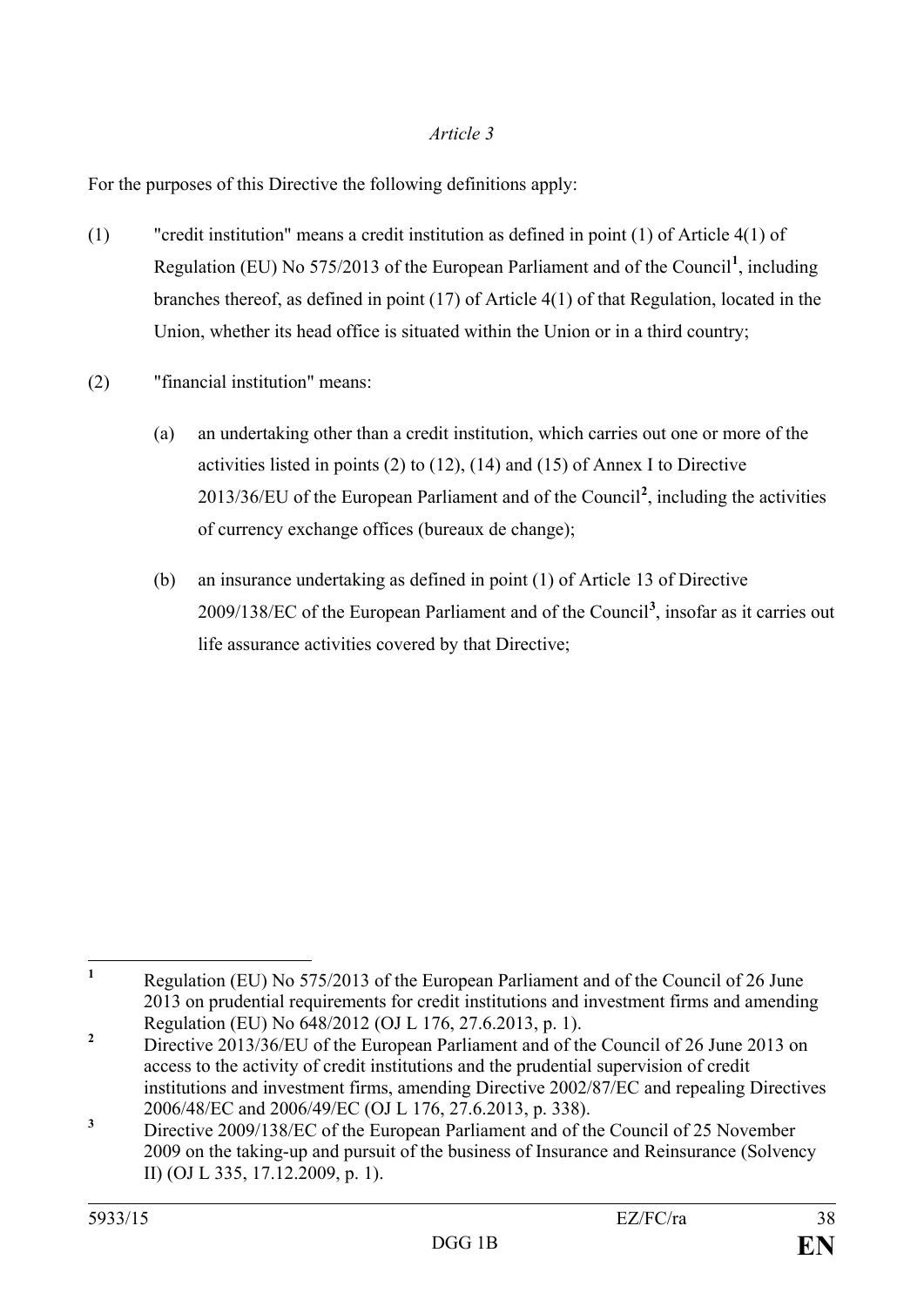For the purposes of this Directive the following definitions apply:

- (1) "credit institution" means a credit institution as defined in point (1) of Article 4(1) of Regulation (EU) No 575/2013 of the European Parliament and of the Council**[1](#page-38-0)** , including branches thereof, as defined in point (17) of Article 4(1) of that Regulation, located in the Union, whether its head office is situated within the Union or in a third country;
- (2) "financial institution" means:
	- (a) an undertaking other than a credit institution, which carries out one or more of the activities listed in points (2) to (12), (14) and (15) of Annex I to Directive 2013/36/EU of the European Parliament and of the Council**[2](#page-38-1)** , including the activities of currency exchange offices (bureaux de change);
	- (b) an insurance undertaking as defined in point (1) of Article 13 of Directive 2009/138/EC of the European Parliament and of the Council**[3](#page-38-2)** , insofar as it carries out life assurance activities covered by that Directive;

<span id="page-38-0"></span>**<sup>1</sup>** Regulation (EU) No 575/2013 of the European Parliament and of the Council of 26 June 2013 on prudential requirements for credit institutions and investment firms and amending Regulation (EU) No 648/2012 (OJ L 176, 27.6.2013, p. 1).  $\mathbf{1}$ 

<span id="page-38-1"></span><sup>&</sup>lt;sup>2</sup> Directive 2013/36/EU of the European Parliament and of the Council of 26 June 2013 on access to the activity of credit institutions and the prudential supervision of credit institutions and investment firms, amending Directive 2002/87/EC and repealing Directives 2006/48/EC and 2006/49/EC (OJ L 176, 27.6.2013, p. 338).

<span id="page-38-2"></span><sup>&</sup>lt;sup>3</sup> Directive 2009/138/EC of the European Parliament and of the Council of 25 November 2009 on the taking-up and pursuit of the business of Insurance and Reinsurance (Solvency II) (OJ L 335, 17.12.2009, p. 1).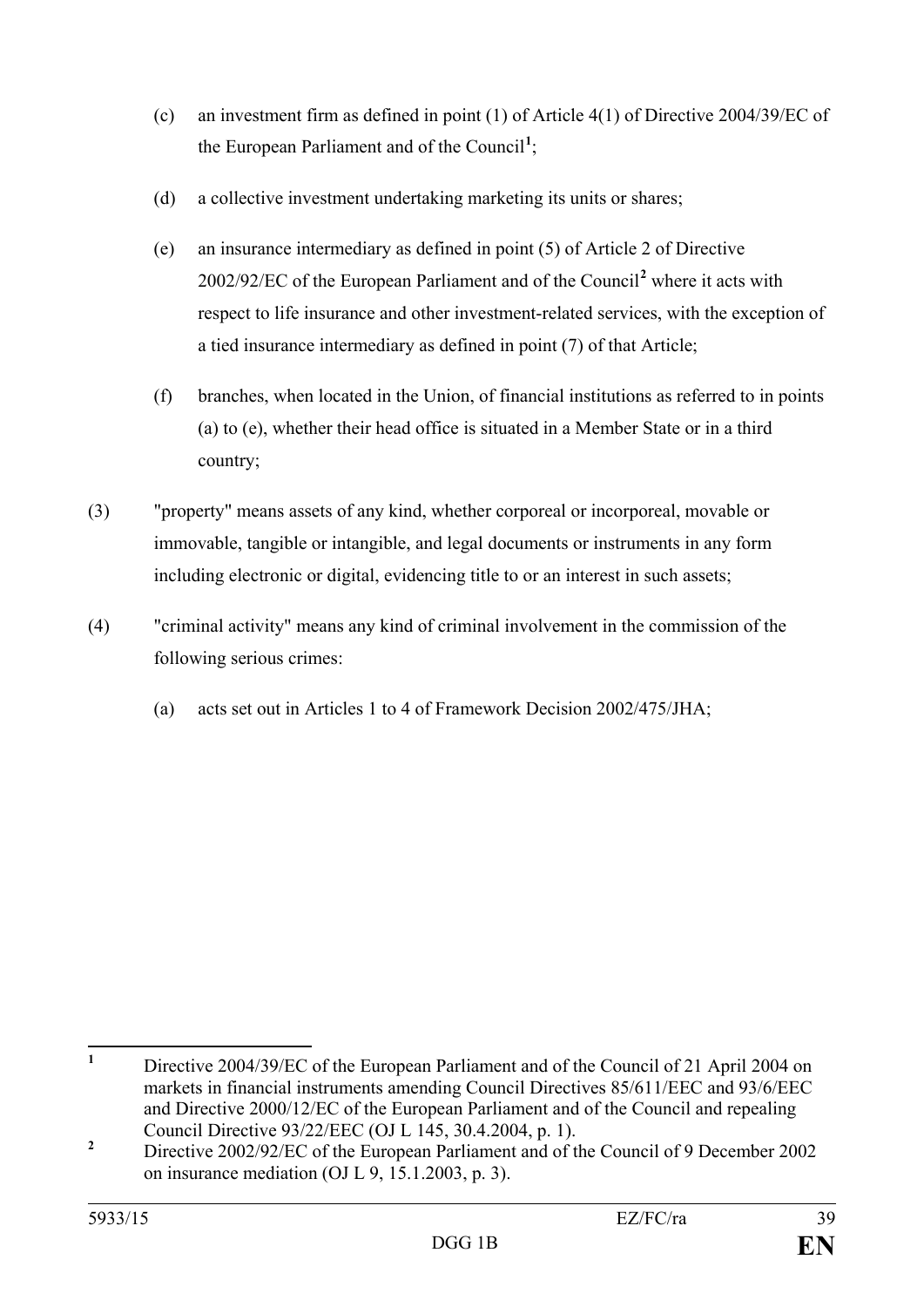- (c) an investment firm as defined in point (1) of Article 4(1) of Directive 2004/39/EC of the European Parliament and of the Council**[1](#page-39-0)** ;
- (d) a collective investment undertaking marketing its units or shares;
- (e) an insurance intermediary as defined in point (5) of Article 2 of Directive 2002/92/EC of the European Parliament and of the Council**[2](#page-39-1)** where it acts with respect to life insurance and other investment-related services, with the exception of a tied insurance intermediary as defined in point (7) of that Article;
- (f) branches, when located in the Union, of financial institutions as referred to in points (a) to (e), whether their head office is situated in a Member State or in a third country;
- (3) "property" means assets of any kind, whether corporeal or incorporeal, movable or immovable, tangible or intangible, and legal documents or instruments in any form including electronic or digital, evidencing title to or an interest in such assets;
- (4) "criminal activity" means any kind of criminal involvement in the commission of the following serious crimes:
	- (a) acts set out in Articles 1 to 4 of Framework Decision 2002/475/JHA;

<span id="page-39-0"></span>**<sup>1</sup>** Directive 2004/39/EC of the European Parliament and of the Council of 21 April 2004 on markets in financial instruments amending Council Directives 85/611/EEC and 93/6/EEC and Directive 2000/12/EC of the European Parliament and of the Council and repealing Council Directive 93/22/EEC (OJ L 145, 30.4.2004, p. 1).  $\mathbf{1}$ 

<span id="page-39-1"></span><sup>&</sup>lt;sup>2</sup> Directive 2002/92/EC of the European Parliament and of the Council of 9 December 2002 on insurance mediation (OJ L 9, 15.1.2003, p. 3).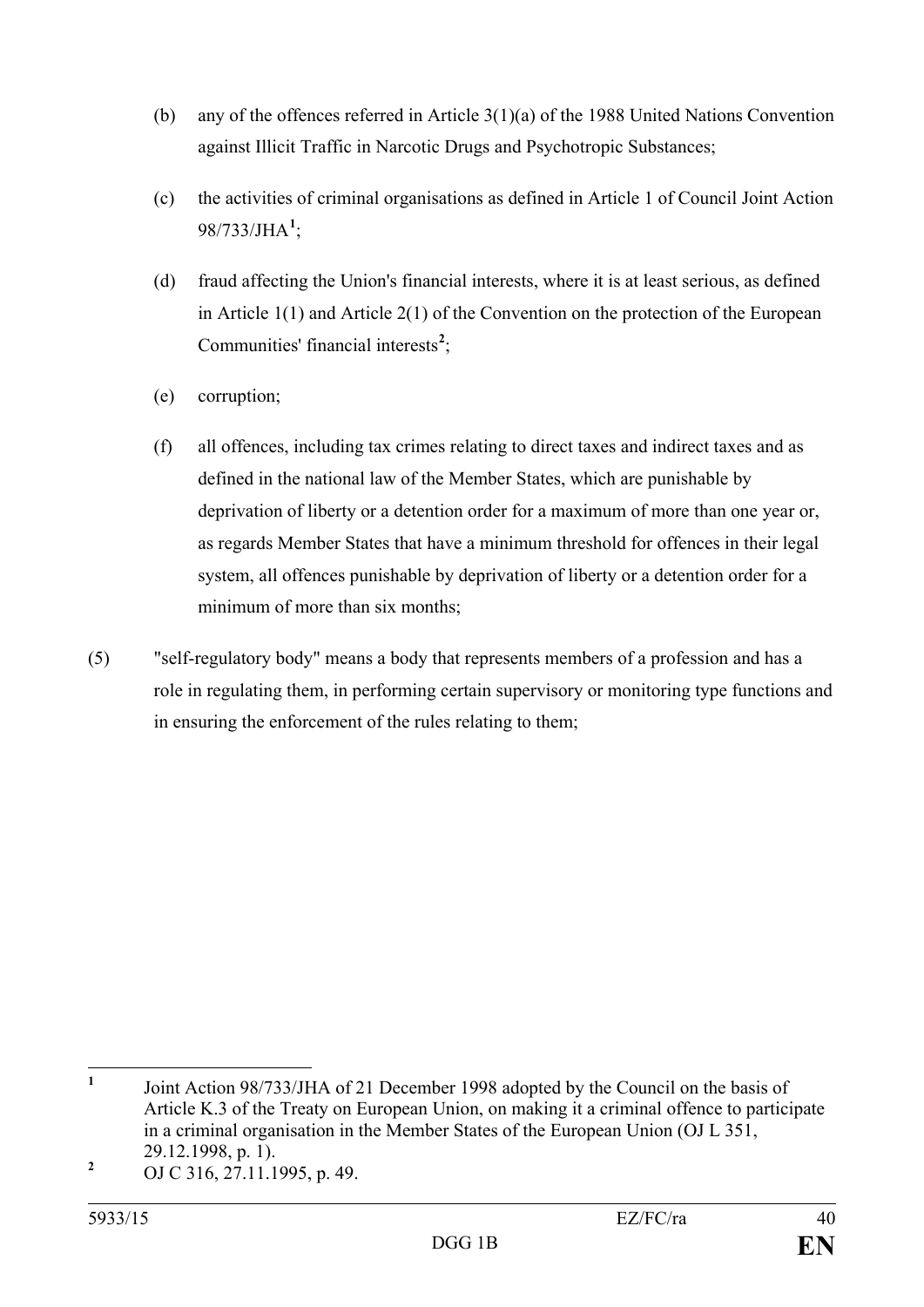- (b) any of the offences referred in Article 3(1)(a) of the 1988 United Nations Convention against Illicit Traffic in Narcotic Drugs and Psychotropic Substances;
- (c) the activities of criminal organisations as defined in Article 1 of Council Joint Action 98/733/JHA**[1](#page-40-0)** ;
- (d) fraud affecting the Union's financial interests, where it is at least serious, as defined in Article 1(1) and Article 2(1) of the Convention on the protection of the European Communities' financial interests<sup>[2](#page-40-1)</sup>;
- (e) corruption;
- (f) all offences, including tax crimes relating to direct taxes and indirect taxes and as defined in the national law of the Member States, which are punishable by deprivation of liberty or a detention order for a maximum of more than one year or, as regards Member States that have a minimum threshold for offences in their legal system, all offences punishable by deprivation of liberty or a detention order for a minimum of more than six months;
- (5) "self-regulatory body" means a body that represents members of a profession and has a role in regulating them, in performing certain supervisory or monitoring type functions and in ensuring the enforcement of the rules relating to them;

<span id="page-40-0"></span>**<sup>1</sup>** Joint Action 98/733/JHA of 21 December 1998 adopted by the Council on the basis of Article K.3 of the Treaty on European Union, on making it a criminal offence to participate in a criminal organisation in the Member States of the European Union (OJ L 351, 29.12.1998, p. 1).  $\mathbf{1}$ 

<span id="page-40-1"></span>**<sup>2</sup>** OJ C 316, 27.11.1995, p. 49.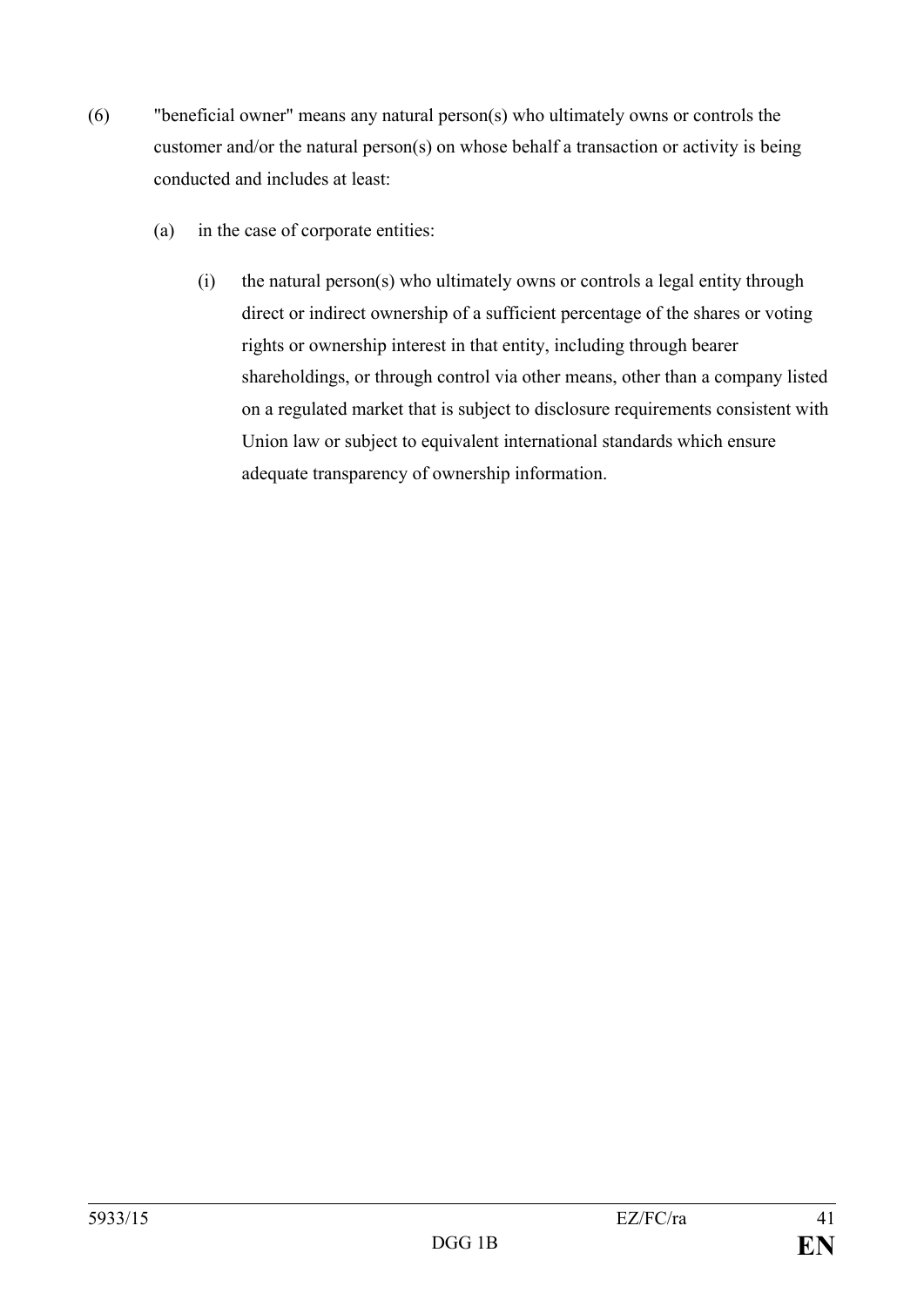- (6) "beneficial owner" means any natural person(s) who ultimately owns or controls the customer and/or the natural person(s) on whose behalf a transaction or activity is being conducted and includes at least:
	- (a) in the case of corporate entities:
		- (i) the natural person(s) who ultimately owns or controls a legal entity through direct or indirect ownership of a sufficient percentage of the shares or voting rights or ownership interest in that entity, including through bearer shareholdings, or through control via other means, other than a company listed on a regulated market that is subject to disclosure requirements consistent with Union law or subject to equivalent international standards which ensure adequate transparency of ownership information.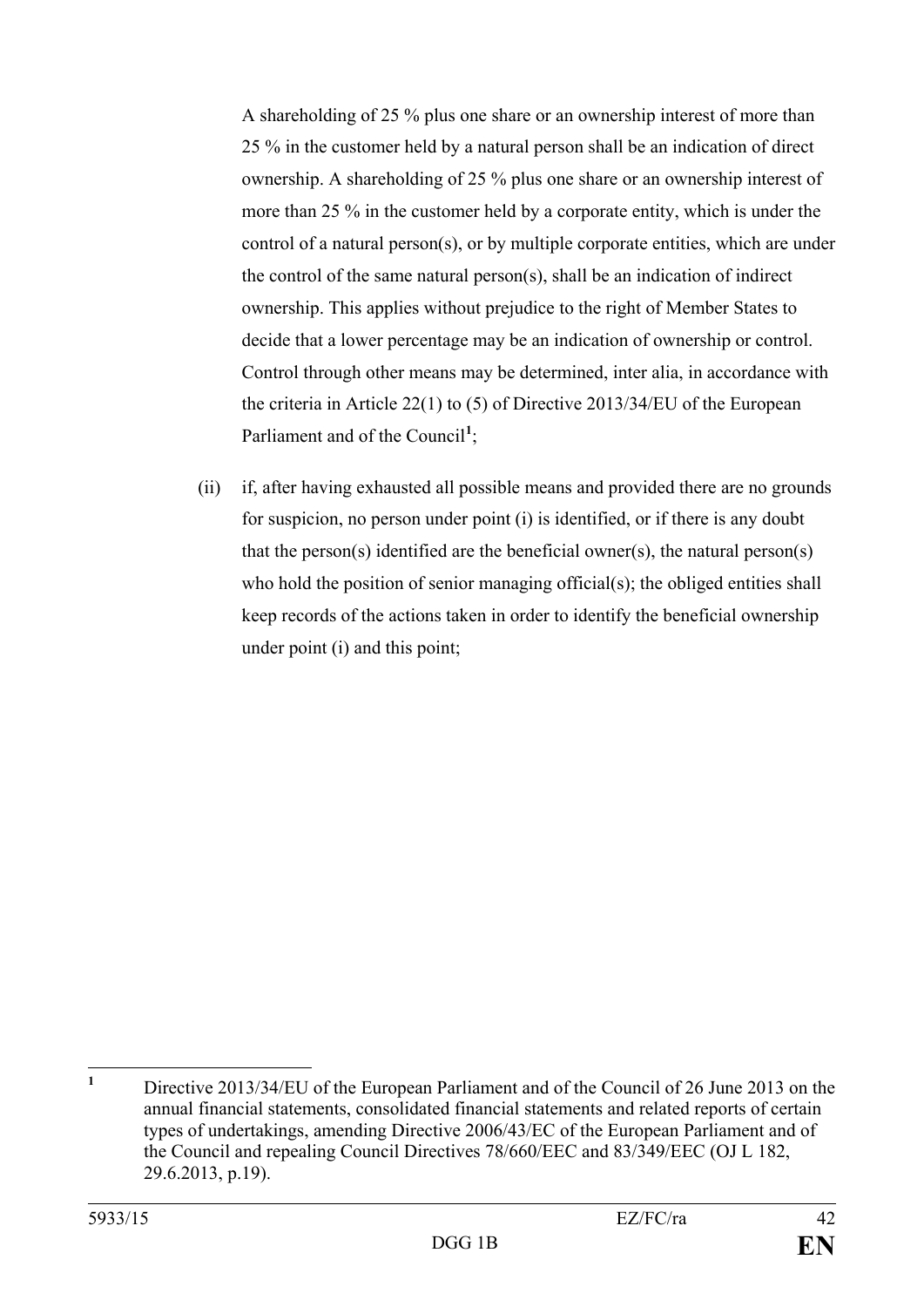A shareholding of 25 % plus one share or an ownership interest of more than 25 % in the customer held by a natural person shall be an indication of direct ownership. A shareholding of 25 % plus one share or an ownership interest of more than 25 % in the customer held by a corporate entity, which is under the control of a natural person(s), or by multiple corporate entities, which are under the control of the same natural person(s), shall be an indication of indirect ownership. This applies without prejudice to the right of Member States to decide that a lower percentage may be an indication of ownership or control. Control through other means may be determined, inter alia, in accordance with the criteria in Article 22(1) to (5) of Directive 2013/34/EU of the European Parliament and of the Council<sup>[1](#page-42-0)</sup>;

(ii) if, after having exhausted all possible means and provided there are no grounds for suspicion, no person under point (i) is identified, or if there is any doubt that the person(s) identified are the beneficial owner(s), the natural person(s) who hold the position of senior managing official(s); the obliged entities shall keep records of the actions taken in order to identify the beneficial ownership under point (i) and this point;

<span id="page-42-0"></span>**<sup>1</sup>** Directive 2013/34/EU of the European Parliament and of the Council of 26 June 2013 on the annual financial statements, consolidated financial statements and related reports of certain types of undertakings, amending Directive 2006/43/EC of the European Parliament and of the Council and repealing Council Directives 78/660/EEC and 83/349/EEC (OJ L 182, 29.6.2013, p.19).  $\mathbf{1}$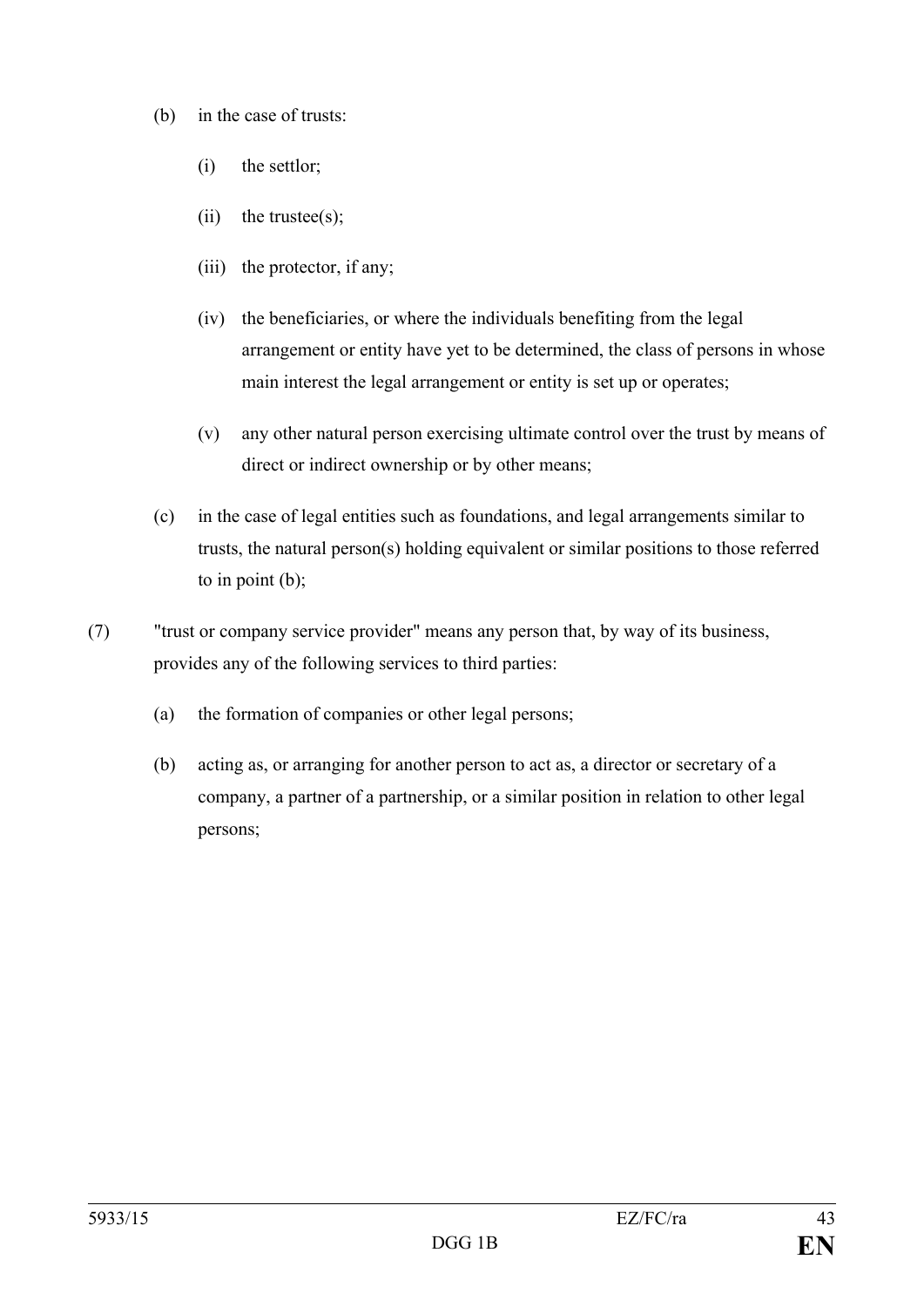- (b) in the case of trusts:
	- (i) the settlor;
	- $(ii)$  the trustee $(s)$ :
	- (iii) the protector, if any;
	- (iv) the beneficiaries, or where the individuals benefiting from the legal arrangement or entity have yet to be determined, the class of persons in whose main interest the legal arrangement or entity is set up or operates;
	- (v) any other natural person exercising ultimate control over the trust by means of direct or indirect ownership or by other means;
- (c) in the case of legal entities such as foundations, and legal arrangements similar to trusts, the natural person(s) holding equivalent or similar positions to those referred to in point (b);
- (7) "trust or company service provider" means any person that, by way of its business, provides any of the following services to third parties:
	- (a) the formation of companies or other legal persons;
	- (b) acting as, or arranging for another person to act as, a director or secretary of a company, a partner of a partnership, or a similar position in relation to other legal persons;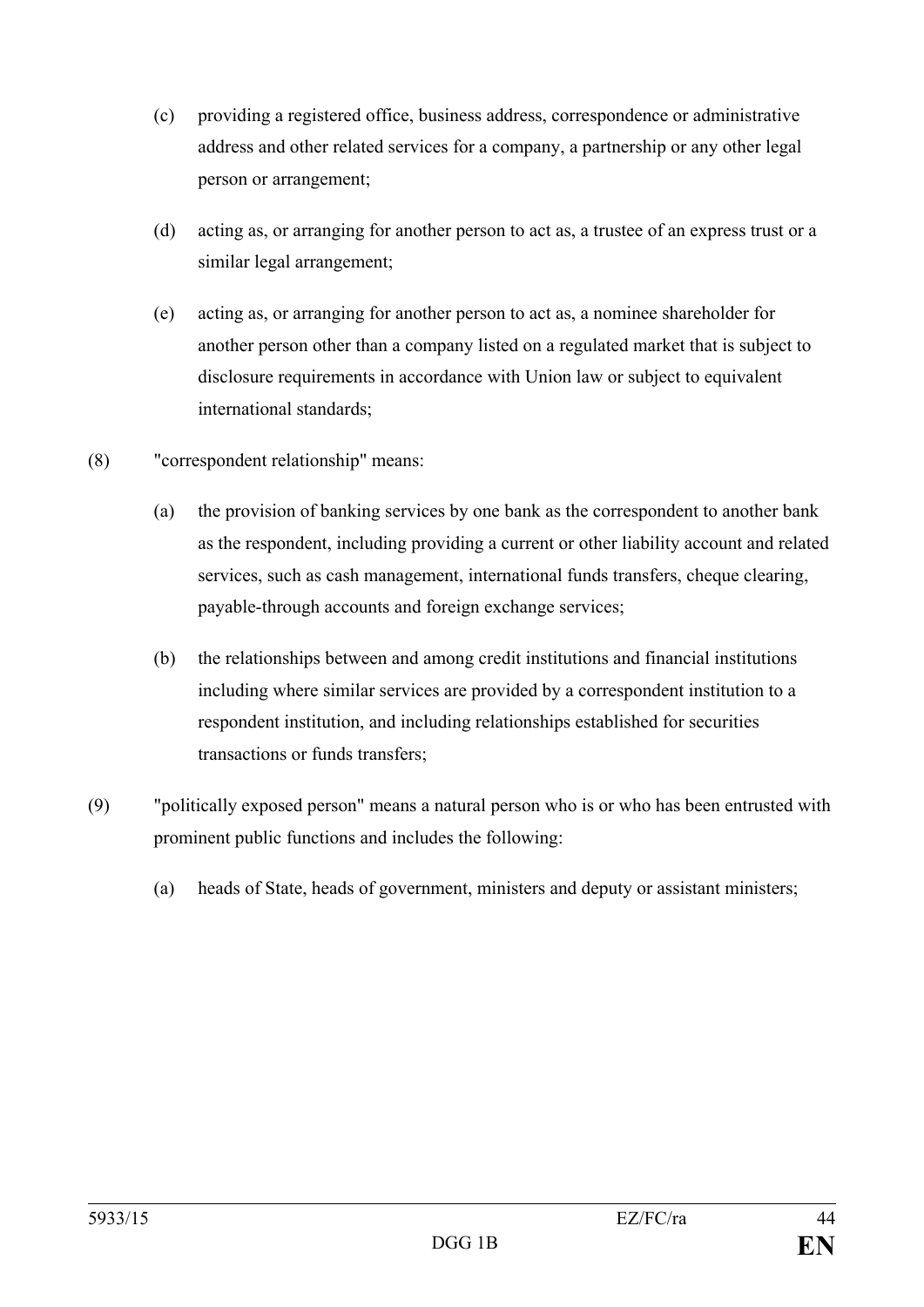- (c) providing a registered office, business address, correspondence or administrative address and other related services for a company, a partnership or any other legal person or arrangement;
- (d) acting as, or arranging for another person to act as, a trustee of an express trust or a similar legal arrangement;
- (e) acting as, or arranging for another person to act as, a nominee shareholder for another person other than a company listed on a regulated market that is subject to disclosure requirements in accordance with Union law or subject to equivalent international standards;
- (8) "correspondent relationship" means:
	- (a) the provision of banking services by one bank as the correspondent to another bank as the respondent, including providing a current or other liability account and related services, such as cash management, international funds transfers, cheque clearing, payable-through accounts and foreign exchange services;
	- (b) the relationships between and among credit institutions and financial institutions including where similar services are provided by a correspondent institution to a respondent institution, and including relationships established for securities transactions or funds transfers;
- (9) "politically exposed person" means a natural person who is or who has been entrusted with prominent public functions and includes the following:
	- (a) heads of State, heads of government, ministers and deputy or assistant ministers;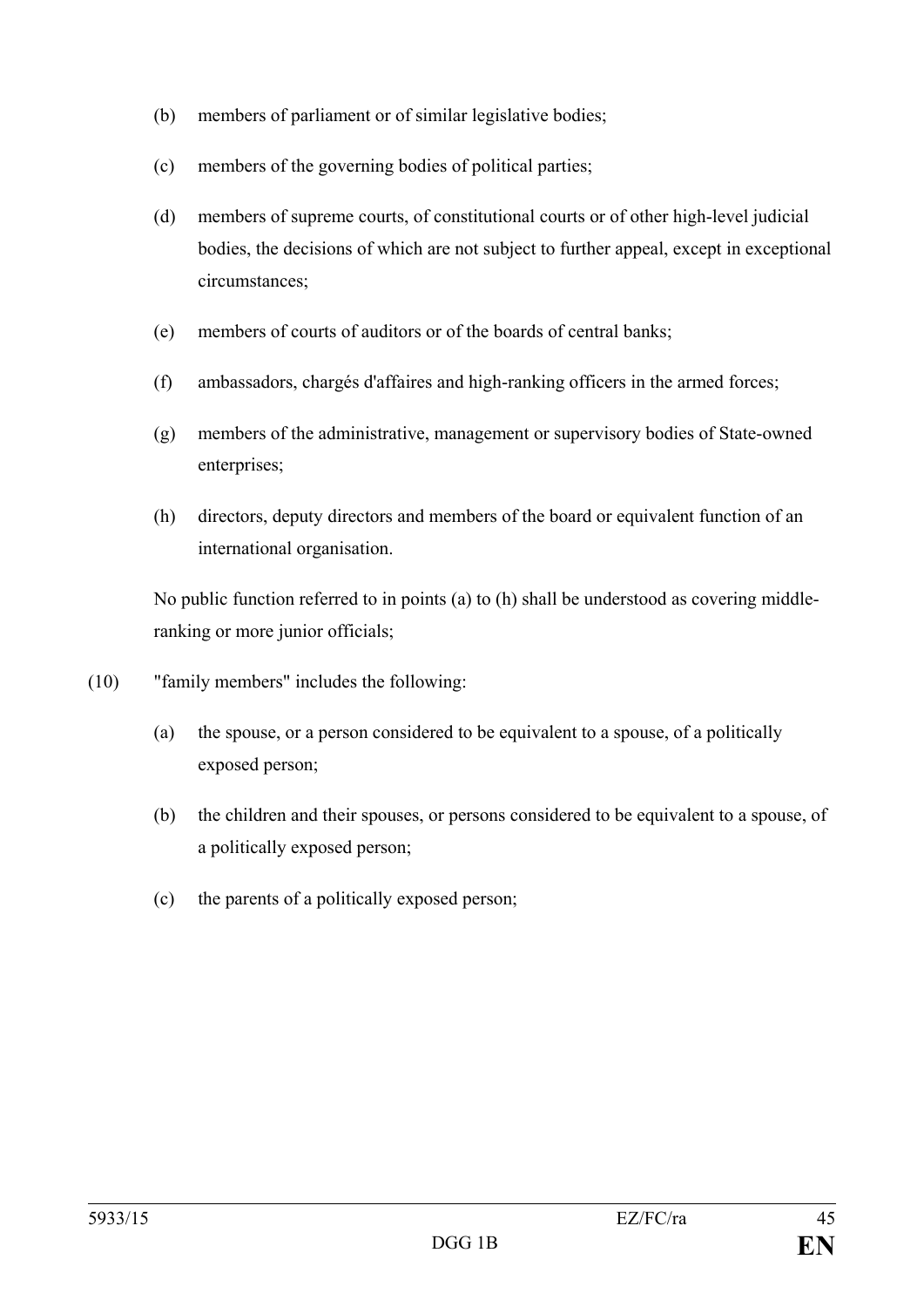- (b) members of parliament or of similar legislative bodies;
- (c) members of the governing bodies of political parties;
- (d) members of supreme courts, of constitutional courts or of other high-level judicial bodies, the decisions of which are not subject to further appeal, except in exceptional circumstances;
- (e) members of courts of auditors or of the boards of central banks;
- (f) ambassadors, chargés d'affaires and high-ranking officers in the armed forces;
- (g) members of the administrative, management or supervisory bodies of State-owned enterprises;
- (h) directors, deputy directors and members of the board or equivalent function of an international organisation.

No public function referred to in points (a) to (h) shall be understood as covering middleranking or more junior officials;

- (10) "family members" includes the following:
	- (a) the spouse, or a person considered to be equivalent to a spouse, of a politically exposed person;
	- (b) the children and their spouses, or persons considered to be equivalent to a spouse, of a politically exposed person;
	- (c) the parents of a politically exposed person;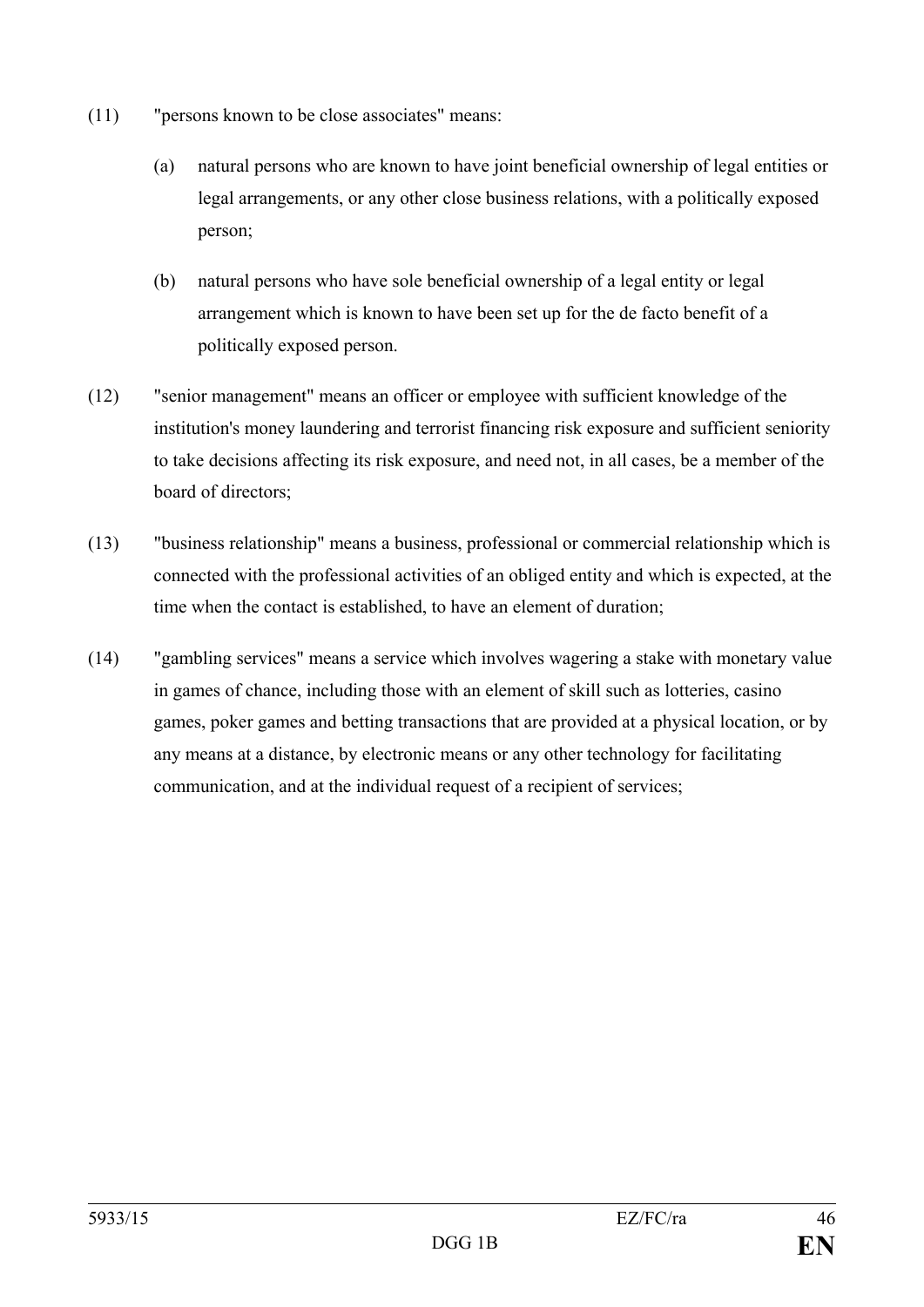- (11) "persons known to be close associates" means:
	- (a) natural persons who are known to have joint beneficial ownership of legal entities or legal arrangements, or any other close business relations, with a politically exposed person;
	- (b) natural persons who have sole beneficial ownership of a legal entity or legal arrangement which is known to have been set up for the de facto benefit of a politically exposed person.
- (12) "senior management" means an officer or employee with sufficient knowledge of the institution's money laundering and terrorist financing risk exposure and sufficient seniority to take decisions affecting its risk exposure, and need not, in all cases, be a member of the board of directors;
- (13) "business relationship" means a business, professional or commercial relationship which is connected with the professional activities of an obliged entity and which is expected, at the time when the contact is established, to have an element of duration;
- (14) "gambling services" means a service which involves wagering a stake with monetary value in games of chance, including those with an element of skill such as lotteries, casino games, poker games and betting transactions that are provided at a physical location, or by any means at a distance, by electronic means or any other technology for facilitating communication, and at the individual request of a recipient of services;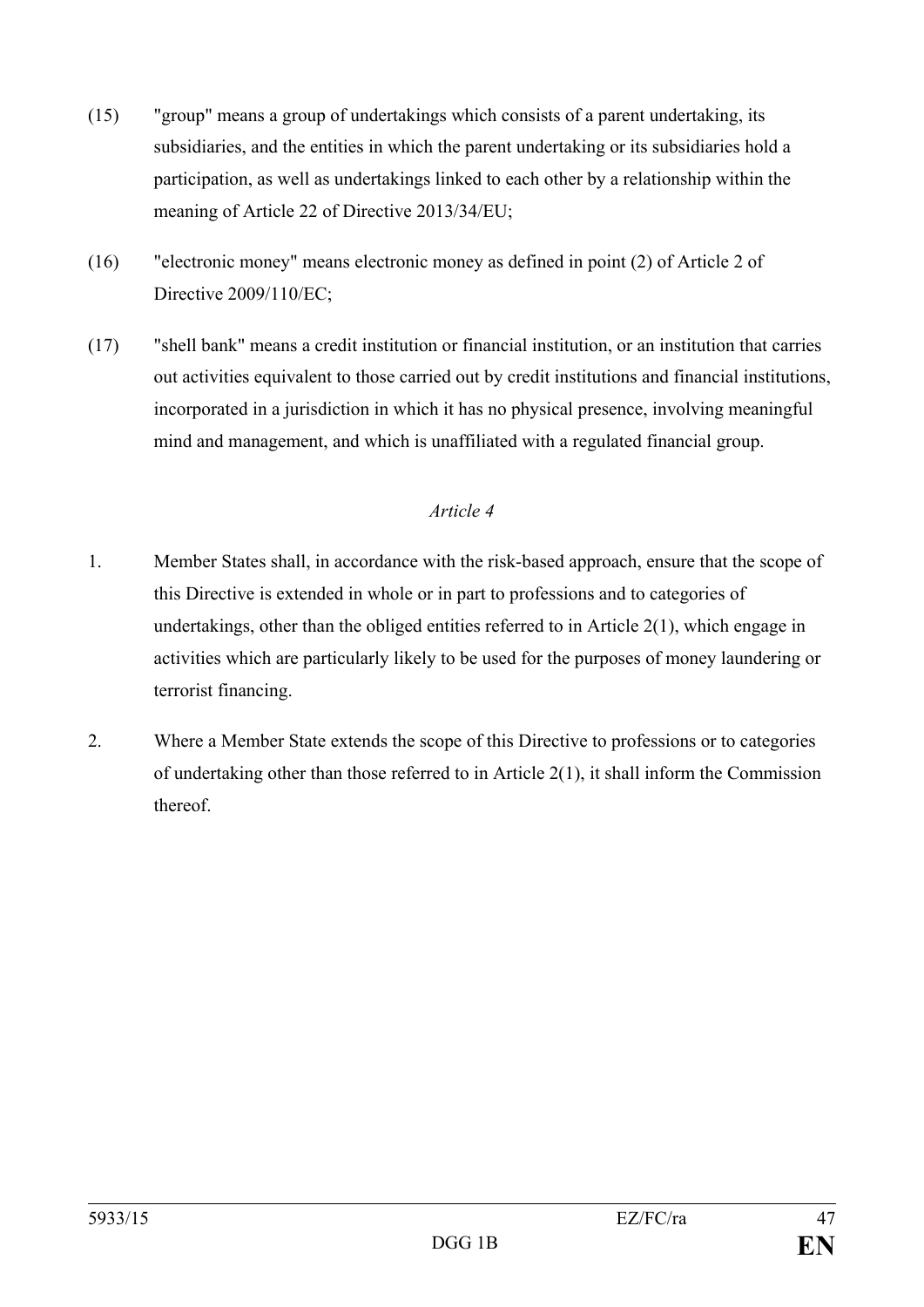- (15) "group" means a group of undertakings which consists of a parent undertaking, its subsidiaries, and the entities in which the parent undertaking or its subsidiaries hold a participation, as well as undertakings linked to each other by a relationship within the meaning of Article 22 of Directive 2013/34/EU;
- (16) "electronic money" means electronic money as defined in point (2) of Article 2 of Directive 2009/110/EC;
- (17) "shell bank" means a credit institution or financial institution, or an institution that carries out activities equivalent to those carried out by credit institutions and financial institutions, incorporated in a jurisdiction in which it has no physical presence, involving meaningful mind and management, and which is unaffiliated with a regulated financial group.

- 1. Member States shall, in accordance with the risk-based approach, ensure that the scope of this Directive is extended in whole or in part to professions and to categories of undertakings, other than the obliged entities referred to in Article 2(1), which engage in activities which are particularly likely to be used for the purposes of money laundering or terrorist financing.
- 2. Where a Member State extends the scope of this Directive to professions or to categories of undertaking other than those referred to in Article 2(1), it shall inform the Commission thereof.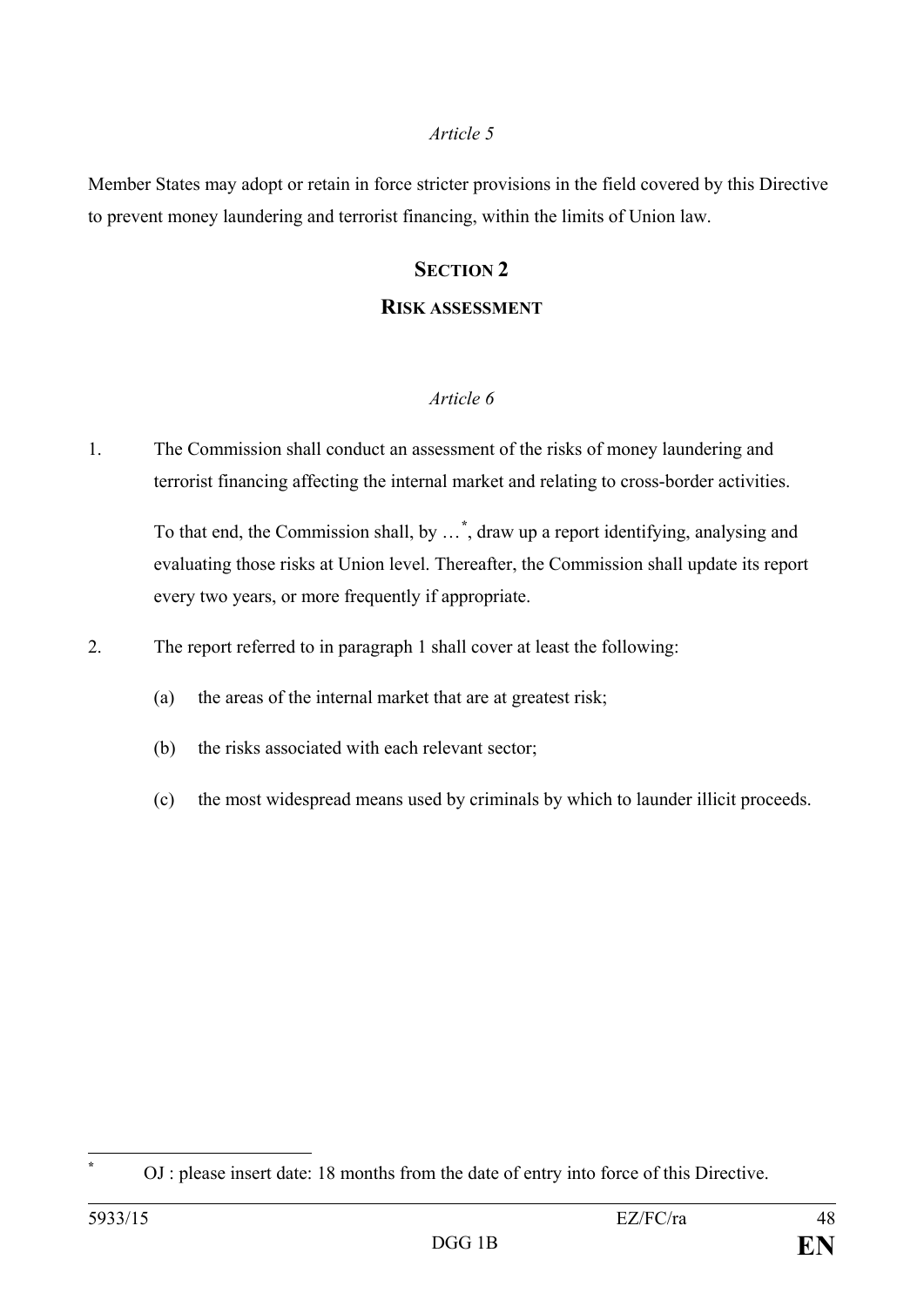Member States may adopt or retain in force stricter provisions in the field covered by this Directive to prevent money laundering and terrorist financing, within the limits of Union law.

#### **SECTION 2**

#### **RISK ASSESSMENT**

#### *Article 6*

1. The Commission shall conduct an assessment of the risks of money laundering and terrorist financing affecting the internal market and relating to cross-border activities.

To that end, the Commission shall, by …**[\\*](#page-48-0)** , draw up a report identifying, analysing and evaluating those risks at Union level. Thereafter, the Commission shall update its report every two years, or more frequently if appropriate.

2. The report referred to in paragraph 1 shall cover at least the following:

- (a) the areas of the internal market that are at greatest risk;
- (b) the risks associated with each relevant sector;
- (c) the most widespread means used by criminals by which to launder illicit proceeds.

<span id="page-48-0"></span> $\overline{a}$ 

**<sup>\*</sup>** OJ : please insert date: 18 months from the date of entry into force of this Directive.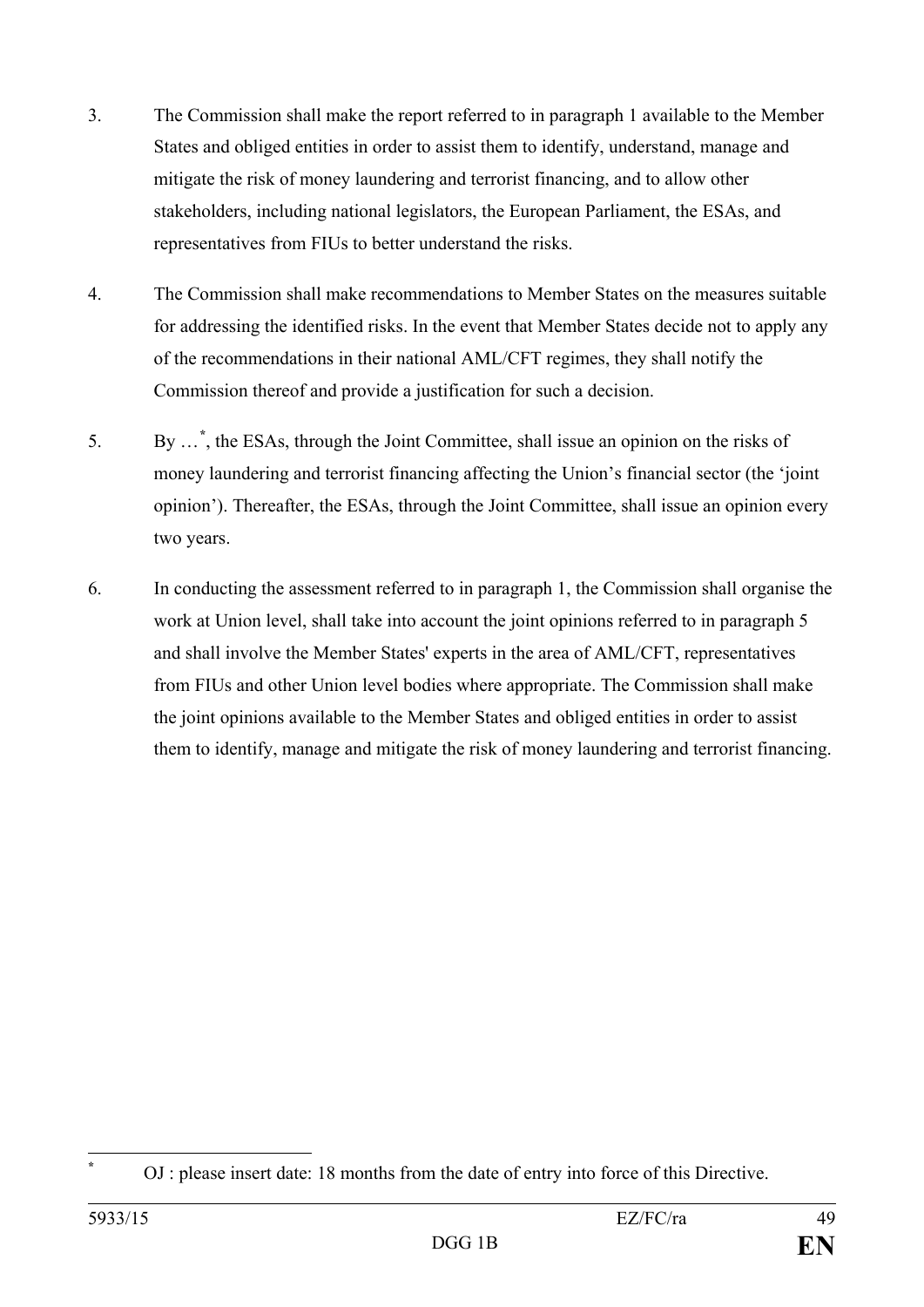- 3. The Commission shall make the report referred to in paragraph 1 available to the Member States and obliged entities in order to assist them to identify, understand, manage and mitigate the risk of money laundering and terrorist financing, and to allow other stakeholders, including national legislators, the European Parliament, the ESAs, and representatives from FIUs to better understand the risks.
- 4. The Commission shall make recommendations to Member States on the measures suitable for addressing the identified risks. In the event that Member States decide not to apply any of the recommendations in their national AML/CFT regimes, they shall notify the Commission thereof and provide a justification for such a decision.
- 5. By …**[\\*](#page-49-0)** , the ESAs, through the Joint Committee, shall issue an opinion on the risks of money laundering and terrorist financing affecting the Union's financial sector (the 'joint opinion'). Thereafter, the ESAs, through the Joint Committee, shall issue an opinion every two years.
- 6. In conducting the assessment referred to in paragraph 1, the Commission shall organise the work at Union level, shall take into account the joint opinions referred to in paragraph 5 and shall involve the Member States' experts in the area of AML/CFT, representatives from FIUs and other Union level bodies where appropriate. The Commission shall make the joint opinions available to the Member States and obliged entities in order to assist them to identify, manage and mitigate the risk of money laundering and terrorist financing.

<span id="page-49-0"></span> $\overline{a}$ 

**<sup>\*</sup>** OJ : please insert date: 18 months from the date of entry into force of this Directive.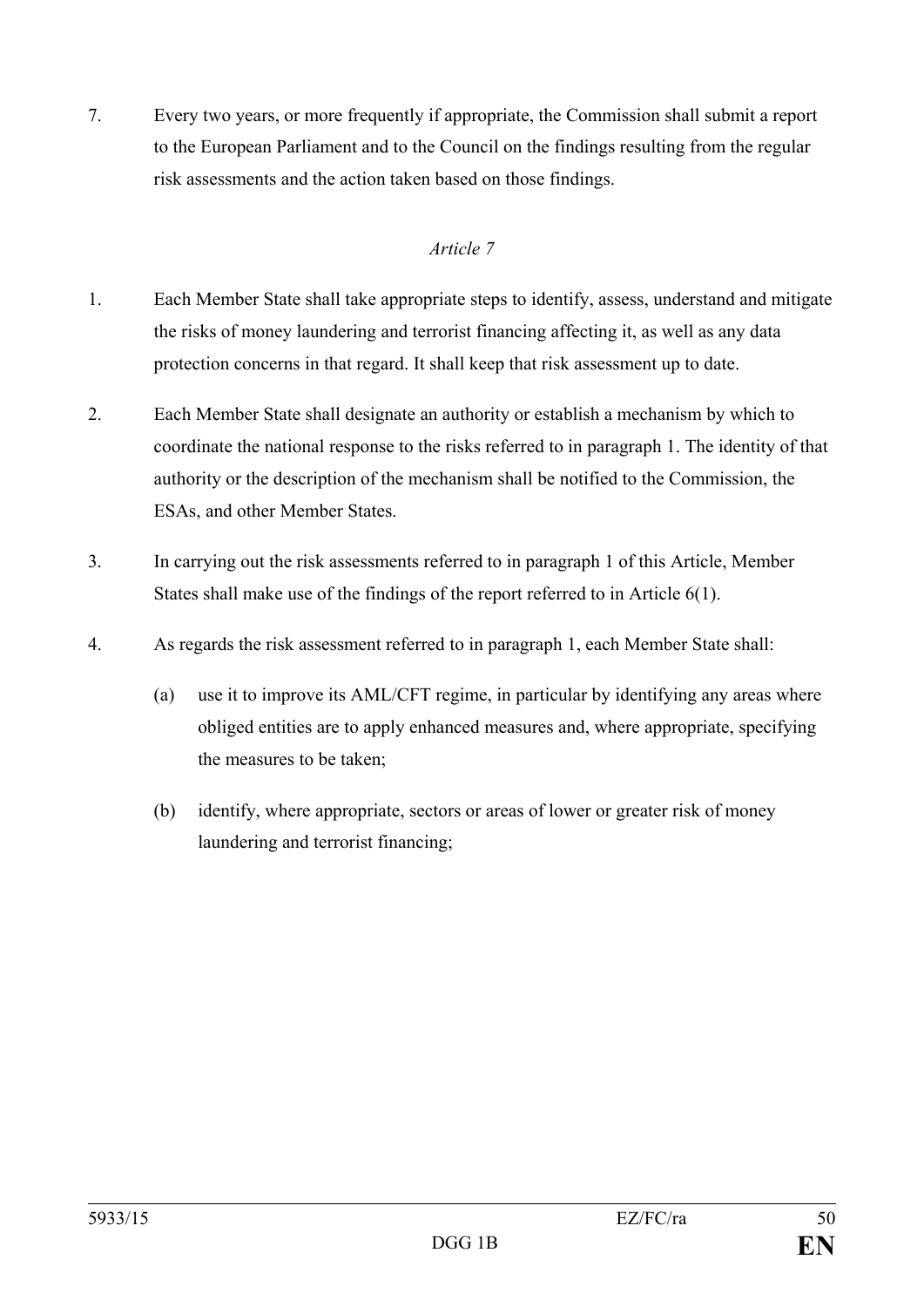7. Every two years, or more frequently if appropriate, the Commission shall submit a report to the European Parliament and to the Council on the findings resulting from the regular risk assessments and the action taken based on those findings.

- 1. Each Member State shall take appropriate steps to identify, assess, understand and mitigate the risks of money laundering and terrorist financing affecting it, as well as any data protection concerns in that regard. It shall keep that risk assessment up to date.
- 2. Each Member State shall designate an authority or establish a mechanism by which to coordinate the national response to the risks referred to in paragraph 1. The identity of that authority or the description of the mechanism shall be notified to the Commission, the ESAs, and other Member States.
- 3. In carrying out the risk assessments referred to in paragraph 1 of this Article, Member States shall make use of the findings of the report referred to in Article 6(1).
- 4. As regards the risk assessment referred to in paragraph 1, each Member State shall:
	- (a) use it to improve its AML/CFT regime, in particular by identifying any areas where obliged entities are to apply enhanced measures and, where appropriate, specifying the measures to be taken;
	- (b) identify, where appropriate, sectors or areas of lower or greater risk of money laundering and terrorist financing;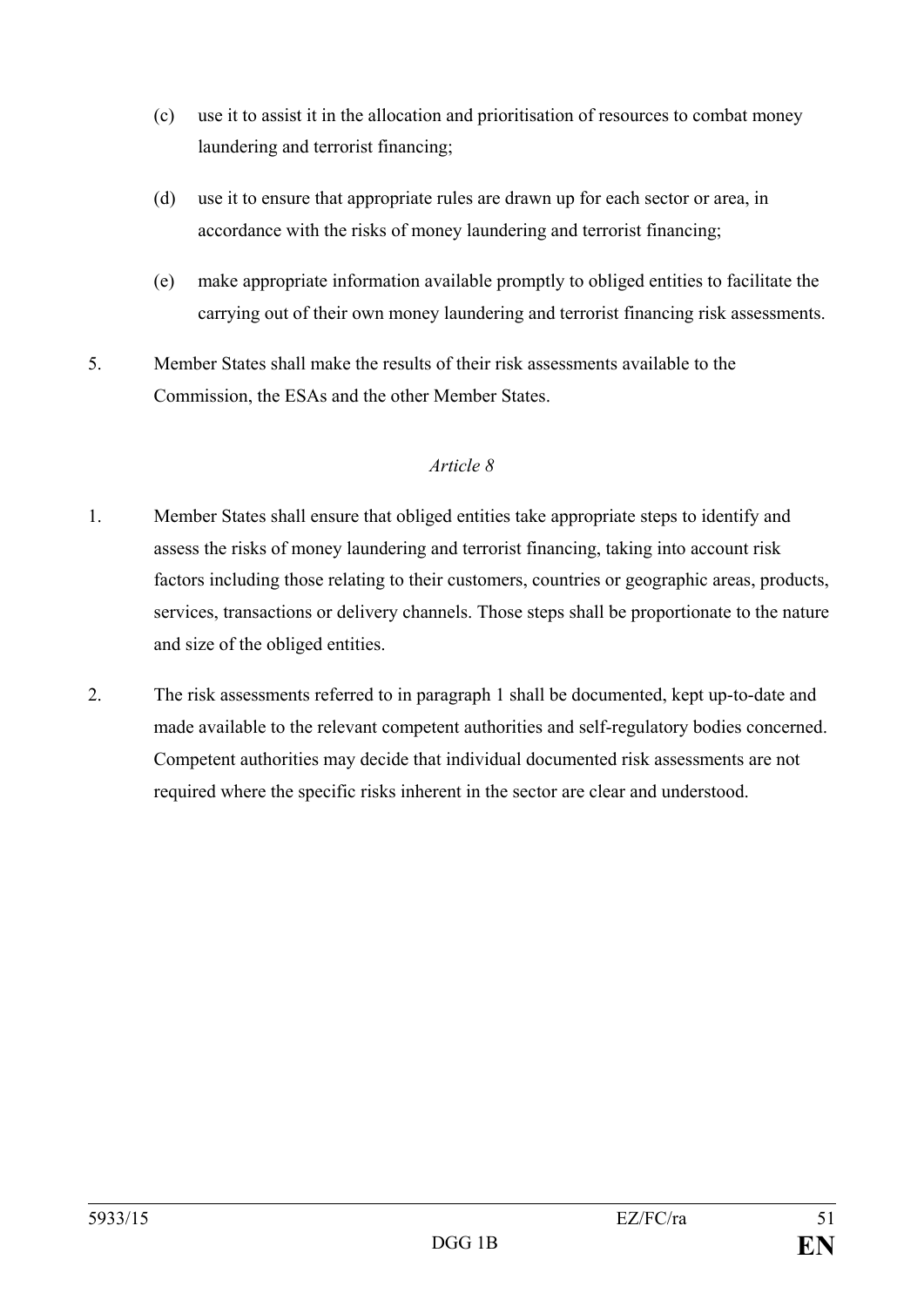- (c) use it to assist it in the allocation and prioritisation of resources to combat money laundering and terrorist financing;
- (d) use it to ensure that appropriate rules are drawn up for each sector or area, in accordance with the risks of money laundering and terrorist financing;
- (e) make appropriate information available promptly to obliged entities to facilitate the carrying out of their own money laundering and terrorist financing risk assessments.
- 5. Member States shall make the results of their risk assessments available to the Commission, the ESAs and the other Member States.

- 1. Member States shall ensure that obliged entities take appropriate steps to identify and assess the risks of money laundering and terrorist financing, taking into account risk factors including those relating to their customers, countries or geographic areas, products, services, transactions or delivery channels. Those steps shall be proportionate to the nature and size of the obliged entities.
- 2. The risk assessments referred to in paragraph 1 shall be documented, kept up-to-date and made available to the relevant competent authorities and self-regulatory bodies concerned. Competent authorities may decide that individual documented risk assessments are not required where the specific risks inherent in the sector are clear and understood.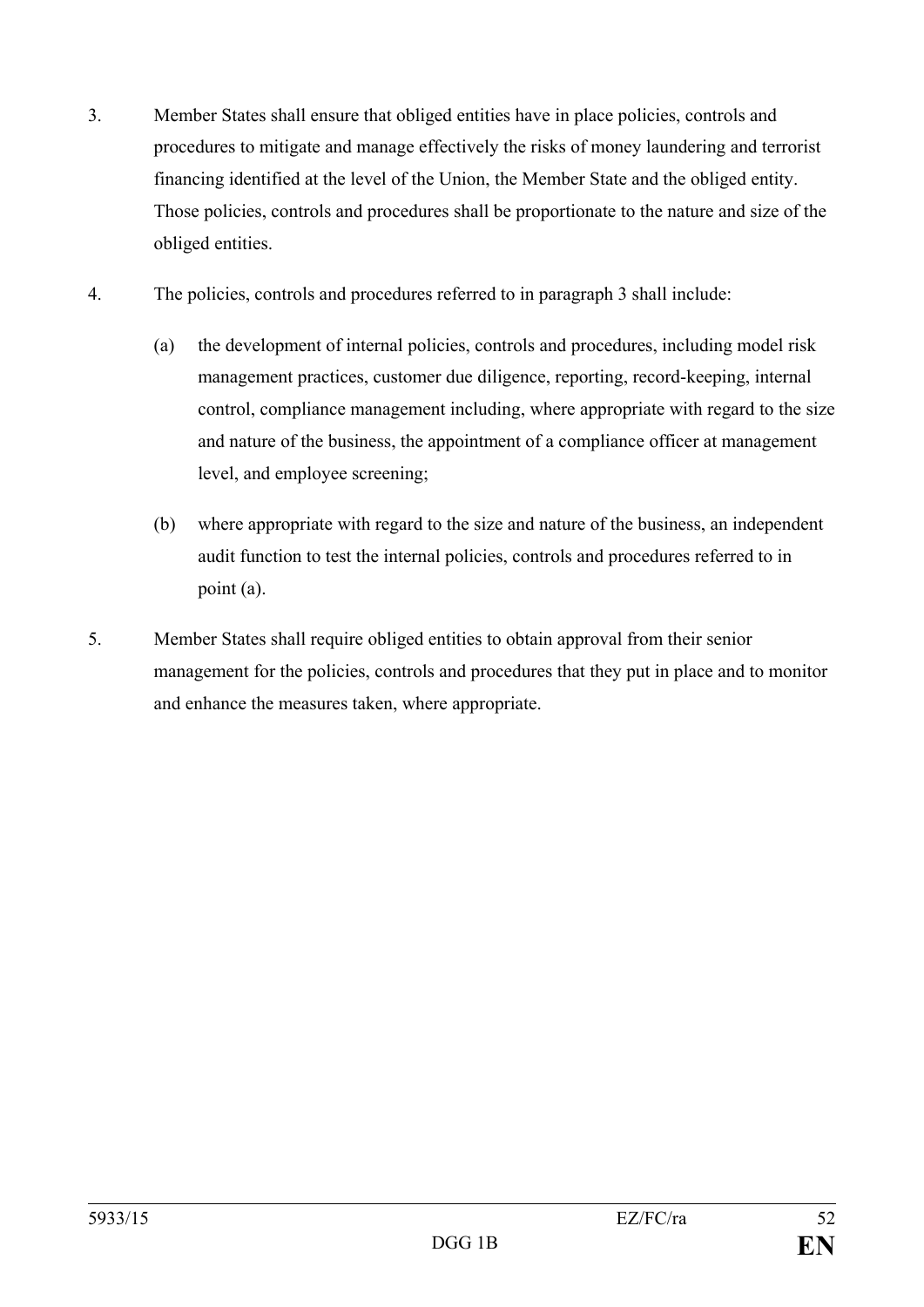- 3. Member States shall ensure that obliged entities have in place policies, controls and procedures to mitigate and manage effectively the risks of money laundering and terrorist financing identified at the level of the Union, the Member State and the obliged entity. Those policies, controls and procedures shall be proportionate to the nature and size of the obliged entities.
- 4. The policies, controls and procedures referred to in paragraph 3 shall include:
	- (a) the development of internal policies, controls and procedures, including model risk management practices, customer due diligence, reporting, record-keeping, internal control, compliance management including, where appropriate with regard to the size and nature of the business, the appointment of a compliance officer at management level, and employee screening;
	- (b) where appropriate with regard to the size and nature of the business, an independent audit function to test the internal policies, controls and procedures referred to in point (a).
- 5. Member States shall require obliged entities to obtain approval from their senior management for the policies, controls and procedures that they put in place and to monitor and enhance the measures taken, where appropriate.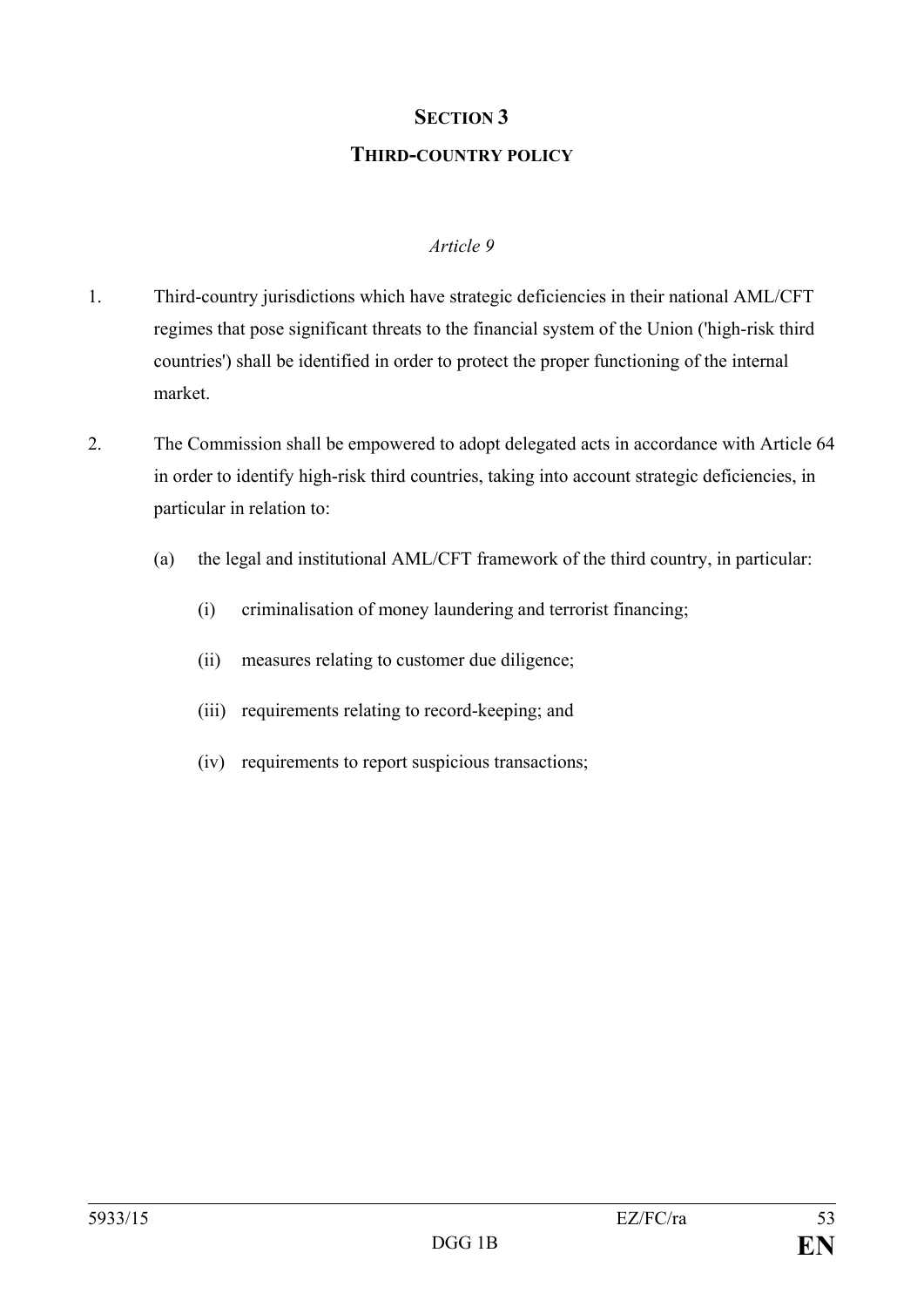# **SECTION 3**

#### **THIRD-COUNTRY POLICY**

- 1. Third-country jurisdictions which have strategic deficiencies in their national AML/CFT regimes that pose significant threats to the financial system of the Union ('high-risk third countries') shall be identified in order to protect the proper functioning of the internal market.
- 2. The Commission shall be empowered to adopt delegated acts in accordance with Article 64 in order to identify high-risk third countries, taking into account strategic deficiencies, in particular in relation to:
	- (a) the legal and institutional AML/CFT framework of the third country, in particular:
		- (i) criminalisation of money laundering and terrorist financing;
		- (ii) measures relating to customer due diligence;
		- (iii) requirements relating to record-keeping; and
		- (iv) requirements to report suspicious transactions;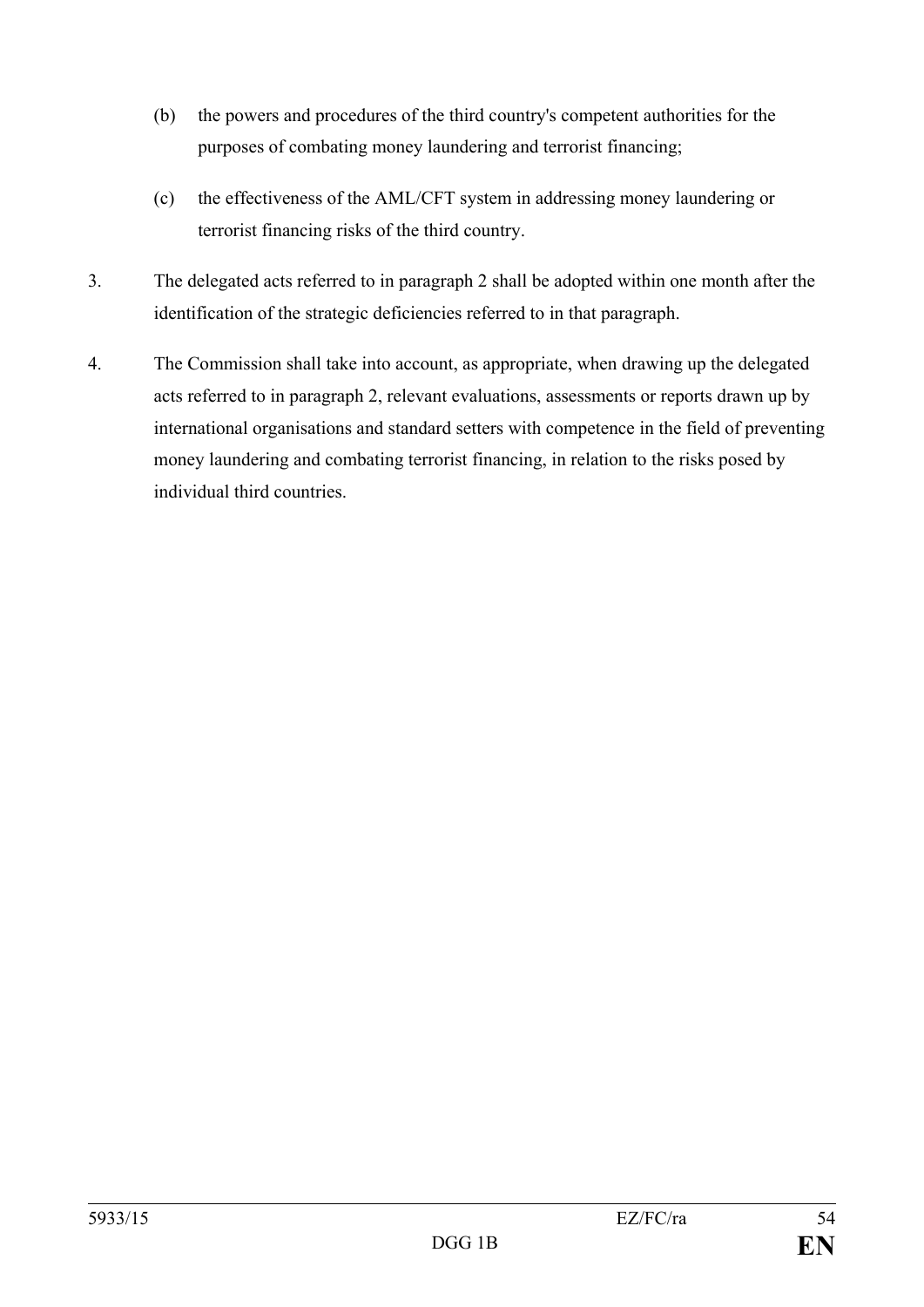- (b) the powers and procedures of the third country's competent authorities for the purposes of combating money laundering and terrorist financing;
- (c) the effectiveness of the AML/CFT system in addressing money laundering or terrorist financing risks of the third country.
- 3. The delegated acts referred to in paragraph 2 shall be adopted within one month after the identification of the strategic deficiencies referred to in that paragraph.
- 4. The Commission shall take into account, as appropriate, when drawing up the delegated acts referred to in paragraph 2, relevant evaluations, assessments or reports drawn up by international organisations and standard setters with competence in the field of preventing money laundering and combating terrorist financing, in relation to the risks posed by individual third countries.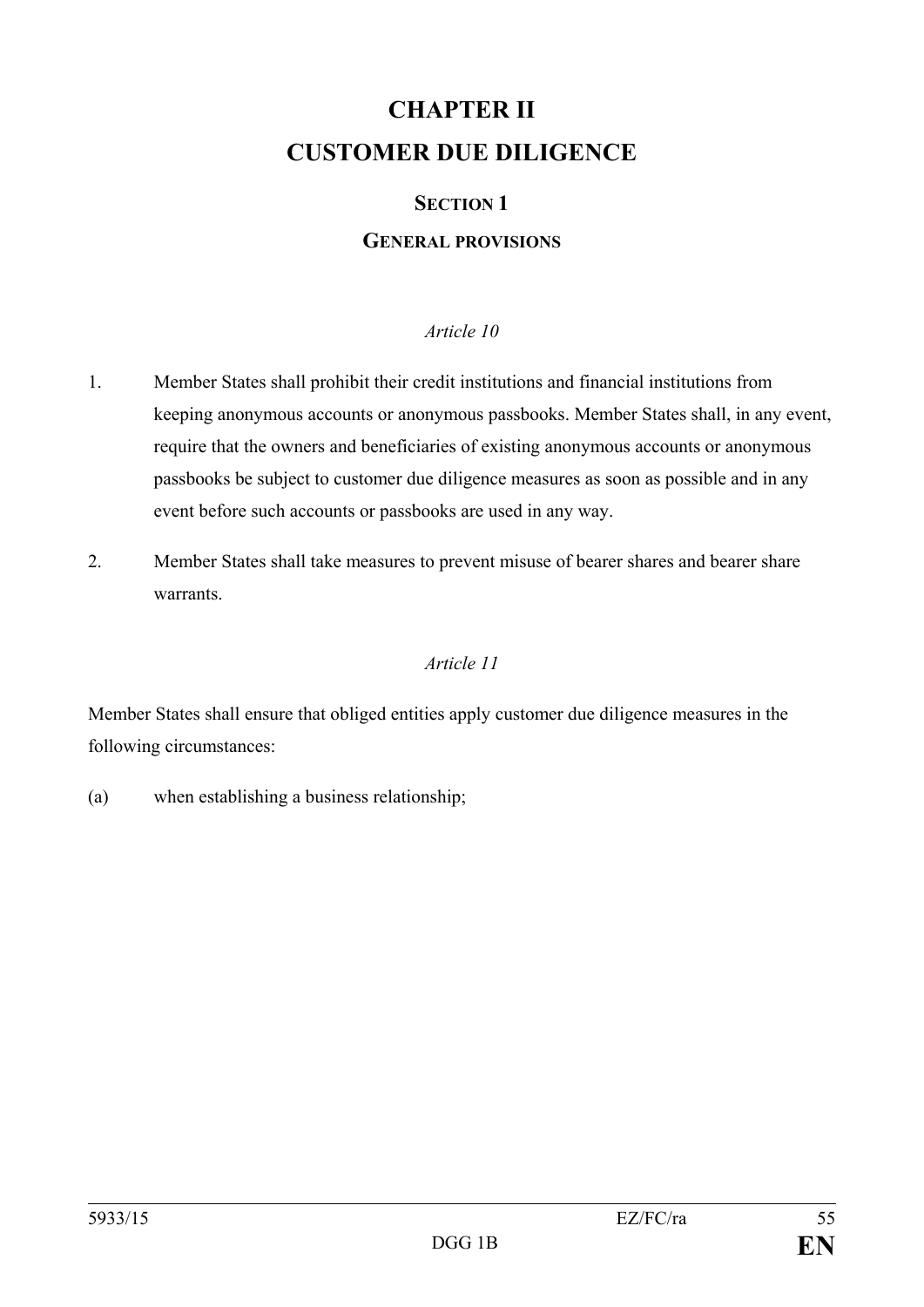## **CHAPTER II CUSTOMER DUE DILIGENCE**

#### **SECTION 1**

#### **GENERAL PROVISIONS**

#### *Article 10*

- 1. Member States shall prohibit their credit institutions and financial institutions from keeping anonymous accounts or anonymous passbooks. Member States shall, in any event, require that the owners and beneficiaries of existing anonymous accounts or anonymous passbooks be subject to customer due diligence measures as soon as possible and in any event before such accounts or passbooks are used in any way.
- 2. Member States shall take measures to prevent misuse of bearer shares and bearer share warrants.

#### *Article 11*

Member States shall ensure that obliged entities apply customer due diligence measures in the following circumstances:

(a) when establishing a business relationship;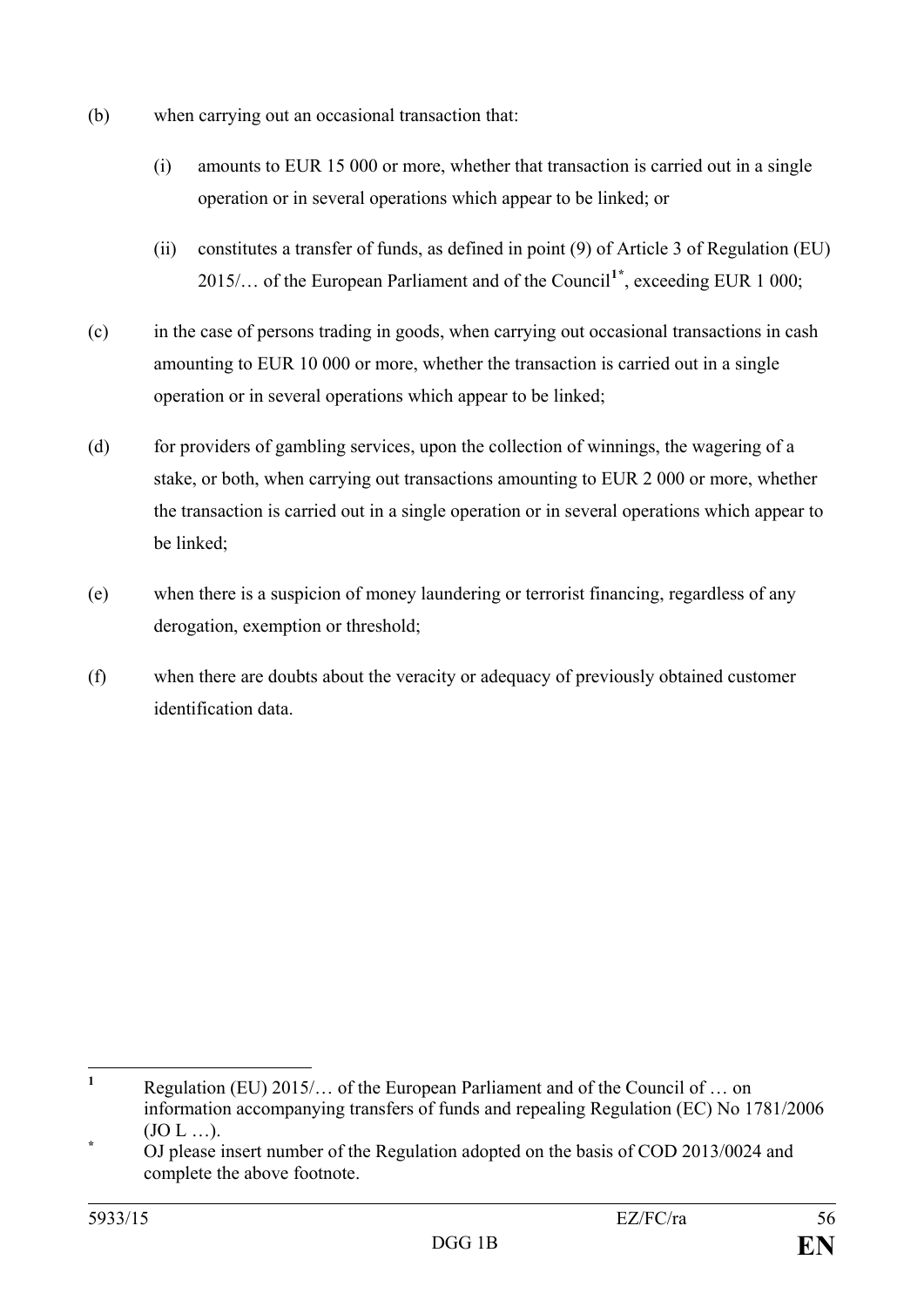- (b) when carrying out an occasional transaction that:
	- (i) amounts to EUR 15 000 or more, whether that transaction is carried out in a single operation or in several operations which appear to be linked; or
	- (ii) constitutes a transfer of funds, as defined in point (9) of Article 3 of Regulation (EU) 2015/… of the European Parliament and of the Council**[1](#page-56-0)[\\*](#page-56-1)** , exceeding EUR 1 000;
- (c) in the case of persons trading in goods, when carrying out occasional transactions in cash amounting to EUR 10 000 or more, whether the transaction is carried out in a single operation or in several operations which appear to be linked;
- (d) for providers of gambling services, upon the collection of winnings, the wagering of a stake, or both, when carrying out transactions amounting to EUR 2 000 or more, whether the transaction is carried out in a single operation or in several operations which appear to be linked;
- (e) when there is a suspicion of money laundering or terrorist financing, regardless of any derogation, exemption or threshold;
- (f) when there are doubts about the veracity or adequacy of previously obtained customer identification data.

<span id="page-56-0"></span>**<sup>1</sup>** Regulation (EU) 2015/… of the European Parliament and of the Council of … on information accompanying transfers of funds and repealing Regulation (EC) No 1781/2006 (JO L …). **\*** OJ please insert number of the Regulation adopted on the basis of COD 2013/0024 and  $\mathbf{1}$ 

<span id="page-56-1"></span>complete the above footnote.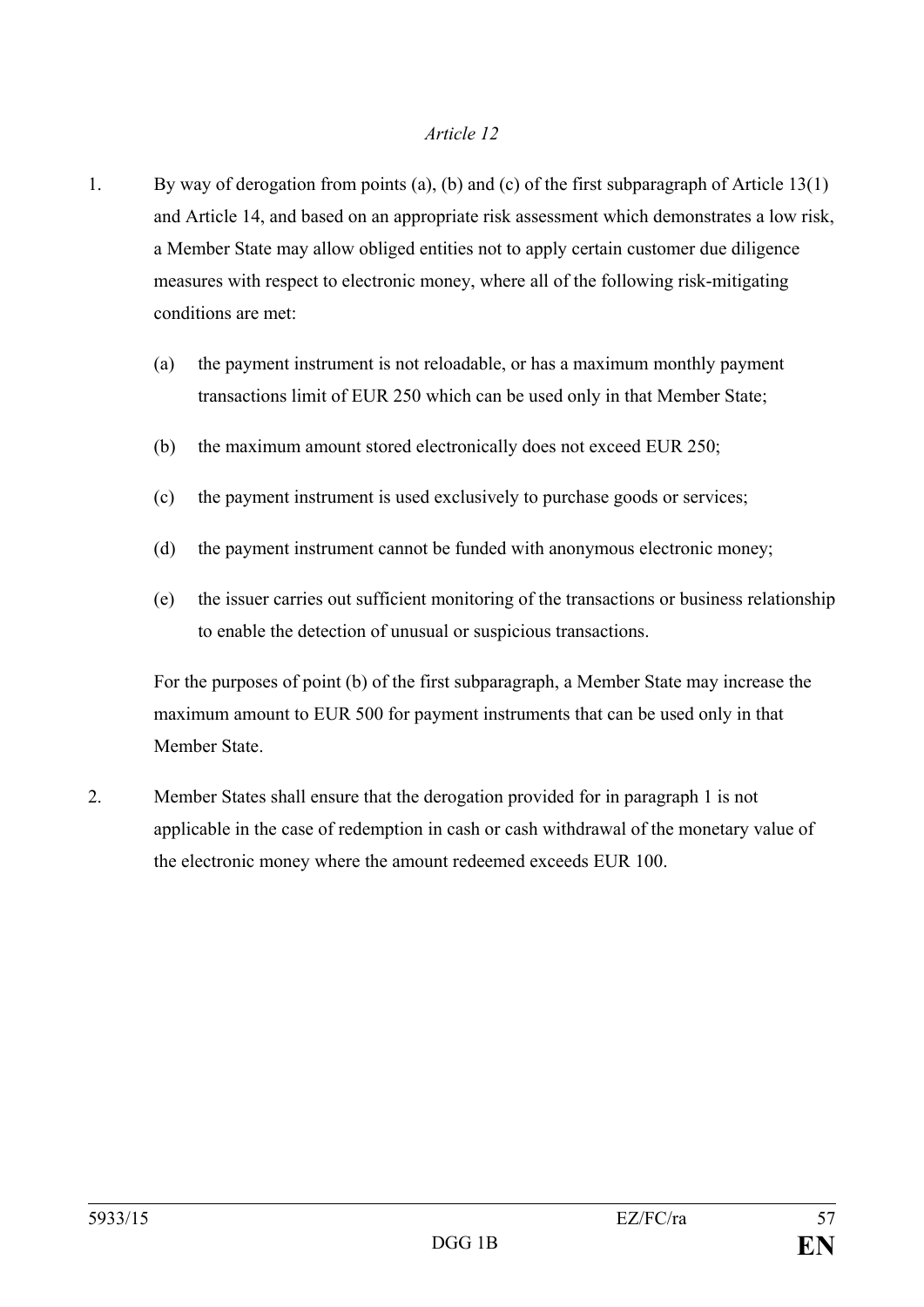- 1. By way of derogation from points (a), (b) and (c) of the first subparagraph of Article 13(1) and Article 14, and based on an appropriate risk assessment which demonstrates a low risk, a Member State may allow obliged entities not to apply certain customer due diligence measures with respect to electronic money, where all of the following risk-mitigating conditions are met:
	- (a) the payment instrument is not reloadable, or has a maximum monthly payment transactions limit of EUR 250 which can be used only in that Member State;
	- (b) the maximum amount stored electronically does not exceed EUR 250;
	- (c) the payment instrument is used exclusively to purchase goods or services;
	- (d) the payment instrument cannot be funded with anonymous electronic money;
	- (e) the issuer carries out sufficient monitoring of the transactions or business relationship to enable the detection of unusual or suspicious transactions.

For the purposes of point (b) of the first subparagraph, a Member State may increase the maximum amount to EUR 500 for payment instruments that can be used only in that Member State.

2. Member States shall ensure that the derogation provided for in paragraph 1 is not applicable in the case of redemption in cash or cash withdrawal of the monetary value of the electronic money where the amount redeemed exceeds EUR 100.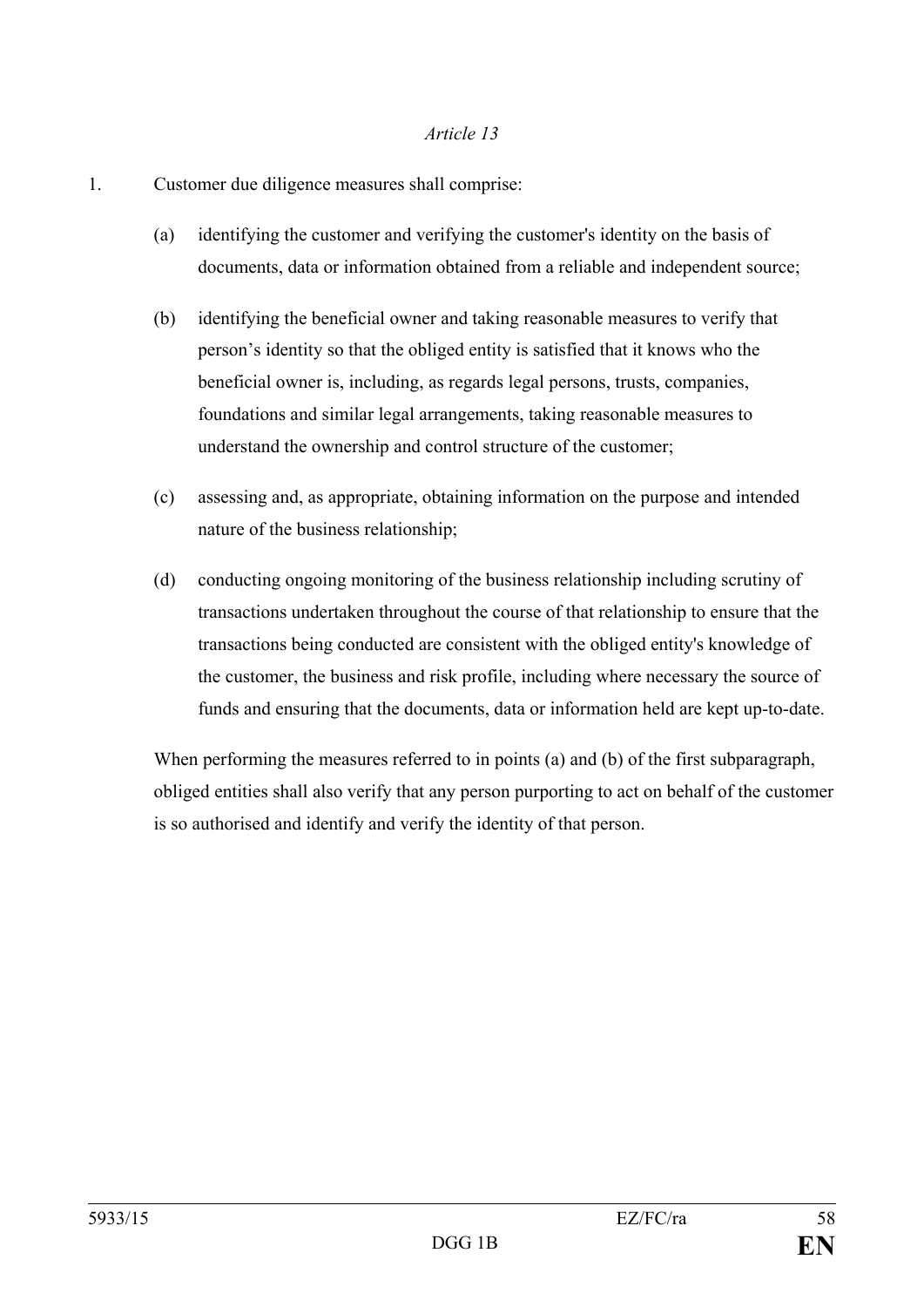- 1. Customer due diligence measures shall comprise:
	- (a) identifying the customer and verifying the customer's identity on the basis of documents, data or information obtained from a reliable and independent source;
	- (b) identifying the beneficial owner and taking reasonable measures to verify that person's identity so that the obliged entity is satisfied that it knows who the beneficial owner is, including, as regards legal persons, trusts, companies, foundations and similar legal arrangements, taking reasonable measures to understand the ownership and control structure of the customer;
	- (c) assessing and, as appropriate, obtaining information on the purpose and intended nature of the business relationship;
	- (d) conducting ongoing monitoring of the business relationship including scrutiny of transactions undertaken throughout the course of that relationship to ensure that the transactions being conducted are consistent with the obliged entity's knowledge of the customer, the business and risk profile, including where necessary the source of funds and ensuring that the documents, data or information held are kept up-to-date.

When performing the measures referred to in points (a) and (b) of the first subparagraph, obliged entities shall also verify that any person purporting to act on behalf of the customer is so authorised and identify and verify the identity of that person.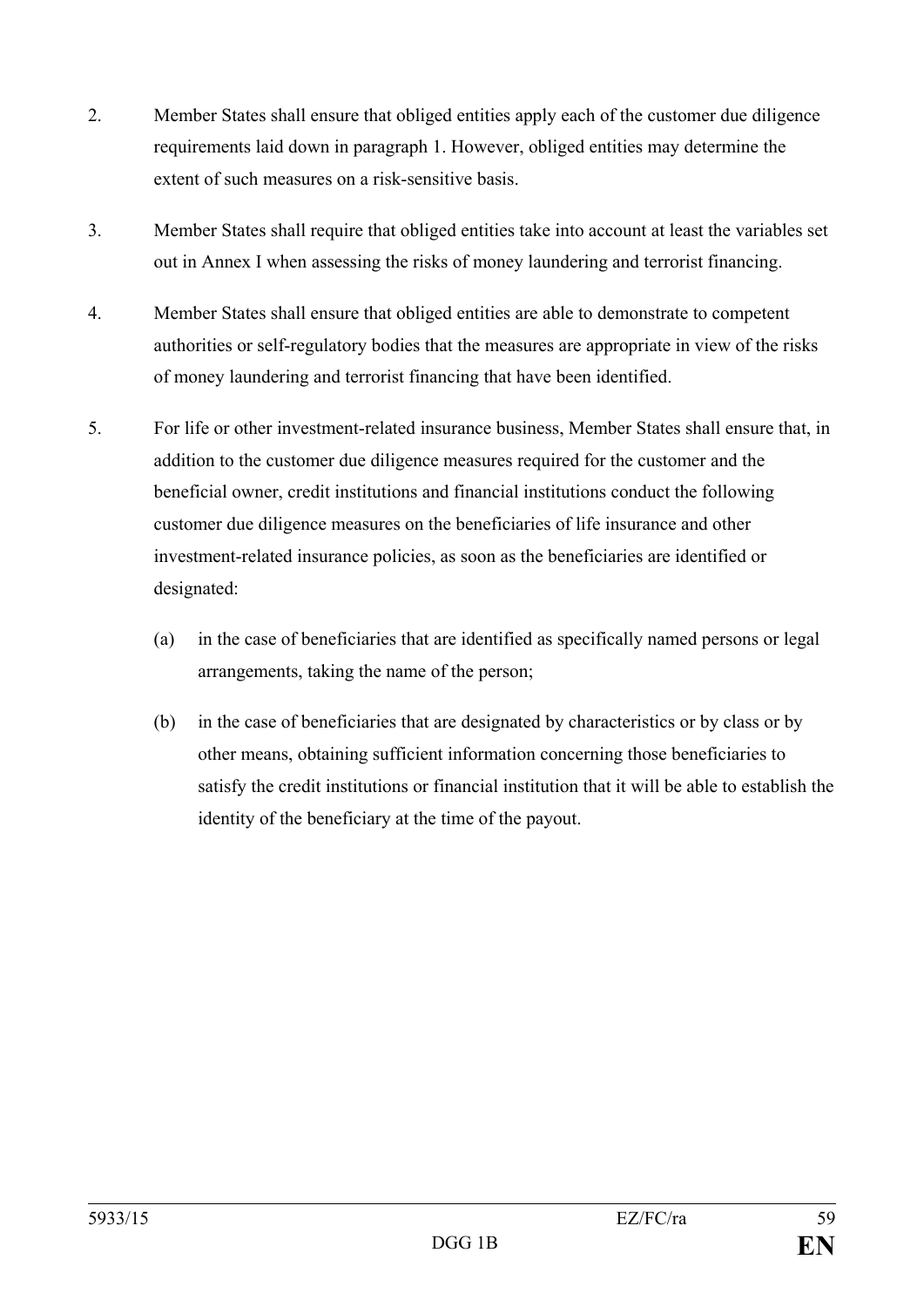- 2. Member States shall ensure that obliged entities apply each of the customer due diligence requirements laid down in paragraph 1. However, obliged entities may determine the extent of such measures on a risk-sensitive basis.
- 3. Member States shall require that obliged entities take into account at least the variables set out in Annex I when assessing the risks of money laundering and terrorist financing.
- 4. Member States shall ensure that obliged entities are able to demonstrate to competent authorities or self-regulatory bodies that the measures are appropriate in view of the risks of money laundering and terrorist financing that have been identified.
- 5. For life or other investment-related insurance business, Member States shall ensure that, in addition to the customer due diligence measures required for the customer and the beneficial owner, credit institutions and financial institutions conduct the following customer due diligence measures on the beneficiaries of life insurance and other investment-related insurance policies, as soon as the beneficiaries are identified or designated:
	- (a) in the case of beneficiaries that are identified as specifically named persons or legal arrangements, taking the name of the person;
	- (b) in the case of beneficiaries that are designated by characteristics or by class or by other means, obtaining sufficient information concerning those beneficiaries to satisfy the credit institutions or financial institution that it will be able to establish the identity of the beneficiary at the time of the payout.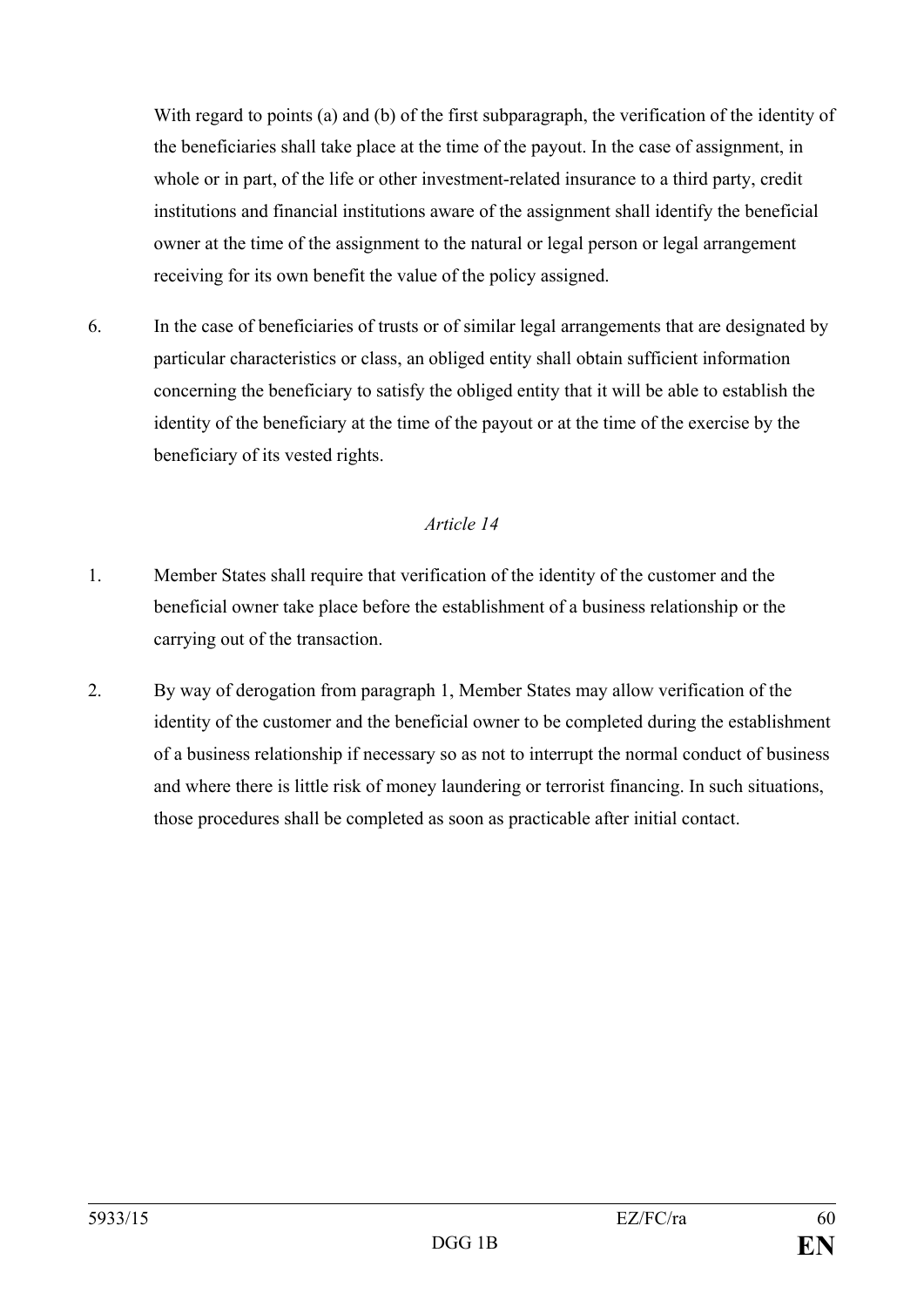With regard to points (a) and (b) of the first subparagraph, the verification of the identity of the beneficiaries shall take place at the time of the payout. In the case of assignment, in whole or in part, of the life or other investment-related insurance to a third party, credit institutions and financial institutions aware of the assignment shall identify the beneficial owner at the time of the assignment to the natural or legal person or legal arrangement receiving for its own benefit the value of the policy assigned.

6. In the case of beneficiaries of trusts or of similar legal arrangements that are designated by particular characteristics or class, an obliged entity shall obtain sufficient information concerning the beneficiary to satisfy the obliged entity that it will be able to establish the identity of the beneficiary at the time of the payout or at the time of the exercise by the beneficiary of its vested rights.

- 1. Member States shall require that verification of the identity of the customer and the beneficial owner take place before the establishment of a business relationship or the carrying out of the transaction.
- 2. By way of derogation from paragraph 1, Member States may allow verification of the identity of the customer and the beneficial owner to be completed during the establishment of a business relationship if necessary so as not to interrupt the normal conduct of business and where there is little risk of money laundering or terrorist financing. In such situations, those procedures shall be completed as soon as practicable after initial contact.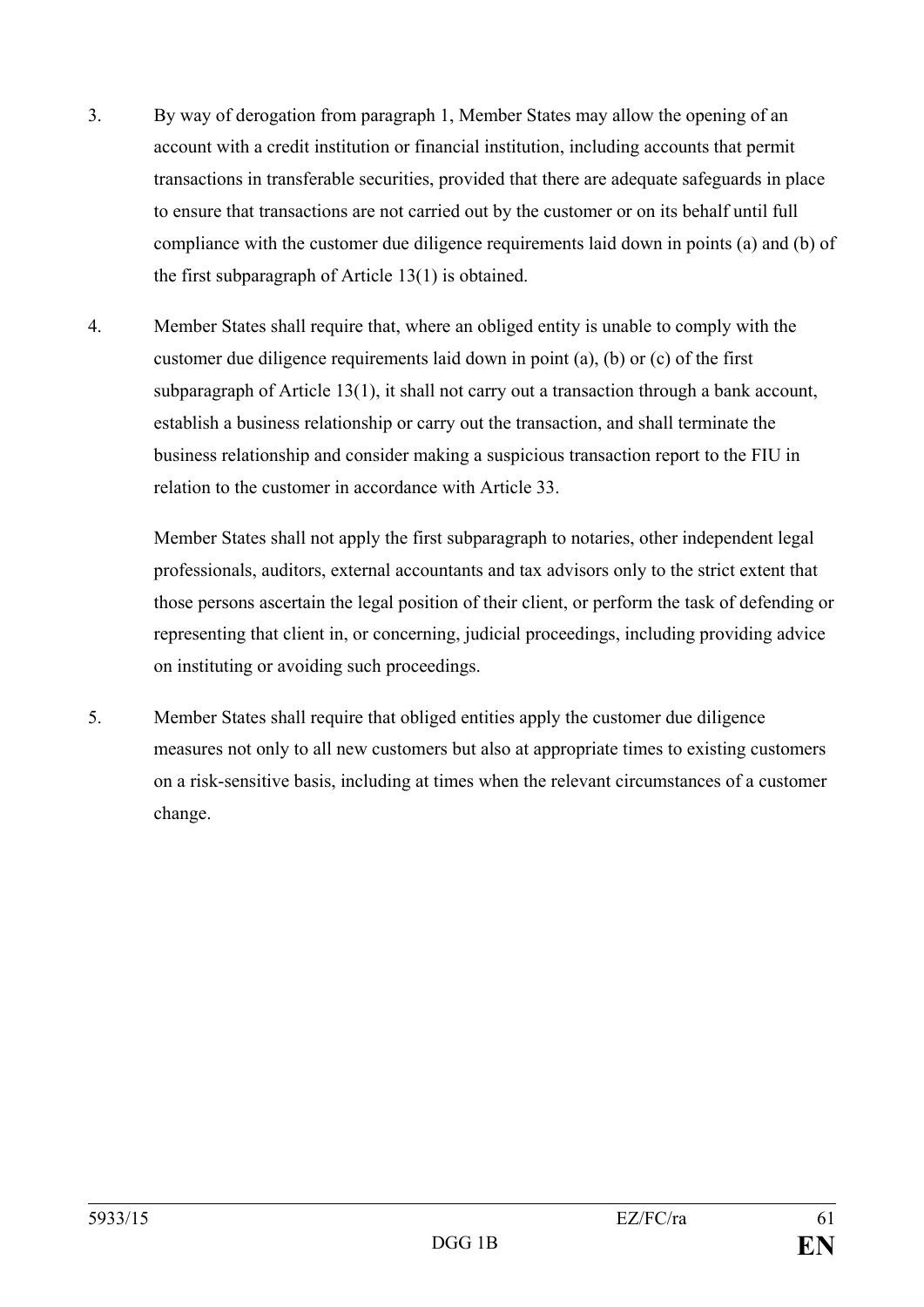- 3. By way of derogation from paragraph 1, Member States may allow the opening of an account with a credit institution or financial institution, including accounts that permit transactions in transferable securities, provided that there are adequate safeguards in place to ensure that transactions are not carried out by the customer or on its behalf until full compliance with the customer due diligence requirements laid down in points (a) and (b) of the first subparagraph of Article 13(1) is obtained.
- 4. Member States shall require that, where an obliged entity is unable to comply with the customer due diligence requirements laid down in point (a), (b) or (c) of the first subparagraph of Article 13(1), it shall not carry out a transaction through a bank account, establish a business relationship or carry out the transaction, and shall terminate the business relationship and consider making a suspicious transaction report to the FIU in relation to the customer in accordance with Article 33.

Member States shall not apply the first subparagraph to notaries, other independent legal professionals, auditors, external accountants and tax advisors only to the strict extent that those persons ascertain the legal position of their client, or perform the task of defending or representing that client in, or concerning, judicial proceedings, including providing advice on instituting or avoiding such proceedings.

5. Member States shall require that obliged entities apply the customer due diligence measures not only to all new customers but also at appropriate times to existing customers on a risk-sensitive basis, including at times when the relevant circumstances of a customer change.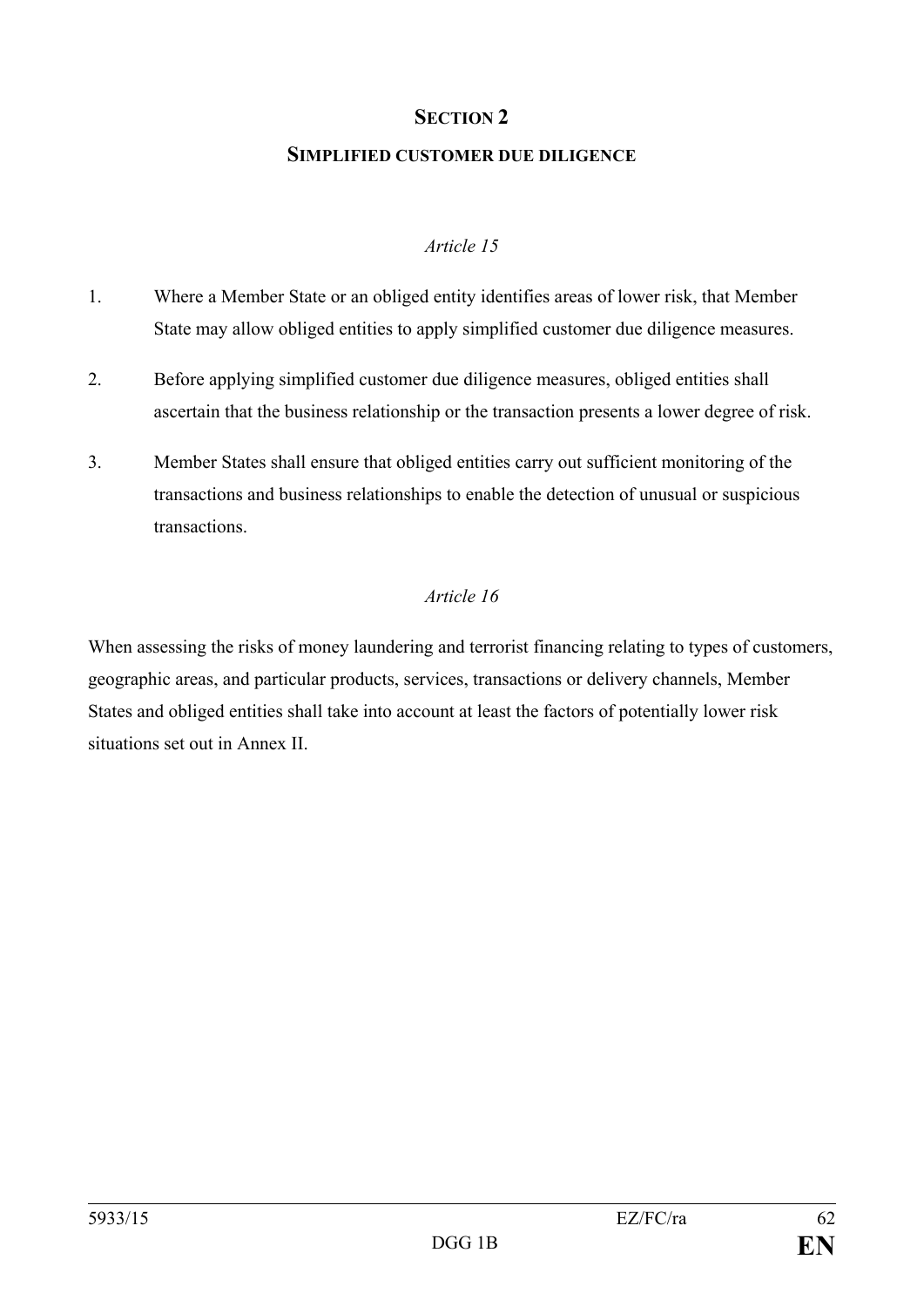#### **SECTION 2**

#### **SIMPLIFIED CUSTOMER DUE DILIGENCE**

#### *Article 15*

- 1. Where a Member State or an obliged entity identifies areas of lower risk, that Member State may allow obliged entities to apply simplified customer due diligence measures.
- 2. Before applying simplified customer due diligence measures, obliged entities shall ascertain that the business relationship or the transaction presents a lower degree of risk.
- 3. Member States shall ensure that obliged entities carry out sufficient monitoring of the transactions and business relationships to enable the detection of unusual or suspicious transactions.

#### *Article 16*

When assessing the risks of money laundering and terrorist financing relating to types of customers, geographic areas, and particular products, services, transactions or delivery channels, Member States and obliged entities shall take into account at least the factors of potentially lower risk situations set out in Annex II.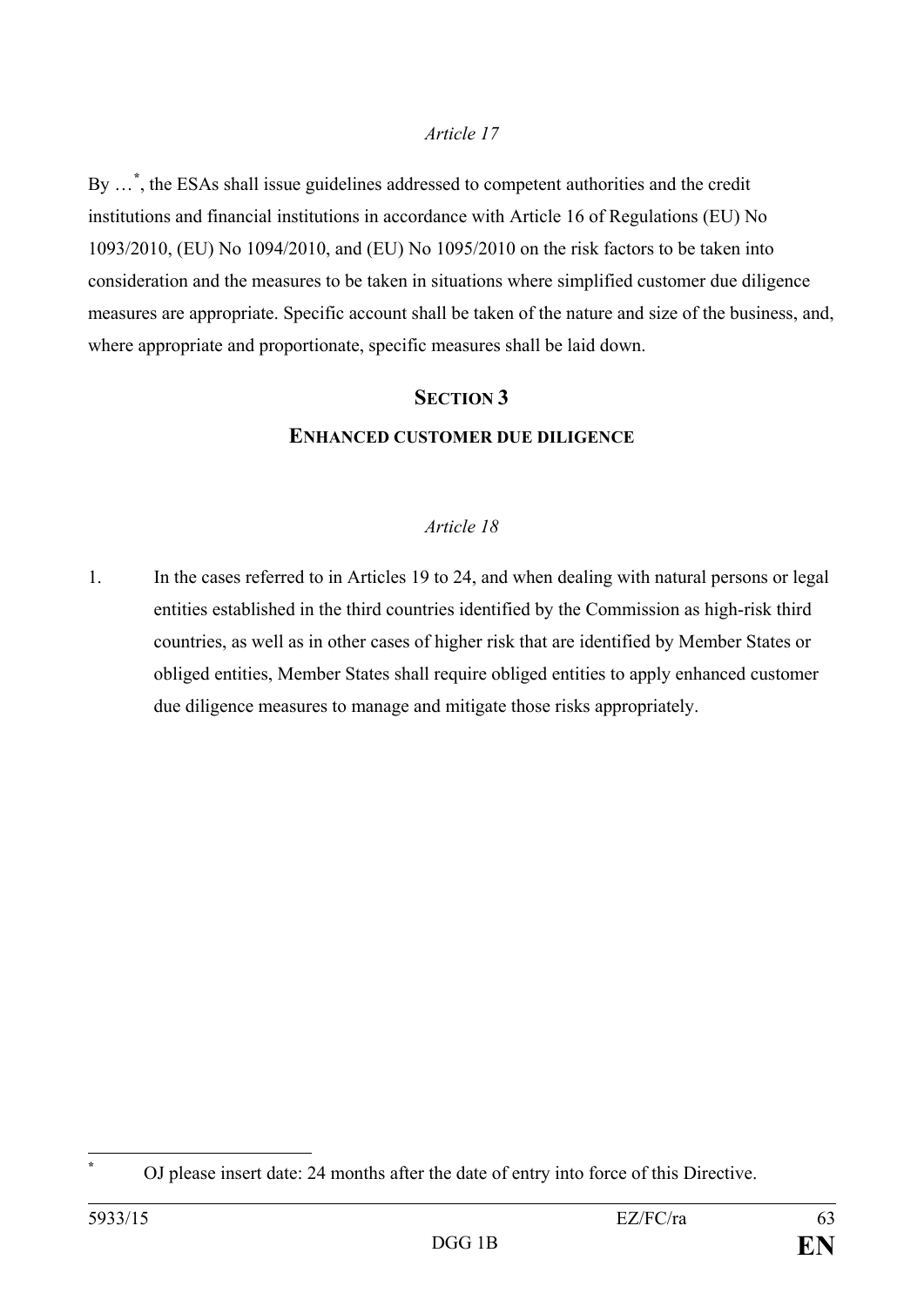By …**[\\*](#page-63-0)** , the ESAs shall issue guidelines addressed to competent authorities and the credit institutions and financial institutions in accordance with Article 16 of Regulations (EU) No 1093/2010, (EU) No 1094/2010, and (EU) No 1095/2010 on the risk factors to be taken into consideration and the measures to be taken in situations where simplified customer due diligence measures are appropriate. Specific account shall be taken of the nature and size of the business, and, where appropriate and proportionate, specific measures shall be laid down.

### **SECTION 3 ENHANCED CUSTOMER DUE DILIGENCE**

#### *Article 18*

1. In the cases referred to in Articles 19 to 24, and when dealing with natural persons or legal entities established in the third countries identified by the Commission as high-risk third countries, as well as in other cases of higher risk that are identified by Member States or obliged entities, Member States shall require obliged entities to apply enhanced customer due diligence measures to manage and mitigate those risks appropriately.

<span id="page-63-0"></span> $\overline{a}$ 

**<sup>\*</sup>** OJ please insert date: 24 months after the date of entry into force of this Directive.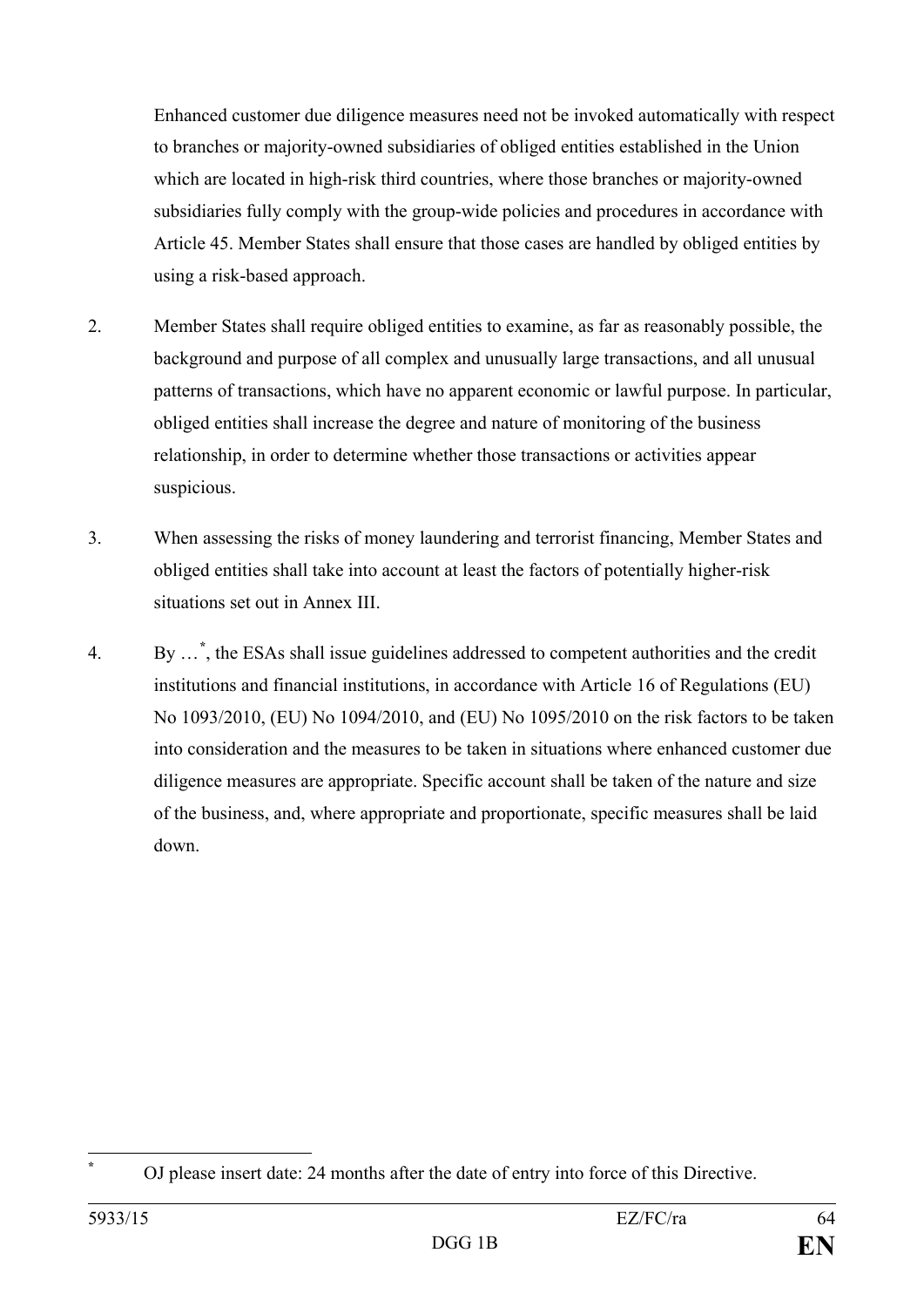Enhanced customer due diligence measures need not be invoked automatically with respect to branches or majority-owned subsidiaries of obliged entities established in the Union which are located in high-risk third countries, where those branches or majority-owned subsidiaries fully comply with the group-wide policies and procedures in accordance with Article 45. Member States shall ensure that those cases are handled by obliged entities by using a risk-based approach.

- 2. Member States shall require obliged entities to examine, as far as reasonably possible, the background and purpose of all complex and unusually large transactions, and all unusual patterns of transactions, which have no apparent economic or lawful purpose. In particular, obliged entities shall increase the degree and nature of monitoring of the business relationship, in order to determine whether those transactions or activities appear suspicious.
- 3. When assessing the risks of money laundering and terrorist financing, Member States and obliged entities shall take into account at least the factors of potentially higher-risk situations set out in Annex III.
- 4. By …**[\\*](#page-64-0)** , the ESAs shall issue guidelines addressed to competent authorities and the credit institutions and financial institutions, in accordance with Article 16 of Regulations (EU) No 1093/2010, (EU) No 1094/2010, and (EU) No 1095/2010 on the risk factors to be taken into consideration and the measures to be taken in situations where enhanced customer due diligence measures are appropriate. Specific account shall be taken of the nature and size of the business, and, where appropriate and proportionate, specific measures shall be laid down.

<span id="page-64-0"></span> $\overline{a}$ 

**<sup>\*</sup>** OJ please insert date: 24 months after the date of entry into force of this Directive.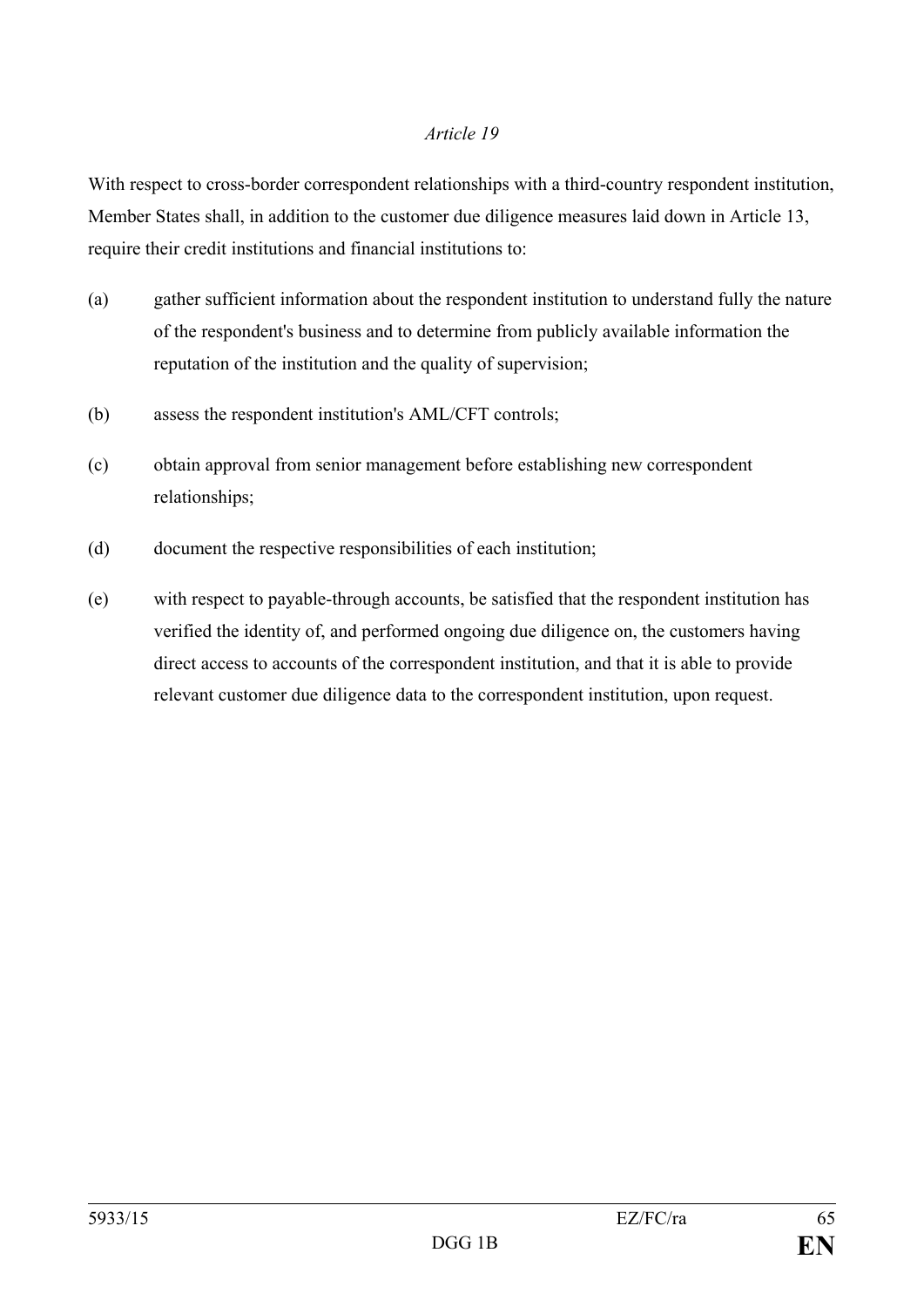With respect to cross-border correspondent relationships with a third-country respondent institution, Member States shall, in addition to the customer due diligence measures laid down in Article 13, require their credit institutions and financial institutions to:

- (a) gather sufficient information about the respondent institution to understand fully the nature of the respondent's business and to determine from publicly available information the reputation of the institution and the quality of supervision;
- (b) assess the respondent institution's AML/CFT controls;
- (c) obtain approval from senior management before establishing new correspondent relationships;
- (d) document the respective responsibilities of each institution;
- (e) with respect to payable-through accounts, be satisfied that the respondent institution has verified the identity of, and performed ongoing due diligence on, the customers having direct access to accounts of the correspondent institution, and that it is able to provide relevant customer due diligence data to the correspondent institution, upon request.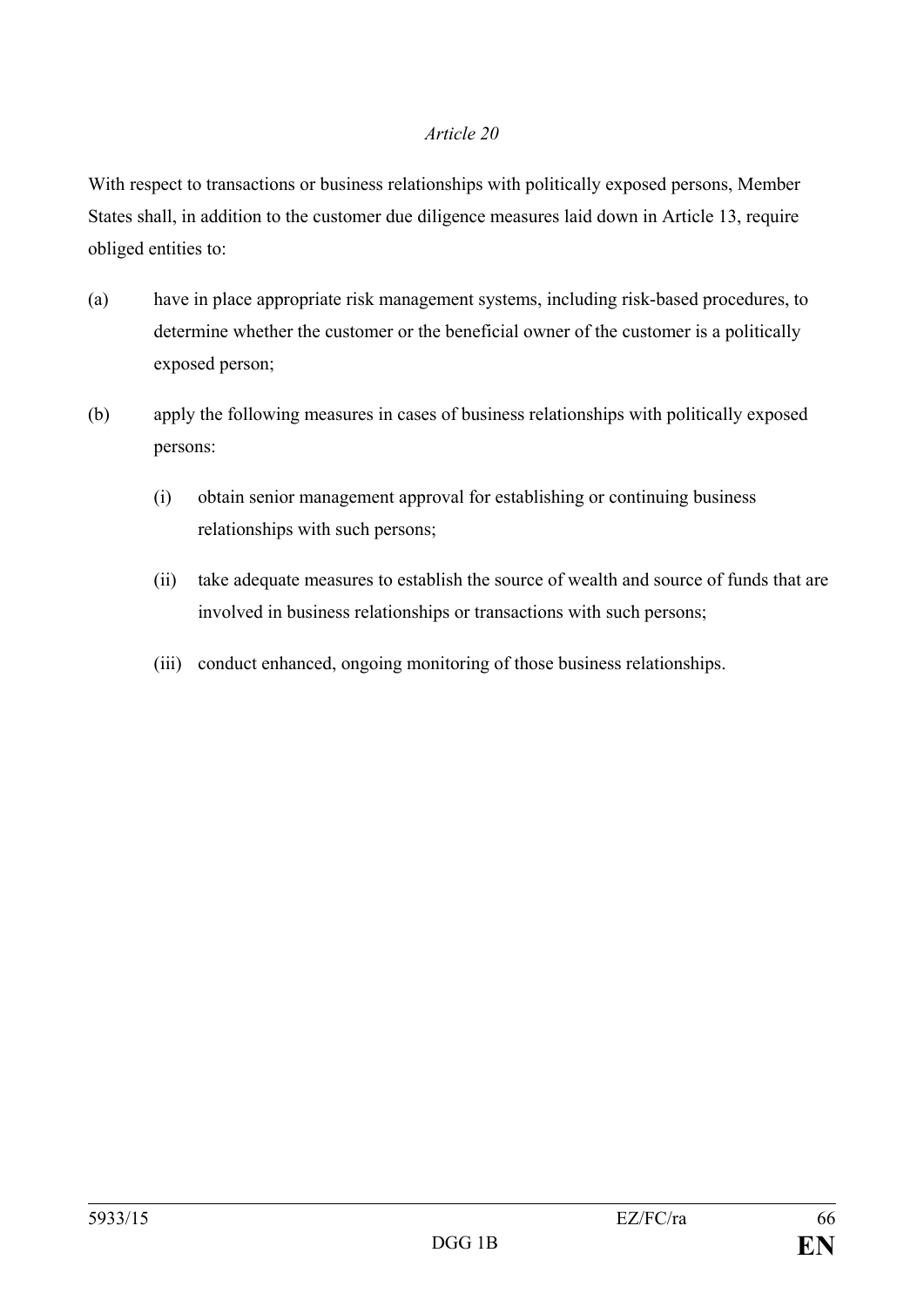With respect to transactions or business relationships with politically exposed persons, Member States shall, in addition to the customer due diligence measures laid down in Article 13, require obliged entities to:

- (a) have in place appropriate risk management systems, including risk-based procedures, to determine whether the customer or the beneficial owner of the customer is a politically exposed person;
- (b) apply the following measures in cases of business relationships with politically exposed persons:
	- (i) obtain senior management approval for establishing or continuing business relationships with such persons;
	- (ii) take adequate measures to establish the source of wealth and source of funds that are involved in business relationships or transactions with such persons;
	- (iii) conduct enhanced, ongoing monitoring of those business relationships.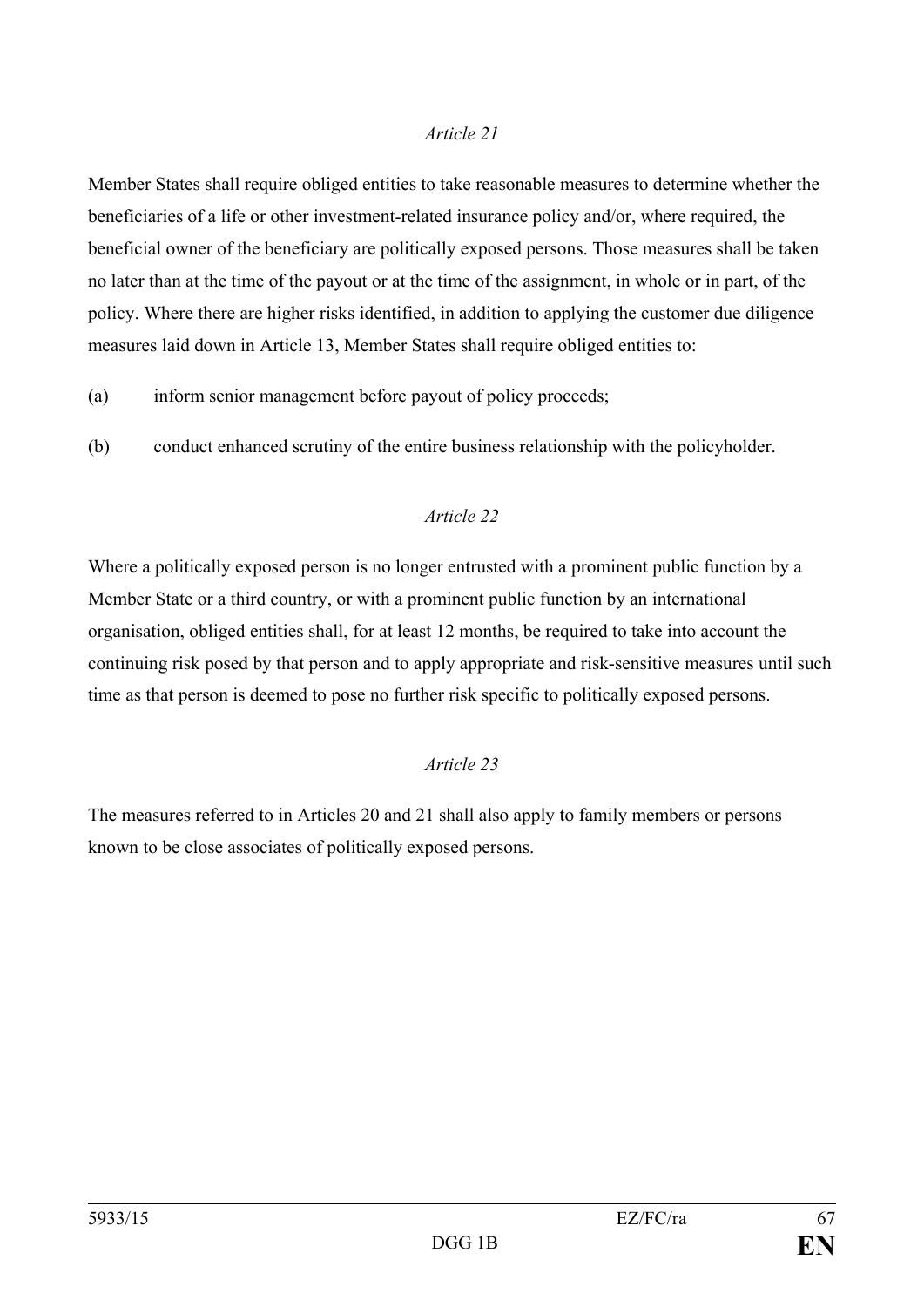Member States shall require obliged entities to take reasonable measures to determine whether the beneficiaries of a life or other investment-related insurance policy and/or, where required, the beneficial owner of the beneficiary are politically exposed persons. Those measures shall be taken no later than at the time of the payout or at the time of the assignment, in whole or in part, of the policy. Where there are higher risks identified, in addition to applying the customer due diligence measures laid down in Article 13, Member States shall require obliged entities to:

- (a) inform senior management before payout of policy proceeds;
- (b) conduct enhanced scrutiny of the entire business relationship with the policyholder.

#### *Article 22*

Where a politically exposed person is no longer entrusted with a prominent public function by a Member State or a third country, or with a prominent public function by an international organisation, obliged entities shall, for at least 12 months, be required to take into account the continuing risk posed by that person and to apply appropriate and risk-sensitive measures until such time as that person is deemed to pose no further risk specific to politically exposed persons.

#### *Article 23*

The measures referred to in Articles 20 and 21 shall also apply to family members or persons known to be close associates of politically exposed persons.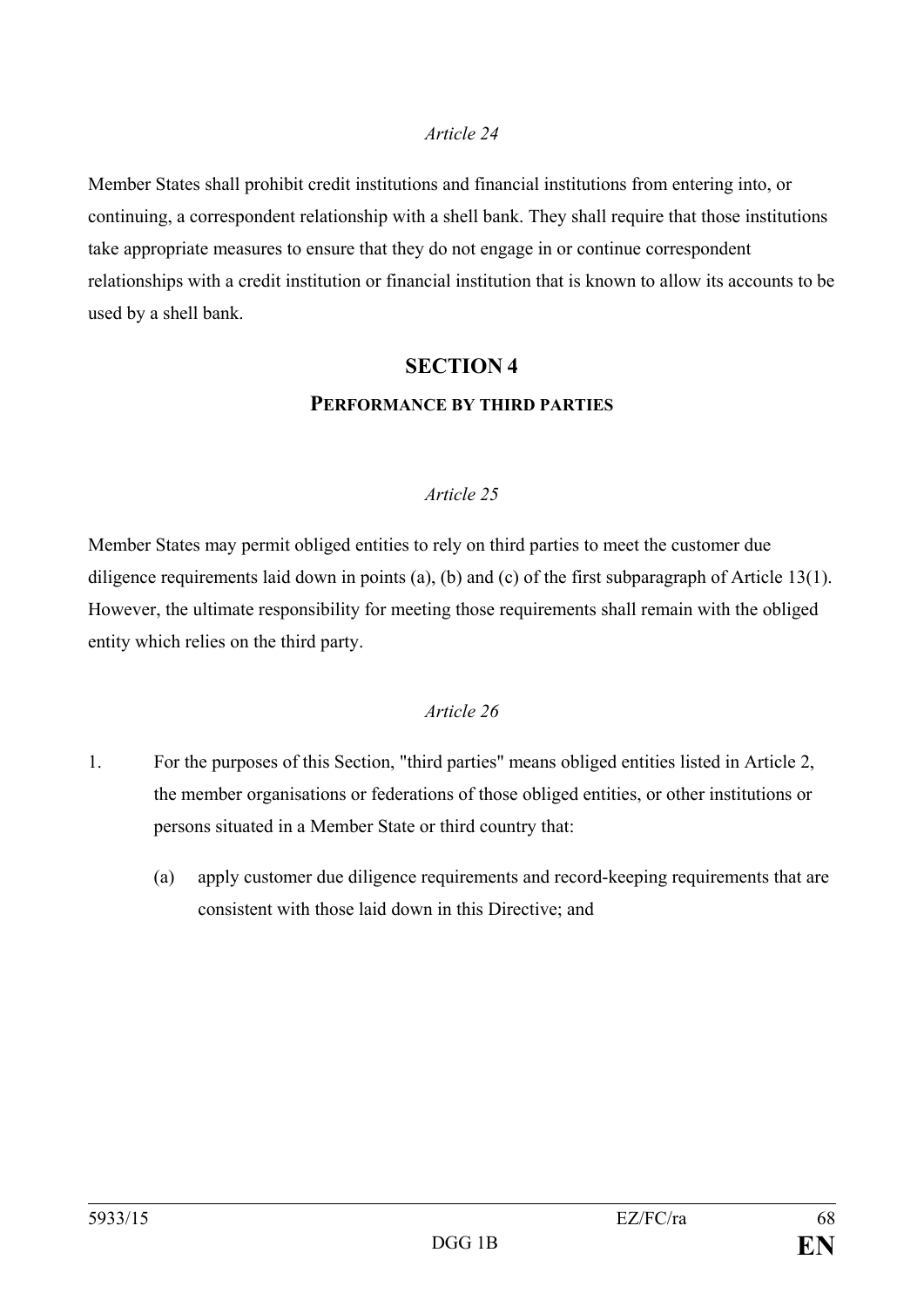Member States shall prohibit credit institutions and financial institutions from entering into, or continuing, a correspondent relationship with a shell bank. They shall require that those institutions take appropriate measures to ensure that they do not engage in or continue correspondent relationships with a credit institution or financial institution that is known to allow its accounts to be used by a shell bank.

### **SECTION 4 PERFORMANCE BY THIRD PARTIES**

#### *Article 25*

Member States may permit obliged entities to rely on third parties to meet the customer due diligence requirements laid down in points (a), (b) and (c) of the first subparagraph of Article 13(1). However, the ultimate responsibility for meeting those requirements shall remain with the obliged entity which relies on the third party.

- 1. For the purposes of this Section, "third parties" means obliged entities listed in Article 2, the member organisations or federations of those obliged entities, or other institutions or persons situated in a Member State or third country that:
	- (a) apply customer due diligence requirements and record-keeping requirements that are consistent with those laid down in this Directive; and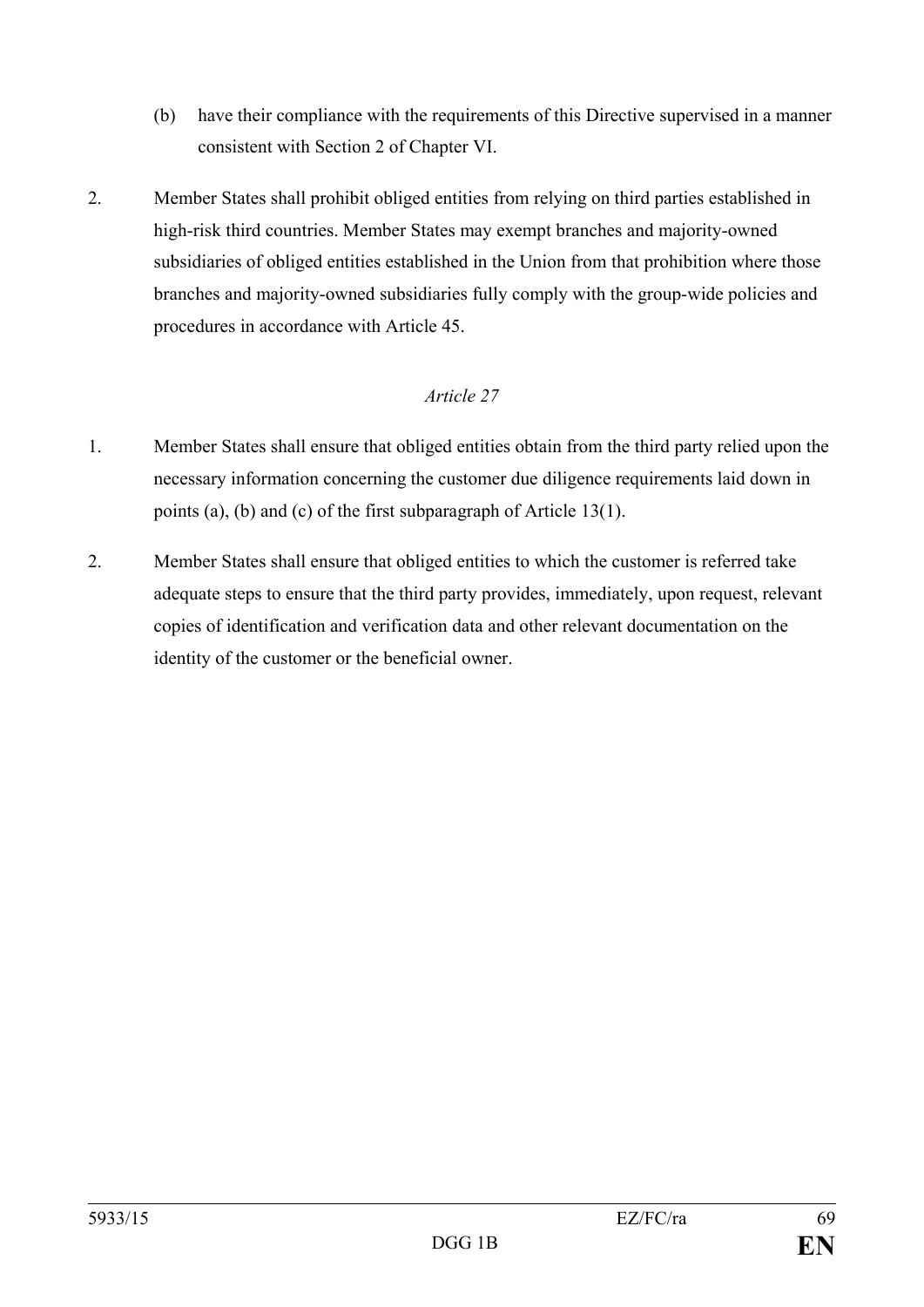- (b) have their compliance with the requirements of this Directive supervised in a manner consistent with Section 2 of Chapter VI.
- 2. Member States shall prohibit obliged entities from relying on third parties established in high-risk third countries. Member States may exempt branches and majority-owned subsidiaries of obliged entities established in the Union from that prohibition where those branches and majority-owned subsidiaries fully comply with the group-wide policies and procedures in accordance with Article 45.

- 1. Member States shall ensure that obliged entities obtain from the third party relied upon the necessary information concerning the customer due diligence requirements laid down in points (a), (b) and (c) of the first subparagraph of Article 13(1).
- 2. Member States shall ensure that obliged entities to which the customer is referred take adequate steps to ensure that the third party provides, immediately, upon request, relevant copies of identification and verification data and other relevant documentation on the identity of the customer or the beneficial owner.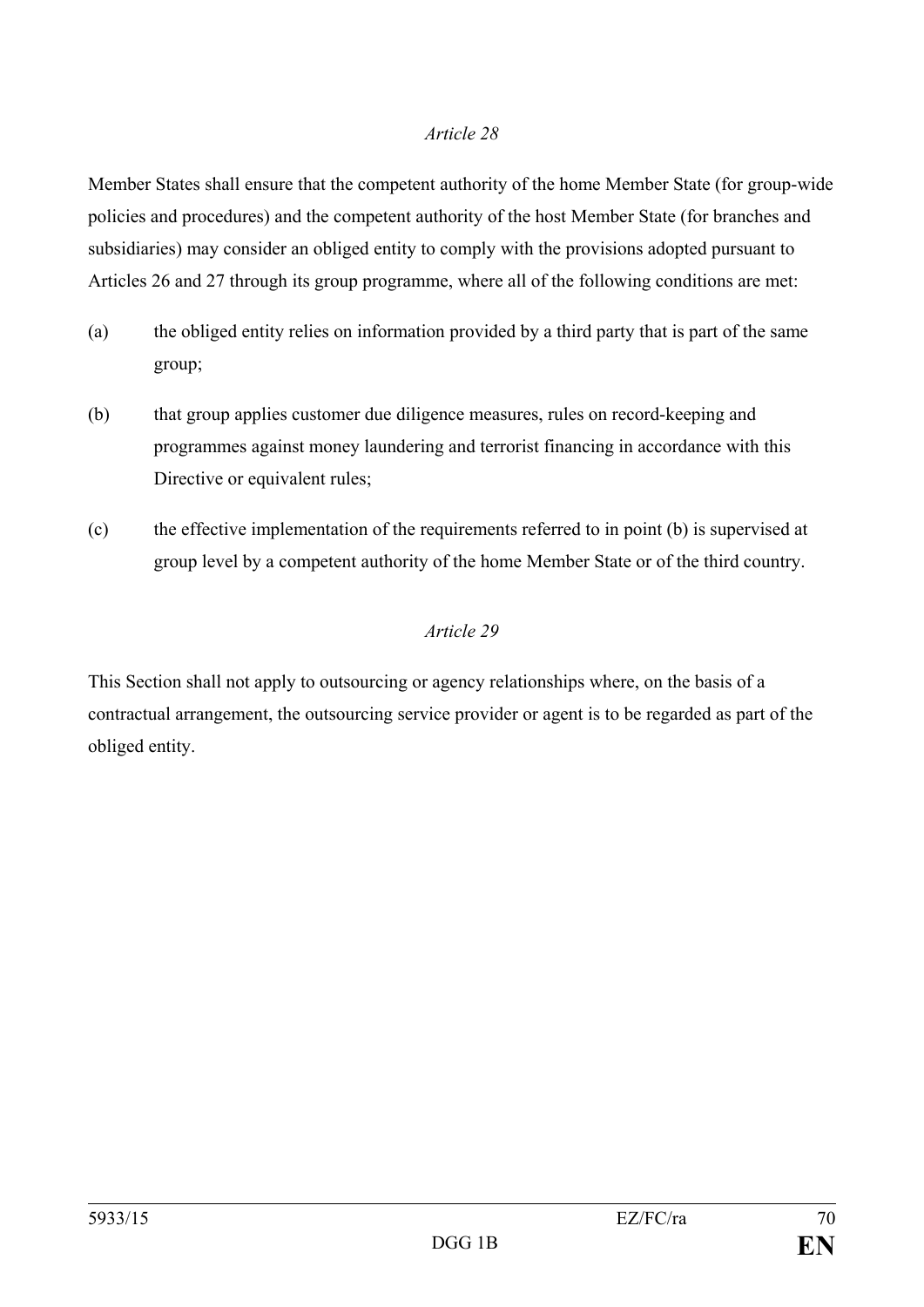Member States shall ensure that the competent authority of the home Member State (for group-wide policies and procedures) and the competent authority of the host Member State (for branches and subsidiaries) may consider an obliged entity to comply with the provisions adopted pursuant to Articles 26 and 27 through its group programme, where all of the following conditions are met:

- (a) the obliged entity relies on information provided by a third party that is part of the same group;
- (b) that group applies customer due diligence measures, rules on record-keeping and programmes against money laundering and terrorist financing in accordance with this Directive or equivalent rules;
- (c) the effective implementation of the requirements referred to in point (b) is supervised at group level by a competent authority of the home Member State or of the third country.

#### *Article 29*

This Section shall not apply to outsourcing or agency relationships where, on the basis of a contractual arrangement, the outsourcing service provider or agent is to be regarded as part of the obliged entity.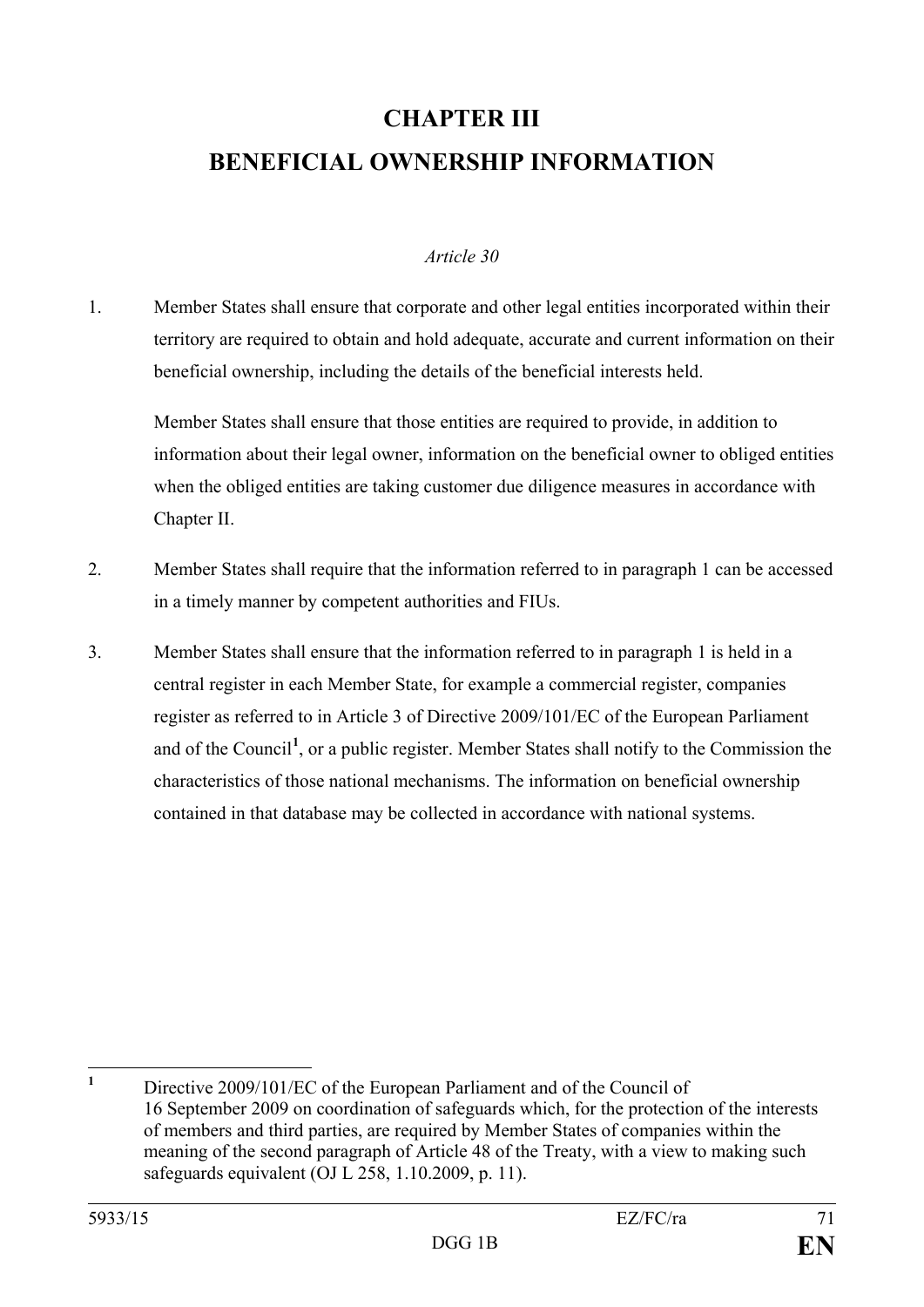## **CHAPTER III BENEFICIAL OWNERSHIP INFORMATION**

#### *Article 30*

1. Member States shall ensure that corporate and other legal entities incorporated within their territory are required to obtain and hold adequate, accurate and current information on their beneficial ownership, including the details of the beneficial interests held.

Member States shall ensure that those entities are required to provide, in addition to information about their legal owner, information on the beneficial owner to obliged entities when the obliged entities are taking customer due diligence measures in accordance with Chapter II.

- 2. Member States shall require that the information referred to in paragraph 1 can be accessed in a timely manner by competent authorities and FIUs.
- 3. Member States shall ensure that the information referred to in paragraph 1 is held in a central register in each Member State, for example a commercial register, companies register as referred to in Article 3 of Directive 2009/101/EC of the European Parliament and of the Council**[1](#page-71-0)** , or a public register. Member States shall notify to the Commission the characteristics of those national mechanisms. The information on beneficial ownership contained in that database may be collected in accordance with national systems.

<span id="page-71-0"></span>**<sup>1</sup>** Directive 2009/101/EC of the European Parliament and of the Council of 16 September 2009 on coordination of safeguards which, for the protection of the interests of members and third parties, are required by Member States of companies within the meaning of the second paragraph of Article 48 of the Treaty, with a view to making such safeguards equivalent (OJ L 258, 1.10.2009, p. 11).  $\mathbf{1}$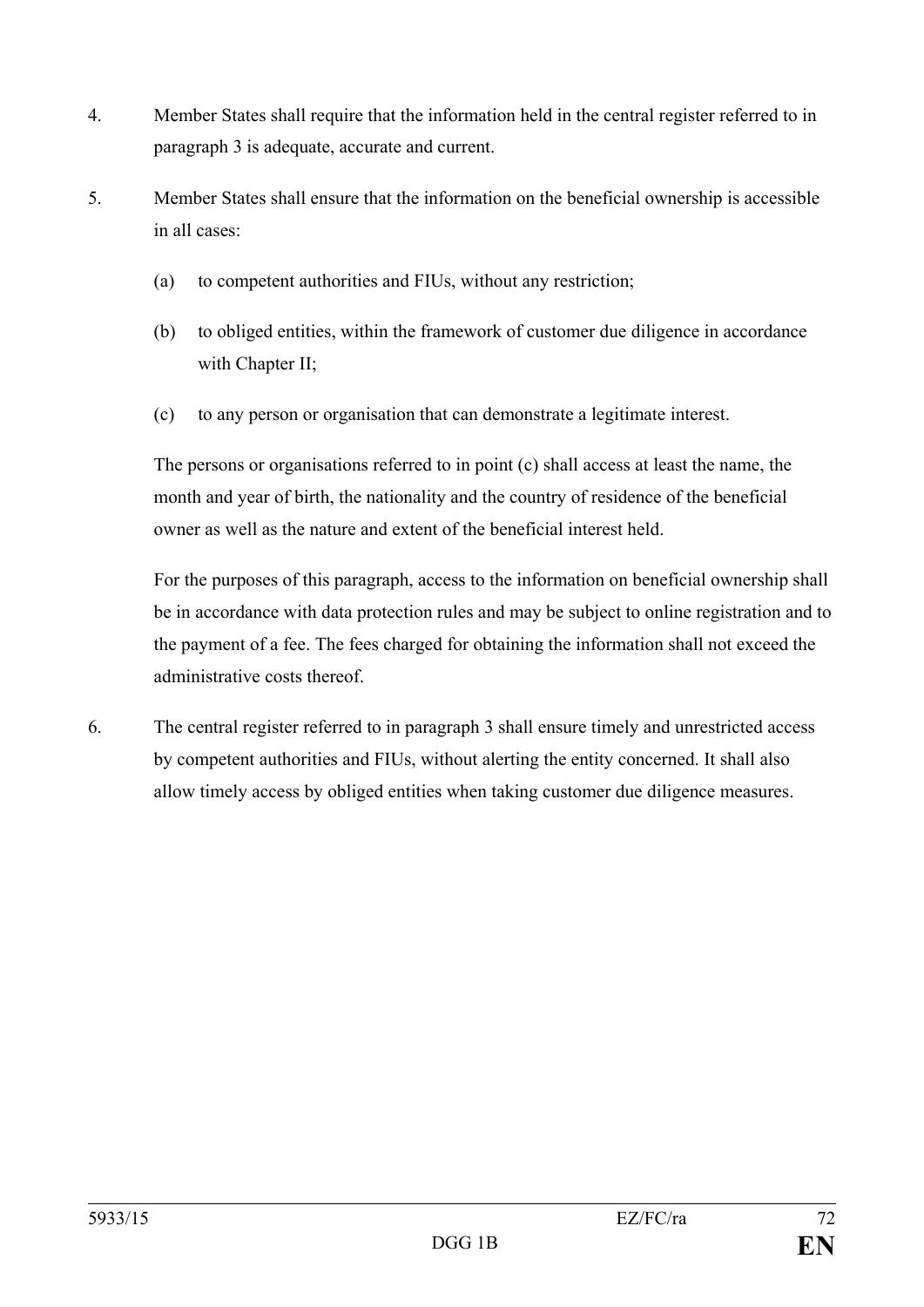- 4. Member States shall require that the information held in the central register referred to in paragraph 3 is adequate, accurate and current.
- 5. Member States shall ensure that the information on the beneficial ownership is accessible in all cases:
	- (a) to competent authorities and FIUs, without any restriction;
	- (b) to obliged entities, within the framework of customer due diligence in accordance with Chapter II;
	- (c) to any person or organisation that can demonstrate a legitimate interest.

The persons or organisations referred to in point (c) shall access at least the name, the month and year of birth, the nationality and the country of residence of the beneficial owner as well as the nature and extent of the beneficial interest held.

For the purposes of this paragraph, access to the information on beneficial ownership shall be in accordance with data protection rules and may be subject to online registration and to the payment of a fee. The fees charged for obtaining the information shall not exceed the administrative costs thereof.

6. The central register referred to in paragraph 3 shall ensure timely and unrestricted access by competent authorities and FIUs, without alerting the entity concerned. It shall also allow timely access by obliged entities when taking customer due diligence measures.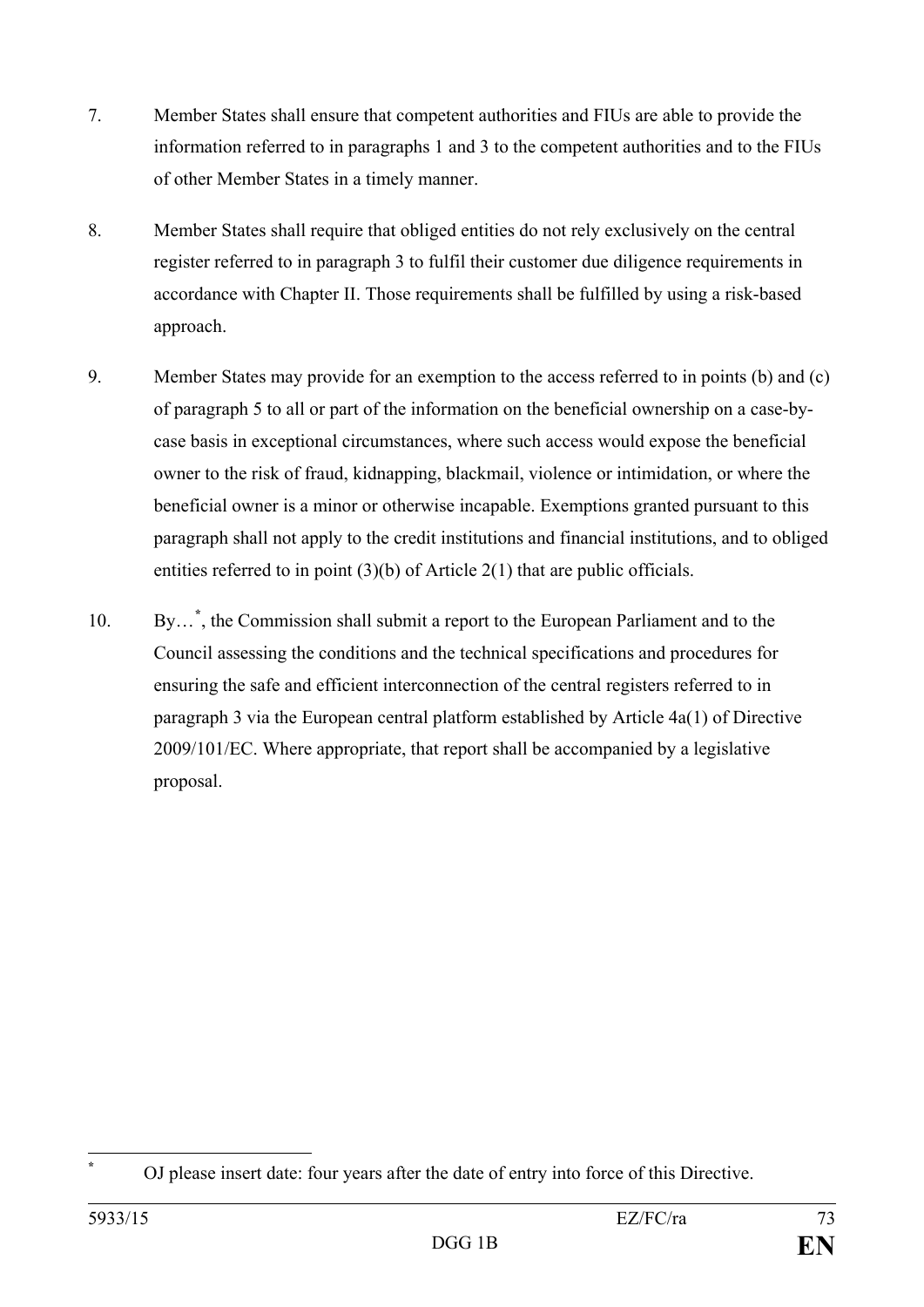- 7. Member States shall ensure that competent authorities and FIUs are able to provide the information referred to in paragraphs 1 and 3 to the competent authorities and to the FIUs of other Member States in a timely manner.
- 8. Member States shall require that obliged entities do not rely exclusively on the central register referred to in paragraph 3 to fulfil their customer due diligence requirements in accordance with Chapter II. Those requirements shall be fulfilled by using a risk-based approach.
- 9. Member States may provide for an exemption to the access referred to in points (b) and (c) of paragraph 5 to all or part of the information on the beneficial ownership on a case-bycase basis in exceptional circumstances, where such access would expose the beneficial owner to the risk of fraud, kidnapping, blackmail, violence or intimidation, or where the beneficial owner is a minor or otherwise incapable. Exemptions granted pursuant to this paragraph shall not apply to the credit institutions and financial institutions, and to obliged entities referred to in point (3)(b) of Article 2(1) that are public officials.
- 10. By…**[\\*](#page-73-0)** , the Commission shall submit a report to the European Parliament and to the Council assessing the conditions and the technical specifications and procedures for ensuring the safe and efficient interconnection of the central registers referred to in paragraph 3 via the European central platform established by Article 4a(1) of Directive 2009/101/EC. Where appropriate, that report shall be accompanied by a legislative proposal.

<span id="page-73-0"></span>**<sup>\*</sup>** OJ please insert date: four years after the date of entry into force of this Directive.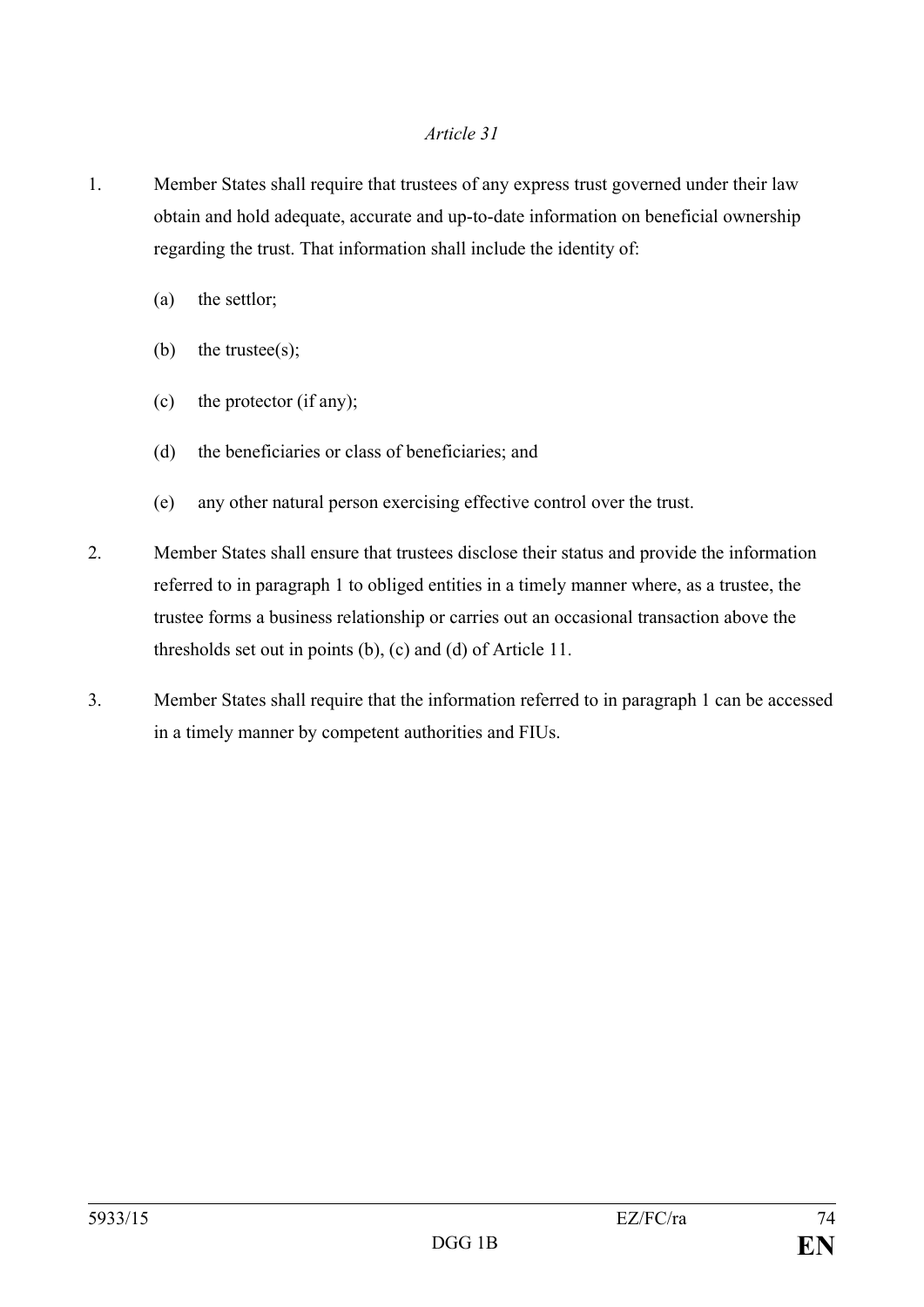- 1. Member States shall require that trustees of any express trust governed under their law obtain and hold adequate, accurate and up-to-date information on beneficial ownership regarding the trust. That information shall include the identity of:
	- (a) the settlor;
	- (b) the trustee(s);
	- (c) the protector (if any);
	- (d) the beneficiaries or class of beneficiaries; and
	- (e) any other natural person exercising effective control over the trust.
- 2. Member States shall ensure that trustees disclose their status and provide the information referred to in paragraph 1 to obliged entities in a timely manner where, as a trustee, the trustee forms a business relationship or carries out an occasional transaction above the thresholds set out in points (b), (c) and (d) of Article 11.
- 3. Member States shall require that the information referred to in paragraph 1 can be accessed in a timely manner by competent authorities and FIUs.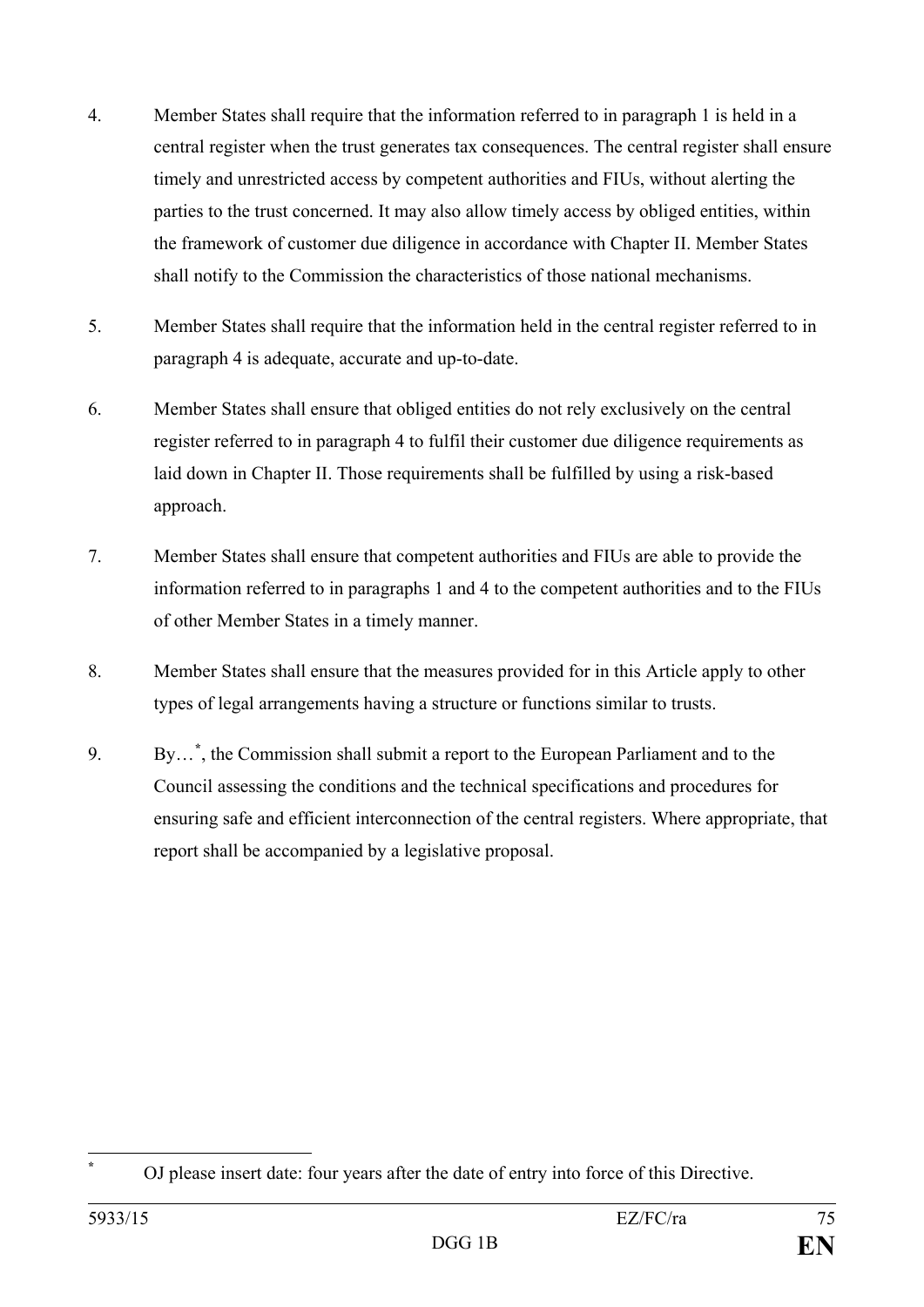- 4. Member States shall require that the information referred to in paragraph 1 is held in a central register when the trust generates tax consequences. The central register shall ensure timely and unrestricted access by competent authorities and FIUs, without alerting the parties to the trust concerned. It may also allow timely access by obliged entities, within the framework of customer due diligence in accordance with Chapter II. Member States shall notify to the Commission the characteristics of those national mechanisms.
- 5. Member States shall require that the information held in the central register referred to in paragraph 4 is adequate, accurate and up-to-date.
- 6. Member States shall ensure that obliged entities do not rely exclusively on the central register referred to in paragraph 4 to fulfil their customer due diligence requirements as laid down in Chapter II. Those requirements shall be fulfilled by using a risk-based approach.
- 7. Member States shall ensure that competent authorities and FIUs are able to provide the information referred to in paragraphs 1 and 4 to the competent authorities and to the FIUs of other Member States in a timely manner.
- 8. Member States shall ensure that the measures provided for in this Article apply to other types of legal arrangements having a structure or functions similar to trusts.
- 9. By…**[\\*](#page-75-0)** , the Commission shall submit a report to the European Parliament and to the Council assessing the conditions and the technical specifications and procedures for ensuring safe and efficient interconnection of the central registers. Where appropriate, that report shall be accompanied by a legislative proposal.

<span id="page-75-0"></span>**<sup>\*</sup>** OJ please insert date: four years after the date of entry into force of this Directive.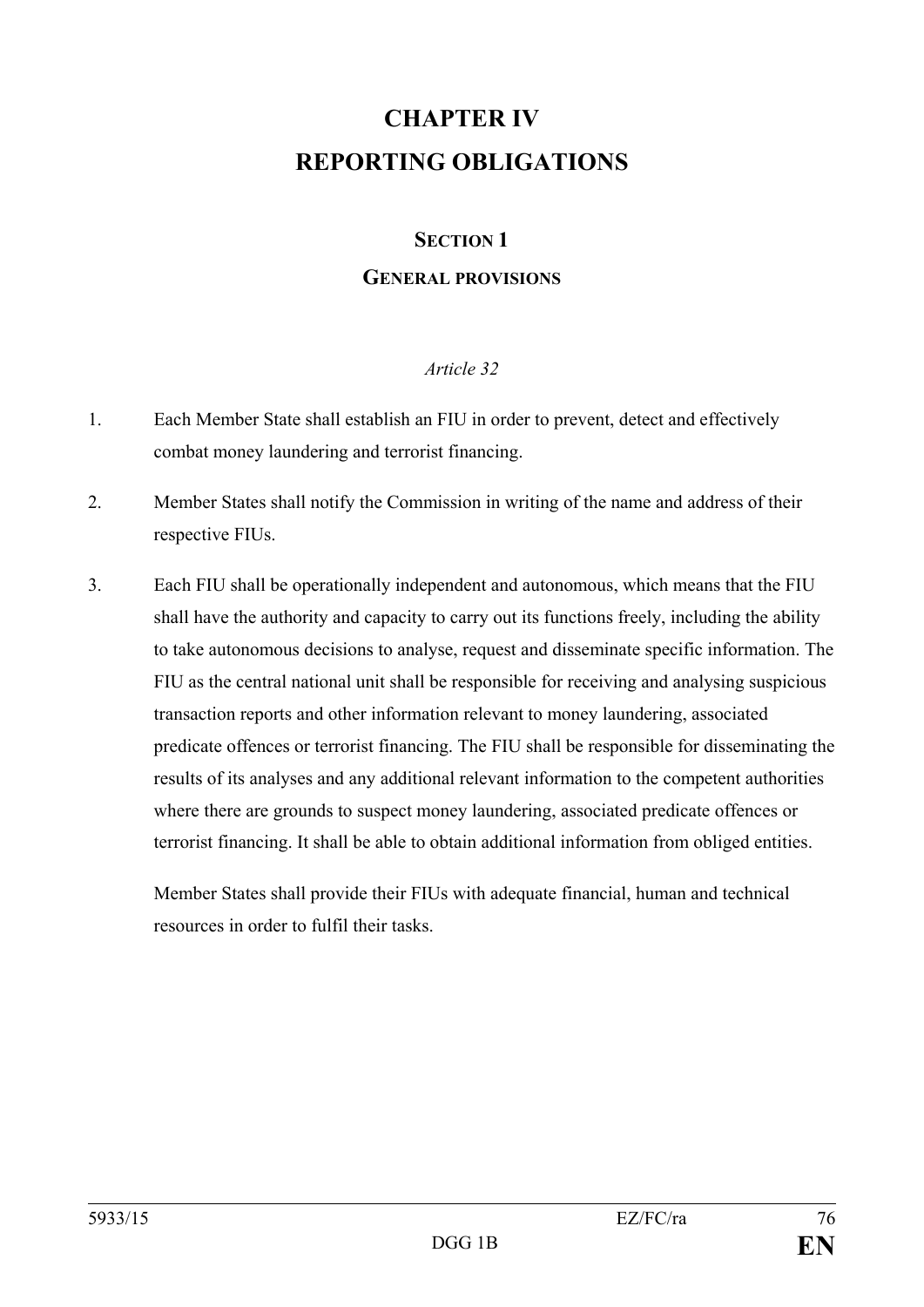# **CHAPTER IV REPORTING OBLIGATIONS**

## **SECTION 1**

## **GENERAL PROVISIONS**

## *Article 32*

- 1. Each Member State shall establish an FIU in order to prevent, detect and effectively combat money laundering and terrorist financing.
- 2. Member States shall notify the Commission in writing of the name and address of their respective FIUs.
- 3. Each FIU shall be operationally independent and autonomous, which means that the FIU shall have the authority and capacity to carry out its functions freely, including the ability to take autonomous decisions to analyse, request and disseminate specific information. The FIU as the central national unit shall be responsible for receiving and analysing suspicious transaction reports and other information relevant to money laundering, associated predicate offences or terrorist financing. The FIU shall be responsible for disseminating the results of its analyses and any additional relevant information to the competent authorities where there are grounds to suspect money laundering, associated predicate offences or terrorist financing. It shall be able to obtain additional information from obliged entities.

Member States shall provide their FIUs with adequate financial, human and technical resources in order to fulfil their tasks.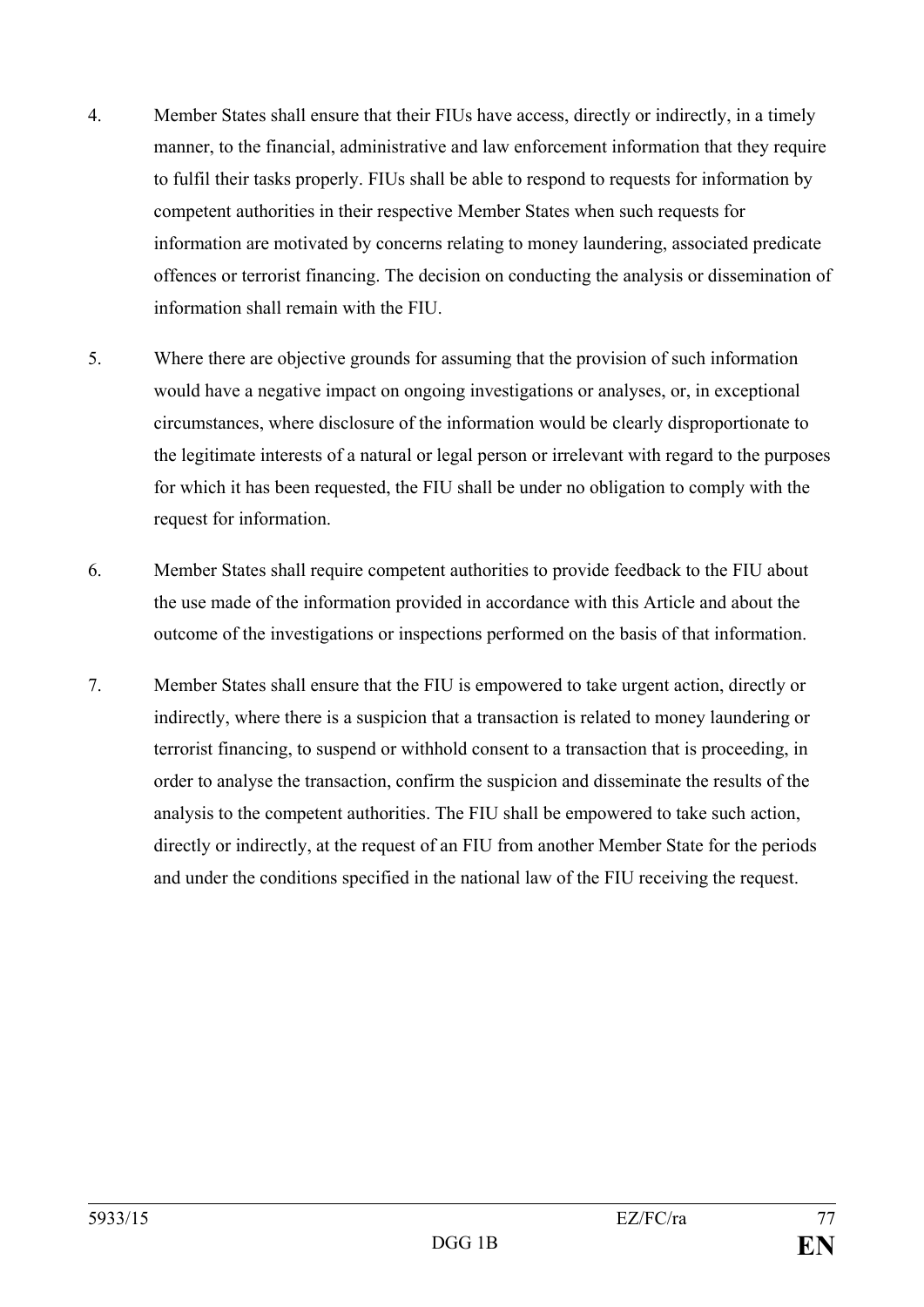- 4. Member States shall ensure that their FIUs have access, directly or indirectly, in a timely manner, to the financial, administrative and law enforcement information that they require to fulfil their tasks properly. FIUs shall be able to respond to requests for information by competent authorities in their respective Member States when such requests for information are motivated by concerns relating to money laundering, associated predicate offences or terrorist financing. The decision on conducting the analysis or dissemination of information shall remain with the FIU.
- 5. Where there are objective grounds for assuming that the provision of such information would have a negative impact on ongoing investigations or analyses, or, in exceptional circumstances, where disclosure of the information would be clearly disproportionate to the legitimate interests of a natural or legal person or irrelevant with regard to the purposes for which it has been requested, the FIU shall be under no obligation to comply with the request for information.
- 6. Member States shall require competent authorities to provide feedback to the FIU about the use made of the information provided in accordance with this Article and about the outcome of the investigations or inspections performed on the basis of that information.
- 7. Member States shall ensure that the FIU is empowered to take urgent action, directly or indirectly, where there is a suspicion that a transaction is related to money laundering or terrorist financing, to suspend or withhold consent to a transaction that is proceeding, in order to analyse the transaction, confirm the suspicion and disseminate the results of the analysis to the competent authorities. The FIU shall be empowered to take such action, directly or indirectly, at the request of an FIU from another Member State for the periods and under the conditions specified in the national law of the FIU receiving the request.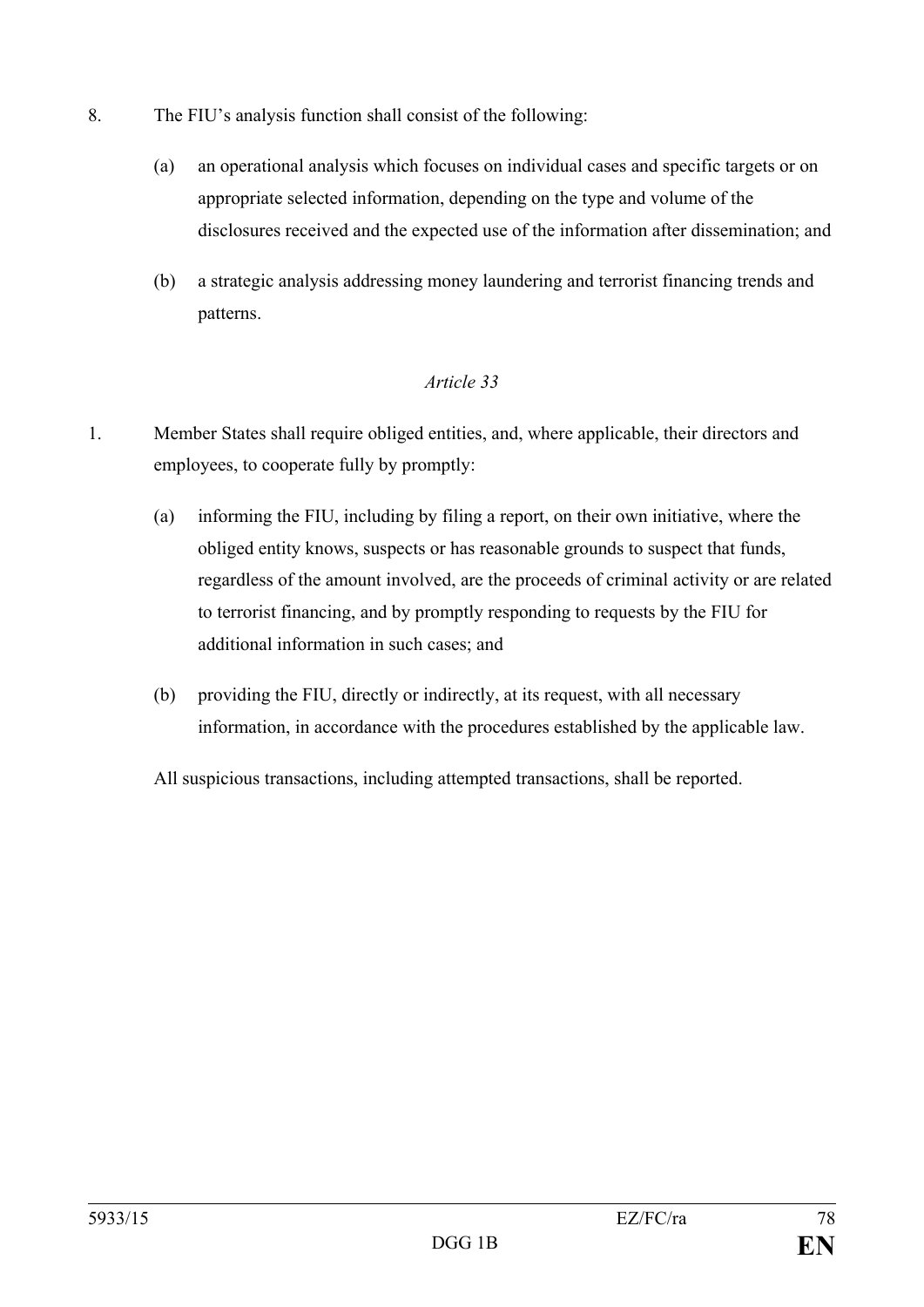- 8. The FIU's analysis function shall consist of the following:
	- (a) an operational analysis which focuses on individual cases and specific targets or on appropriate selected information, depending on the type and volume of the disclosures received and the expected use of the information after dissemination; and
	- (b) a strategic analysis addressing money laundering and terrorist financing trends and patterns.

- 1. Member States shall require obliged entities, and, where applicable, their directors and employees, to cooperate fully by promptly:
	- (a) informing the FIU, including by filing a report, on their own initiative, where the obliged entity knows, suspects or has reasonable grounds to suspect that funds, regardless of the amount involved, are the proceeds of criminal activity or are related to terrorist financing, and by promptly responding to requests by the FIU for additional information in such cases; and
	- (b) providing the FIU, directly or indirectly, at its request, with all necessary information, in accordance with the procedures established by the applicable law.

All suspicious transactions, including attempted transactions, shall be reported.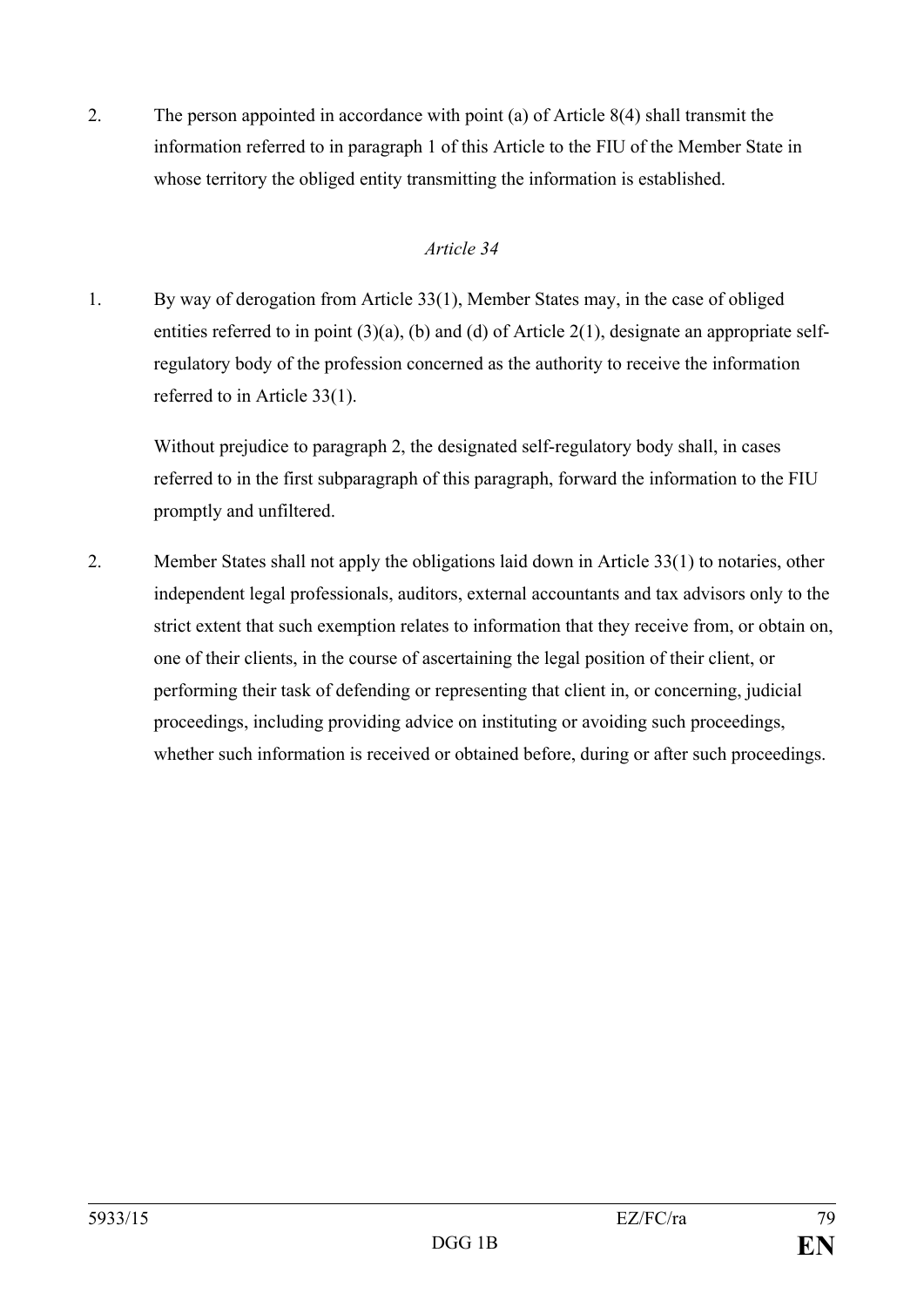2. The person appointed in accordance with point (a) of Article 8(4) shall transmit the information referred to in paragraph 1 of this Article to the FIU of the Member State in whose territory the obliged entity transmitting the information is established.

## *Article 34*

1. By way of derogation from Article 33(1), Member States may, in the case of obliged entities referred to in point (3)(a), (b) and (d) of Article 2(1), designate an appropriate selfregulatory body of the profession concerned as the authority to receive the information referred to in Article 33(1).

Without prejudice to paragraph 2, the designated self-regulatory body shall, in cases referred to in the first subparagraph of this paragraph, forward the information to the FIU promptly and unfiltered.

2. Member States shall not apply the obligations laid down in Article 33(1) to notaries, other independent legal professionals, auditors, external accountants and tax advisors only to the strict extent that such exemption relates to information that they receive from, or obtain on, one of their clients, in the course of ascertaining the legal position of their client, or performing their task of defending or representing that client in, or concerning, judicial proceedings, including providing advice on instituting or avoiding such proceedings, whether such information is received or obtained before, during or after such proceedings.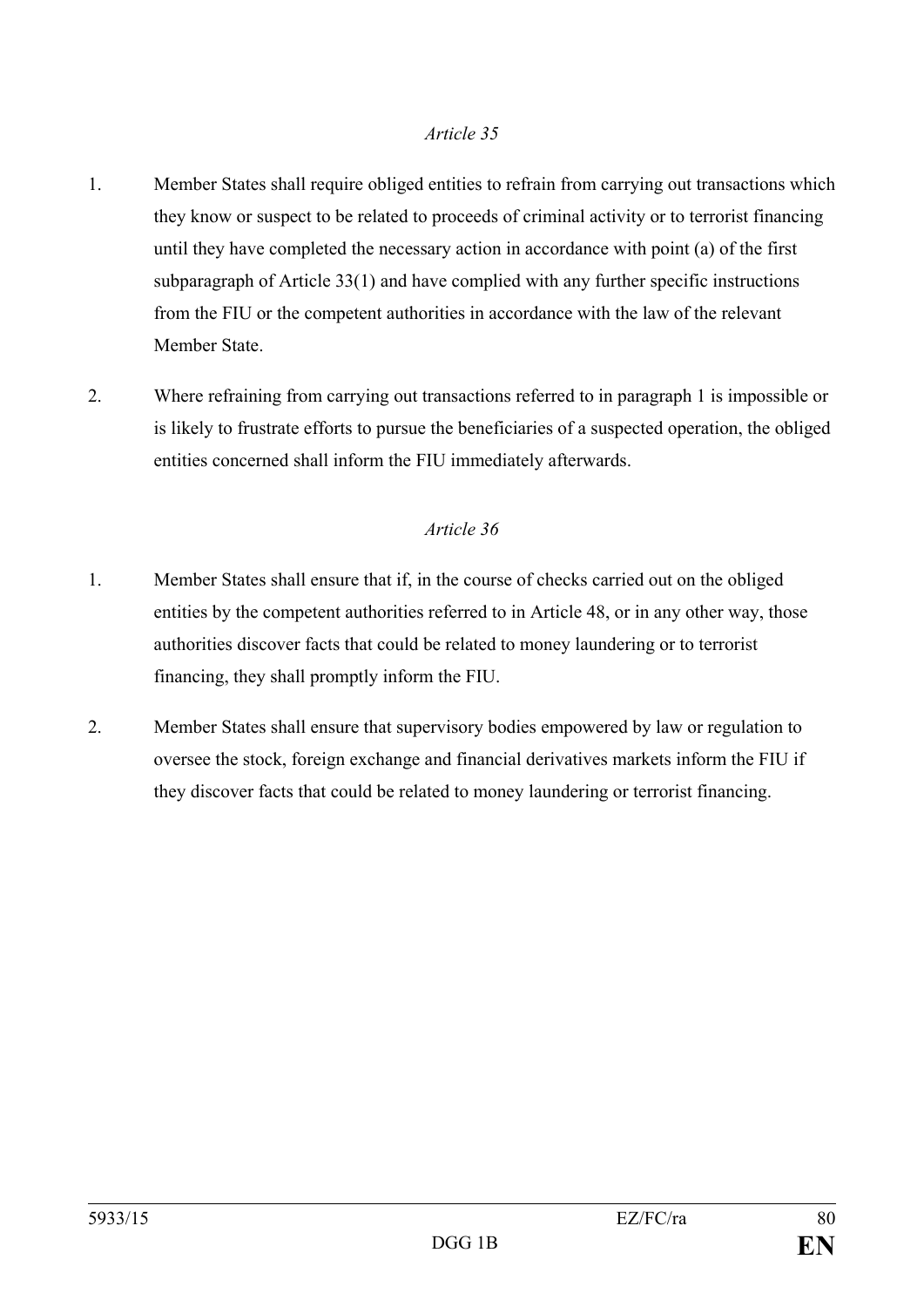- 1. Member States shall require obliged entities to refrain from carrying out transactions which they know or suspect to be related to proceeds of criminal activity or to terrorist financing until they have completed the necessary action in accordance with point (a) of the first subparagraph of Article 33(1) and have complied with any further specific instructions from the FIU or the competent authorities in accordance with the law of the relevant Member State.
- 2. Where refraining from carrying out transactions referred to in paragraph 1 is impossible or is likely to frustrate efforts to pursue the beneficiaries of a suspected operation, the obliged entities concerned shall inform the FIU immediately afterwards.

- 1. Member States shall ensure that if, in the course of checks carried out on the obliged entities by the competent authorities referred to in Article 48, or in any other way, those authorities discover facts that could be related to money laundering or to terrorist financing, they shall promptly inform the FIU.
- 2. Member States shall ensure that supervisory bodies empowered by law or regulation to oversee the stock, foreign exchange and financial derivatives markets inform the FIU if they discover facts that could be related to money laundering or terrorist financing.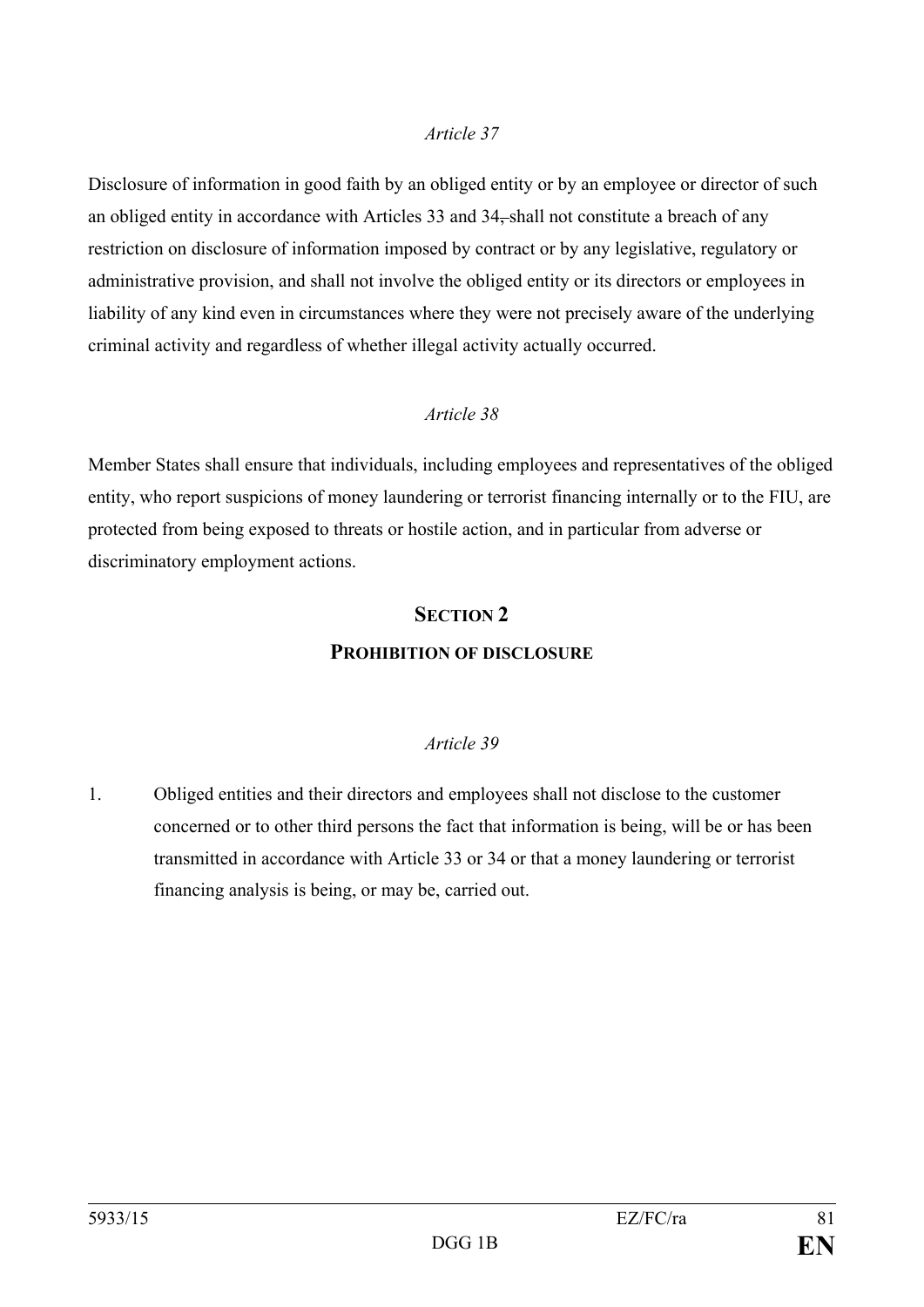Disclosure of information in good faith by an obliged entity or by an employee or director of such an obliged entity in accordance with Articles 33 and 34, shall not constitute a breach of any restriction on disclosure of information imposed by contract or by any legislative, regulatory or administrative provision, and shall not involve the obliged entity or its directors or employees in liability of any kind even in circumstances where they were not precisely aware of the underlying criminal activity and regardless of whether illegal activity actually occurred.

#### *Article 38*

Member States shall ensure that individuals, including employees and representatives of the obliged entity, who report suspicions of money laundering or terrorist financing internally or to the FIU, are protected from being exposed to threats or hostile action, and in particular from adverse or discriminatory employment actions.

## **SECTION 2 PROHIBITION OF DISCLOSURE**

#### *Article 39*

1. Obliged entities and their directors and employees shall not disclose to the customer concerned or to other third persons the fact that information is being, will be or has been transmitted in accordance with Article 33 or 34 or that a money laundering or terrorist financing analysis is being, or may be, carried out.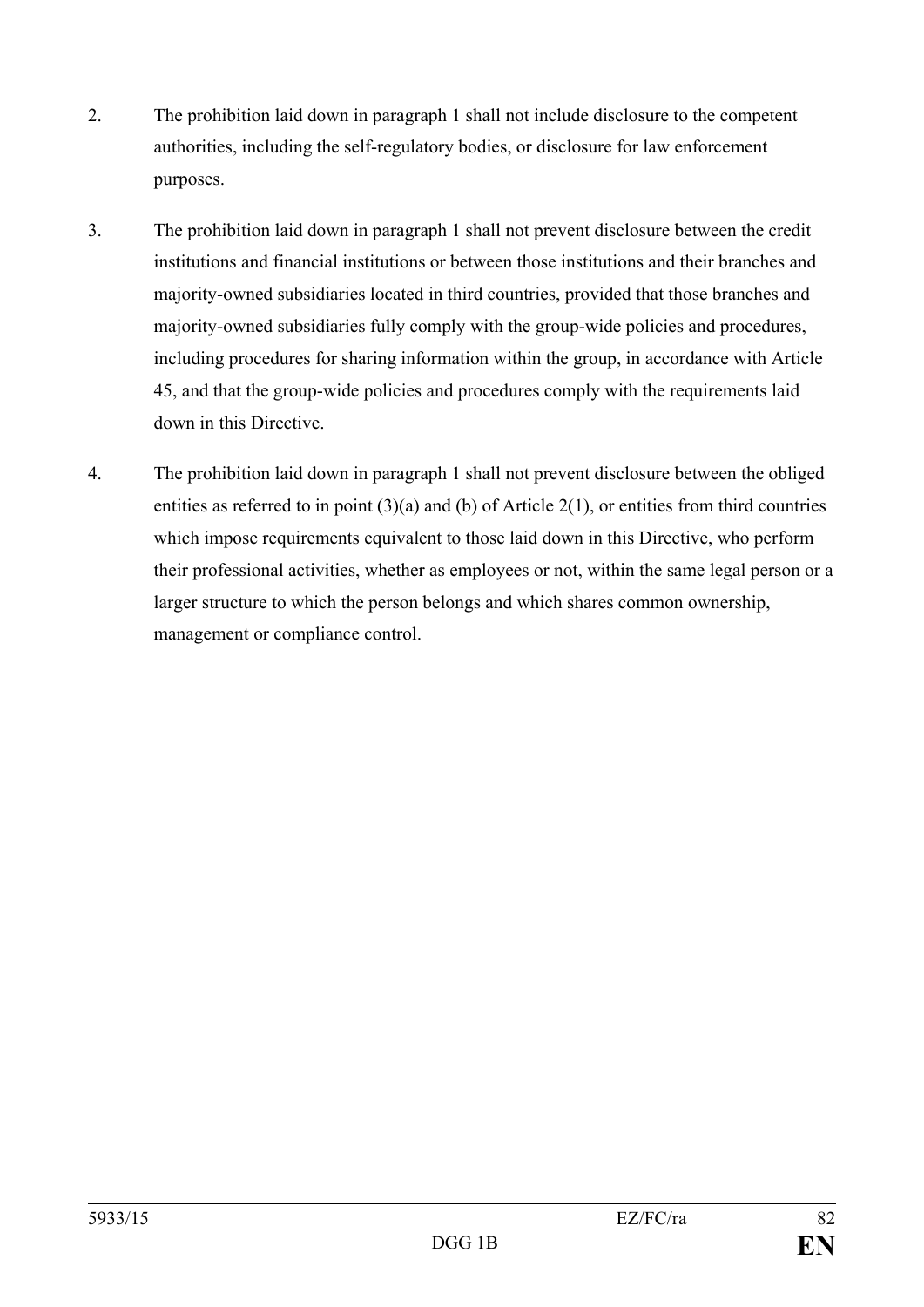- 2. The prohibition laid down in paragraph 1 shall not include disclosure to the competent authorities, including the self-regulatory bodies, or disclosure for law enforcement purposes.
- 3. The prohibition laid down in paragraph 1 shall not prevent disclosure between the credit institutions and financial institutions or between those institutions and their branches and majority-owned subsidiaries located in third countries, provided that those branches and majority-owned subsidiaries fully comply with the group-wide policies and procedures, including procedures for sharing information within the group, in accordance with Article 45, and that the group-wide policies and procedures comply with the requirements laid down in this Directive.
- 4. The prohibition laid down in paragraph 1 shall not prevent disclosure between the obliged entities as referred to in point  $(3)(a)$  and  $(b)$  of Article 2(1), or entities from third countries which impose requirements equivalent to those laid down in this Directive, who perform their professional activities, whether as employees or not, within the same legal person or a larger structure to which the person belongs and which shares common ownership, management or compliance control.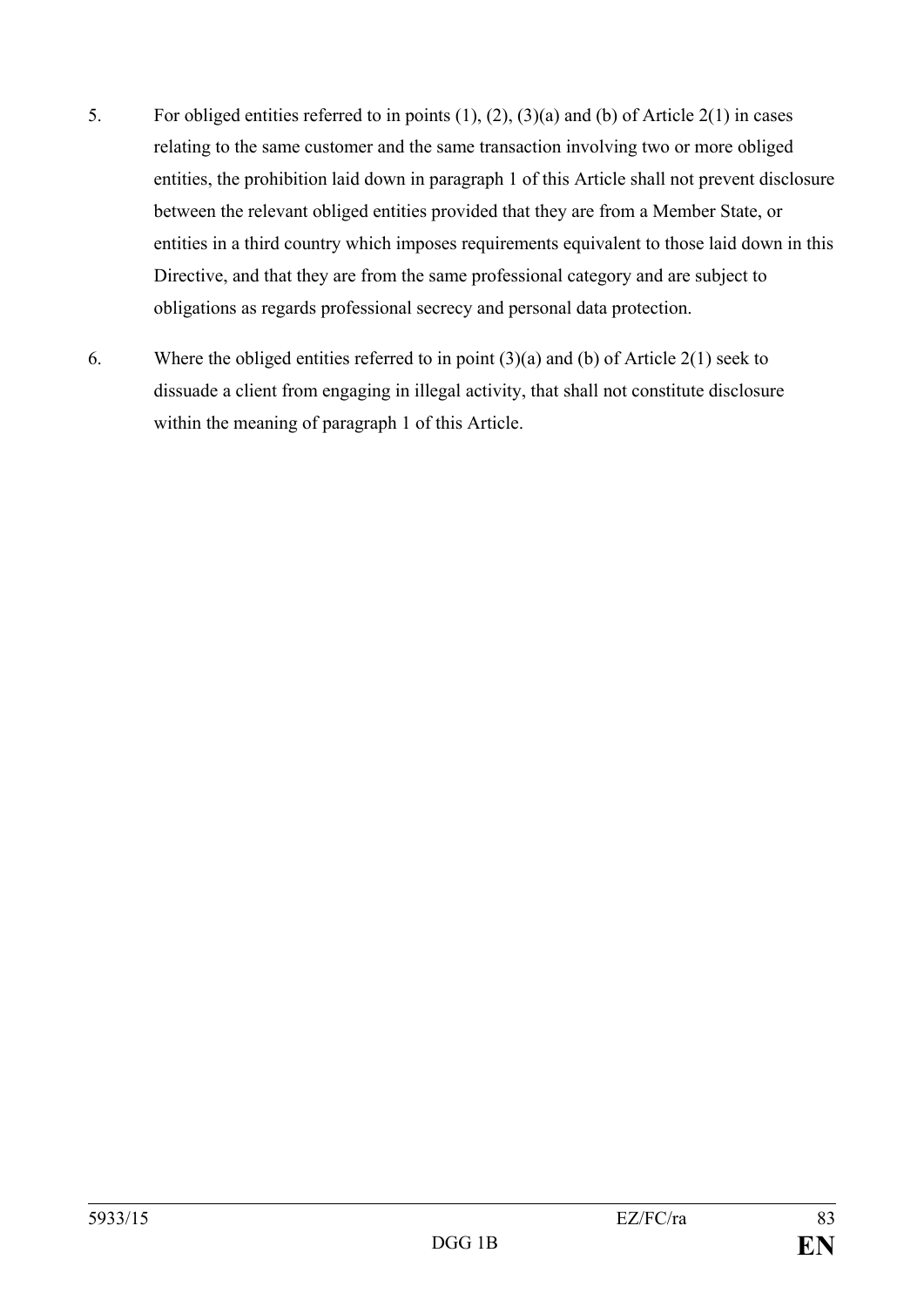- 5. For obliged entities referred to in points (1), (2), (3)(a) and (b) of Article 2(1) in cases relating to the same customer and the same transaction involving two or more obliged entities, the prohibition laid down in paragraph 1 of this Article shall not prevent disclosure between the relevant obliged entities provided that they are from a Member State, or entities in a third country which imposes requirements equivalent to those laid down in this Directive, and that they are from the same professional category and are subject to obligations as regards professional secrecy and personal data protection.
- 6. Where the obliged entities referred to in point (3)(a) and (b) of Article 2(1) seek to dissuade a client from engaging in illegal activity, that shall not constitute disclosure within the meaning of paragraph 1 of this Article.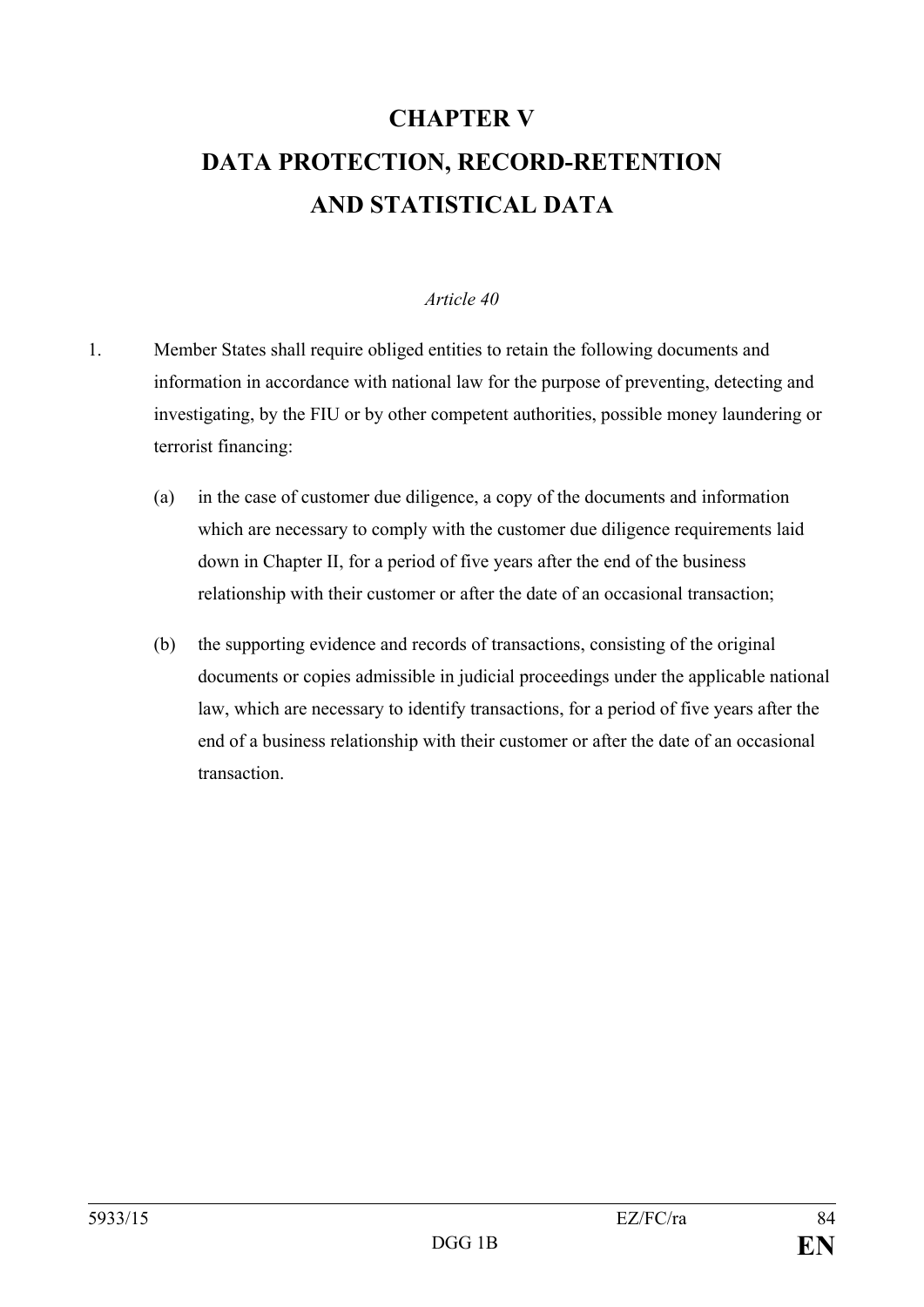# **CHAPTER V DATA PROTECTION, RECORD-RETENTION AND STATISTICAL DATA**

- 1. Member States shall require obliged entities to retain the following documents and information in accordance with national law for the purpose of preventing, detecting and investigating, by the FIU or by other competent authorities, possible money laundering or terrorist financing:
	- (a) in the case of customer due diligence, a copy of the documents and information which are necessary to comply with the customer due diligence requirements laid down in Chapter II, for a period of five years after the end of the business relationship with their customer or after the date of an occasional transaction;
	- (b) the supporting evidence and records of transactions, consisting of the original documents or copies admissible in judicial proceedings under the applicable national law, which are necessary to identify transactions, for a period of five years after the end of a business relationship with their customer or after the date of an occasional transaction.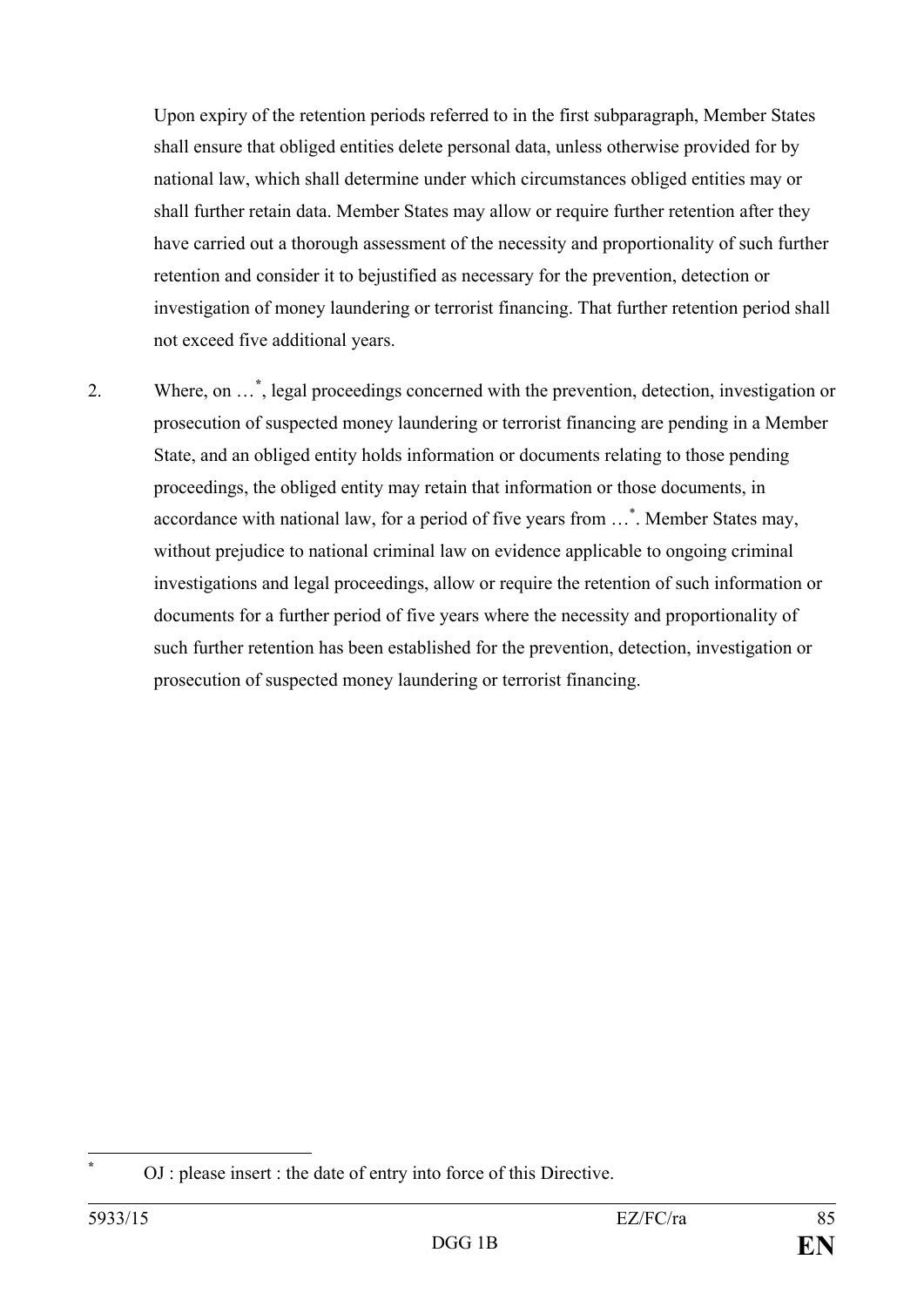Upon expiry of the retention periods referred to in the first subparagraph, Member States shall ensure that obliged entities delete personal data, unless otherwise provided for by national law, which shall determine under which circumstances obliged entities may or shall further retain data. Member States may allow or require further retention after they have carried out a thorough assessment of the necessity and proportionality of such further retention and consider it to bejustified as necessary for the prevention, detection or investigation of money laundering or terrorist financing. That further retention period shall not exceed five additional years.

2. Where, on …**[\\*](#page-85-0)** , legal proceedings concerned with the prevention, detection, investigation or prosecution of suspected money laundering or terrorist financing are pending in a Member State, and an obliged entity holds information or documents relating to those pending proceedings, the obliged entity may retain that information or those documents, in accordance with national law, for a period of five years from ...\*. Member States may, without prejudice to national criminal law on evidence applicable to ongoing criminal investigations and legal proceedings, allow or require the retention of such information or documents for a further period of five years where the necessity and proportionality of such further retention has been established for the prevention, detection, investigation or prosecution of suspected money laundering or terrorist financing.

<span id="page-85-0"></span>**<sup>\*</sup>** OJ : please insert : the date of entry into force of this Directive.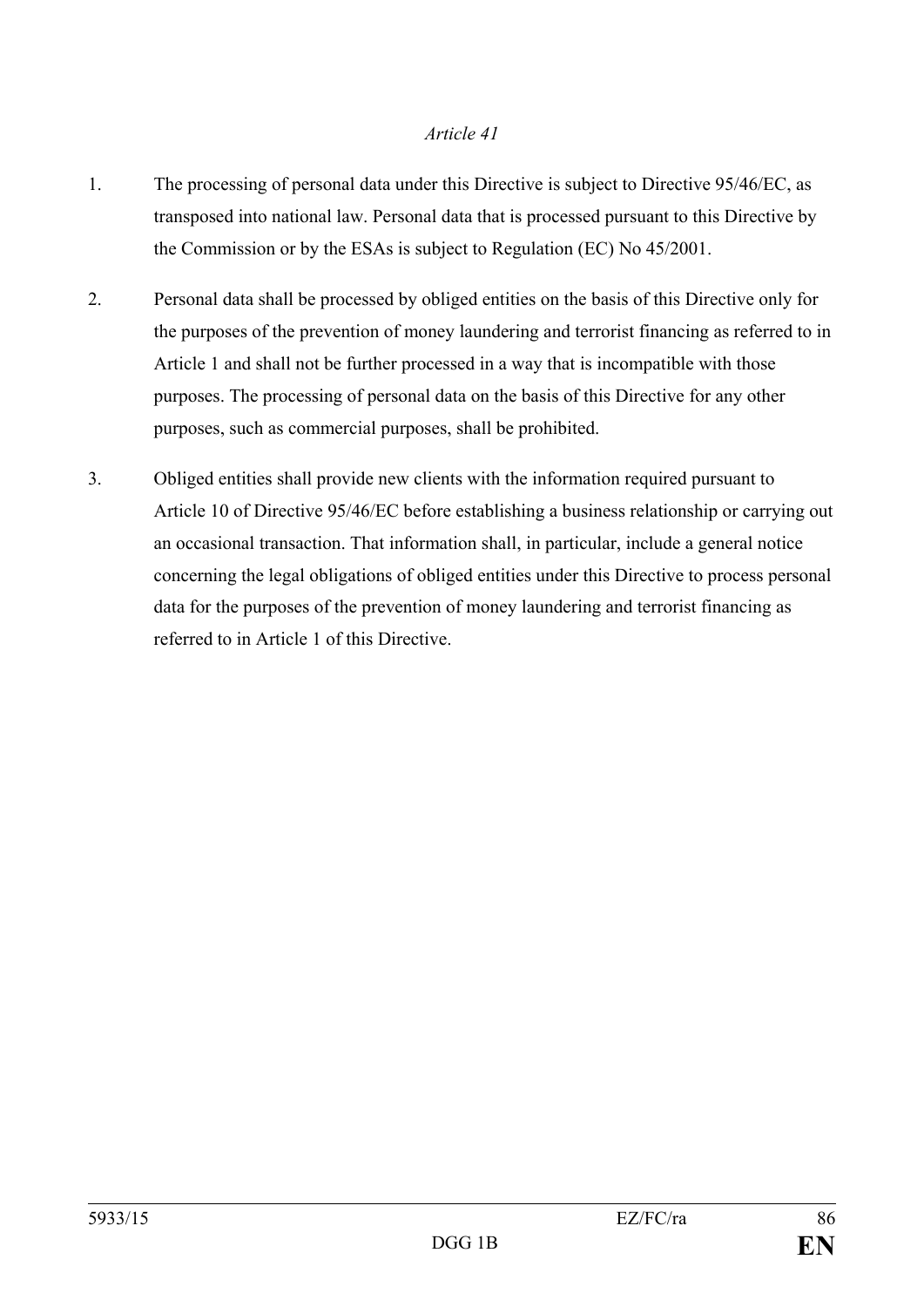- 1. The processing of personal data under this Directive is subject to Directive 95/46/EC, as transposed into national law. Personal data that is processed pursuant to this Directive by the Commission or by the ESAs is subject to Regulation (EC) No 45/2001.
- 2. Personal data shall be processed by obliged entities on the basis of this Directive only for the purposes of the prevention of money laundering and terrorist financing as referred to in Article 1 and shall not be further processed in a way that is incompatible with those purposes. The processing of personal data on the basis of this Directive for any other purposes, such as commercial purposes, shall be prohibited.
- 3. Obliged entities shall provide new clients with the information required pursuant to Article 10 of Directive 95/46/EC before establishing a business relationship or carrying out an occasional transaction. That information shall, in particular, include a general notice concerning the legal obligations of obliged entities under this Directive to process personal data for the purposes of the prevention of money laundering and terrorist financing as referred to in Article 1 of this Directive.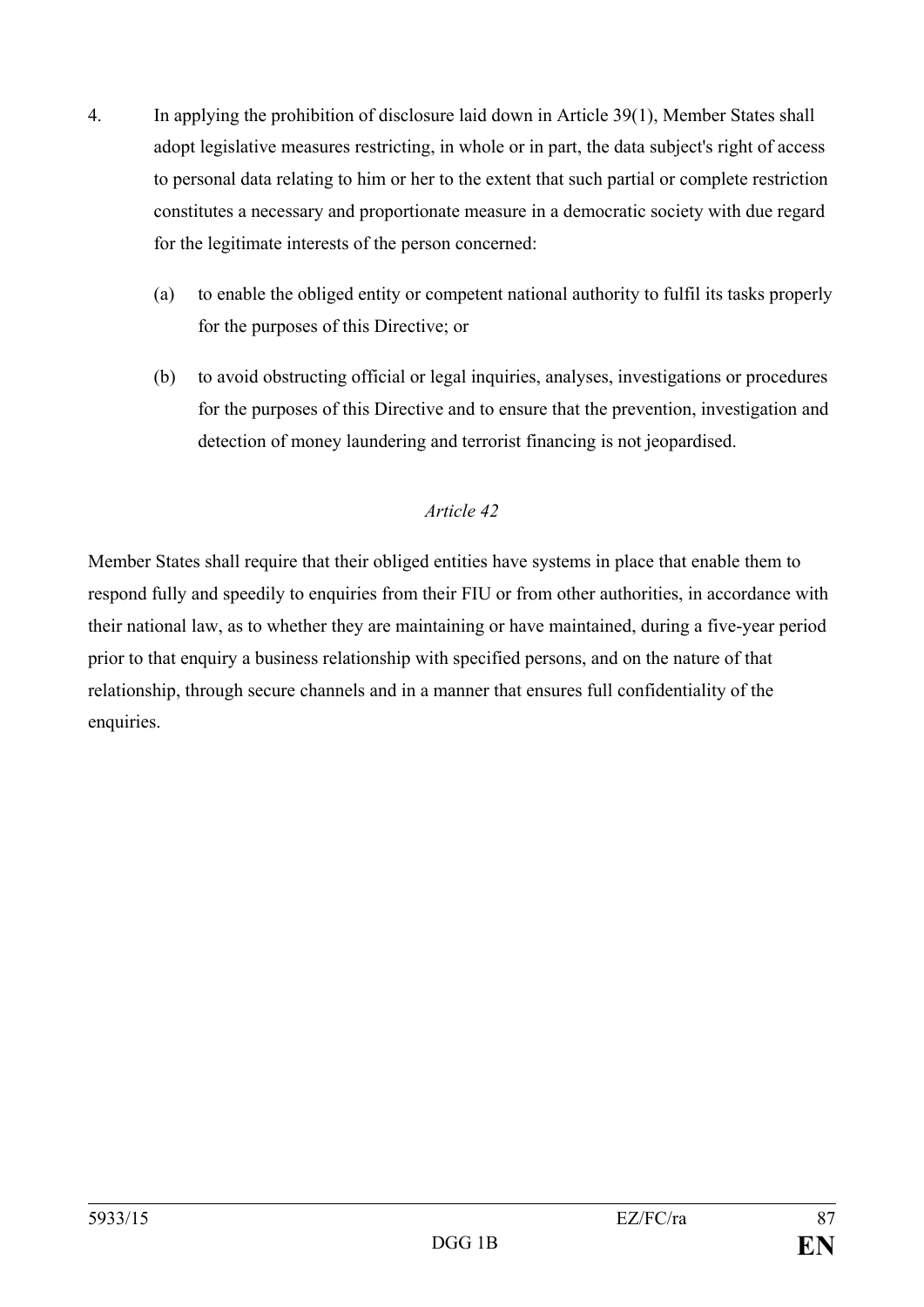- 4. In applying the prohibition of disclosure laid down in Article 39(1), Member States shall adopt legislative measures restricting, in whole or in part, the data subject's right of access to personal data relating to him or her to the extent that such partial or complete restriction constitutes a necessary and proportionate measure in a democratic society with due regard for the legitimate interests of the person concerned:
	- (a) to enable the obliged entity or competent national authority to fulfil its tasks properly for the purposes of this Directive; or
	- (b) to avoid obstructing official or legal inquiries, analyses, investigations or procedures for the purposes of this Directive and to ensure that the prevention, investigation and detection of money laundering and terrorist financing is not jeopardised.

Member States shall require that their obliged entities have systems in place that enable them to respond fully and speedily to enquiries from their FIU or from other authorities, in accordance with their national law, as to whether they are maintaining or have maintained, during a five-year period prior to that enquiry a business relationship with specified persons, and on the nature of that relationship, through secure channels and in a manner that ensures full confidentiality of the enquiries.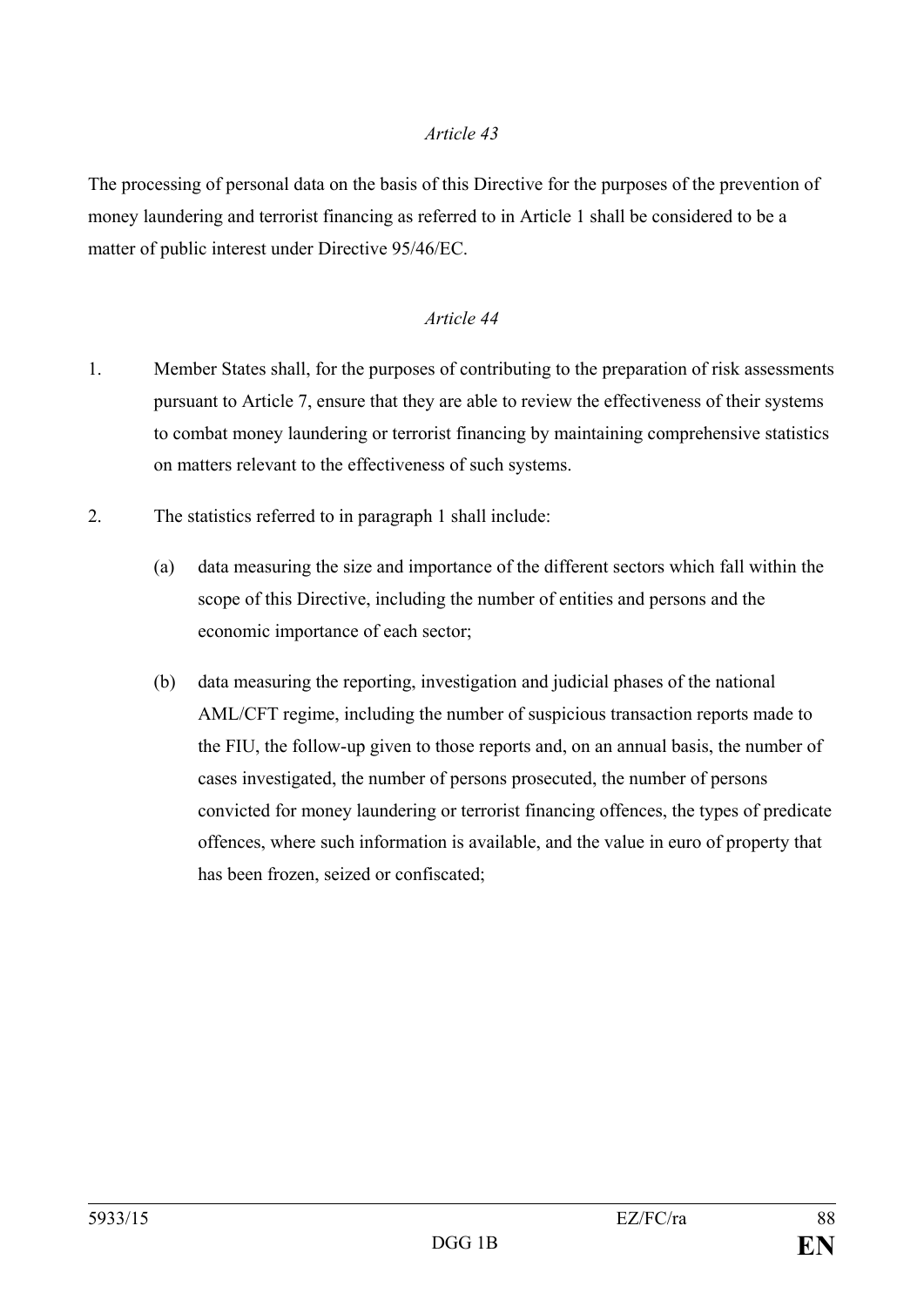The processing of personal data on the basis of this Directive for the purposes of the prevention of money laundering and terrorist financing as referred to in Article 1 shall be considered to be a matter of public interest under Directive 95/46/EC.

- 1. Member States shall, for the purposes of contributing to the preparation of risk assessments pursuant to Article 7, ensure that they are able to review the effectiveness of their systems to combat money laundering or terrorist financing by maintaining comprehensive statistics on matters relevant to the effectiveness of such systems.
- 2. The statistics referred to in paragraph 1 shall include:
	- (a) data measuring the size and importance of the different sectors which fall within the scope of this Directive, including the number of entities and persons and the economic importance of each sector;
	- (b) data measuring the reporting, investigation and judicial phases of the national AML/CFT regime, including the number of suspicious transaction reports made to the FIU, the follow-up given to those reports and, on an annual basis, the number of cases investigated, the number of persons prosecuted, the number of persons convicted for money laundering or terrorist financing offences, the types of predicate offences, where such information is available, and the value in euro of property that has been frozen, seized or confiscated;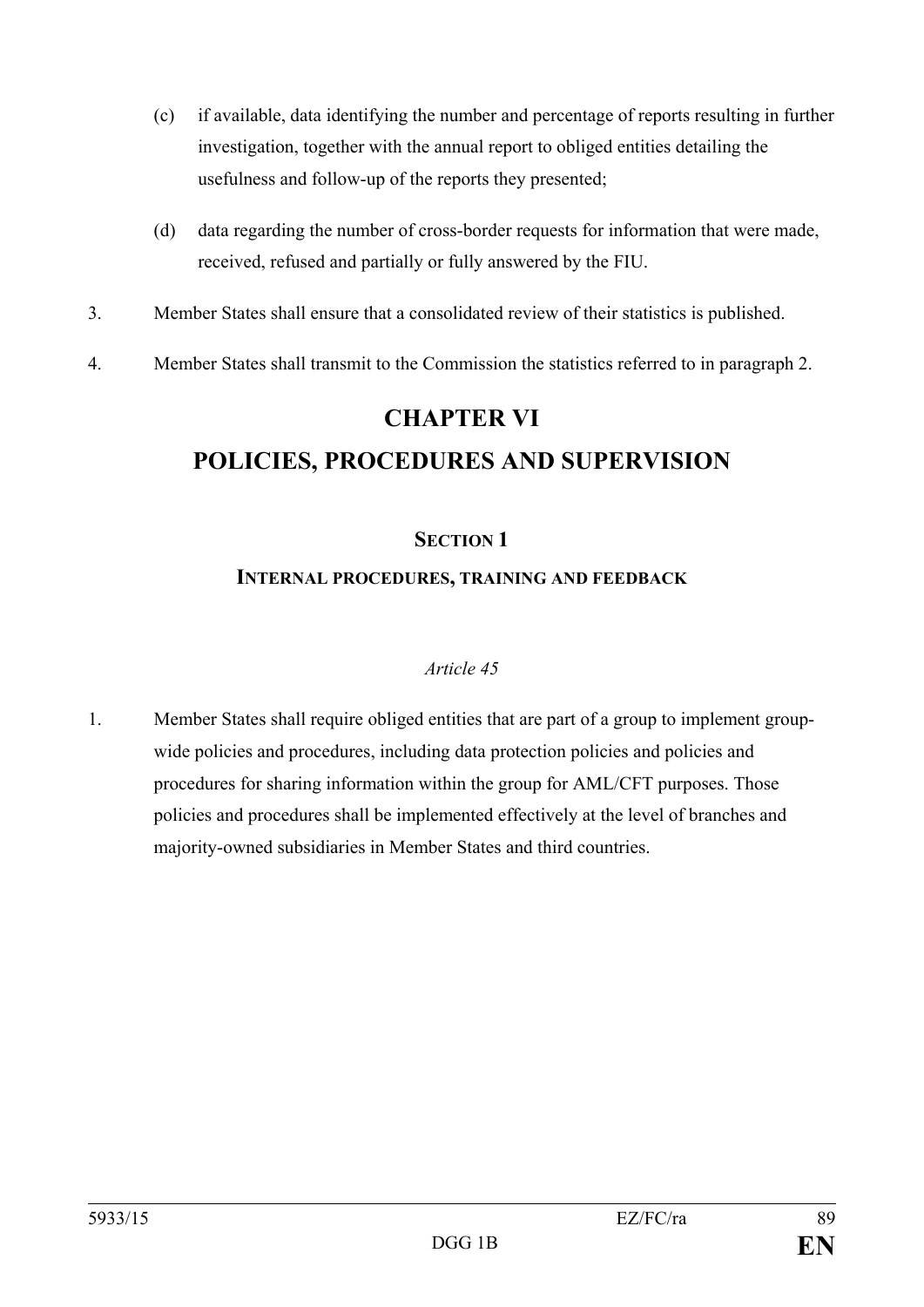- (c) if available, data identifying the number and percentage of reports resulting in further investigation, together with the annual report to obliged entities detailing the usefulness and follow-up of the reports they presented;
- (d) data regarding the number of cross-border requests for information that were made, received, refused and partially or fully answered by the FIU.
- 3. Member States shall ensure that a consolidated review of their statistics is published.
- 4. Member States shall transmit to the Commission the statistics referred to in paragraph 2.

# **CHAPTER VI POLICIES, PROCEDURES AND SUPERVISION**

## **SECTION 1**

## **INTERNAL PROCEDURES, TRAINING AND FEEDBACK**

## *Article 45*

1. Member States shall require obliged entities that are part of a group to implement groupwide policies and procedures, including data protection policies and policies and procedures for sharing information within the group for AML/CFT purposes. Those policies and procedures shall be implemented effectively at the level of branches and majority-owned subsidiaries in Member States and third countries.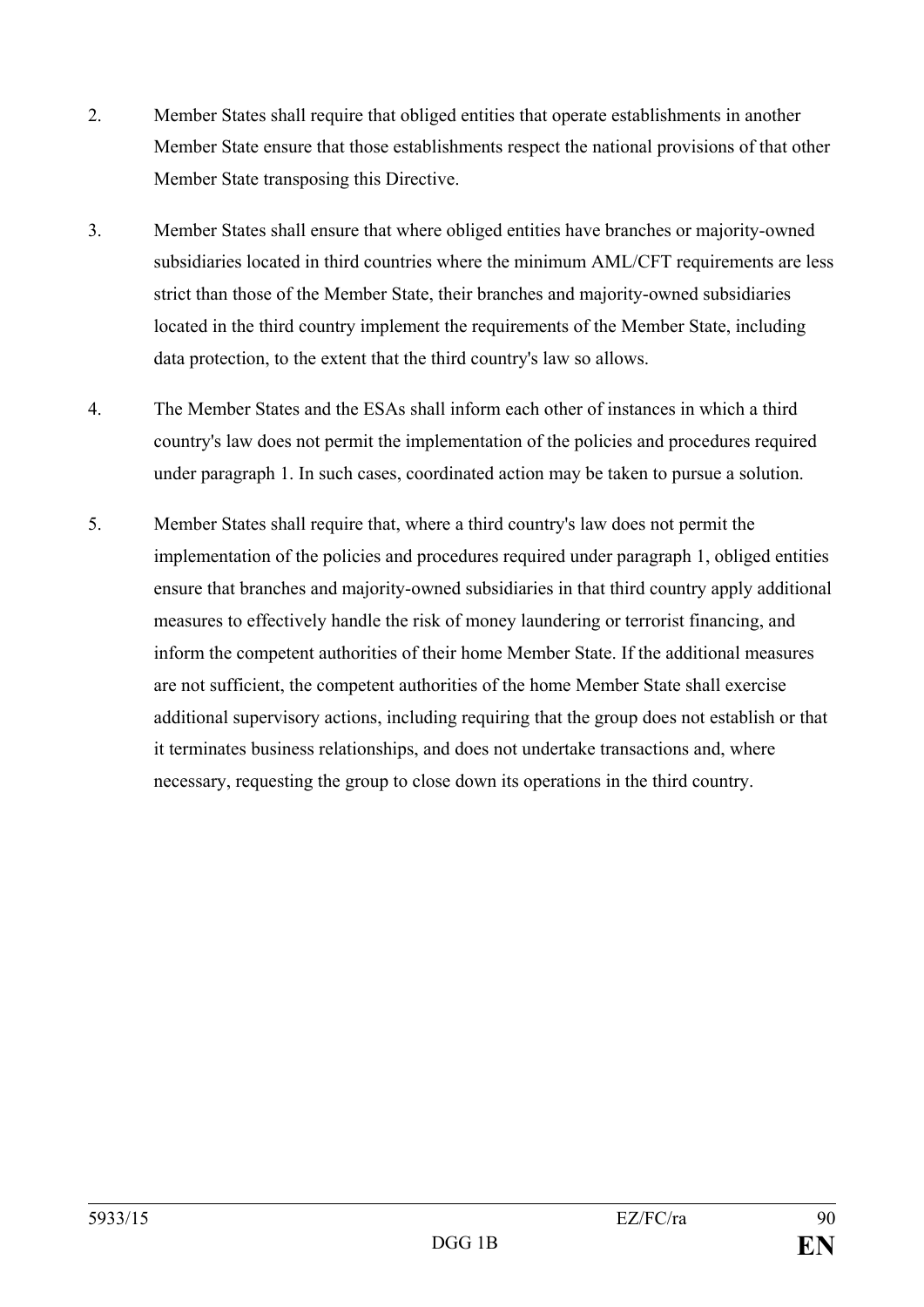- 2. Member States shall require that obliged entities that operate establishments in another Member State ensure that those establishments respect the national provisions of that other Member State transposing this Directive.
- 3. Member States shall ensure that where obliged entities have branches or majority-owned subsidiaries located in third countries where the minimum AML/CFT requirements are less strict than those of the Member State, their branches and majority-owned subsidiaries located in the third country implement the requirements of the Member State, including data protection, to the extent that the third country's law so allows.
- 4. The Member States and the ESAs shall inform each other of instances in which a third country's law does not permit the implementation of the policies and procedures required under paragraph 1. In such cases, coordinated action may be taken to pursue a solution.
- 5. Member States shall require that, where a third country's law does not permit the implementation of the policies and procedures required under paragraph 1, obliged entities ensure that branches and majority-owned subsidiaries in that third country apply additional measures to effectively handle the risk of money laundering or terrorist financing, and inform the competent authorities of their home Member State. If the additional measures are not sufficient, the competent authorities of the home Member State shall exercise additional supervisory actions, including requiring that the group does not establish or that it terminates business relationships, and does not undertake transactions and, where necessary, requesting the group to close down its operations in the third country.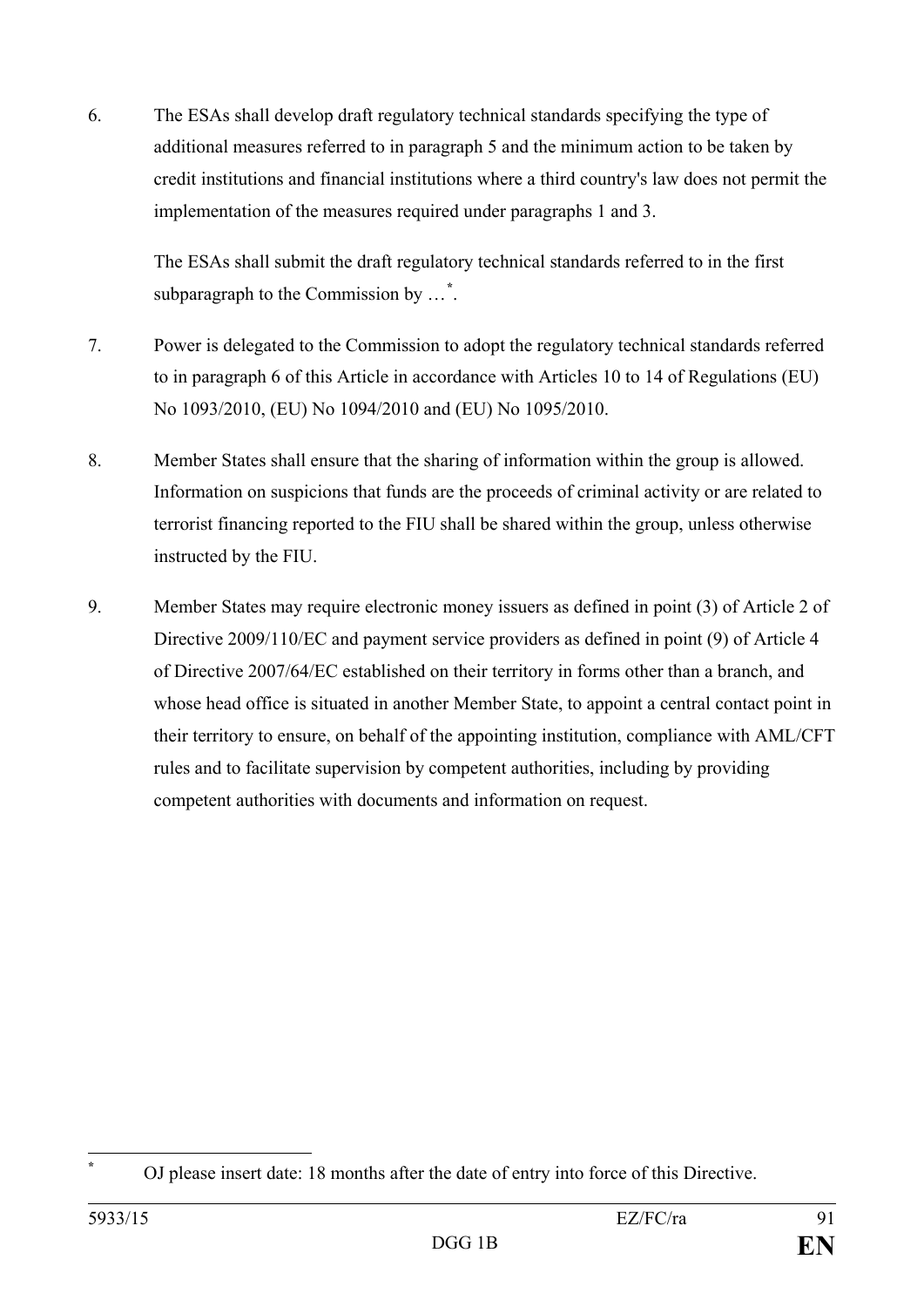6. The ESAs shall develop draft regulatory technical standards specifying the type of additional measures referred to in paragraph 5 and the minimum action to be taken by credit institutions and financial institutions where a third country's law does not permit the implementation of the measures required under paragraphs 1 and 3.

The ESAs shall submit the draft regulatory technical standards referred to in the first subparagraph to the Commission by …**[\\*](#page-91-0)** .

- 7. Power is delegated to the Commission to adopt the regulatory technical standards referred to in paragraph 6 of this Article in accordance with Articles 10 to 14 of Regulations (EU) No 1093/2010, (EU) No 1094/2010 and (EU) No 1095/2010.
- 8. Member States shall ensure that the sharing of information within the group is allowed. Information on suspicions that funds are the proceeds of criminal activity or are related to terrorist financing reported to the FIU shall be shared within the group, unless otherwise instructed by the FIU.
- 9. Member States may require electronic money issuers as defined in point (3) of Article 2 of Directive 2009/110/EC and payment service providers as defined in point (9) of Article 4 of Directive 2007/64/EC established on their territory in forms other than a branch, and whose head office is situated in another Member State, to appoint a central contact point in their territory to ensure, on behalf of the appointing institution, compliance with AML/CFT rules and to facilitate supervision by competent authorities, including by providing competent authorities with documents and information on request.

<span id="page-91-0"></span>**<sup>\*</sup>** OJ please insert date: 18 months after the date of entry into force of this Directive.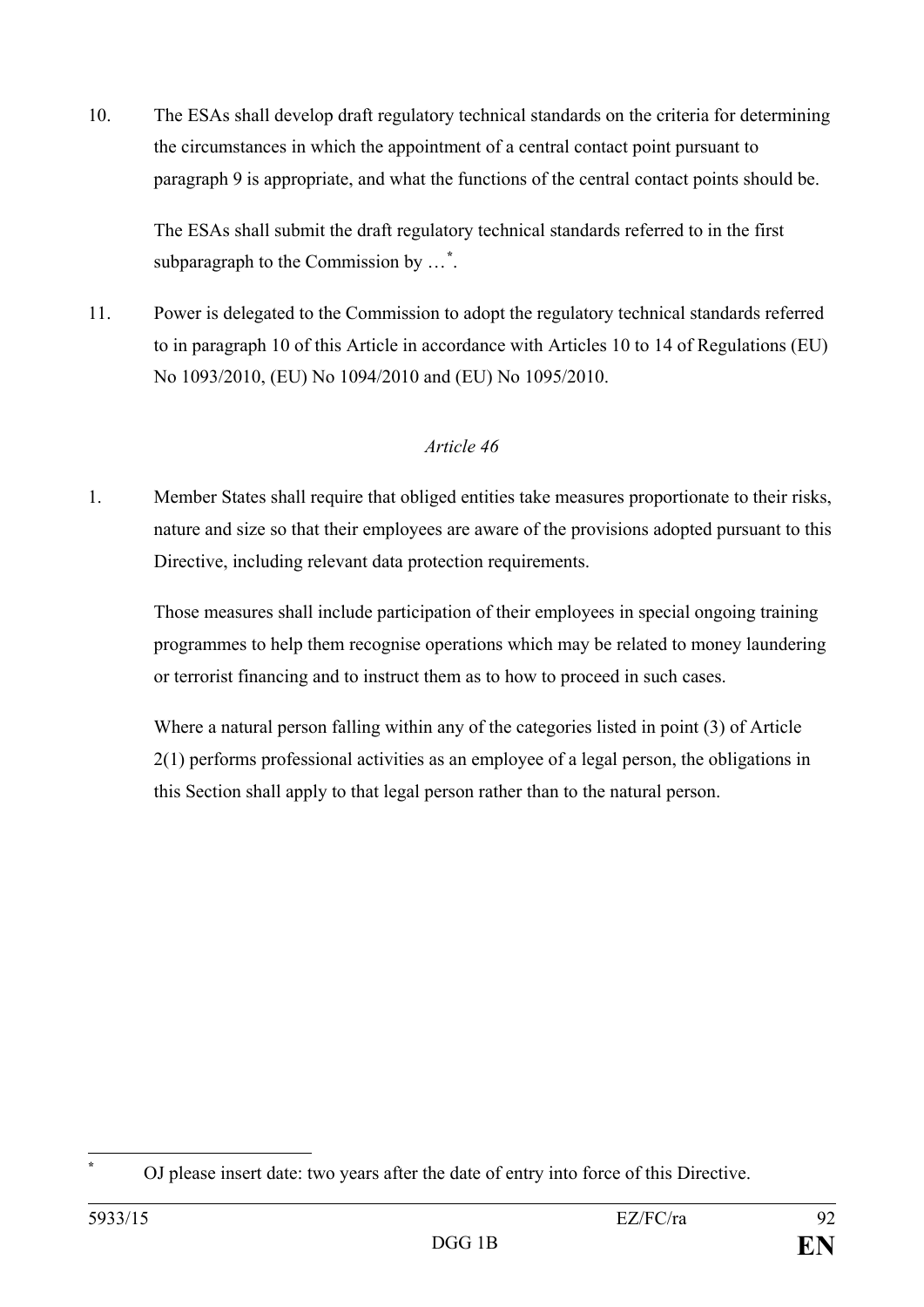10. The ESAs shall develop draft regulatory technical standards on the criteria for determining the circumstances in which the appointment of a central contact point pursuant to paragraph 9 is appropriate, and what the functions of the central contact points should be.

The ESAs shall submit the draft regulatory technical standards referred to in the first subparagraph to the Commission by …**[\\*](#page-92-0)** .

11. Power is delegated to the Commission to adopt the regulatory technical standards referred to in paragraph 10 of this Article in accordance with Articles 10 to 14 of Regulations (EU) No 1093/2010, (EU) No 1094/2010 and (EU) No 1095/2010.

## *Article 46*

1. Member States shall require that obliged entities take measures proportionate to their risks, nature and size so that their employees are aware of the provisions adopted pursuant to this Directive, including relevant data protection requirements.

Those measures shall include participation of their employees in special ongoing training programmes to help them recognise operations which may be related to money laundering or terrorist financing and to instruct them as to how to proceed in such cases.

Where a natural person falling within any of the categories listed in point (3) of Article 2(1) performs professional activities as an employee of a legal person, the obligations in this Section shall apply to that legal person rather than to the natural person.

<span id="page-92-0"></span>**<sup>\*</sup>** OJ please insert date: two years after the date of entry into force of this Directive.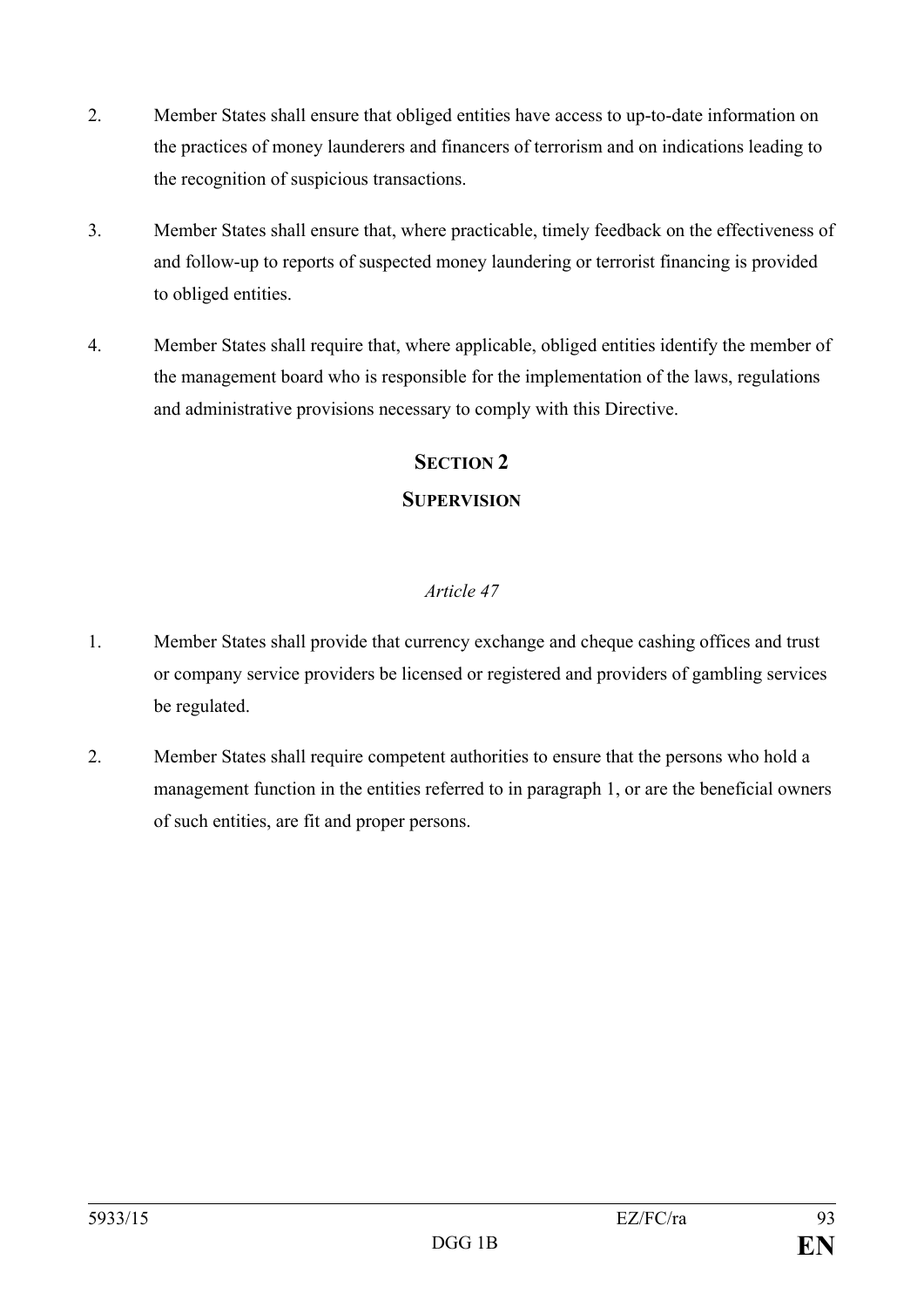- 2. Member States shall ensure that obliged entities have access to up-to-date information on the practices of money launderers and financers of terrorism and on indications leading to the recognition of suspicious transactions.
- 3. Member States shall ensure that, where practicable, timely feedback on the effectiveness of and follow-up to reports of suspected money laundering or terrorist financing is provided to obliged entities.
- 4. Member States shall require that, where applicable, obliged entities identify the member of the management board who is responsible for the implementation of the laws, regulations and administrative provisions necessary to comply with this Directive.

## **SECTION 2**

## **SUPERVISION**

- 1. Member States shall provide that currency exchange and cheque cashing offices and trust or company service providers be licensed or registered and providers of gambling services be regulated.
- 2. Member States shall require competent authorities to ensure that the persons who hold a management function in the entities referred to in paragraph 1, or are the beneficial owners of such entities, are fit and proper persons.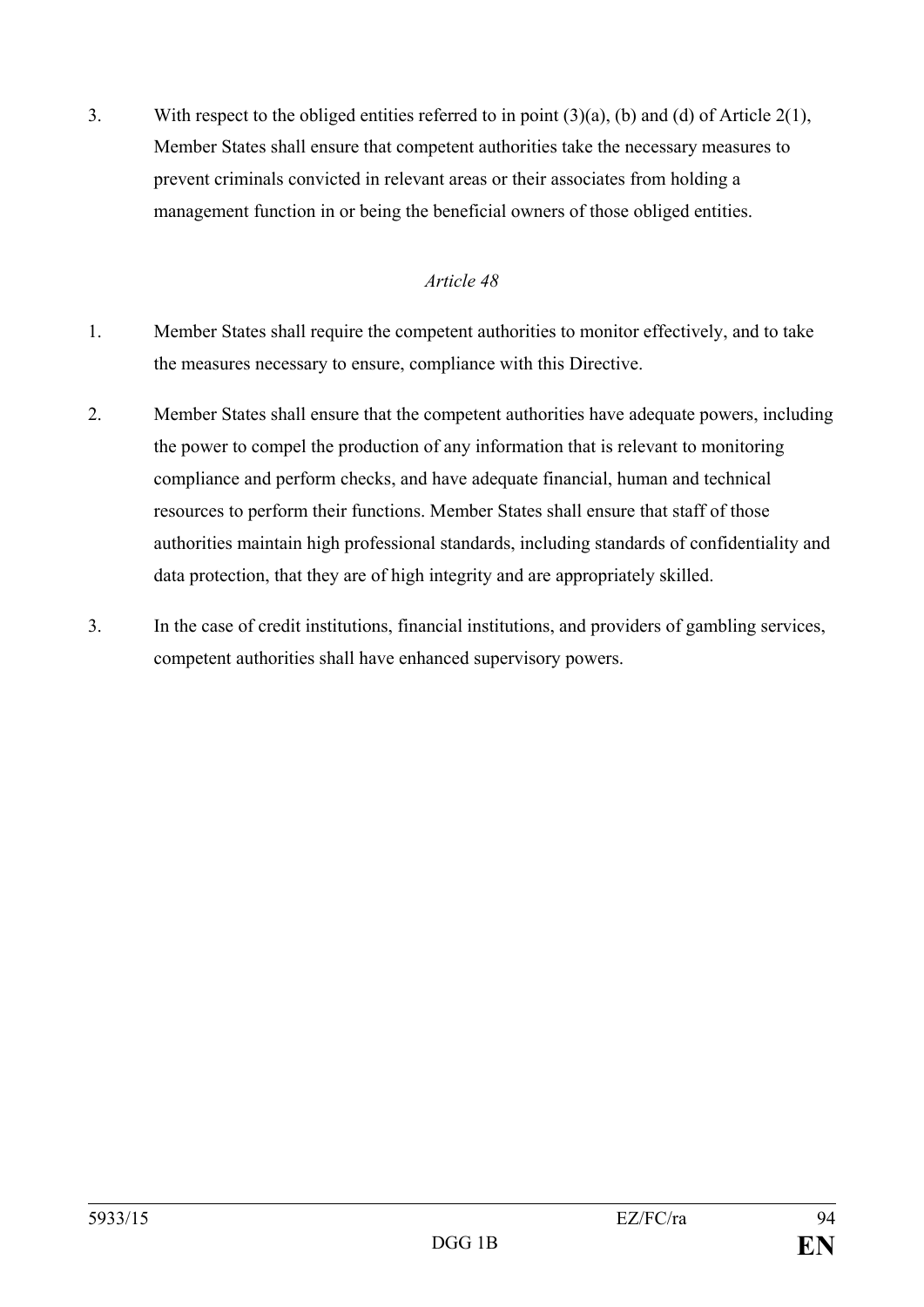3. With respect to the obliged entities referred to in point (3)(a), (b) and (d) of Article 2(1), Member States shall ensure that competent authorities take the necessary measures to prevent criminals convicted in relevant areas or their associates from holding a management function in or being the beneficial owners of those obliged entities.

- 1. Member States shall require the competent authorities to monitor effectively, and to take the measures necessary to ensure, compliance with this Directive.
- 2. Member States shall ensure that the competent authorities have adequate powers, including the power to compel the production of any information that is relevant to monitoring compliance and perform checks, and have adequate financial, human and technical resources to perform their functions. Member States shall ensure that staff of those authorities maintain high professional standards, including standards of confidentiality and data protection, that they are of high integrity and are appropriately skilled.
- 3. In the case of credit institutions, financial institutions, and providers of gambling services, competent authorities shall have enhanced supervisory powers.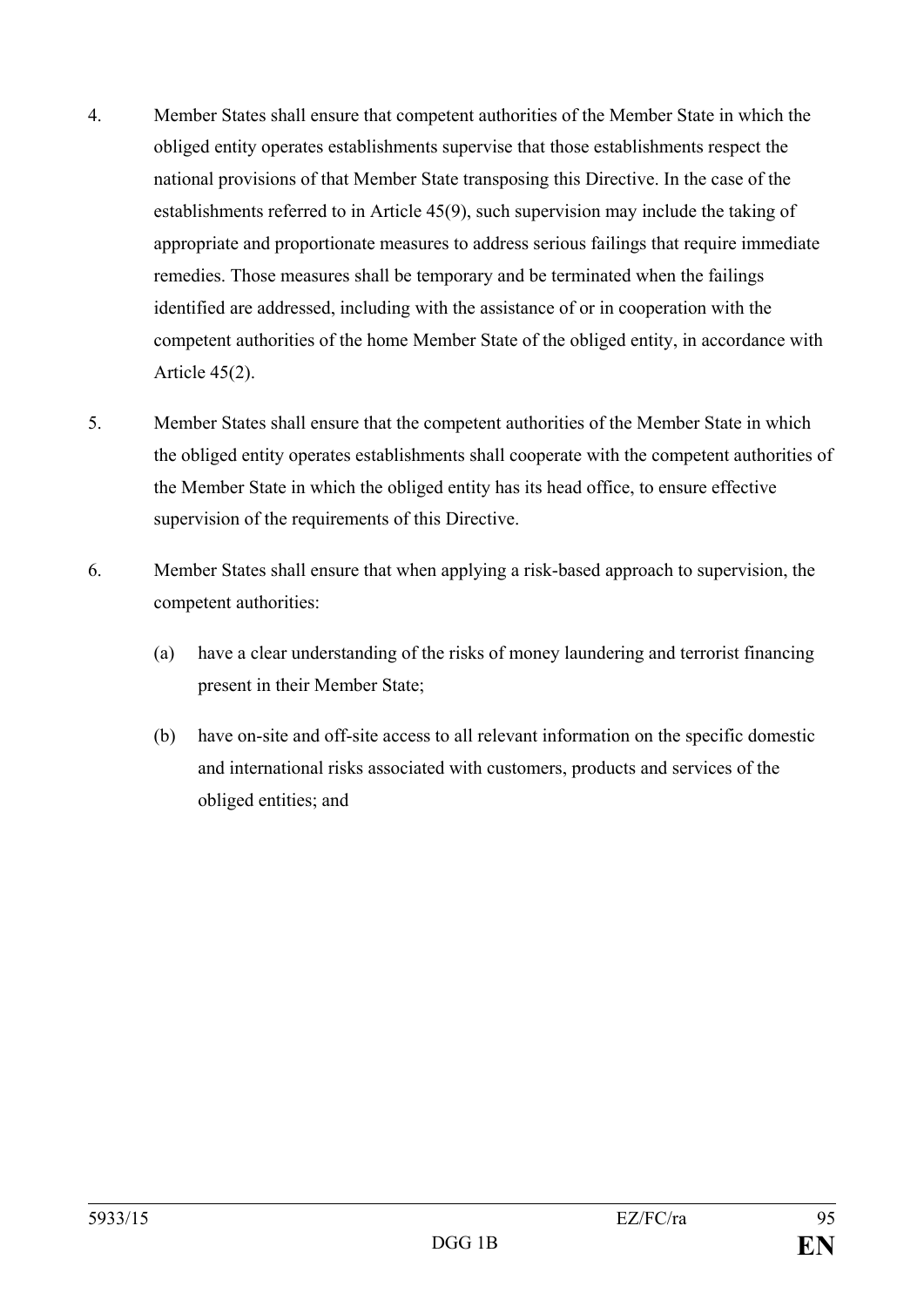- 4. Member States shall ensure that competent authorities of the Member State in which the obliged entity operates establishments supervise that those establishments respect the national provisions of that Member State transposing this Directive. In the case of the establishments referred to in Article 45(9), such supervision may include the taking of appropriate and proportionate measures to address serious failings that require immediate remedies. Those measures shall be temporary and be terminated when the failings identified are addressed, including with the assistance of or in cooperation with the competent authorities of the home Member State of the obliged entity, in accordance with Article 45(2).
- 5. Member States shall ensure that the competent authorities of the Member State in which the obliged entity operates establishments shall cooperate with the competent authorities of the Member State in which the obliged entity has its head office, to ensure effective supervision of the requirements of this Directive.
- 6. Member States shall ensure that when applying a risk-based approach to supervision, the competent authorities:
	- (a) have a clear understanding of the risks of money laundering and terrorist financing present in their Member State;
	- (b) have on-site and off-site access to all relevant information on the specific domestic and international risks associated with customers, products and services of the obliged entities; and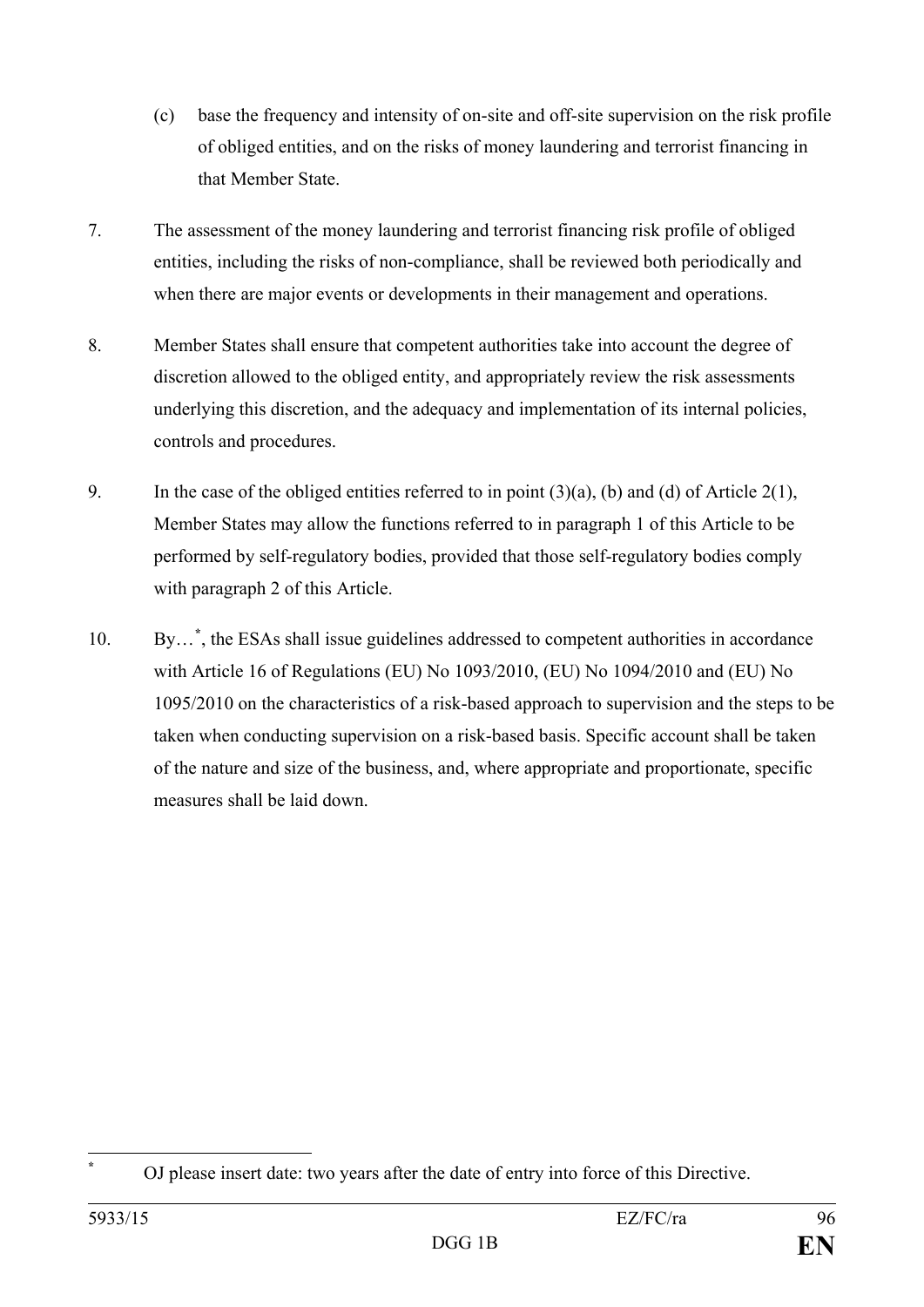- (c) base the frequency and intensity of on-site and off-site supervision on the risk profile of obliged entities, and on the risks of money laundering and terrorist financing in that Member State.
- 7. The assessment of the money laundering and terrorist financing risk profile of obliged entities, including the risks of non-compliance, shall be reviewed both periodically and when there are major events or developments in their management and operations.
- 8. Member States shall ensure that competent authorities take into account the degree of discretion allowed to the obliged entity, and appropriately review the risk assessments underlying this discretion, and the adequacy and implementation of its internal policies, controls and procedures.
- 9. In the case of the obliged entities referred to in point  $(3)(a)$ , (b) and (d) of Article 2(1), Member States may allow the functions referred to in paragraph 1 of this Article to be performed by self-regulatory bodies, provided that those self-regulatory bodies comply with paragraph 2 of this Article.
- 10. By...<sup>\*</sup>[, t](#page-96-0)he ESAs shall issue guidelines addressed to competent authorities in accordance with Article 16 of Regulations (EU) No 1093/2010, (EU) No 1094/2010 and (EU) No 1095/2010 on the characteristics of a risk-based approach to supervision and the steps to be taken when conducting supervision on a risk-based basis. Specific account shall be taken of the nature and size of the business, and, where appropriate and proportionate, specific measures shall be laid down.

<span id="page-96-0"></span>**<sup>\*</sup>** OJ please insert date: two years after the date of entry into force of this Directive.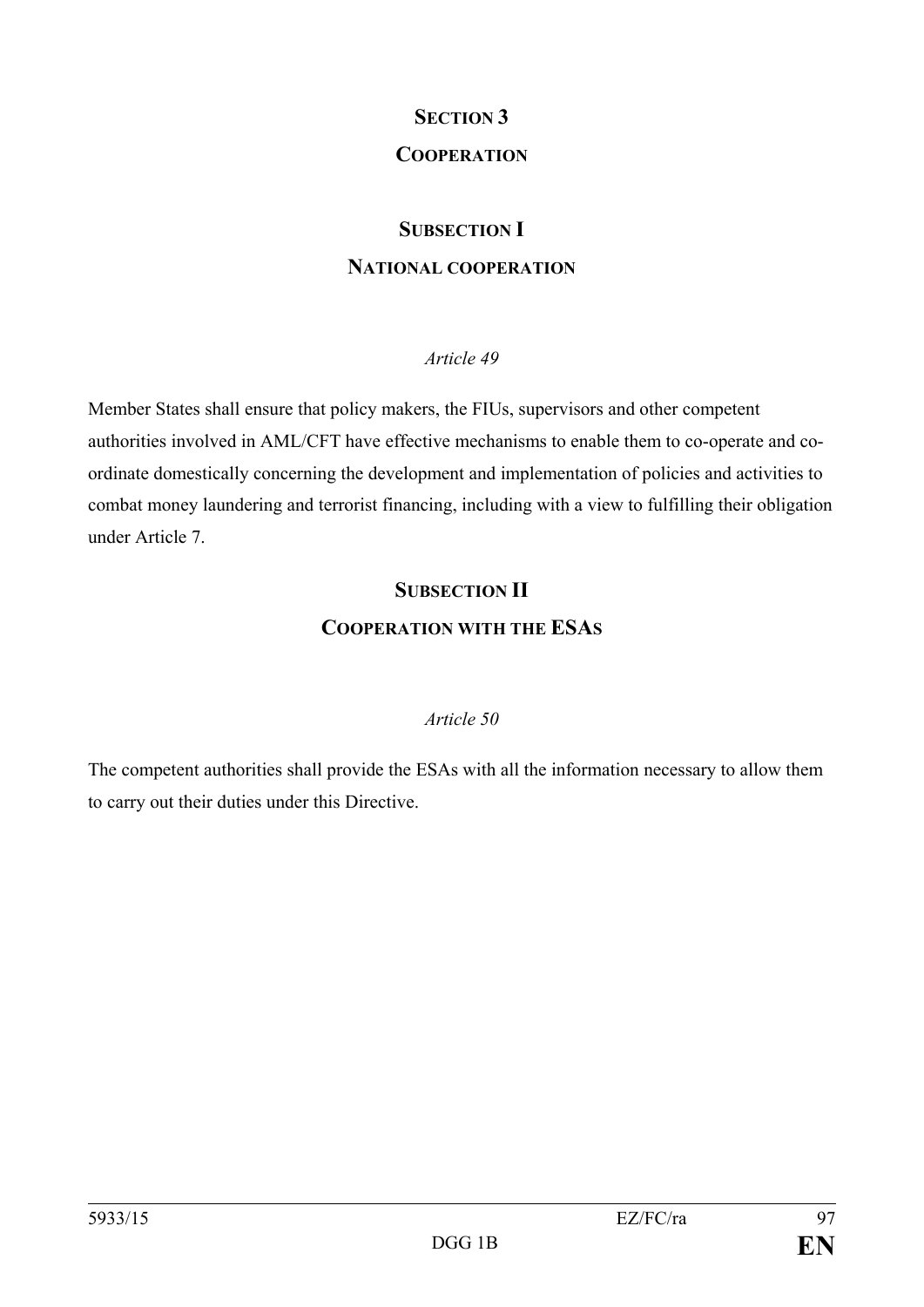## **SECTION 3**

## **COOPERATION**

## **SUBSECTION I**

#### **NATIONAL COOPERATION**

#### *Article 49*

Member States shall ensure that policy makers, the FIUs, supervisors and other competent authorities involved in AML/CFT have effective mechanisms to enable them to co-operate and coordinate domestically concerning the development and implementation of policies and activities to combat money laundering and terrorist financing, including with a view to fulfilling their obligation under Article 7.

## **SUBSECTION II COOPERATION WITH THE ESAS**

#### *Article 50*

The competent authorities shall provide the ESAs with all the information necessary to allow them to carry out their duties under this Directive.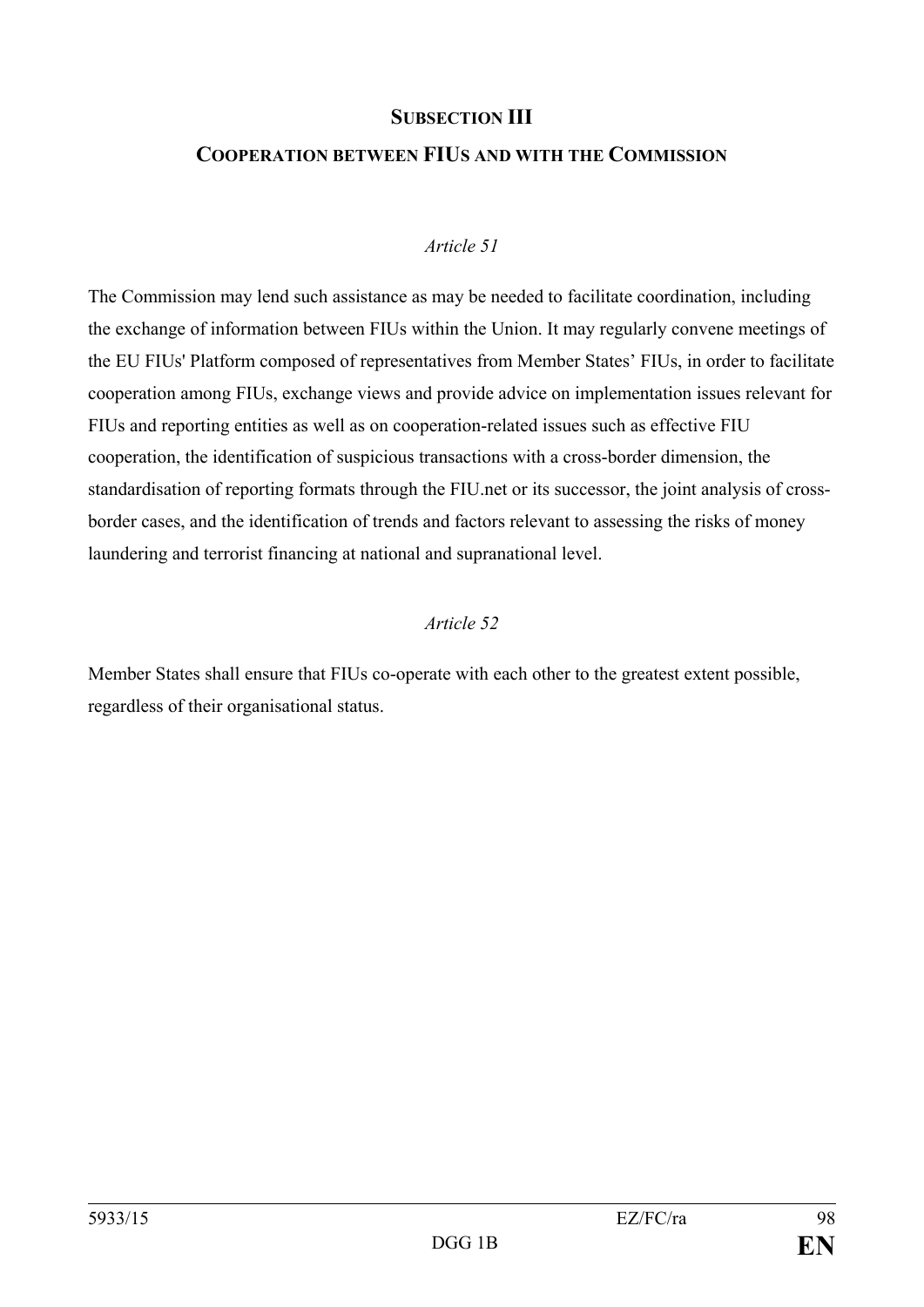#### **SUBSECTION III**

## **COOPERATION BETWEEN FIUS AND WITH THE COMMISSION**

#### *Article 51*

The Commission may lend such assistance as may be needed to facilitate coordination, including the exchange of information between FIUs within the Union. It may regularly convene meetings of the EU FIUs' Platform composed of representatives from Member States' FIUs, in order to facilitate cooperation among FIUs, exchange views and provide advice on implementation issues relevant for FIUs and reporting entities as well as on cooperation-related issues such as effective FIU cooperation, the identification of suspicious transactions with a cross-border dimension, the standardisation of reporting formats through the FIU.net or its successor, the joint analysis of crossborder cases, and the identification of trends and factors relevant to assessing the risks of money laundering and terrorist financing at national and supranational level.

#### *Article 52*

Member States shall ensure that FIUs co-operate with each other to the greatest extent possible, regardless of their organisational status.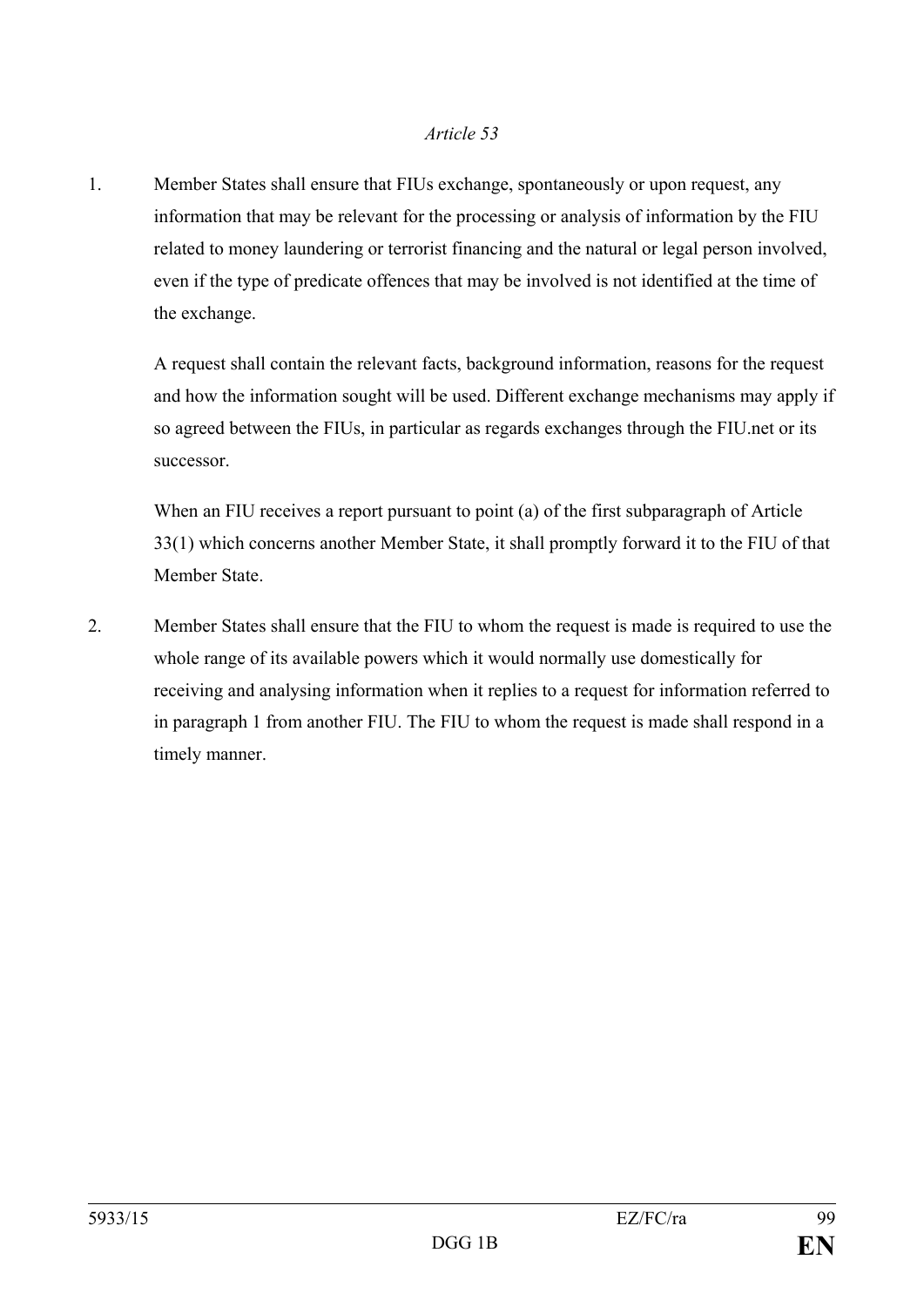1. Member States shall ensure that FIUs exchange, spontaneously or upon request, any information that may be relevant for the processing or analysis of information by the FIU related to money laundering or terrorist financing and the natural or legal person involved, even if the type of predicate offences that may be involved is not identified at the time of the exchange.

A request shall contain the relevant facts, background information, reasons for the request and how the information sought will be used. Different exchange mechanisms may apply if so agreed between the FIUs, in particular as regards exchanges through the FIU.net or its successor.

When an FIU receives a report pursuant to point (a) of the first subparagraph of Article 33(1) which concerns another Member State, it shall promptly forward it to the FIU of that Member State.

2. Member States shall ensure that the FIU to whom the request is made is required to use the whole range of its available powers which it would normally use domestically for receiving and analysing information when it replies to a request for information referred to in paragraph 1 from another FIU. The FIU to whom the request is made shall respond in a timely manner.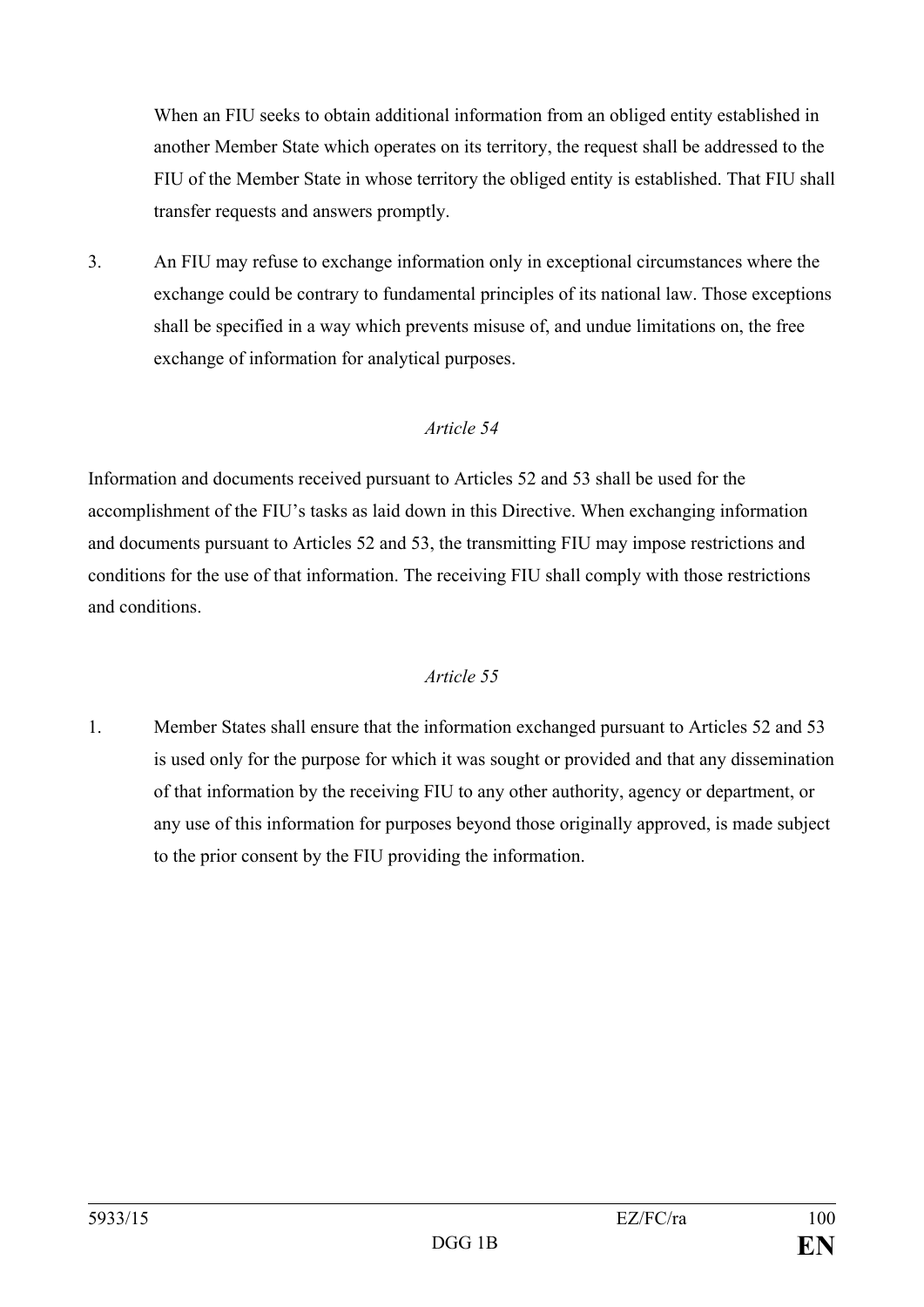When an FIU seeks to obtain additional information from an obliged entity established in another Member State which operates on its territory, the request shall be addressed to the FIU of the Member State in whose territory the obliged entity is established. That FIU shall transfer requests and answers promptly.

3. An FIU may refuse to exchange information only in exceptional circumstances where the exchange could be contrary to fundamental principles of its national law. Those exceptions shall be specified in a way which prevents misuse of, and undue limitations on, the free exchange of information for analytical purposes.

## *Article 54*

Information and documents received pursuant to Articles 52 and 53 shall be used for the accomplishment of the FIU's tasks as laid down in this Directive. When exchanging information and documents pursuant to Articles 52 and 53, the transmitting FIU may impose restrictions and conditions for the use of that information. The receiving FIU shall comply with those restrictions and conditions.

## *Article 55*

1. Member States shall ensure that the information exchanged pursuant to Articles 52 and 53 is used only for the purpose for which it was sought or provided and that any dissemination of that information by the receiving FIU to any other authority, agency or department, or any use of this information for purposes beyond those originally approved, is made subject to the prior consent by the FIU providing the information.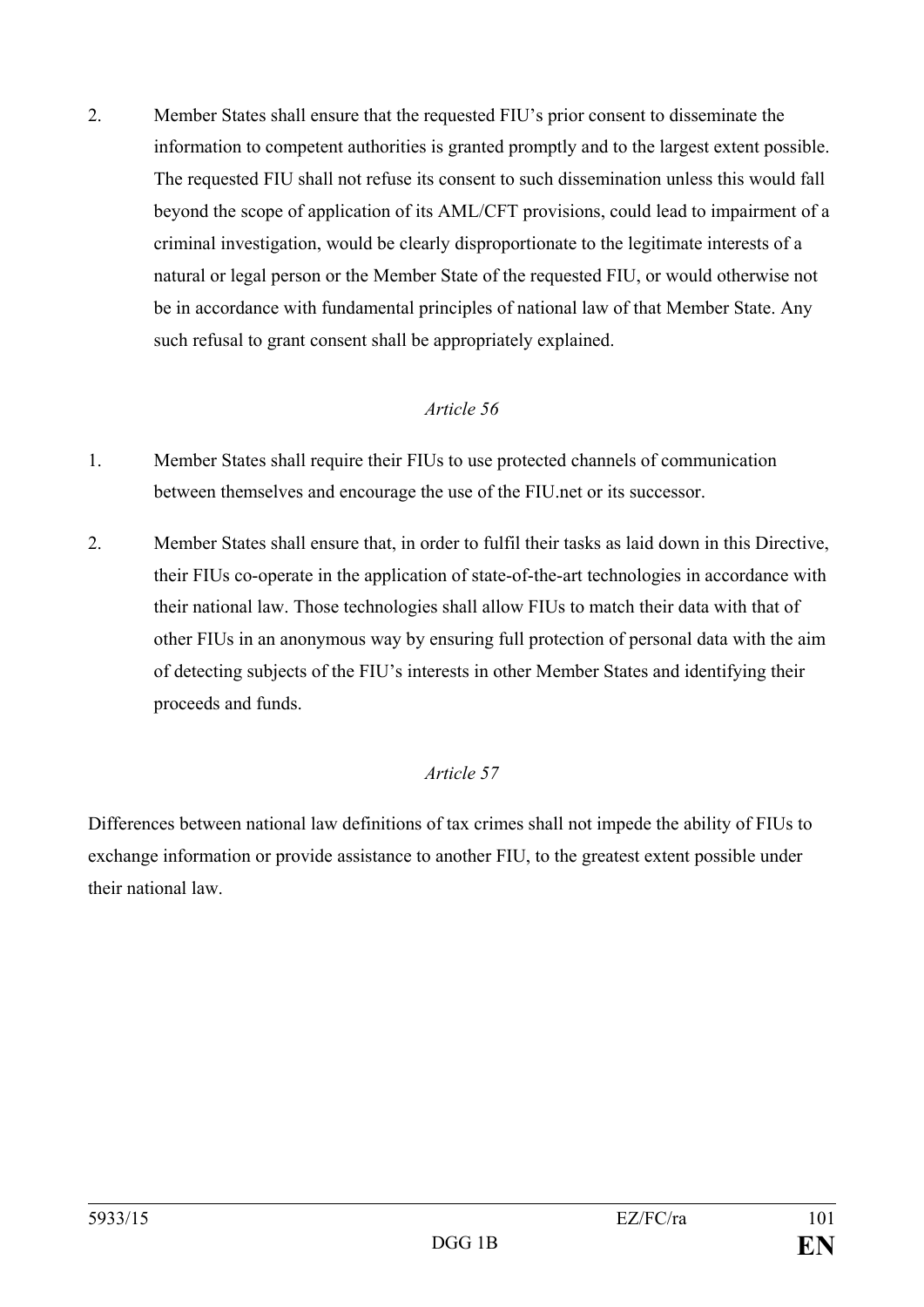2. Member States shall ensure that the requested FIU's prior consent to disseminate the information to competent authorities is granted promptly and to the largest extent possible. The requested FIU shall not refuse its consent to such dissemination unless this would fall beyond the scope of application of its AML/CFT provisions, could lead to impairment of a criminal investigation, would be clearly disproportionate to the legitimate interests of a natural or legal person or the Member State of the requested FIU, or would otherwise not be in accordance with fundamental principles of national law of that Member State. Any such refusal to grant consent shall be appropriately explained.

## *Article 56*

- 1. Member States shall require their FIUs to use protected channels of communication between themselves and encourage the use of the FIU.net or its successor.
- 2. Member States shall ensure that, in order to fulfil their tasks as laid down in this Directive, their FIUs co-operate in the application of state-of-the-art technologies in accordance with their national law. Those technologies shall allow FIUs to match their data with that of other FIUs in an anonymous way by ensuring full protection of personal data with the aim of detecting subjects of the FIU's interests in other Member States and identifying their proceeds and funds.

## *Article 57*

Differences between national law definitions of tax crimes shall not impede the ability of FIUs to exchange information or provide assistance to another FIU, to the greatest extent possible under their national law.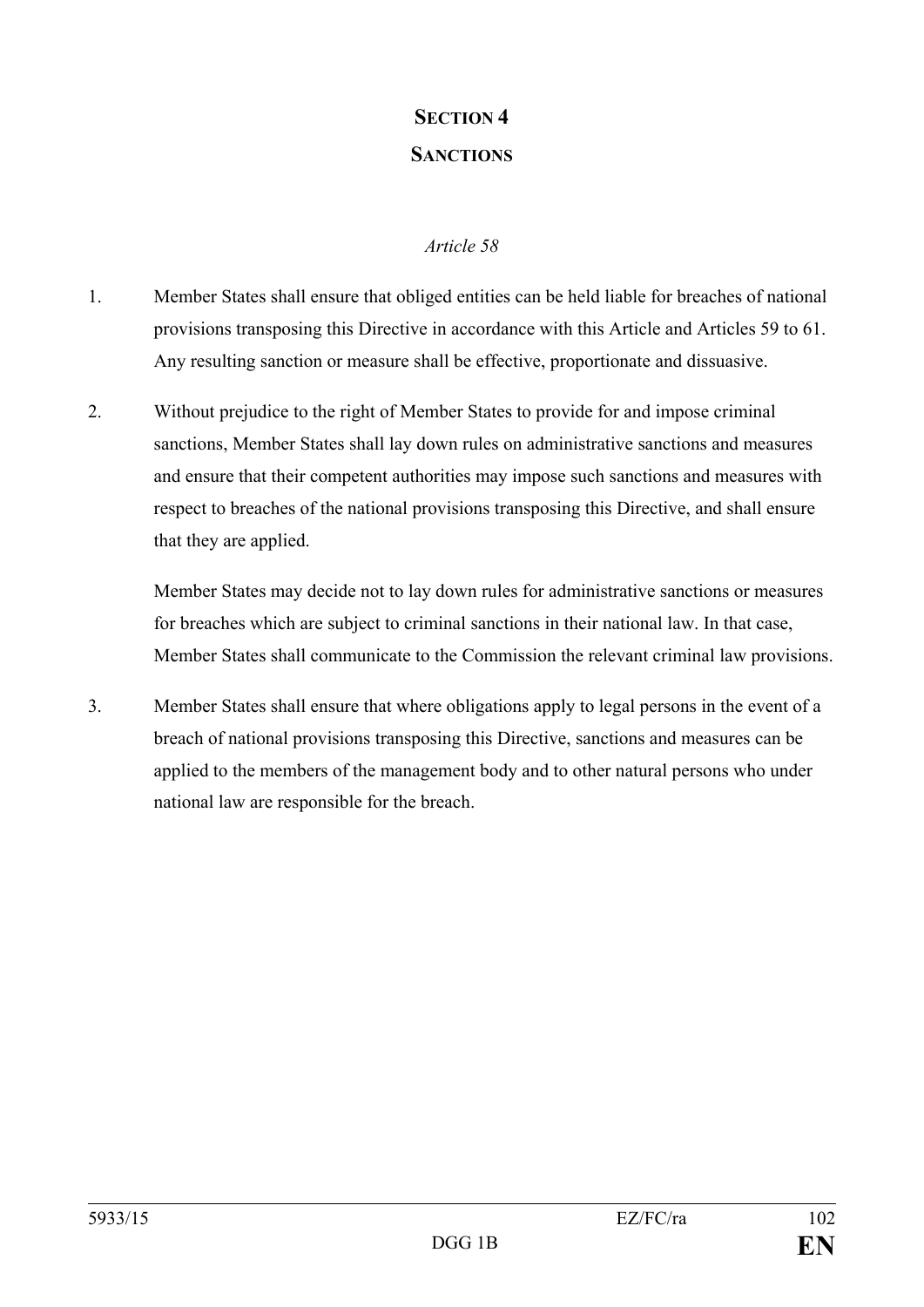## **SECTION 4 SANCTIONS**

## *Article 58*

- 1. Member States shall ensure that obliged entities can be held liable for breaches of national provisions transposing this Directive in accordance with this Article and Articles 59 to 61. Any resulting sanction or measure shall be effective, proportionate and dissuasive.
- 2. Without prejudice to the right of Member States to provide for and impose criminal sanctions, Member States shall lay down rules on administrative sanctions and measures and ensure that their competent authorities may impose such sanctions and measures with respect to breaches of the national provisions transposing this Directive, and shall ensure that they are applied.

Member States may decide not to lay down rules for administrative sanctions or measures for breaches which are subject to criminal sanctions in their national law. In that case, Member States shall communicate to the Commission the relevant criminal law provisions.

3. Member States shall ensure that where obligations apply to legal persons in the event of a breach of national provisions transposing this Directive, sanctions and measures can be applied to the members of the management body and to other natural persons who under national law are responsible for the breach.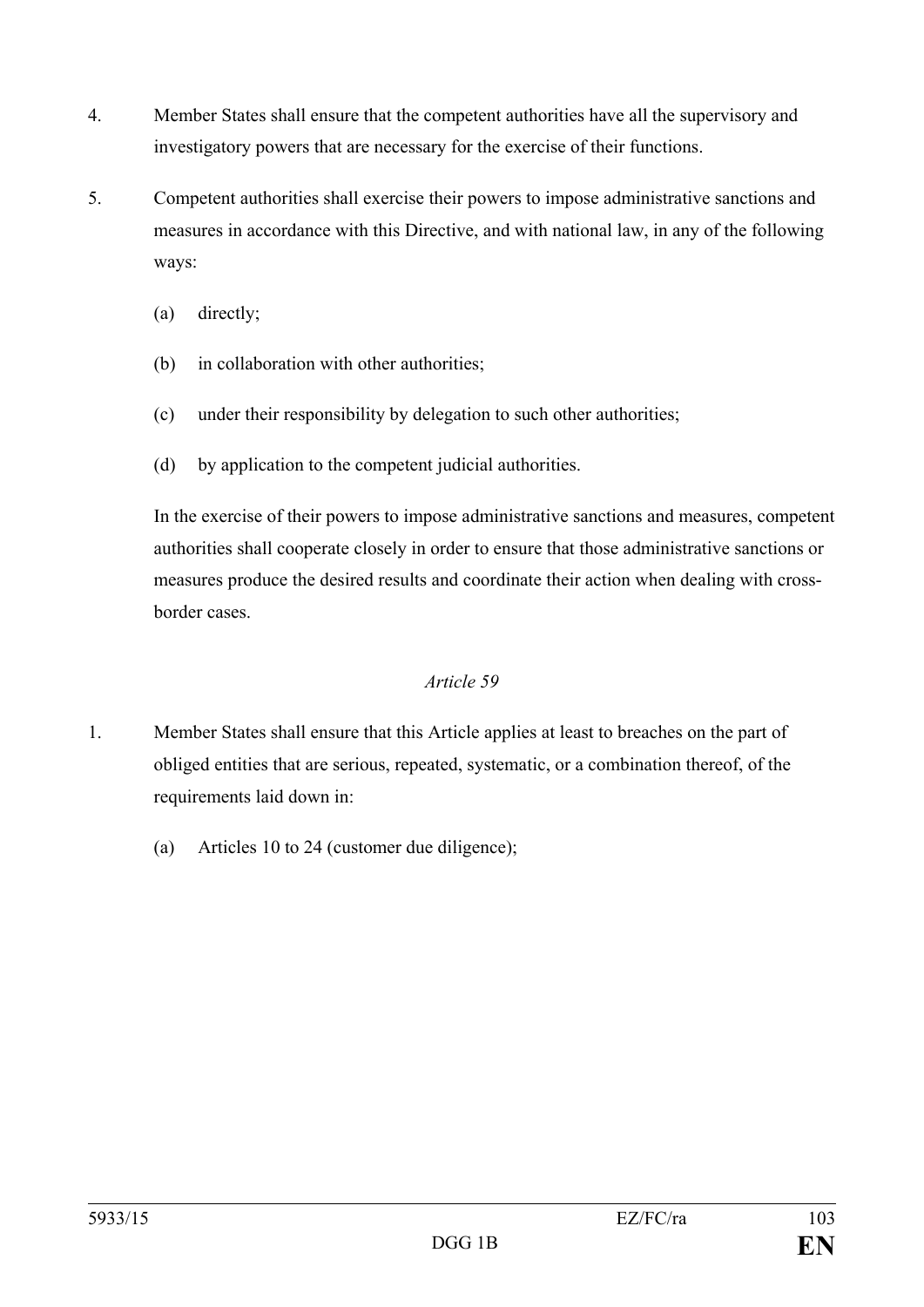- 4. Member States shall ensure that the competent authorities have all the supervisory and investigatory powers that are necessary for the exercise of their functions.
- 5. Competent authorities shall exercise their powers to impose administrative sanctions and measures in accordance with this Directive, and with national law, in any of the following ways:
	- (a) directly;
	- (b) in collaboration with other authorities;
	- (c) under their responsibility by delegation to such other authorities;
	- (d) by application to the competent judicial authorities.

In the exercise of their powers to impose administrative sanctions and measures, competent authorities shall cooperate closely in order to ensure that those administrative sanctions or measures produce the desired results and coordinate their action when dealing with crossborder cases.

- 1. Member States shall ensure that this Article applies at least to breaches on the part of obliged entities that are serious, repeated, systematic, or a combination thereof, of the requirements laid down in:
	- (a) Articles 10 to 24 (customer due diligence);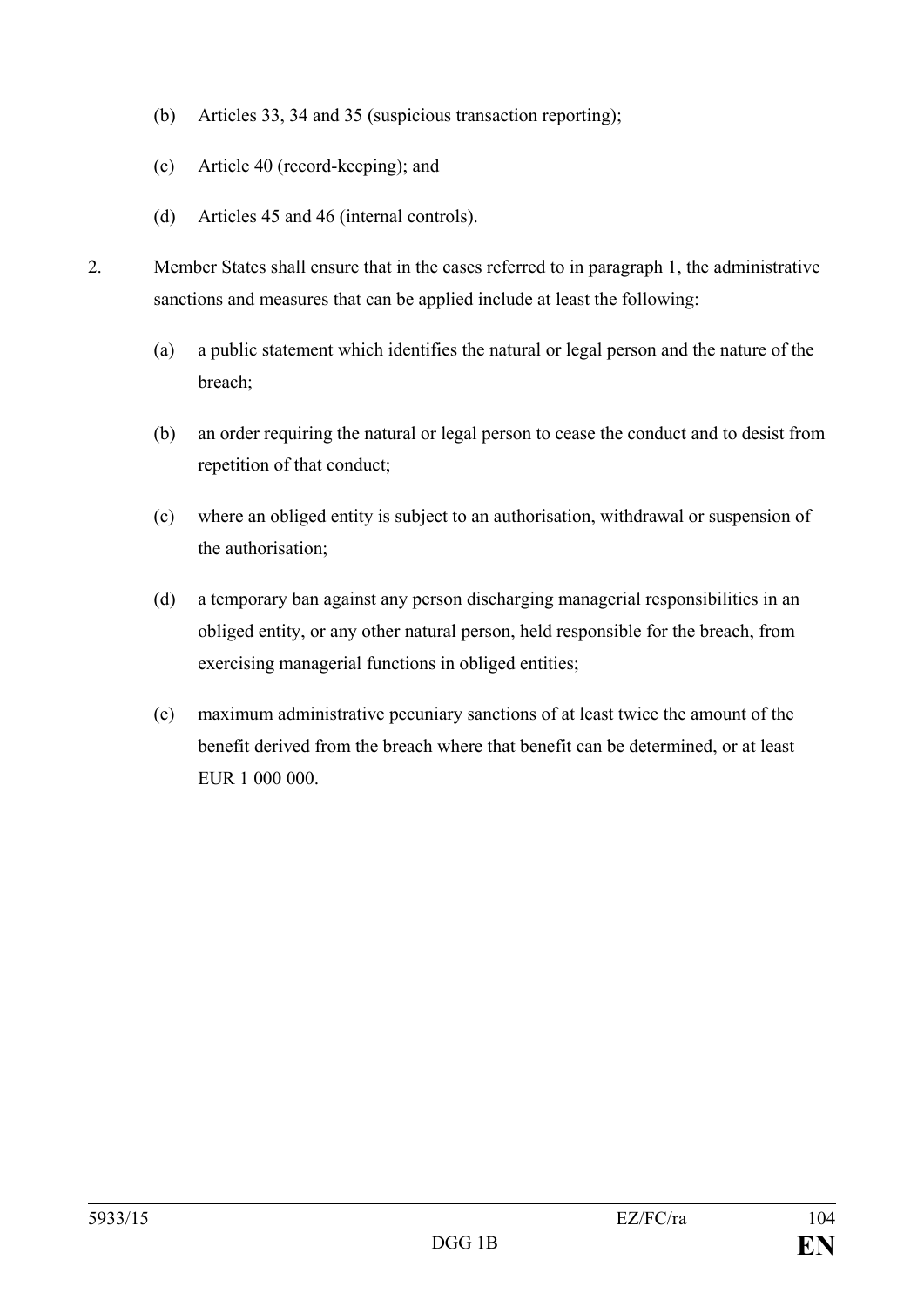- (b) Articles 33, 34 and 35 (suspicious transaction reporting);
- (c) Article 40 (record-keeping); and
- (d) Articles 45 and 46 (internal controls).
- 2. Member States shall ensure that in the cases referred to in paragraph 1, the administrative sanctions and measures that can be applied include at least the following:
	- (a) a public statement which identifies the natural or legal person and the nature of the breach;
	- (b) an order requiring the natural or legal person to cease the conduct and to desist from repetition of that conduct;
	- (c) where an obliged entity is subject to an authorisation, withdrawal or suspension of the authorisation;
	- (d) a temporary ban against any person discharging managerial responsibilities in an obliged entity, or any other natural person, held responsible for the breach, from exercising managerial functions in obliged entities;
	- (e) maximum administrative pecuniary sanctions of at least twice the amount of the benefit derived from the breach where that benefit can be determined, or at least EUR 1 000 000.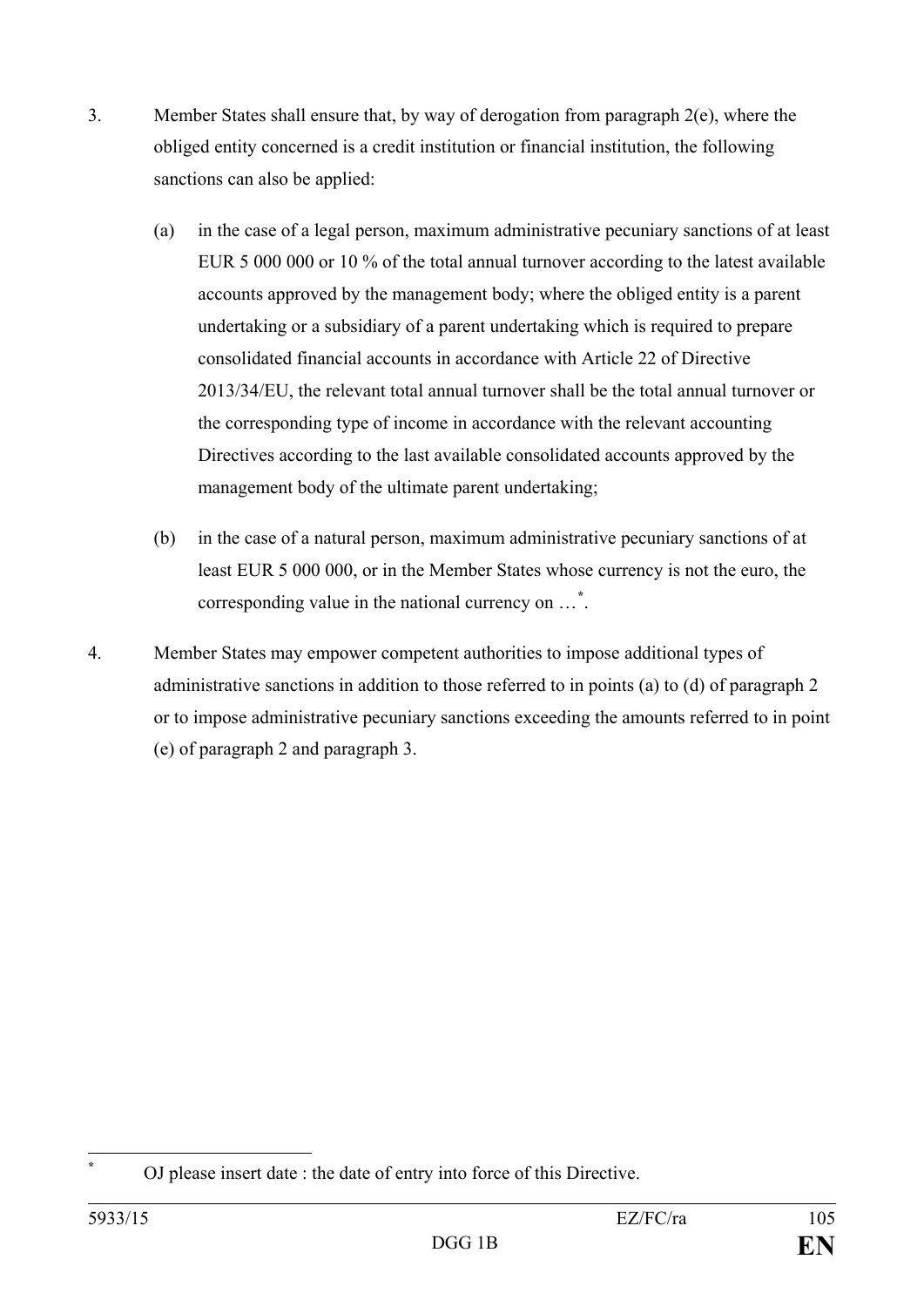- 3. Member States shall ensure that, by way of derogation from paragraph 2(e), where the obliged entity concerned is a credit institution or financial institution, the following sanctions can also be applied:
	- (a) in the case of a legal person, maximum administrative pecuniary sanctions of at least EUR 5 000 000 or 10 % of the total annual turnover according to the latest available accounts approved by the management body; where the obliged entity is a parent undertaking or a subsidiary of a parent undertaking which is required to prepare consolidated financial accounts in accordance with Article 22 of Directive 2013/34/EU, the relevant total annual turnover shall be the total annual turnover or the corresponding type of income in accordance with the relevant accounting Directives according to the last available consolidated accounts approved by the management body of the ultimate parent undertaking;
	- (b) in the case of a natural person, maximum administrative pecuniary sanctions of at least EUR 5 000 000, or in the Member States whose currency is not the euro, the corresponding value in the national currency on …**[\\*](#page-105-0)** .
- 4. Member States may empower competent authorities to impose additional types of administrative sanctions in addition to those referred to in points (a) to (d) of paragraph 2 or to impose administrative pecuniary sanctions exceeding the amounts referred to in point (e) of paragraph 2 and paragraph 3.

<span id="page-105-0"></span>**<sup>\*</sup>** OJ please insert date : the date of entry into force of this Directive.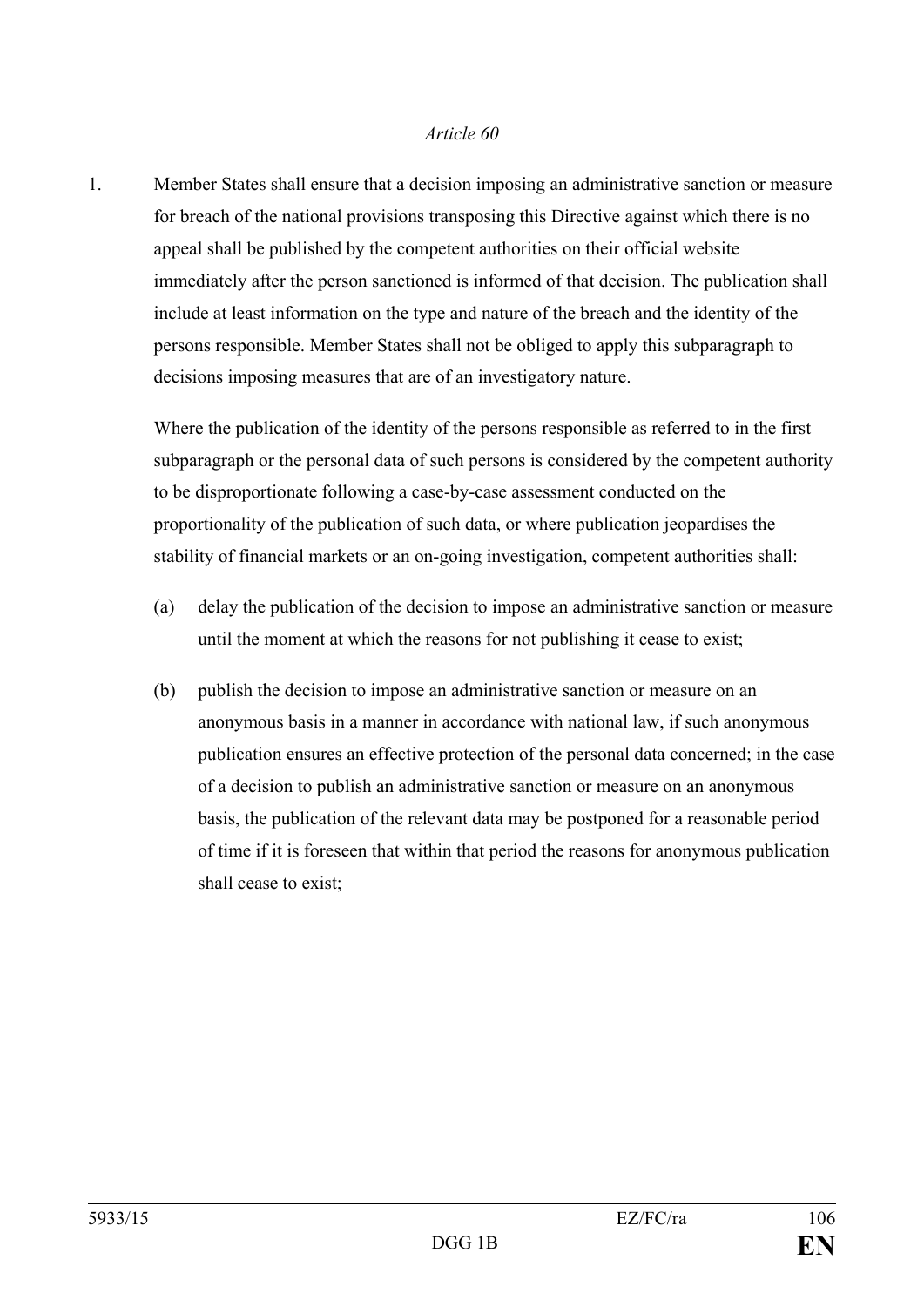1. Member States shall ensure that a decision imposing an administrative sanction or measure for breach of the national provisions transposing this Directive against which there is no appeal shall be published by the competent authorities on their official website immediately after the person sanctioned is informed of that decision. The publication shall include at least information on the type and nature of the breach and the identity of the persons responsible. Member States shall not be obliged to apply this subparagraph to decisions imposing measures that are of an investigatory nature.

Where the publication of the identity of the persons responsible as referred to in the first subparagraph or the personal data of such persons is considered by the competent authority to be disproportionate following a case-by-case assessment conducted on the proportionality of the publication of such data, or where publication jeopardises the stability of financial markets or an on-going investigation, competent authorities shall:

- (a) delay the publication of the decision to impose an administrative sanction or measure until the moment at which the reasons for not publishing it cease to exist;
- (b) publish the decision to impose an administrative sanction or measure on an anonymous basis in a manner in accordance with national law, if such anonymous publication ensures an effective protection of the personal data concerned; in the case of a decision to publish an administrative sanction or measure on an anonymous basis, the publication of the relevant data may be postponed for a reasonable period of time if it is foreseen that within that period the reasons for anonymous publication shall cease to exist;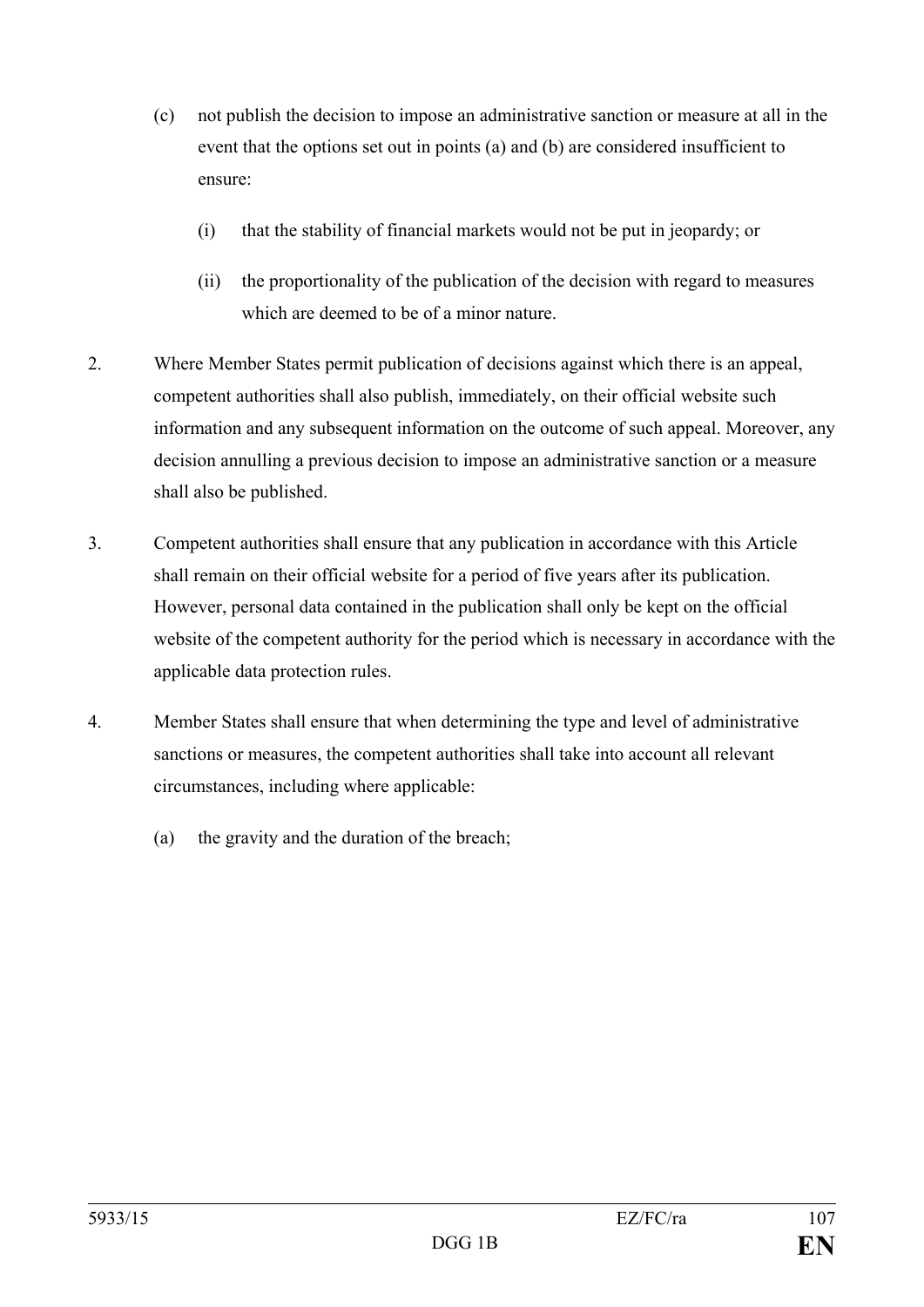- (c) not publish the decision to impose an administrative sanction or measure at all in the event that the options set out in points (a) and (b) are considered insufficient to ensure:
	- (i) that the stability of financial markets would not be put in jeopardy; or
	- (ii) the proportionality of the publication of the decision with regard to measures which are deemed to be of a minor nature.
- 2. Where Member States permit publication of decisions against which there is an appeal, competent authorities shall also publish, immediately, on their official website such information and any subsequent information on the outcome of such appeal. Moreover, any decision annulling a previous decision to impose an administrative sanction or a measure shall also be published.
- 3. Competent authorities shall ensure that any publication in accordance with this Article shall remain on their official website for a period of five years after its publication. However, personal data contained in the publication shall only be kept on the official website of the competent authority for the period which is necessary in accordance with the applicable data protection rules.
- 4. Member States shall ensure that when determining the type and level of administrative sanctions or measures, the competent authorities shall take into account all relevant circumstances, including where applicable:
	- (a) the gravity and the duration of the breach;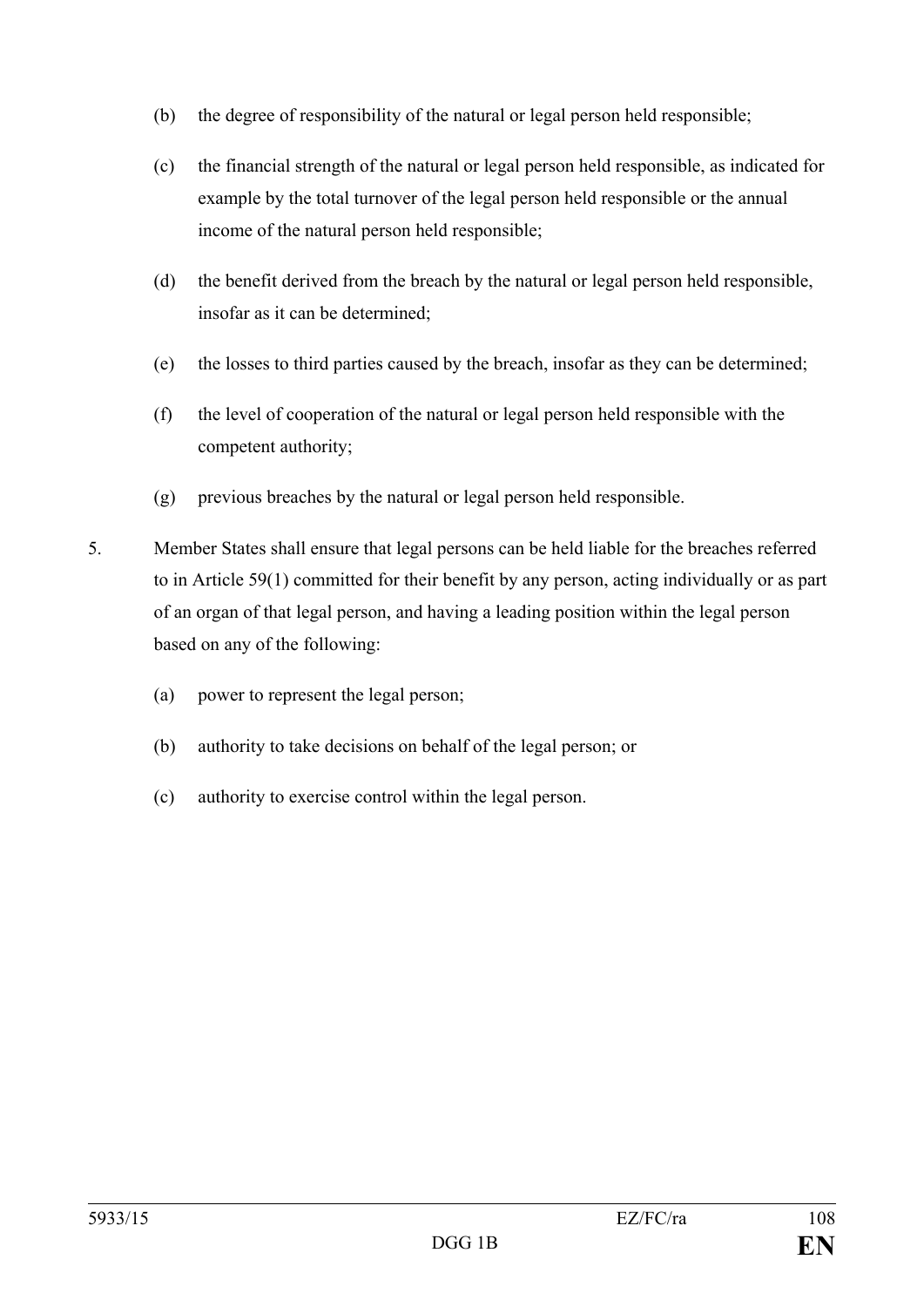- (b) the degree of responsibility of the natural or legal person held responsible;
- (c) the financial strength of the natural or legal person held responsible, as indicated for example by the total turnover of the legal person held responsible or the annual income of the natural person held responsible;
- (d) the benefit derived from the breach by the natural or legal person held responsible, insofar as it can be determined;
- (e) the losses to third parties caused by the breach, insofar as they can be determined;
- (f) the level of cooperation of the natural or legal person held responsible with the competent authority;
- (g) previous breaches by the natural or legal person held responsible.
- 5. Member States shall ensure that legal persons can be held liable for the breaches referred to in Article 59(1) committed for their benefit by any person, acting individually or as part of an organ of that legal person, and having a leading position within the legal person based on any of the following:
	- (a) power to represent the legal person;
	- (b) authority to take decisions on behalf of the legal person; or
	- (c) authority to exercise control within the legal person.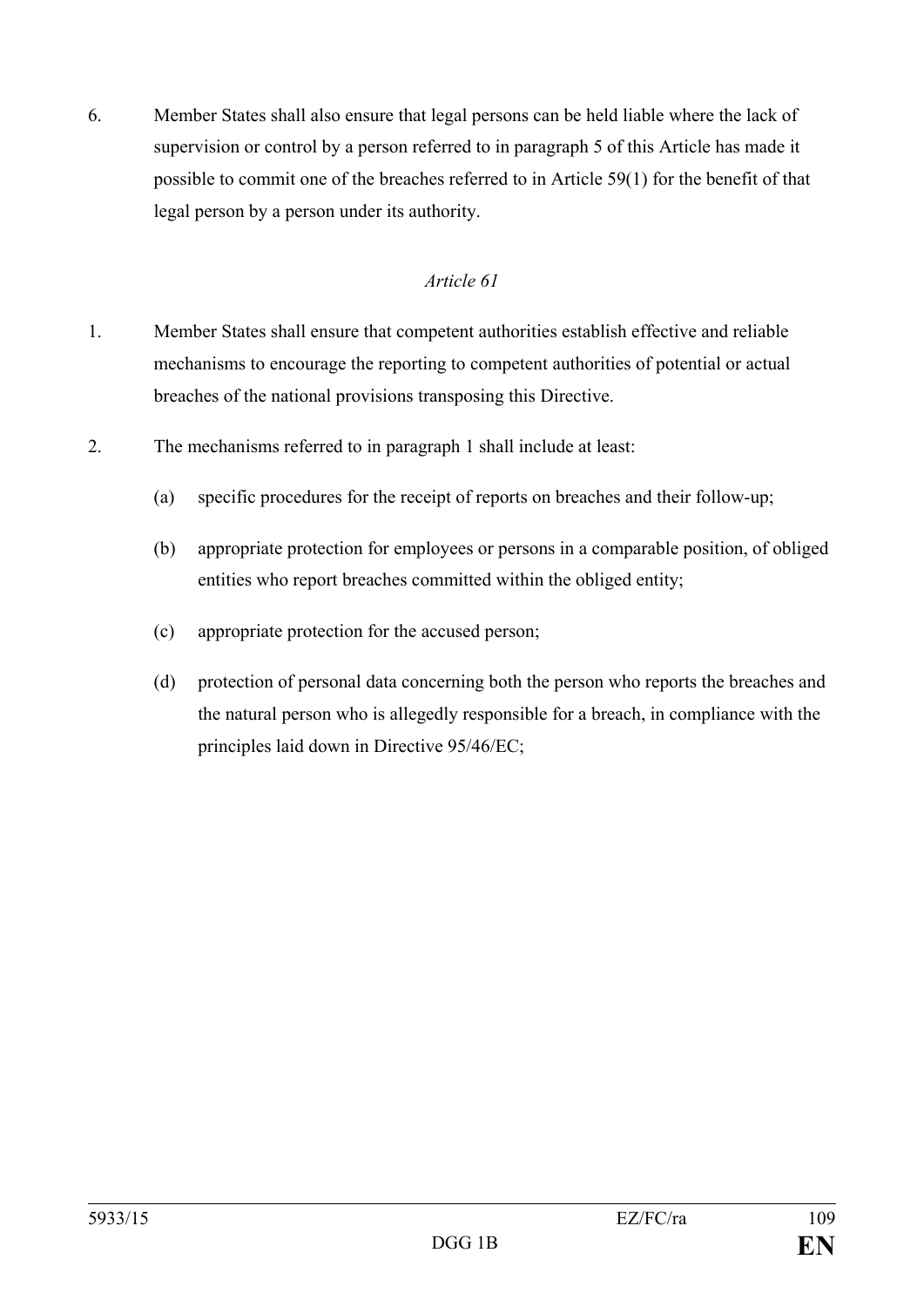6. Member States shall also ensure that legal persons can be held liable where the lack of supervision or control by a person referred to in paragraph 5 of this Article has made it possible to commit one of the breaches referred to in Article 59(1) for the benefit of that legal person by a person under its authority.

# *Article 61*

- 1. Member States shall ensure that competent authorities establish effective and reliable mechanisms to encourage the reporting to competent authorities of potential or actual breaches of the national provisions transposing this Directive.
- 2. The mechanisms referred to in paragraph 1 shall include at least:
	- (a) specific procedures for the receipt of reports on breaches and their follow-up;
	- (b) appropriate protection for employees or persons in a comparable position, of obliged entities who report breaches committed within the obliged entity;
	- (c) appropriate protection for the accused person;
	- (d) protection of personal data concerning both the person who reports the breaches and the natural person who is allegedly responsible for a breach, in compliance with the principles laid down in Directive 95/46/EC;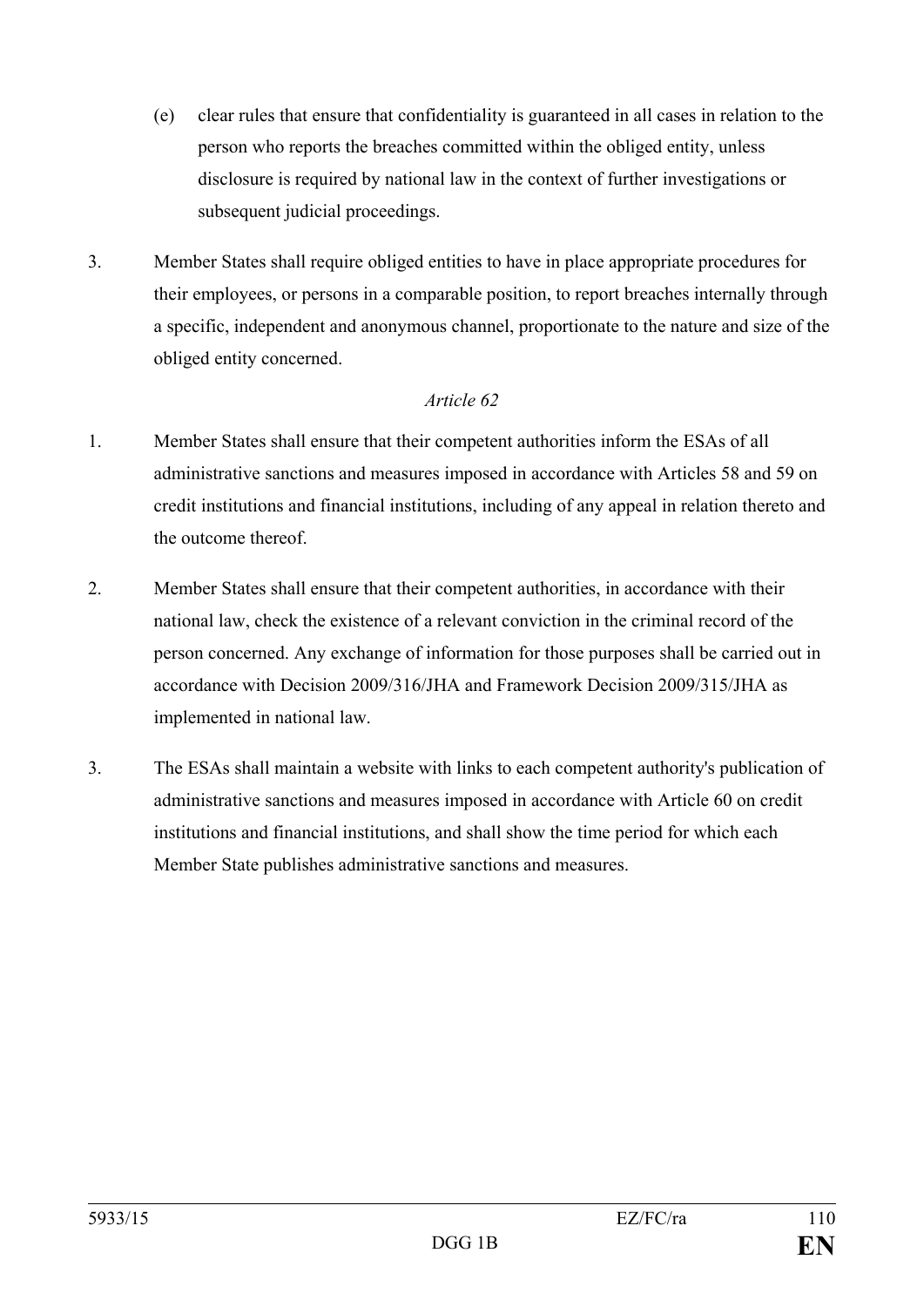- (e) clear rules that ensure that confidentiality is guaranteed in all cases in relation to the person who reports the breaches committed within the obliged entity, unless disclosure is required by national law in the context of further investigations or subsequent judicial proceedings.
- 3. Member States shall require obliged entities to have in place appropriate procedures for their employees, or persons in a comparable position, to report breaches internally through a specific, independent and anonymous channel, proportionate to the nature and size of the obliged entity concerned.

- 1. Member States shall ensure that their competent authorities inform the ESAs of all administrative sanctions and measures imposed in accordance with Articles 58 and 59 on credit institutions and financial institutions, including of any appeal in relation thereto and the outcome thereof.
- 2. Member States shall ensure that their competent authorities, in accordance with their national law, check the existence of a relevant conviction in the criminal record of the person concerned. Any exchange of information for those purposes shall be carried out in accordance with Decision 2009/316/JHA and Framework Decision 2009/315/JHA as implemented in national law.
- 3. The ESAs shall maintain a website with links to each competent authority's publication of administrative sanctions and measures imposed in accordance with Article 60 on credit institutions and financial institutions, and shall show the time period for which each Member State publishes administrative sanctions and measures.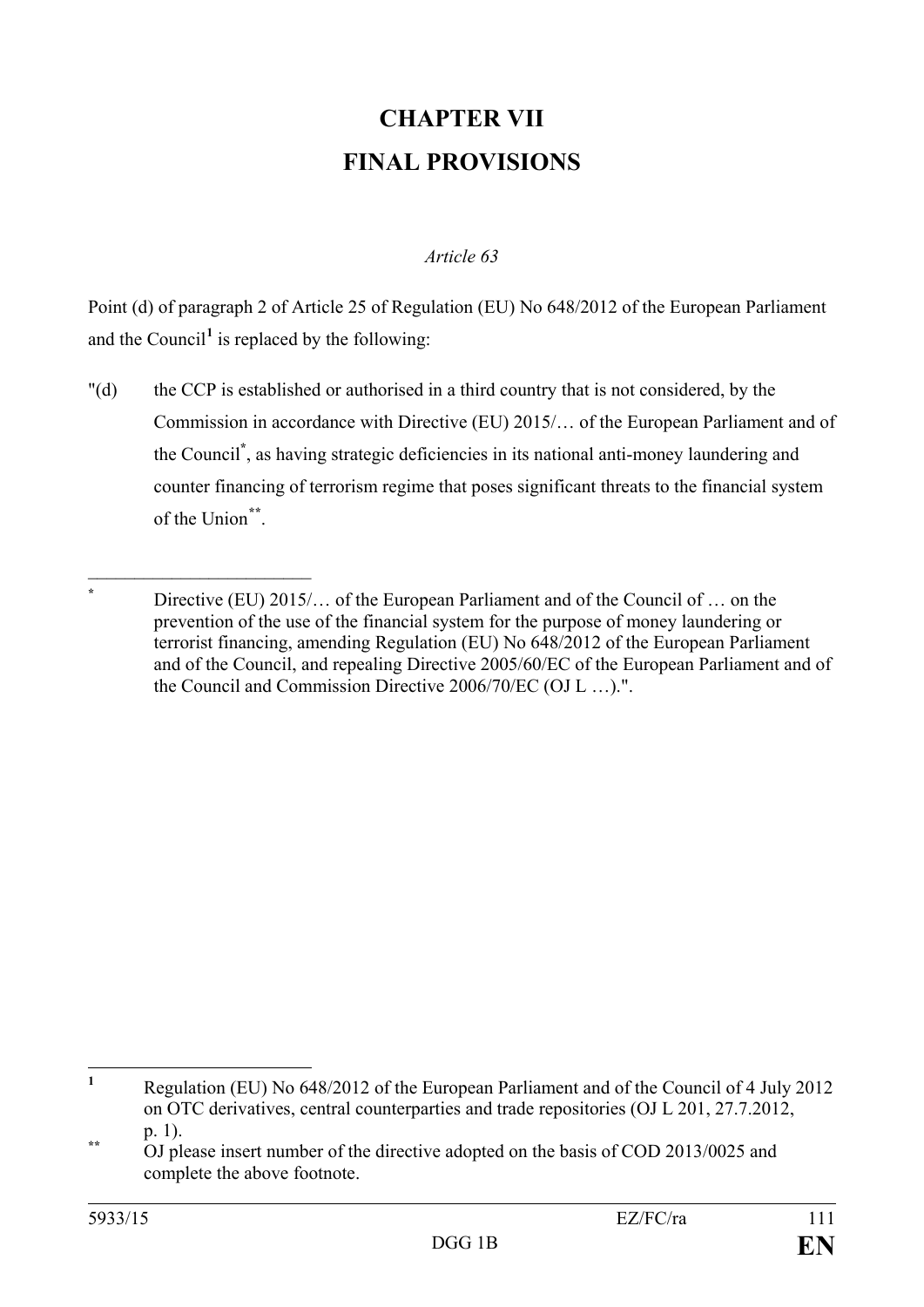# **CHAPTER VII FINAL PROVISIONS**

## *Article 63*

Point (d) of paragraph 2 of Article 25 of Regulation (EU) No 648/2012 of the European Parliament and the Council<sup>[1](#page-111-0)</sup> is replaced by the following:

"(d) the CCP is established or authorised in a third country that is not considered, by the Commission in accordance with Directive (EU) 2015/… of the European Parliament and of the Council**\*** , as having strategic deficiencies in its national anti-money laundering and counter financing of terrorism regime that poses significant threats to the financial system of the Union**[\\*\\*](#page-111-1)**.

Directive (EU) 2015/… of the European Parliament and of the Council of … on the prevention of the use of the financial system for the purpose of money laundering or terrorist financing, amending Regulation (EU) No 648/2012 of the European Parliament and of the Council, and repealing Directive 2005/60/EC of the European Parliament and of the Council and Commission Directive 2006/70/EC (OJ L …).".

 $\overline{\phantom{a}}$  , which is a set of the set of the set of the set of the set of the set of the set of the set of the set of the set of the set of the set of the set of the set of the set of the set of the set of the set of th

<span id="page-111-0"></span>**<sup>1</sup>** Regulation (EU) No 648/2012 of the European Parliament and of the Council of 4 July 2012 on OTC derivatives, central counterparties and trade repositories (OJ L 201, 27.7.2012,  $\mathbf{1}$ 

<span id="page-111-1"></span>p. 1). **\*\*** OJ please insert number of the directive adopted on the basis of COD 2013/0025 and complete the above footnote.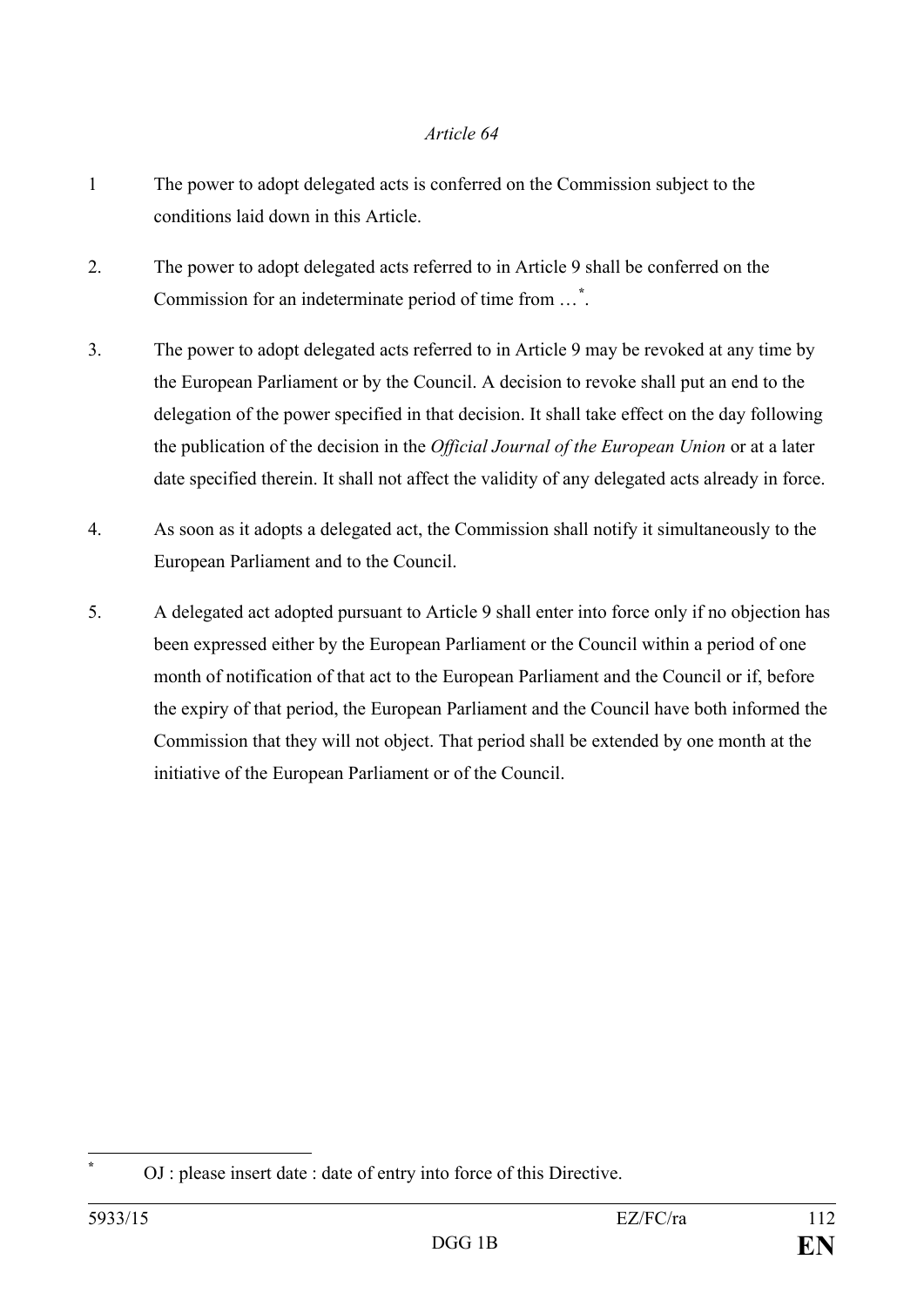- 1 The power to adopt delegated acts is conferred on the Commission subject to the conditions laid down in this Article.
- 2. The power to adopt delegated acts referred to in Article 9 shall be conferred on the Commission for an indeterminate period of time from …**[\\*](#page-112-0)** .
- 3. The power to adopt delegated acts referred to in Article 9 may be revoked at any time by the European Parliament or by the Council. A decision to revoke shall put an end to the delegation of the power specified in that decision. It shall take effect on the day following the publication of the decision in the *Official Journal of the European Union* or at a later date specified therein. It shall not affect the validity of any delegated acts already in force.
- 4. As soon as it adopts a delegated act, the Commission shall notify it simultaneously to the European Parliament and to the Council.
- 5. A delegated act adopted pursuant to Article 9 shall enter into force only if no objection has been expressed either by the European Parliament or the Council within a period of one month of notification of that act to the European Parliament and the Council or if, before the expiry of that period, the European Parliament and the Council have both informed the Commission that they will not object. That period shall be extended by one month at the initiative of the European Parliament or of the Council.

<span id="page-112-0"></span> $\overline{a}$ 

**<sup>\*</sup>** OJ : please insert date : date of entry into force of this Directive.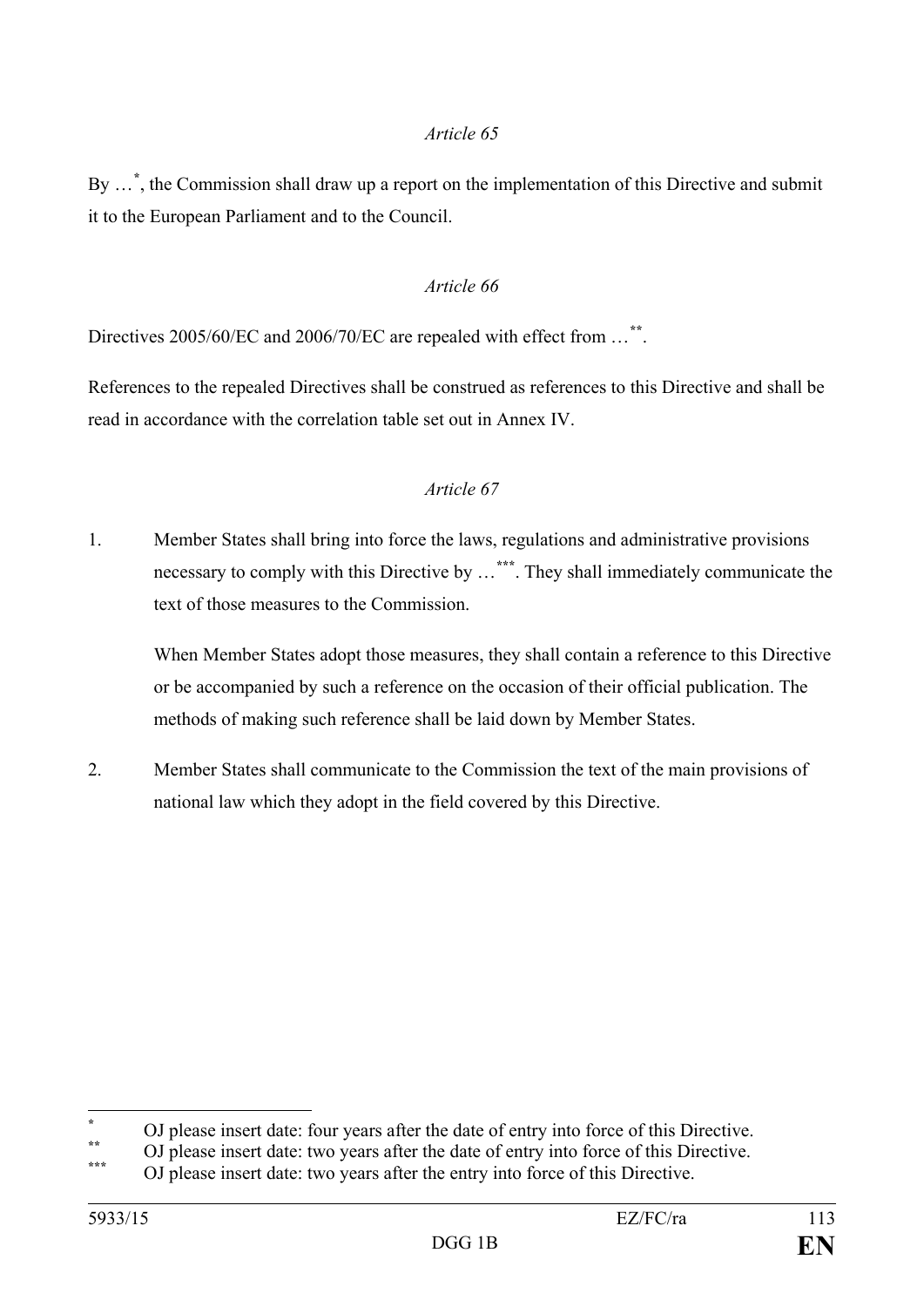By …**[\\*](#page-113-0)** , the Commission shall draw up a report on the implementation of this Directive and submit it to the European Parliament and to the Council.

## *Article 66*

Directives 2005/60/EC and 2006/70/EC are repealed with effect from …**[\\*\\*](#page-113-1)**.

References to the repealed Directives shall be construed as references to this Directive and shall be read in accordance with the correlation table set out in Annex IV.

#### *Article 67*

1. Member States shall bring into force the laws, regulations and administrative provisions necessary to comply with this Directive by …**[\\*\\*\\*](#page-113-2)**. They shall immediately communicate the text of those measures to the Commission.

When Member States adopt those measures, they shall contain a reference to this Directive or be accompanied by such a reference on the occasion of their official publication. The methods of making such reference shall be laid down by Member States.

2. Member States shall communicate to the Commission the text of the main provisions of national law which they adopt in the field covered by this Directive.

 $\overline{a}$ 

<span id="page-113-0"></span><sup>\*</sup> OJ please insert date: four years after the date of entry into force of this Directive.<br>OJ please insert date: two years after the date of entry into force of this Directive.<br>OJ please insert date: two years after the en

<span id="page-113-2"></span><span id="page-113-1"></span>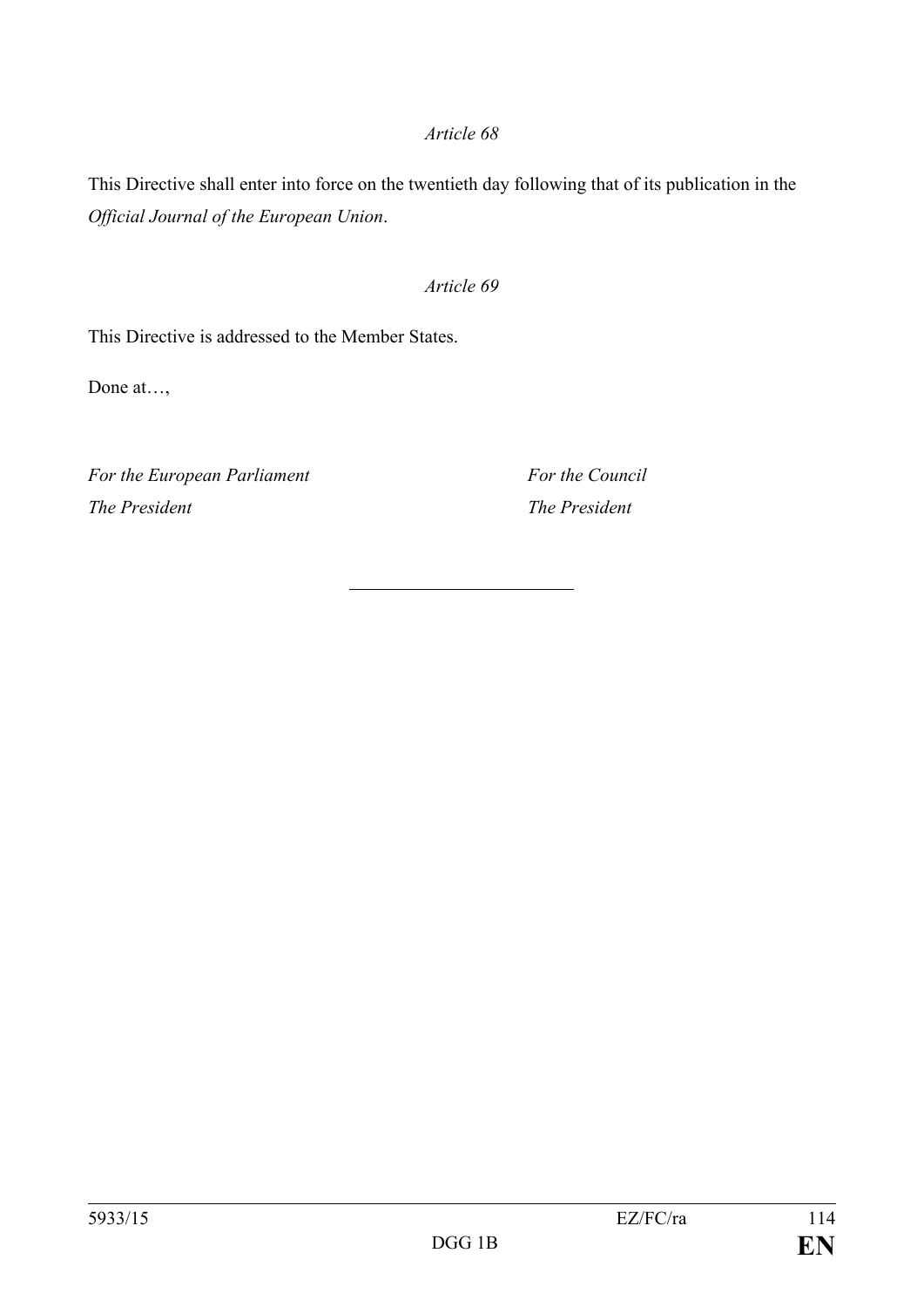This Directive shall enter into force on the twentieth day following that of its publication in the *Official Journal of the European Union*.

## *Article 69*

This Directive is addressed to the Member States.

Done at…,

*For the European Parliament For the Council The President The President*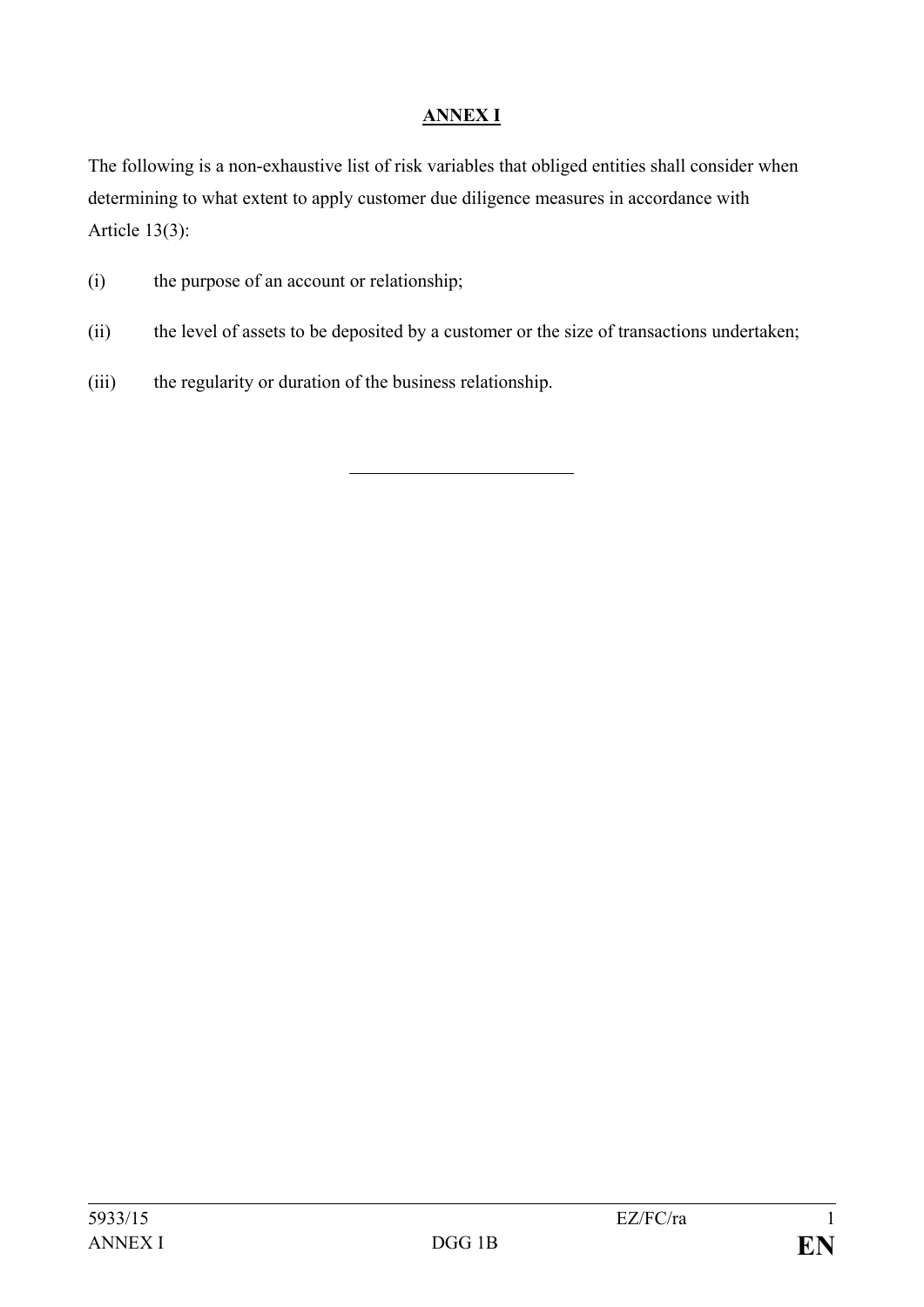# **ANNEX I**

The following is a non-exhaustive list of risk variables that obliged entities shall consider when determining to what extent to apply customer due diligence measures in accordance with Article 13(3):

- (i) the purpose of an account or relationship;
- (ii) the level of assets to be deposited by a customer or the size of transactions undertaken;
- (iii) the regularity or duration of the business relationship.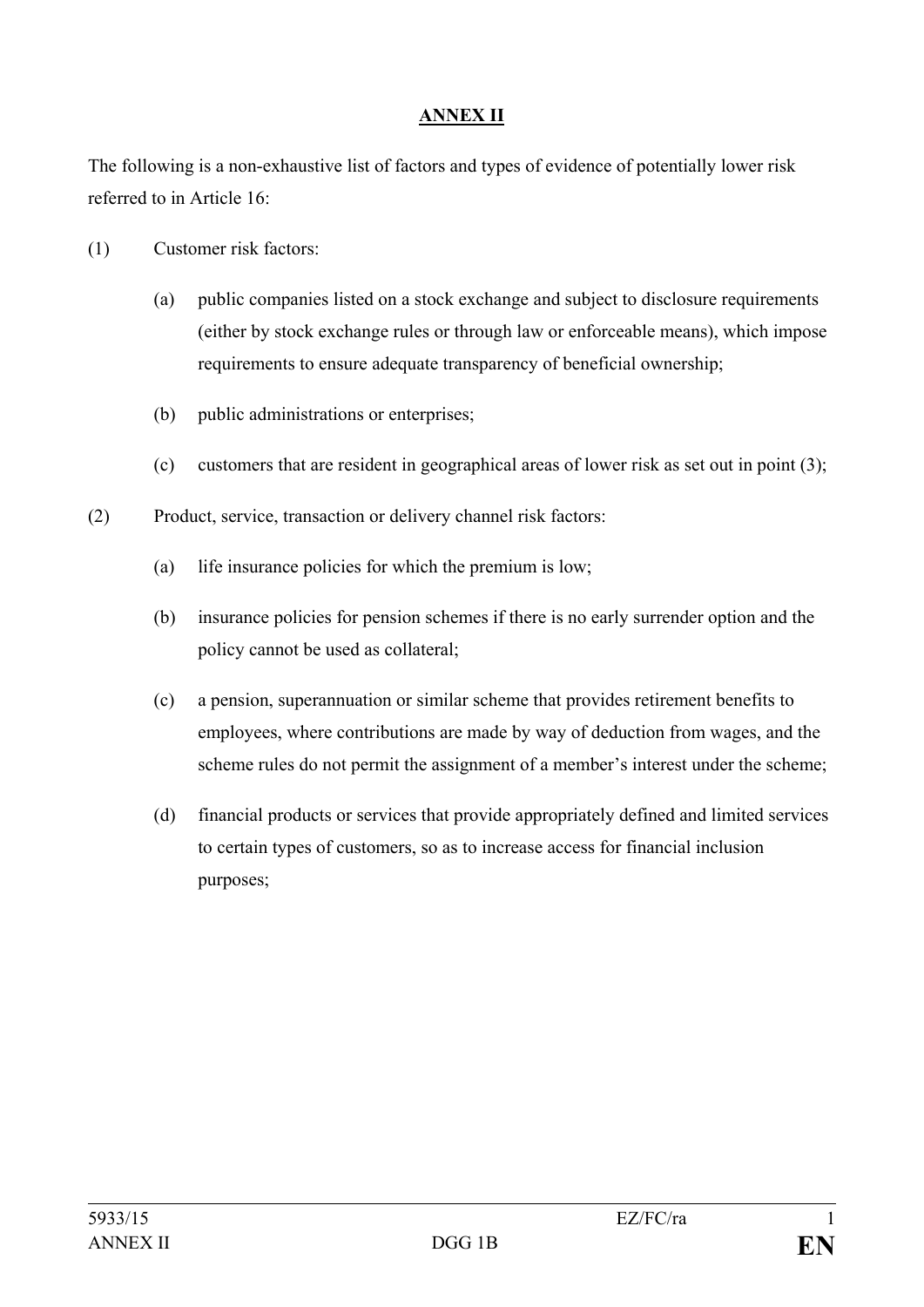## **ANNEX II**

The following is a non-exhaustive list of factors and types of evidence of potentially lower risk referred to in Article 16:

- (1) Customer risk factors:
	- (a) public companies listed on a stock exchange and subject to disclosure requirements (either by stock exchange rules or through law or enforceable means), which impose requirements to ensure adequate transparency of beneficial ownership;
	- (b) public administrations or enterprises;
	- (c) customers that are resident in geographical areas of lower risk as set out in point (3);
- (2) Product, service, transaction or delivery channel risk factors:
	- (a) life insurance policies for which the premium is low;
	- (b) insurance policies for pension schemes if there is no early surrender option and the policy cannot be used as collateral;
	- (c) a pension, superannuation or similar scheme that provides retirement benefits to employees, where contributions are made by way of deduction from wages, and the scheme rules do not permit the assignment of a member's interest under the scheme;
	- (d) financial products or services that provide appropriately defined and limited services to certain types of customers, so as to increase access for financial inclusion purposes;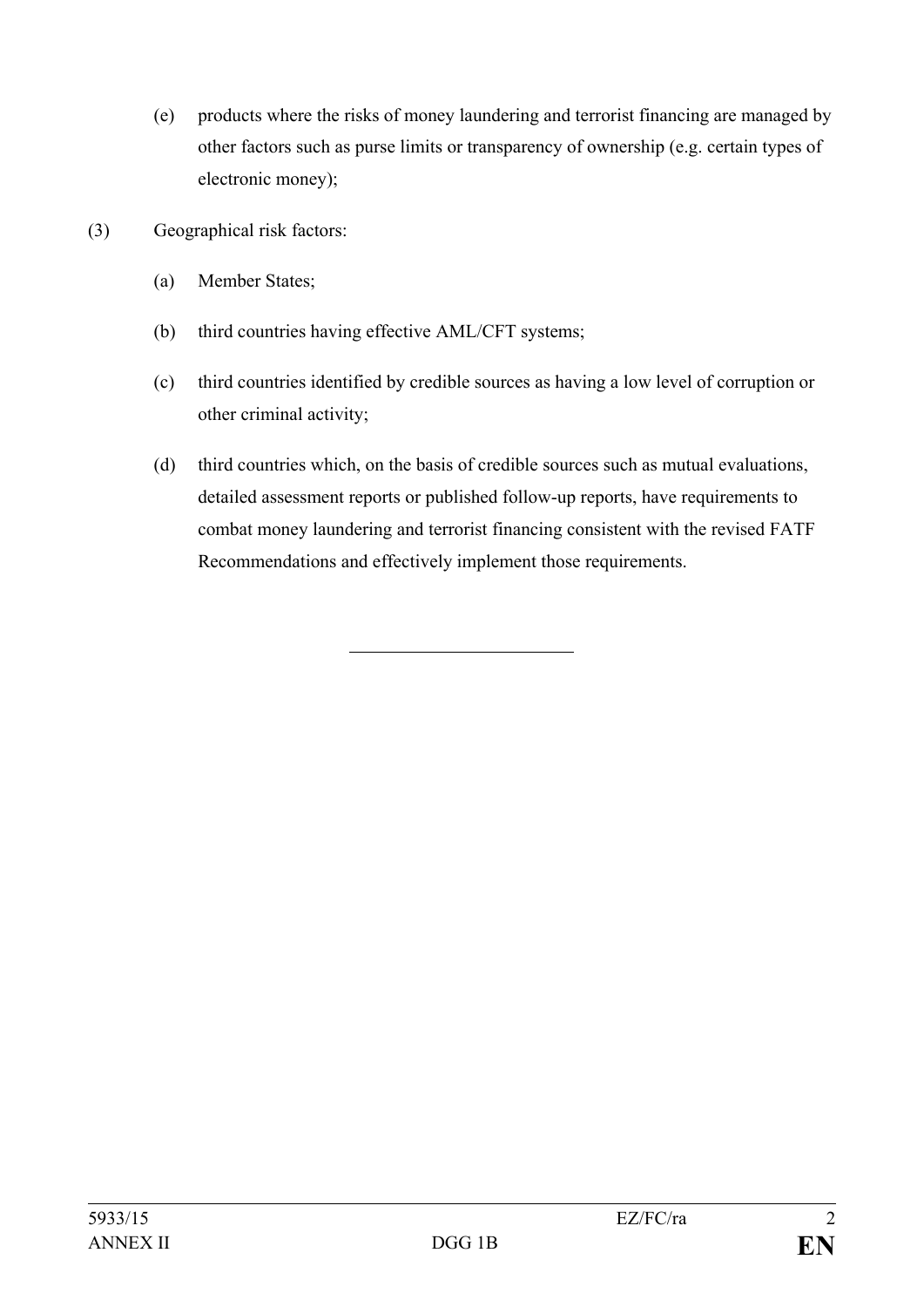- (e) products where the risks of money laundering and terrorist financing are managed by other factors such as purse limits or transparency of ownership (e.g. certain types of electronic money);
- (3) Geographical risk factors:
	- (a) Member States;
	- (b) third countries having effective AML/CFT systems;
	- (c) third countries identified by credible sources as having a low level of corruption or other criminal activity;
	- (d) third countries which, on the basis of credible sources such as mutual evaluations, detailed assessment reports or published follow-up reports, have requirements to combat money laundering and terrorist financing consistent with the revised FATF Recommendations and effectively implement those requirements.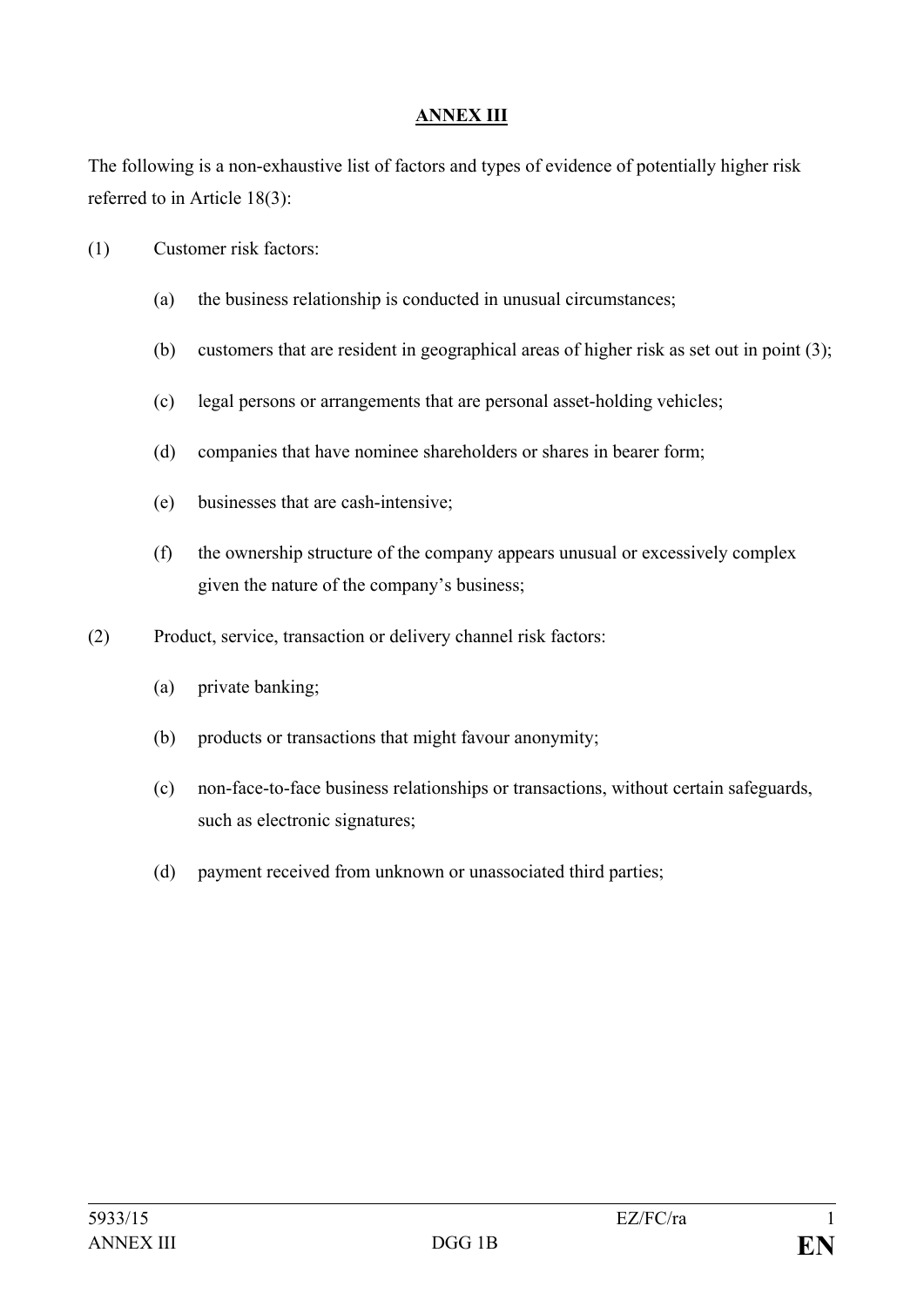## **ANNEX III**

The following is a non-exhaustive list of factors and types of evidence of potentially higher risk referred to in Article 18(3):

- (1) Customer risk factors:
	- (a) the business relationship is conducted in unusual circumstances;
	- (b) customers that are resident in geographical areas of higher risk as set out in point (3);
	- (c) legal persons or arrangements that are personal asset-holding vehicles;
	- (d) companies that have nominee shareholders or shares in bearer form;
	- (e) businesses that are cash-intensive;
	- (f) the ownership structure of the company appears unusual or excessively complex given the nature of the company's business;
- (2) Product, service, transaction or delivery channel risk factors:
	- (a) private banking;
	- (b) products or transactions that might favour anonymity;
	- (c) non-face-to-face business relationships or transactions, without certain safeguards, such as electronic signatures;
	- (d) payment received from unknown or unassociated third parties;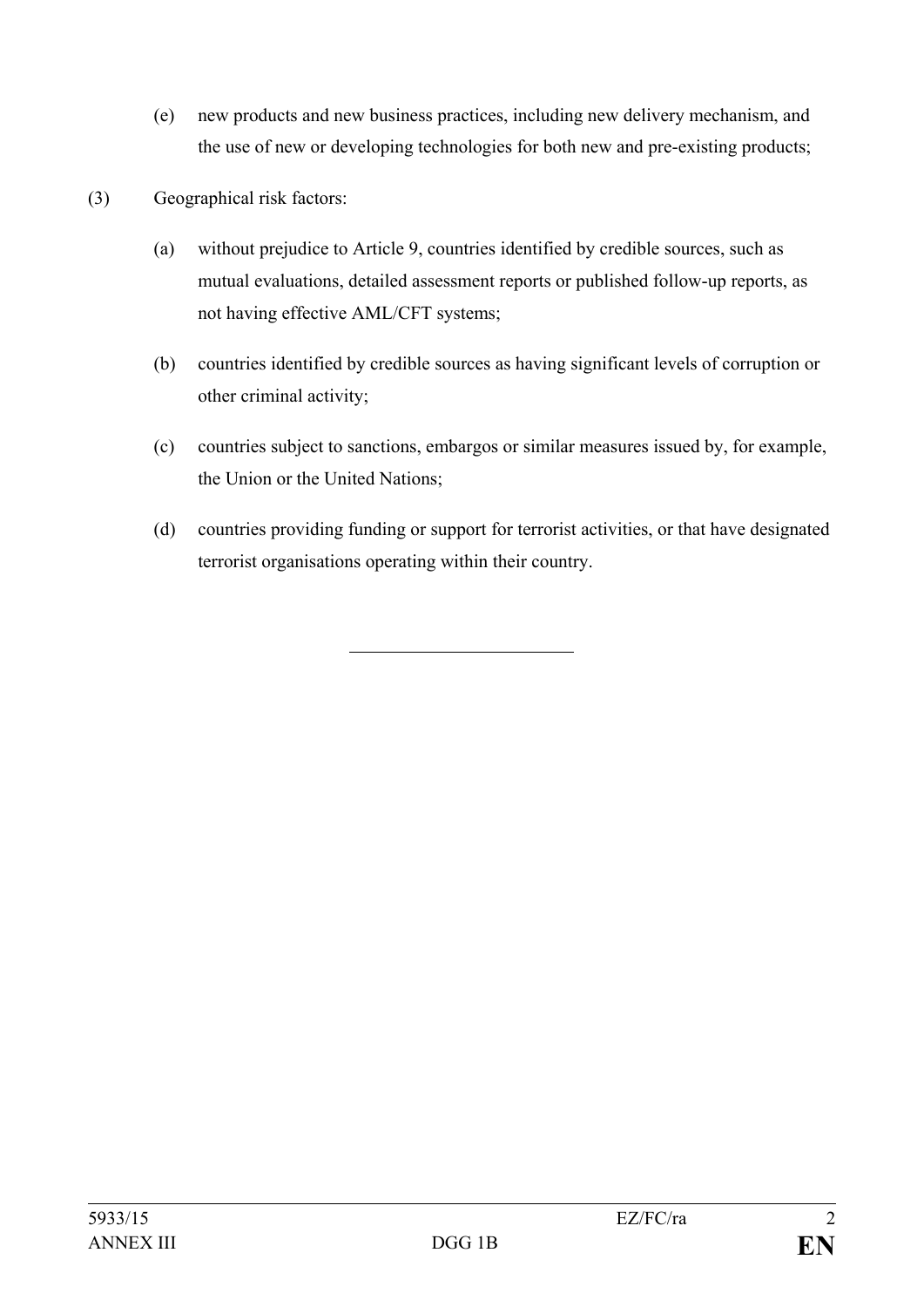- (e) new products and new business practices, including new delivery mechanism, and the use of new or developing technologies for both new and pre-existing products;
- (3) Geographical risk factors:
	- (a) without prejudice to Article 9, countries identified by credible sources, such as mutual evaluations, detailed assessment reports or published follow-up reports, as not having effective AML/CFT systems;
	- (b) countries identified by credible sources as having significant levels of corruption or other criminal activity;
	- (c) countries subject to sanctions, embargos or similar measures issued by, for example, the Union or the United Nations;
	- (d) countries providing funding or support for terrorist activities, or that have designated terrorist organisations operating within their country.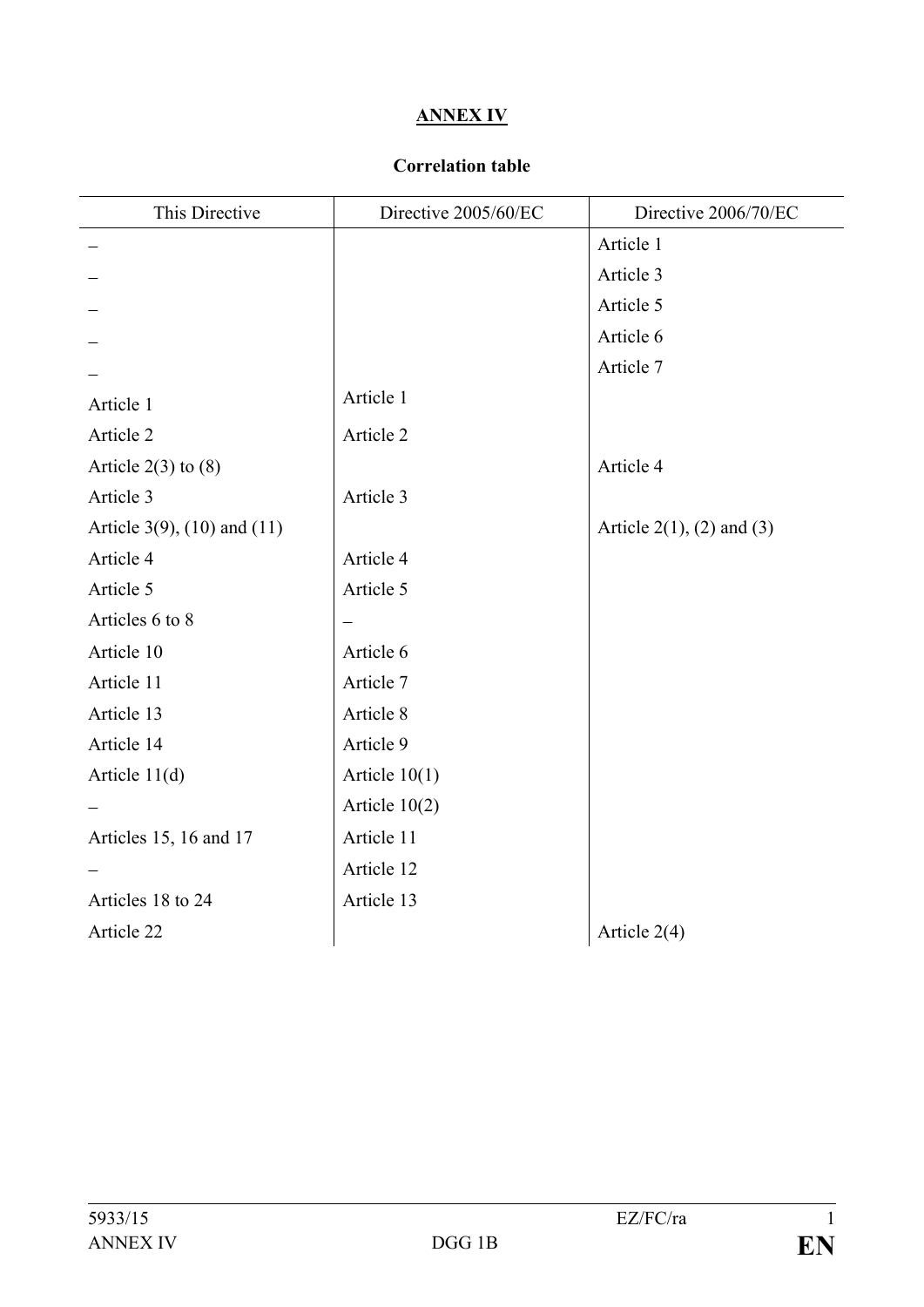# **ANNEX IV**

# **Correlation table**

| This Directive                     | Directive 2005/60/EC | Directive 2006/70/EC             |
|------------------------------------|----------------------|----------------------------------|
|                                    |                      | Article 1                        |
|                                    |                      | Article 3                        |
|                                    |                      | Article 5                        |
|                                    |                      | Article 6                        |
|                                    |                      | Article 7                        |
| Article 1                          | Article 1            |                                  |
| Article 2                          | Article 2            |                                  |
| Article $2(3)$ to $(8)$            |                      | Article 4                        |
| Article 3                          | Article 3            |                                  |
| Article $3(9)$ , $(10)$ and $(11)$ |                      | Article $2(1)$ , $(2)$ and $(3)$ |
| Article 4                          | Article 4            |                                  |
| Article 5                          | Article 5            |                                  |
| Articles 6 to 8                    |                      |                                  |
| Article 10                         | Article 6            |                                  |
| Article 11                         | Article 7            |                                  |
| Article 13                         | Article 8            |                                  |
| Article 14                         | Article 9            |                                  |
| Article $11(d)$                    | Article $10(1)$      |                                  |
|                                    | Article $10(2)$      |                                  |
| Articles 15, 16 and 17             | Article 11           |                                  |
|                                    | Article 12           |                                  |
| Articles 18 to 24                  | Article 13           |                                  |
| Article 22                         |                      | Article $2(4)$                   |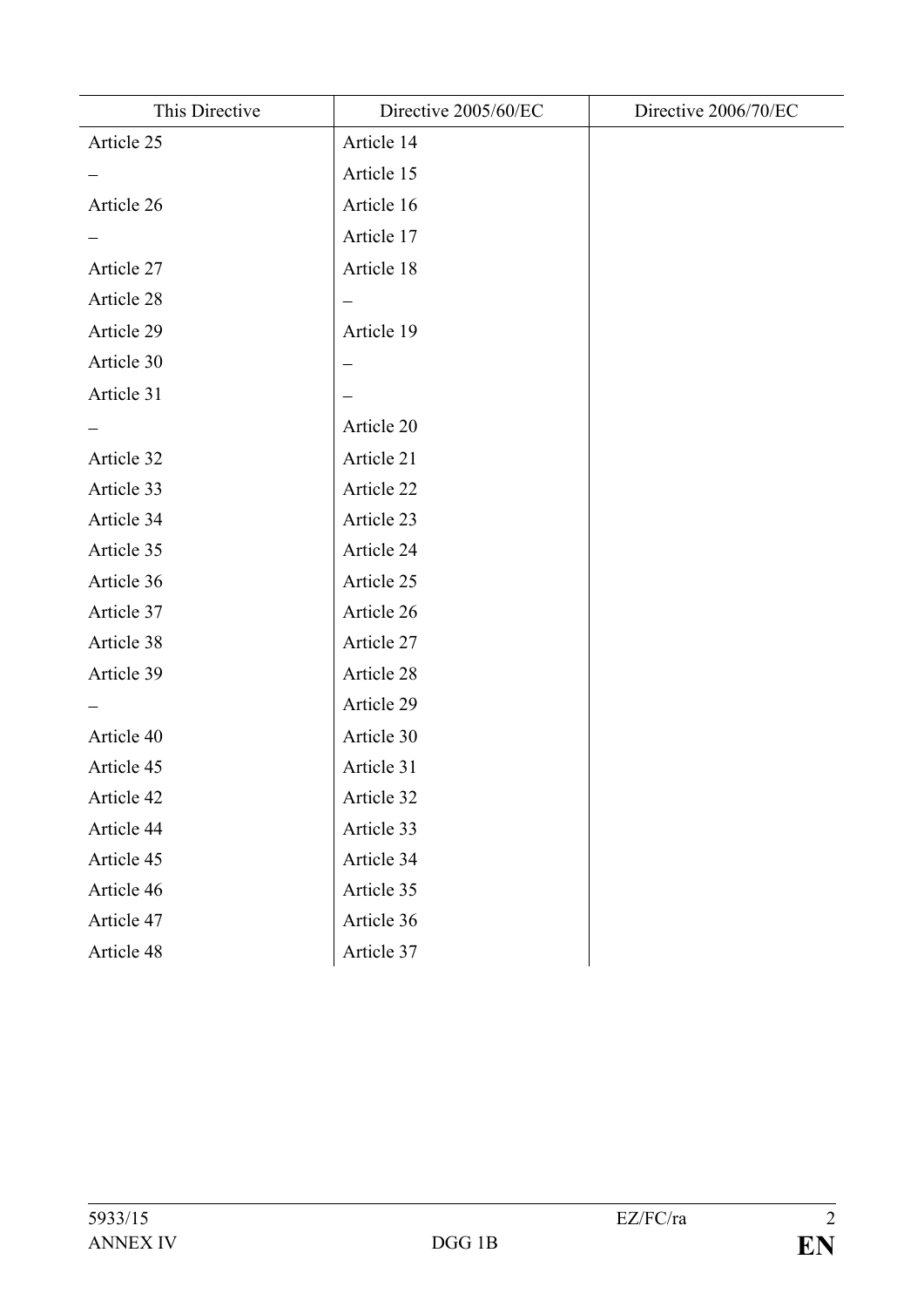| This Directive | Directive 2005/60/EC | Directive 2006/70/EC |
|----------------|----------------------|----------------------|
| Article 25     | Article 14           |                      |
|                | Article 15           |                      |
| Article 26     | Article 16           |                      |
|                | Article 17           |                      |
| Article 27     | Article 18           |                      |
| Article 28     | —                    |                      |
| Article 29     | Article 19           |                      |
| Article 30     |                      |                      |
| Article 31     |                      |                      |
|                | Article 20           |                      |
| Article 32     | Article 21           |                      |
| Article 33     | Article 22           |                      |
| Article 34     | Article 23           |                      |
| Article 35     | Article 24           |                      |
| Article 36     | Article 25           |                      |
| Article 37     | Article 26           |                      |
| Article 38     | Article 27           |                      |
| Article 39     | Article 28           |                      |
|                | Article 29           |                      |
| Article 40     | Article 30           |                      |
| Article 45     | Article 31           |                      |
| Article 42     | Article 32           |                      |
| Article 44     | Article 33           |                      |
| Article 45     | Article 34           |                      |
| Article 46     | Article 35           |                      |
| Article 47     | Article 36           |                      |
| Article 48     | Article 37           |                      |